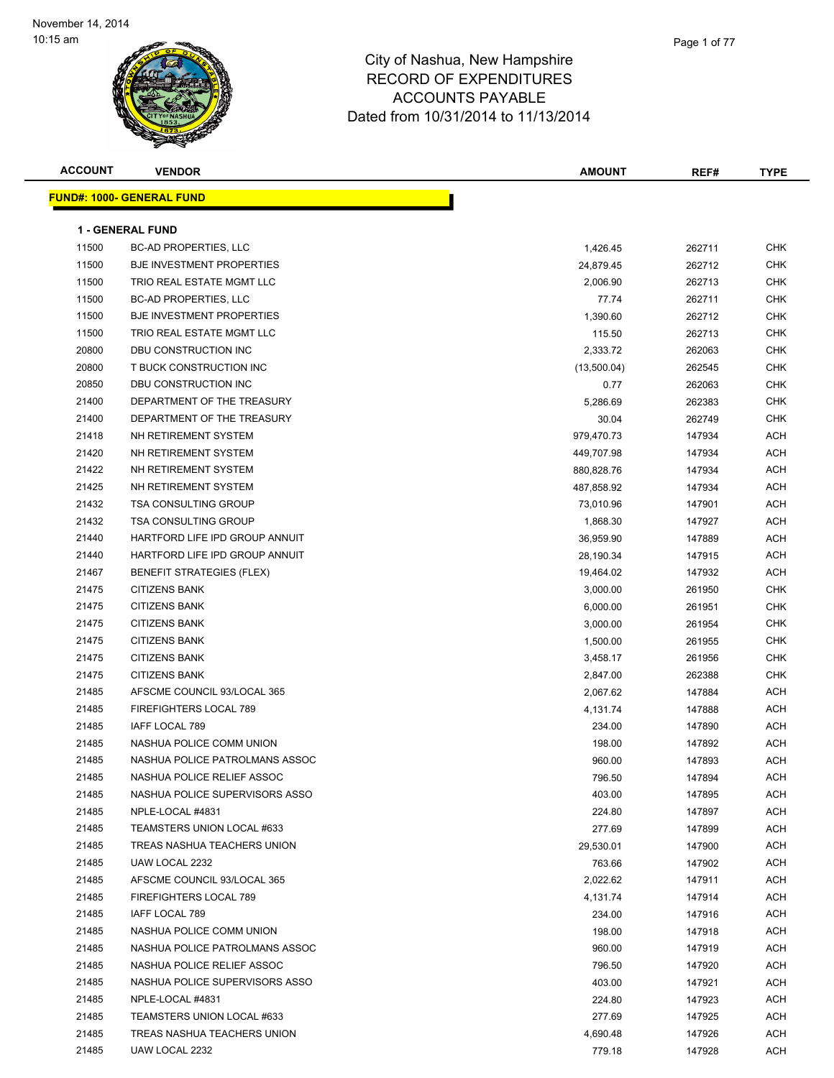| <b>ACCOUNT</b> | <b>VENDOR</b>                     | <b>AMOUNT</b> | REF#   | <b>TYPE</b> |
|----------------|-----------------------------------|---------------|--------|-------------|
|                | <u> FUND#: 1000- GENERAL FUND</u> |               |        |             |
|                |                                   |               |        |             |
|                | <b>1 - GENERAL FUND</b>           |               |        |             |
| 11500          | <b>BC-AD PROPERTIES, LLC</b>      | 1,426.45      | 262711 | <b>CHK</b>  |
| 11500          | <b>BJE INVESTMENT PROPERTIES</b>  | 24,879.45     | 262712 | CHK         |
| 11500          | TRIO REAL ESTATE MGMT LLC         | 2,006.90      | 262713 | CHK         |
| 11500          | <b>BC-AD PROPERTIES, LLC</b>      | 77.74         | 262711 | <b>CHK</b>  |
| 11500          | <b>BJE INVESTMENT PROPERTIES</b>  | 1,390.60      | 262712 | <b>CHK</b>  |
| 11500          | TRIO REAL ESTATE MGMT LLC         | 115.50        | 262713 | <b>CHK</b>  |
| 20800          | DBU CONSTRUCTION INC              | 2,333.72      | 262063 | <b>CHK</b>  |
| 20800          | T BUCK CONSTRUCTION INC           | (13,500.04)   | 262545 | <b>CHK</b>  |
| 20850          | DBU CONSTRUCTION INC              | 0.77          | 262063 | <b>CHK</b>  |
| 21400          | DEPARTMENT OF THE TREASURY        | 5,286.69      | 262383 | <b>CHK</b>  |
| 21400          | DEPARTMENT OF THE TREASURY        | 30.04         | 262749 | <b>CHK</b>  |
| 21418          | NH RETIREMENT SYSTEM              | 979,470.73    | 147934 | <b>ACH</b>  |
| 21420          | NH RETIREMENT SYSTEM              | 449,707.98    | 147934 | <b>ACH</b>  |
| 21422          | NH RETIREMENT SYSTEM              | 880,828.76    | 147934 | <b>ACH</b>  |
| 21425          | NH RETIREMENT SYSTEM              | 487,858.92    | 147934 | <b>ACH</b>  |
| 21432          | <b>TSA CONSULTING GROUP</b>       | 73,010.96     | 147901 | <b>ACH</b>  |
| 21432          | <b>TSA CONSULTING GROUP</b>       | 1,868.30      | 147927 | ACH         |
| 21440          | HARTFORD LIFE IPD GROUP ANNUIT    | 36,959.90     | 147889 | <b>ACH</b>  |
| 21440          | HARTFORD LIFE IPD GROUP ANNUIT    | 28,190.34     | 147915 | <b>ACH</b>  |
| 21467          | <b>BENEFIT STRATEGIES (FLEX)</b>  | 19,464.02     | 147932 | <b>ACH</b>  |
| 21475          | <b>CITIZENS BANK</b>              | 3,000.00      | 261950 | <b>CHK</b>  |
| 21475          | <b>CITIZENS BANK</b>              | 6,000.00      | 261951 | <b>CHK</b>  |
| 21475          | <b>CITIZENS BANK</b>              | 3,000.00      | 261954 | <b>CHK</b>  |
| 21475          | <b>CITIZENS BANK</b>              | 1,500.00      | 261955 | <b>CHK</b>  |
| 21475          | <b>CITIZENS BANK</b>              | 3,458.17      | 261956 | <b>CHK</b>  |
| 21475          | <b>CITIZENS BANK</b>              | 2,847.00      | 262388 | <b>CHK</b>  |
| 21485          | AFSCME COUNCIL 93/LOCAL 365       | 2,067.62      | 147884 | <b>ACH</b>  |
| 21485          | FIREFIGHTERS LOCAL 789            | 4,131.74      | 147888 | ACH         |
| 21485          | IAFF LOCAL 789                    | 234.00        | 147890 | <b>ACH</b>  |
| 21485          | NASHUA POLICE COMM UNION          | 198.00        | 147892 | ACH         |
| 21485          | NASHUA POLICE PATROLMANS ASSOC    | 960.00        | 147893 | <b>ACH</b>  |
| 21485          | NASHUA POLICE RELIEF ASSOC        | 796.50        | 147894 | ACH         |
| 21485          | NASHUA POLICE SUPERVISORS ASSO    | 403.00        | 147895 | ACH         |
| 21485          | NPLE-LOCAL #4831                  | 224.80        | 147897 | <b>ACH</b>  |
| 21485          | TEAMSTERS UNION LOCAL #633        | 277.69        | 147899 | ACH         |
| 21485          | TREAS NASHUA TEACHERS UNION       | 29,530.01     | 147900 | ACH         |
| 21485          | UAW LOCAL 2232                    | 763.66        | 147902 | ACH         |
| 21485          | AFSCME COUNCIL 93/LOCAL 365       | 2,022.62      | 147911 | ACH         |
| 21485          | FIREFIGHTERS LOCAL 789            | 4,131.74      | 147914 | <b>ACH</b>  |
| 21485          | IAFF LOCAL 789                    | 234.00        | 147916 | ACH         |
| 21485          | NASHUA POLICE COMM UNION          | 198.00        | 147918 | <b>ACH</b>  |
| 21485          | NASHUA POLICE PATROLMANS ASSOC    | 960.00        | 147919 | <b>ACH</b>  |
| 21485          | NASHUA POLICE RELIEF ASSOC        | 796.50        | 147920 | ACH         |
| 21485          | NASHUA POLICE SUPERVISORS ASSO    | 403.00        | 147921 | ACH         |
| 21485          | NPLE-LOCAL #4831                  | 224.80        | 147923 | <b>ACH</b>  |
| 21485          | TEAMSTERS UNION LOCAL #633        | 277.69        | 147925 | ACH         |
| 21485          | TREAS NASHUA TEACHERS UNION       | 4,690.48      | 147926 | ACH         |
| 21485          | UAW LOCAL 2232                    | 779.18        | 147928 | ACH         |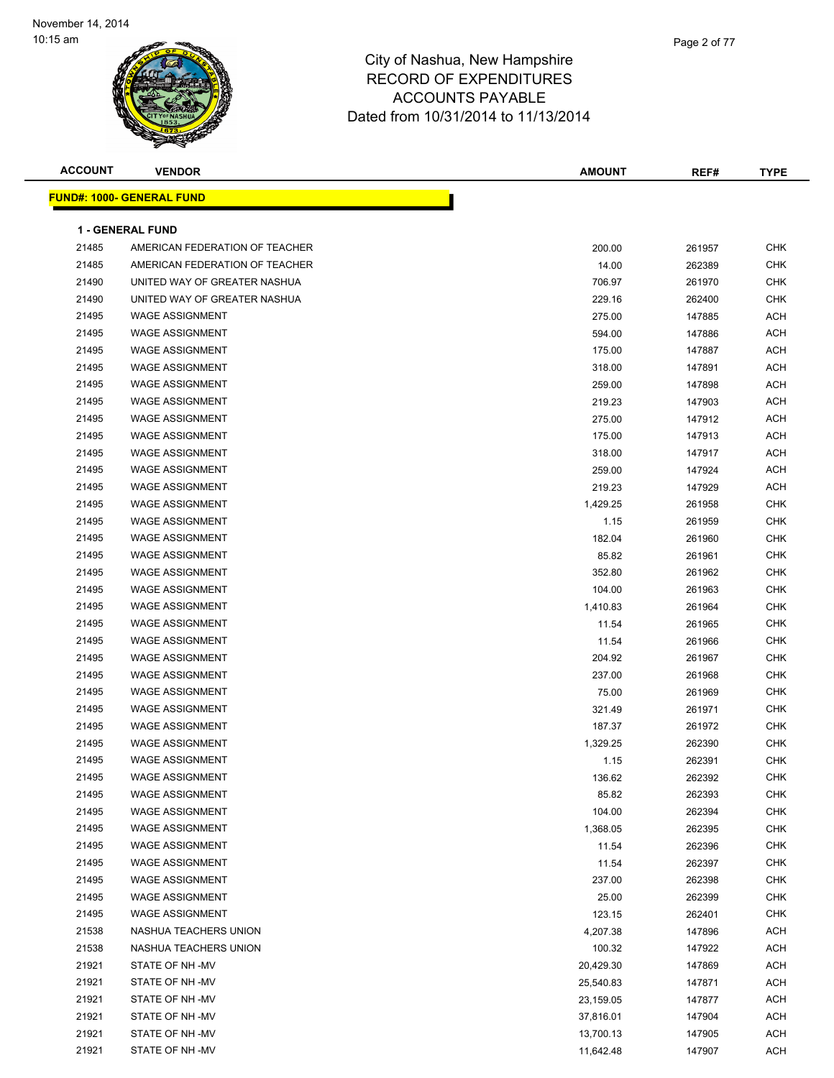

| <b>ACCOUNT</b> | <b>VENDOR</b>                     | <b>AMOUNT</b> | REF#   | <b>TYPE</b> |
|----------------|-----------------------------------|---------------|--------|-------------|
|                | <u> FUND#: 1000- GENERAL FUND</u> |               |        |             |
|                |                                   |               |        |             |
|                | <b>1 - GENERAL FUND</b>           |               |        |             |
| 21485          | AMERICAN FEDERATION OF TEACHER    | 200.00        | 261957 | <b>CHK</b>  |
| 21485          | AMERICAN FEDERATION OF TEACHER    | 14.00         | 262389 | <b>CHK</b>  |
| 21490          | UNITED WAY OF GREATER NASHUA      | 706.97        | 261970 | <b>CHK</b>  |
| 21490          | UNITED WAY OF GREATER NASHUA      | 229.16        | 262400 | <b>CHK</b>  |
| 21495          | <b>WAGE ASSIGNMENT</b>            | 275.00        | 147885 | ACH         |
| 21495          | <b>WAGE ASSIGNMENT</b>            | 594.00        | 147886 | <b>ACH</b>  |
| 21495          | <b>WAGE ASSIGNMENT</b>            | 175.00        | 147887 | <b>ACH</b>  |
| 21495          | <b>WAGE ASSIGNMENT</b>            | 318.00        | 147891 | <b>ACH</b>  |
| 21495          | <b>WAGE ASSIGNMENT</b>            | 259.00        | 147898 | <b>ACH</b>  |
| 21495          | <b>WAGE ASSIGNMENT</b>            | 219.23        | 147903 | <b>ACH</b>  |
| 21495          | <b>WAGE ASSIGNMENT</b>            | 275.00        | 147912 | <b>ACH</b>  |
| 21495          | <b>WAGE ASSIGNMENT</b>            | 175.00        | 147913 | <b>ACH</b>  |
| 21495          | <b>WAGE ASSIGNMENT</b>            | 318.00        | 147917 | <b>ACH</b>  |
| 21495          | <b>WAGE ASSIGNMENT</b>            | 259.00        | 147924 | <b>ACH</b>  |
| 21495          | <b>WAGE ASSIGNMENT</b>            | 219.23        | 147929 | <b>ACH</b>  |
| 21495          | <b>WAGE ASSIGNMENT</b>            | 1,429.25      | 261958 | <b>CHK</b>  |
| 21495          | <b>WAGE ASSIGNMENT</b>            | 1.15          | 261959 | CHK         |
| 21495          | <b>WAGE ASSIGNMENT</b>            | 182.04        | 261960 | <b>CHK</b>  |
| 21495          | <b>WAGE ASSIGNMENT</b>            | 85.82         | 261961 | <b>CHK</b>  |
| 21495          | <b>WAGE ASSIGNMENT</b>            | 352.80        | 261962 | <b>CHK</b>  |
| 21495          | <b>WAGE ASSIGNMENT</b>            | 104.00        | 261963 | <b>CHK</b>  |
| 21495          | <b>WAGE ASSIGNMENT</b>            | 1,410.83      | 261964 | <b>CHK</b>  |
| 21495          | <b>WAGE ASSIGNMENT</b>            | 11.54         | 261965 | <b>CHK</b>  |
| 21495          | <b>WAGE ASSIGNMENT</b>            | 11.54         | 261966 | <b>CHK</b>  |
| 21495          | <b>WAGE ASSIGNMENT</b>            | 204.92        | 261967 | <b>CHK</b>  |
| 21495          | <b>WAGE ASSIGNMENT</b>            | 237.00        | 261968 | <b>CHK</b>  |
| 21495          | <b>WAGE ASSIGNMENT</b>            | 75.00         | 261969 | CHK         |
| 21495          | <b>WAGE ASSIGNMENT</b>            | 321.49        | 261971 | CHK         |
| 21495          | <b>WAGE ASSIGNMENT</b>            | 187.37        | 261972 | <b>CHK</b>  |
| 21495          | <b>WAGE ASSIGNMENT</b>            | 1,329.25      | 262390 | <b>CHK</b>  |
| 21495          | <b>WAGE ASSIGNMENT</b>            | 1.15          | 262391 | <b>CHK</b>  |
| 21495          | <b>WAGE ASSIGNMENT</b>            | 136.62        | 262392 | <b>CHK</b>  |
| 21495          | <b>WAGE ASSIGNMENT</b>            | 85.82         | 262393 | <b>CHK</b>  |
| 21495          | <b>WAGE ASSIGNMENT</b>            | 104.00        | 262394 | <b>CHK</b>  |
| 21495          | <b>WAGE ASSIGNMENT</b>            | 1,368.05      | 262395 | CHK         |
| 21495          | <b>WAGE ASSIGNMENT</b>            | 11.54         | 262396 | CHK         |
| 21495          | <b>WAGE ASSIGNMENT</b>            | 11.54         | 262397 | CHK         |
| 21495          | <b>WAGE ASSIGNMENT</b>            | 237.00        | 262398 | CHK         |
| 21495          | <b>WAGE ASSIGNMENT</b>            | 25.00         | 262399 | <b>CHK</b>  |
| 21495          | <b>WAGE ASSIGNMENT</b>            | 123.15        | 262401 | <b>CHK</b>  |
| 21538          | NASHUA TEACHERS UNION             | 4,207.38      | 147896 | ACH         |
| 21538          | NASHUA TEACHERS UNION             | 100.32        | 147922 | <b>ACH</b>  |
| 21921          | STATE OF NH-MV                    | 20,429.30     | 147869 | <b>ACH</b>  |
| 21921          | STATE OF NH-MV                    | 25,540.83     | 147871 | ACH         |
| 21921          | STATE OF NH-MV                    | 23,159.05     | 147877 | ACH         |
| 21921          | STATE OF NH-MV                    | 37,816.01     | 147904 | ACH         |
| 21921          | STATE OF NH-MV                    | 13,700.13     | 147905 | ACH         |
| 21921          | STATE OF NH -MV                   | 11,642.48     | 147907 | <b>ACH</b>  |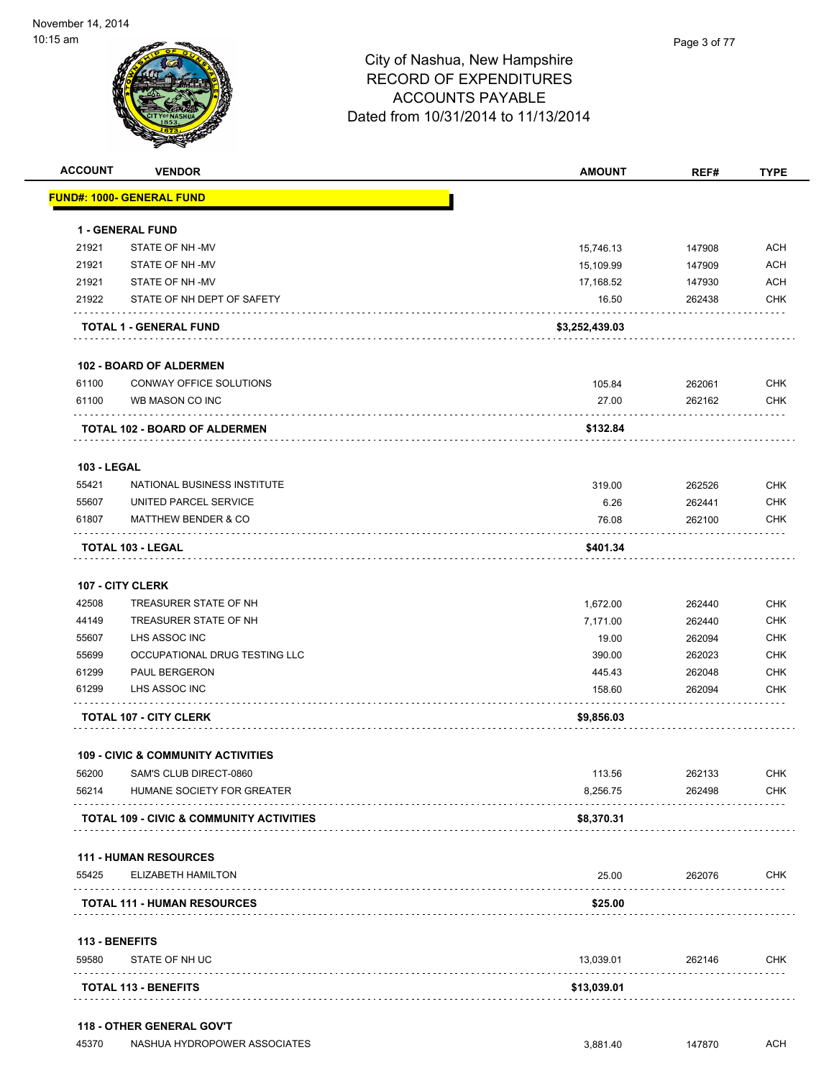

**118 - OTHER GENERAL GOV'T**

## City of Nashua, New Hampshire RECORD OF EXPENDITURES ACCOUNTS PAYABLE Dated from 10/31/2014 to 11/13/2014

| <b>FUND#: 1000- GENERAL FUND</b><br><b>1 - GENERAL FUND</b><br>STATE OF NH-MV<br>STATE OF NH-MV<br>STATE OF NH-MV<br>STATE OF NH DEPT OF SAFETY<br><b>TOTAL 1 - GENERAL FUND</b><br><b>102 - BOARD OF ALDERMEN</b><br>CONWAY OFFICE SOLUTIONS<br>WB MASON CO INC<br><b>TOTAL 102 - BOARD OF ALDERMEN</b> | 15,746.13<br>15,109.99<br>17,168.52<br>16.50<br>\$3,252,439.03<br>105.84<br>27.00<br>\$132.84 | 147908<br>147909<br>147930<br>262438<br>262061<br>262162 | <b>ACH</b><br><b>ACH</b><br><b>ACH</b><br><b>CHK</b><br><b>CHK</b><br><b>CHK</b> |
|----------------------------------------------------------------------------------------------------------------------------------------------------------------------------------------------------------------------------------------------------------------------------------------------------------|-----------------------------------------------------------------------------------------------|----------------------------------------------------------|----------------------------------------------------------------------------------|
|                                                                                                                                                                                                                                                                                                          |                                                                                               |                                                          |                                                                                  |
|                                                                                                                                                                                                                                                                                                          |                                                                                               |                                                          |                                                                                  |
|                                                                                                                                                                                                                                                                                                          |                                                                                               |                                                          |                                                                                  |
|                                                                                                                                                                                                                                                                                                          |                                                                                               |                                                          |                                                                                  |
|                                                                                                                                                                                                                                                                                                          |                                                                                               |                                                          |                                                                                  |
|                                                                                                                                                                                                                                                                                                          |                                                                                               |                                                          |                                                                                  |
|                                                                                                                                                                                                                                                                                                          |                                                                                               |                                                          |                                                                                  |
|                                                                                                                                                                                                                                                                                                          |                                                                                               |                                                          |                                                                                  |
|                                                                                                                                                                                                                                                                                                          |                                                                                               |                                                          |                                                                                  |
|                                                                                                                                                                                                                                                                                                          |                                                                                               |                                                          |                                                                                  |
|                                                                                                                                                                                                                                                                                                          |                                                                                               |                                                          |                                                                                  |
|                                                                                                                                                                                                                                                                                                          |                                                                                               |                                                          |                                                                                  |
| NATIONAL BUSINESS INSTITUTE                                                                                                                                                                                                                                                                              | 319.00                                                                                        | 262526                                                   | <b>CHK</b>                                                                       |
| UNITED PARCEL SERVICE                                                                                                                                                                                                                                                                                    | 6.26                                                                                          | 262441                                                   | <b>CHK</b>                                                                       |
| <b>MATTHEW BENDER &amp; CO</b>                                                                                                                                                                                                                                                                           | 76.08                                                                                         | 262100                                                   | <b>CHK</b>                                                                       |
| <b>TOTAL 103 - LEGAL</b>                                                                                                                                                                                                                                                                                 | \$401.34                                                                                      |                                                          |                                                                                  |
| 107 - CITY CLERK                                                                                                                                                                                                                                                                                         |                                                                                               |                                                          |                                                                                  |
| TREASURER STATE OF NH                                                                                                                                                                                                                                                                                    | 1,672.00                                                                                      | 262440                                                   | <b>CHK</b>                                                                       |
| TREASURER STATE OF NH                                                                                                                                                                                                                                                                                    | 7,171.00                                                                                      | 262440                                                   | <b>CHK</b>                                                                       |
| LHS ASSOC INC                                                                                                                                                                                                                                                                                            | 19.00                                                                                         | 262094                                                   | <b>CHK</b>                                                                       |
| OCCUPATIONAL DRUG TESTING LLC                                                                                                                                                                                                                                                                            | 390.00                                                                                        | 262023                                                   | <b>CHK</b>                                                                       |
| PAUL BERGERON                                                                                                                                                                                                                                                                                            | 445.43                                                                                        | 262048                                                   | <b>CHK</b>                                                                       |
| LHS ASSOC INC                                                                                                                                                                                                                                                                                            | 158.60                                                                                        | 262094                                                   | <b>CHK</b>                                                                       |
| <b>TOTAL 107 - CITY CLERK</b>                                                                                                                                                                                                                                                                            | \$9,856.03                                                                                    |                                                          |                                                                                  |
| <b>109 - CIVIC &amp; COMMUNITY ACTIVITIES</b>                                                                                                                                                                                                                                                            |                                                                                               |                                                          |                                                                                  |
| SAM'S CLUB DIRECT-0860                                                                                                                                                                                                                                                                                   | 113.56                                                                                        | 262133                                                   | <b>CHK</b>                                                                       |
| HUMANE SOCIETY FOR GREATER                                                                                                                                                                                                                                                                               | 8,256.75                                                                                      | 262498                                                   | <b>CHK</b>                                                                       |
| <b>TOTAL 109 - CIVIC &amp; COMMUNITY ACTIVITIES</b>                                                                                                                                                                                                                                                      | \$8,370.31                                                                                    |                                                          |                                                                                  |
| <b>111 - HUMAN RESOURCES</b>                                                                                                                                                                                                                                                                             |                                                                                               |                                                          |                                                                                  |
| ELIZABETH HAMILTON<br>.                                                                                                                                                                                                                                                                                  | 25.00                                                                                         | 262076                                                   | <b>CHK</b>                                                                       |
| <b>TOTAL 111 - HUMAN RESOURCES</b>                                                                                                                                                                                                                                                                       | \$25.00                                                                                       |                                                          |                                                                                  |
| 113 - BENEFITS                                                                                                                                                                                                                                                                                           |                                                                                               |                                                          |                                                                                  |
|                                                                                                                                                                                                                                                                                                          | 13,039.01                                                                                     | 262146                                                   | <b>CHK</b>                                                                       |
|                                                                                                                                                                                                                                                                                                          |                                                                                               |                                                          |                                                                                  |
|                                                                                                                                                                                                                                                                                                          | STATE OF NH UC                                                                                |                                                          |                                                                                  |

45370 NASHUA HYDROPOWER ASSOCIATES 3,881.40 147870 ACH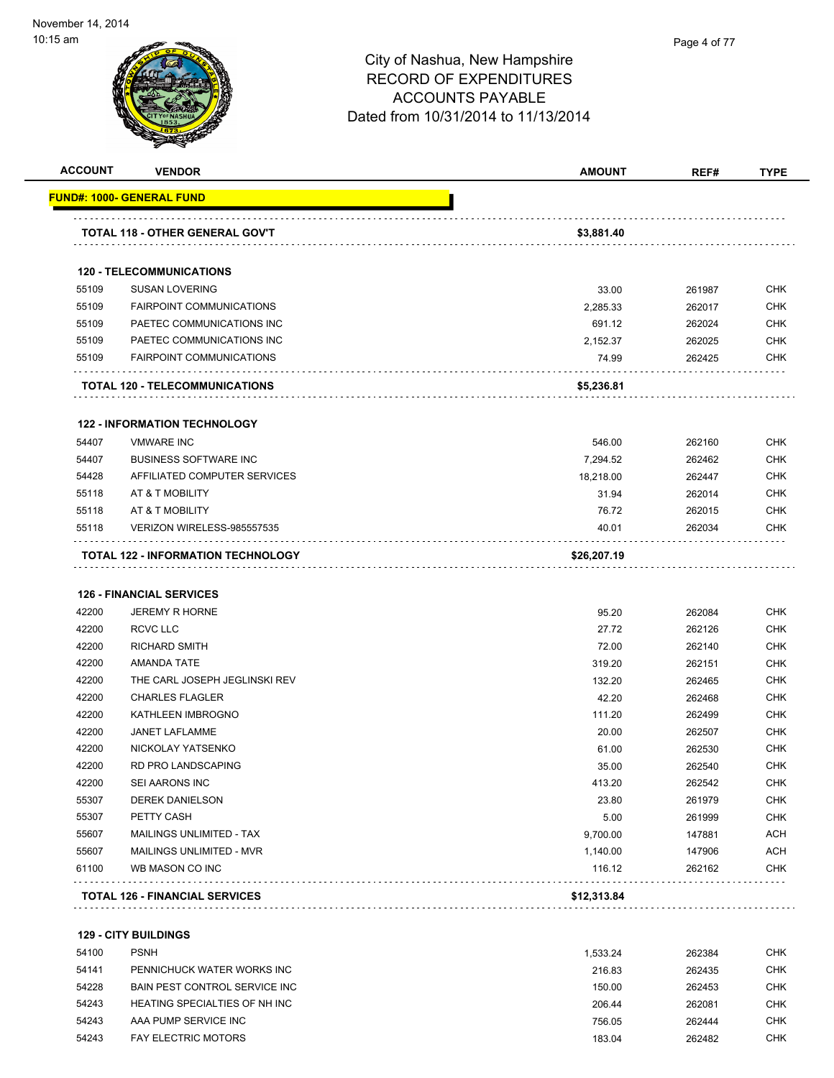| <b>ACCOUNT</b> | <b>VENDOR</b>                              | <b>AMOUNT</b> | REF#   | <b>TYPE</b> |
|----------------|--------------------------------------------|---------------|--------|-------------|
|                | FUND#: 1000- GENERAL FUND                  |               |        |             |
|                |                                            |               |        |             |
|                | TOTAL 118 - OTHER GENERAL GOV'T            | \$3,881.40    |        |             |
|                | <b>120 - TELECOMMUNICATIONS</b>            |               |        |             |
| 55109          | <b>SUSAN LOVERING</b>                      | 33.00         | 261987 | <b>CHK</b>  |
| 55109          | <b>FAIRPOINT COMMUNICATIONS</b>            | 2,285.33      | 262017 | <b>CHK</b>  |
| 55109          | PAETEC COMMUNICATIONS INC                  | 691.12        | 262024 | <b>CHK</b>  |
| 55109          | PAETEC COMMUNICATIONS INC                  | 2,152.37      | 262025 | <b>CHK</b>  |
| 55109          | <b>FAIRPOINT COMMUNICATIONS</b>            | 74.99         | 262425 | <b>CHK</b>  |
|                | TOTAL 120 - TELECOMMUNICATIONS             | \$5,236.81    |        |             |
|                | <b>122 - INFORMATION TECHNOLOGY</b>        |               |        |             |
| 54407          | <b>VMWARE INC</b>                          | 546.00        | 262160 | <b>CHK</b>  |
| 54407          | <b>BUSINESS SOFTWARE INC</b>               | 7,294.52      | 262462 | <b>CHK</b>  |
| 54428          | AFFILIATED COMPUTER SERVICES               | 18,218.00     | 262447 | <b>CHK</b>  |
| 55118          | AT & T MOBILITY                            | 31.94         | 262014 | <b>CHK</b>  |
| 55118          | AT & T MOBILITY                            | 76.72         | 262015 | <b>CHK</b>  |
| 55118          | VERIZON WIRELESS-985557535                 | 40.01         | 262034 | <b>CHK</b>  |
|                | TOTAL 122 - INFORMATION TECHNOLOGY         | \$26,207.19   |        |             |
|                |                                            |               |        |             |
|                | <b>126 - FINANCIAL SERVICES</b>            |               |        |             |
| 42200          | <b>JEREMY R HORNE</b>                      | 95.20         | 262084 | <b>CHK</b>  |
| 42200          | <b>RCVC LLC</b>                            | 27.72         | 262126 | <b>CHK</b>  |
| 42200          | <b>RICHARD SMITH</b>                       | 72.00         | 262140 | <b>CHK</b>  |
| 42200          | AMANDA TATE                                | 319.20        | 262151 | <b>CHK</b>  |
| 42200          | THE CARL JOSEPH JEGLINSKI REV              | 132.20        | 262465 | <b>CHK</b>  |
| 42200          | <b>CHARLES FLAGLER</b>                     | 42.20         | 262468 | <b>CHK</b>  |
| 42200          | KATHLEEN IMBROGNO                          | 111.20        | 262499 | <b>CHK</b>  |
| 42200          | JANET LAFLAMME                             | 20.00         | 262507 | <b>CHK</b>  |
| 42200          | NICKOLAY YATSENKO                          | 61.00         | 262530 | <b>CHK</b>  |
| 42200          | <b>RD PRO LANDSCAPING</b>                  | 35.00         | 262540 | <b>CHK</b>  |
| 42200          | SEI AARONS INC                             | 413.20        | 262542 | <b>CHK</b>  |
| 55307          | <b>DEREK DANIELSON</b>                     | 23.80         | 261979 | <b>CHK</b>  |
| 55307          | PETTY CASH                                 | 5.00          | 261999 | <b>CHK</b>  |
| 55607          | MAILINGS UNLIMITED - TAX                   | 9,700.00      | 147881 | ACH         |
| 55607          | MAILINGS UNLIMITED - MVR                   | 1,140.00      | 147906 | ACH         |
| 61100          | WB MASON CO INC                            | 116.12        | 262162 | <b>CHK</b>  |
|                | <b>TOTAL 126 - FINANCIAL SERVICES</b>      | \$12,313.84   |        |             |
|                |                                            |               |        |             |
| 54100          | <b>129 - CITY BUILDINGS</b><br><b>PSNH</b> | 1,533.24      | 262384 | <b>CHK</b>  |
|                |                                            |               |        |             |

| <b>54 IUU</b> | rənn                          | 1.333.24 | 202304 | ∪⊓N |
|---------------|-------------------------------|----------|--------|-----|
| 54141         | PENNICHUCK WATER WORKS INC    | 216.83   | 262435 | снк |
| 54228         | BAIN PEST CONTROL SERVICE INC | 150.00   | 262453 | снк |
| 54243         | HEATING SPECIALTIES OF NH INC | 206.44   | 262081 | снк |
| 54243         | AAA PUMP SERVICE INC          | 756.05   | 262444 | CHK |
| 54243         | <b>FAY ELECTRIC MOTORS</b>    | 183.04   | 262482 | снк |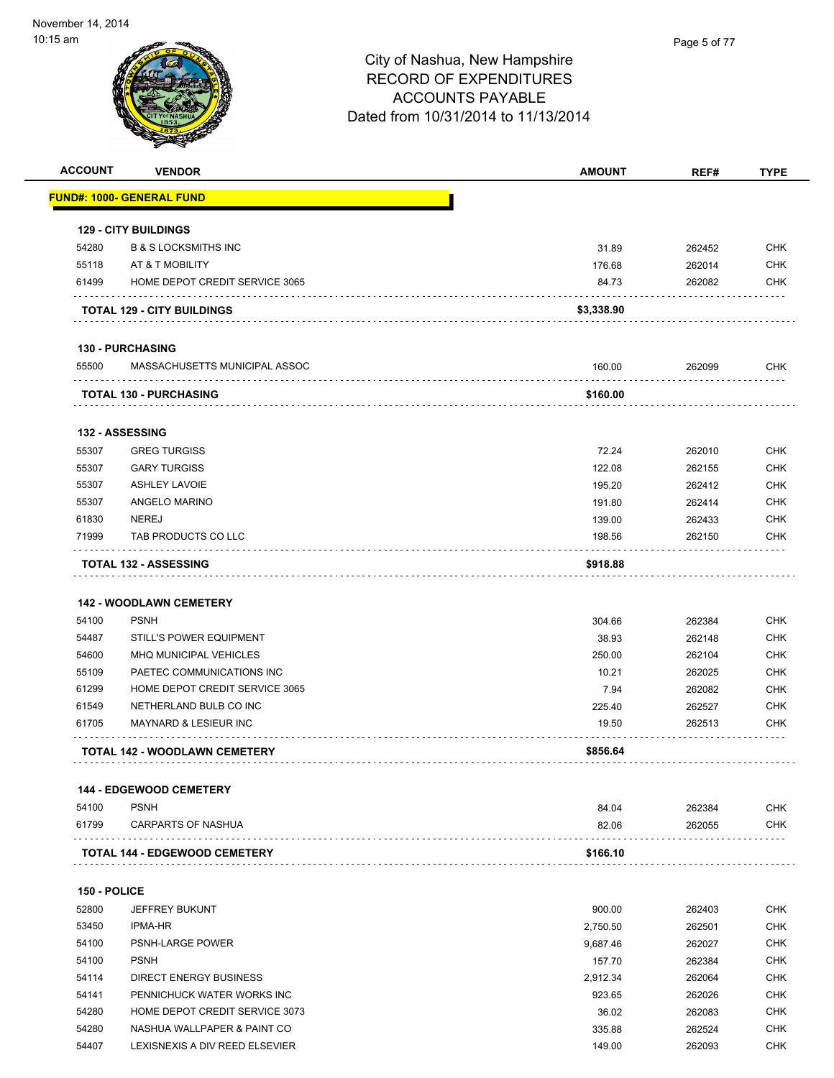

| <b>ACCOUNT</b> | <b>VENDOR</b>                                            | <b>AMOUNT</b> | REF#   | <b>TYPE</b> |
|----------------|----------------------------------------------------------|---------------|--------|-------------|
|                | <u> FUND#: 1000- GENERAL FUND</u>                        |               |        |             |
|                | <b>129 - CITY BUILDINGS</b>                              |               |        |             |
| 54280          | <b>B &amp; S LOCKSMITHS INC</b>                          | 31.89         | 262452 | <b>CHK</b>  |
| 55118          | AT & T MOBILITY                                          | 176.68        | 262014 | <b>CHK</b>  |
| 61499          | HOME DEPOT CREDIT SERVICE 3065                           | 84.73         | 262082 | <b>CHK</b>  |
|                | <b>TOTAL 129 - CITY BUILDINGS</b>                        | \$3,338.90    |        |             |
|                |                                                          |               |        |             |
| 55500          | <b>130 - PURCHASING</b><br>MASSACHUSETTS MUNICIPAL ASSOC | 160.00        | 262099 | <b>CHK</b>  |
|                | <b>TOTAL 130 - PURCHASING</b>                            | \$160.00      |        |             |
|                | 132 - ASSESSING                                          |               |        |             |
| 55307          | <b>GREG TURGISS</b>                                      | 72.24         | 262010 | <b>CHK</b>  |
| 55307          | <b>GARY TURGISS</b>                                      | 122.08        | 262155 | <b>CHK</b>  |
| 55307          | <b>ASHLEY LAVOIE</b>                                     | 195.20        | 262412 | <b>CHK</b>  |
| 55307          | ANGELO MARINO                                            | 191.80        | 262414 | <b>CHK</b>  |
| 61830          | <b>NEREJ</b>                                             | 139.00        | 262433 | <b>CHK</b>  |
| 71999          | TAB PRODUCTS CO LLC                                      | 198.56        | 262150 | <b>CHK</b>  |
|                | <b>TOTAL 132 - ASSESSING</b>                             | \$918.88      |        |             |
|                | <b>142 - WOODLAWN CEMETERY</b>                           |               |        |             |
| 54100          | <b>PSNH</b>                                              | 304.66        | 262384 | <b>CHK</b>  |
| 54487          | <b>STILL'S POWER EQUIPMENT</b>                           | 38.93         | 262148 | <b>CHK</b>  |
| 54600          | <b>MHQ MUNICIPAL VEHICLES</b>                            | 250.00        | 262104 | CHK         |
| 55109          | PAETEC COMMUNICATIONS INC                                | 10.21         | 262025 | <b>CHK</b>  |
| 61299          | HOME DEPOT CREDIT SERVICE 3065                           | 7.94          | 262082 | <b>CHK</b>  |
| 61549          | NETHERLAND BULB CO INC                                   | 225.40        | 262527 | <b>CHK</b>  |
| 61705          | <b>MAYNARD &amp; LESIEUR INC</b>                         | 19.50         | 262513 | CHK         |
|                | <b>TOTAL 142 - WOODLAWN CEMETERY</b>                     | \$856.64      |        |             |
|                |                                                          |               |        |             |
|                | <b>144 - EDGEWOOD CEMETERY</b>                           |               |        |             |
| 54100          | <b>PSNH</b>                                              | 84.04         | 262384 | <b>CHK</b>  |
| 61799          | CARPARTS OF NASHUA                                       | 82.06         | 262055 | <b>CHK</b>  |
|                | <b>TOTAL 144 - EDGEWOOD CEMETERY</b>                     | \$166.10      |        |             |
| 150 - POLICE   |                                                          |               |        |             |
| 52800          | <b>JEFFREY BUKUNT</b>                                    | 900.00        | 262403 | <b>CHK</b>  |
| 53450          | IPMA-HR                                                  | 2,750.50      | 262501 | <b>CHK</b>  |
| 54100          | <b>PSNH-LARGE POWER</b>                                  | 9,687.46      | 262027 | CHK         |
| 54100          | <b>PSNH</b>                                              | 157.70        | 262384 | CHK         |
| 54114          | DIRECT ENERGY BUSINESS                                   | 2,912.34      | 262064 | CHK         |
| 54141          | PENNICHUCK WATER WORKS INC                               | 923.65        | 262026 | <b>CHK</b>  |
|                | HOME DEPOT CREDIT SERVICE 3073                           | 36.02         | 262083 | <b>CHK</b>  |
| 54280          |                                                          |               |        |             |
| 54280          | NASHUA WALLPAPER & PAINT CO                              | 335.88        | 262524 | CHK         |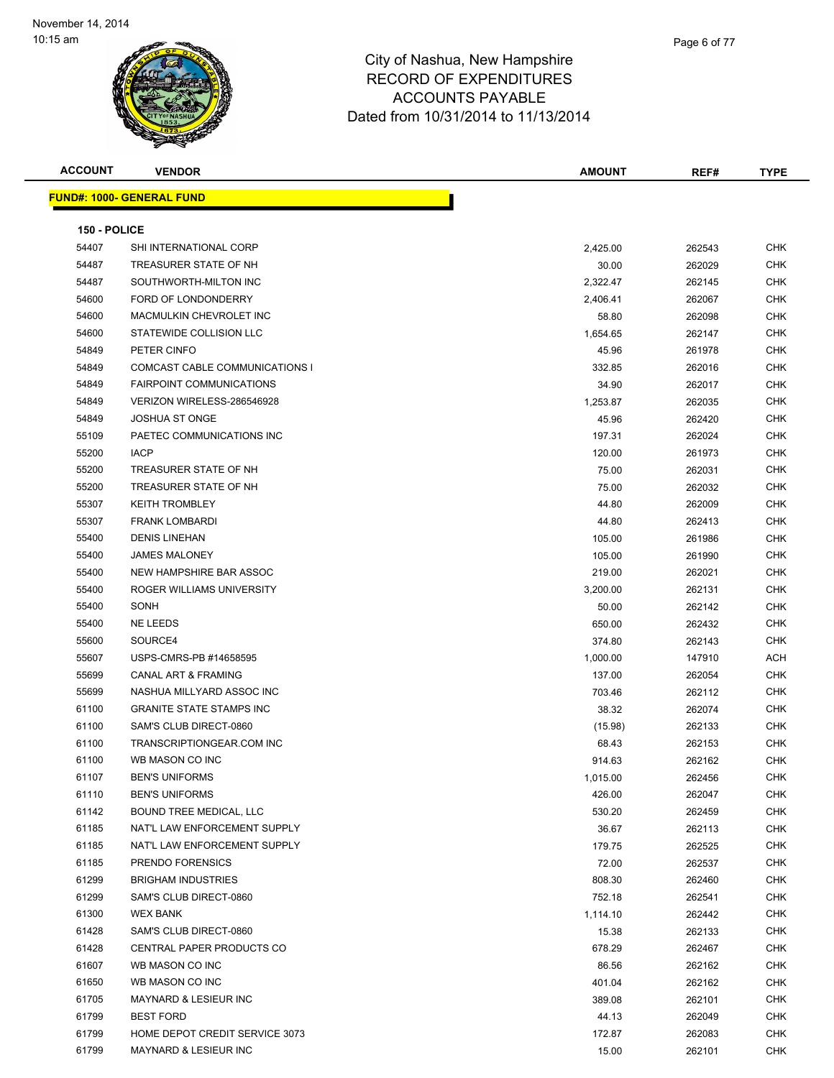| <b>ACCOUNT</b> | <b>VENDOR</b>                    | <b>AMOUNT</b> | REF#   | <b>TYPE</b> |
|----------------|----------------------------------|---------------|--------|-------------|
|                | <b>FUND#: 1000- GENERAL FUND</b> |               |        |             |
|                |                                  |               |        |             |
| 150 - POLICE   |                                  |               |        |             |
| 54407          | SHI INTERNATIONAL CORP           | 2,425.00      | 262543 | <b>CHK</b>  |
| 54487          | TREASURER STATE OF NH            | 30.00         | 262029 | <b>CHK</b>  |
| 54487          | SOUTHWORTH-MILTON INC            | 2,322.47      | 262145 | <b>CHK</b>  |
| 54600          | FORD OF LONDONDERRY              | 2,406.41      | 262067 | CHK         |
| 54600          | MACMULKIN CHEVROLET INC          | 58.80         | 262098 | CHK         |
| 54600          | STATEWIDE COLLISION LLC          | 1,654.65      | 262147 | <b>CHK</b>  |
| 54849          | PETER CINFO                      | 45.96         | 261978 | <b>CHK</b>  |
| 54849          | COMCAST CABLE COMMUNICATIONS I   | 332.85        | 262016 | <b>CHK</b>  |
| 54849          | <b>FAIRPOINT COMMUNICATIONS</b>  | 34.90         | 262017 | CHK         |
| 54849          | VERIZON WIRELESS-286546928       | 1,253.87      | 262035 | <b>CHK</b>  |
| 54849          | <b>JOSHUA ST ONGE</b>            | 45.96         | 262420 | CHK         |
| 55109          | PAETEC COMMUNICATIONS INC        | 197.31        | 262024 | CHK         |
| 55200          | <b>IACP</b>                      | 120.00        | 261973 | <b>CHK</b>  |
| 55200          | TREASURER STATE OF NH            | 75.00         | 262031 | <b>CHK</b>  |
| 55200          | TREASURER STATE OF NH            | 75.00         | 262032 | CHK         |
| 55307          | <b>KEITH TROMBLEY</b>            | 44.80         | 262009 | <b>CHK</b>  |
| 55307          | <b>FRANK LOMBARDI</b>            | 44.80         | 262413 | CHK         |
| 55400          | <b>DENIS LINEHAN</b>             | 105.00        | 261986 | <b>CHK</b>  |
| 55400          | <b>JAMES MALONEY</b>             | 105.00        | 261990 | <b>CHK</b>  |
| 55400          | NEW HAMPSHIRE BAR ASSOC          | 219.00        | 262021 | <b>CHK</b>  |
| 55400          | ROGER WILLIAMS UNIVERSITY        | 3,200.00      | 262131 | <b>CHK</b>  |
| 55400          | SONH                             | 50.00         | 262142 | CHK         |
| 55400          | NE LEEDS                         | 650.00        | 262432 | CHK         |
| 55600          | SOURCE4                          | 374.80        | 262143 | CHK         |
| 55607          | USPS-CMRS-PB #14658595           | 1,000.00      | 147910 | ACH         |
| 55699          | <b>CANAL ART &amp; FRAMING</b>   | 137.00        | 262054 | CHK         |
| 55699          | NASHUA MILLYARD ASSOC INC        | 703.46        | 262112 | CHK         |
| 61100          | <b>GRANITE STATE STAMPS INC</b>  | 38.32         | 262074 | <b>CHK</b>  |
| 61100          | SAM'S CLUB DIRECT-0860           | (15.98)       | 262133 | <b>CHK</b>  |
| 61100          | TRANSCRIPTIONGEAR.COM INC        | 68.43         | 262153 | <b>CHK</b>  |
| 61100          | WB MASON CO INC                  | 914.63        | 262162 | CHK         |
| 61107          | <b>BEN'S UNIFORMS</b>            | 1,015.00      | 262456 | CHK         |
| 61110          | <b>BEN'S UNIFORMS</b>            | 426.00        | 262047 | CHK         |
| 61142          | BOUND TREE MEDICAL, LLC          | 530.20        | 262459 | <b>CHK</b>  |
| 61185          | NAT'L LAW ENFORCEMENT SUPPLY     | 36.67         | 262113 | <b>CHK</b>  |
| 61185          | NAT'L LAW ENFORCEMENT SUPPLY     | 179.75        | 262525 | <b>CHK</b>  |
| 61185          | PRENDO FORENSICS                 | 72.00         | 262537 | <b>CHK</b>  |
| 61299          | <b>BRIGHAM INDUSTRIES</b>        | 808.30        | 262460 | <b>CHK</b>  |
| 61299          | SAM'S CLUB DIRECT-0860           | 752.18        | 262541 | <b>CHK</b>  |
| 61300          | <b>WEX BANK</b>                  | 1,114.10      | 262442 | CHK         |
| 61428          | SAM'S CLUB DIRECT-0860           | 15.38         | 262133 | CHK         |
| 61428          | CENTRAL PAPER PRODUCTS CO        | 678.29        | 262467 | CHK         |
| 61607          | WB MASON CO INC                  | 86.56         | 262162 | CHK         |
| 61650          | WB MASON CO INC                  | 401.04        | 262162 | <b>CHK</b>  |
| 61705          | MAYNARD & LESIEUR INC            | 389.08        | 262101 | <b>CHK</b>  |
| 61799          | <b>BEST FORD</b>                 | 44.13         | 262049 | <b>CHK</b>  |
| 61799          | HOME DEPOT CREDIT SERVICE 3073   | 172.87        | 262083 | CHK         |
| 61799          | <b>MAYNARD &amp; LESIEUR INC</b> | 15.00         | 262101 | CHK         |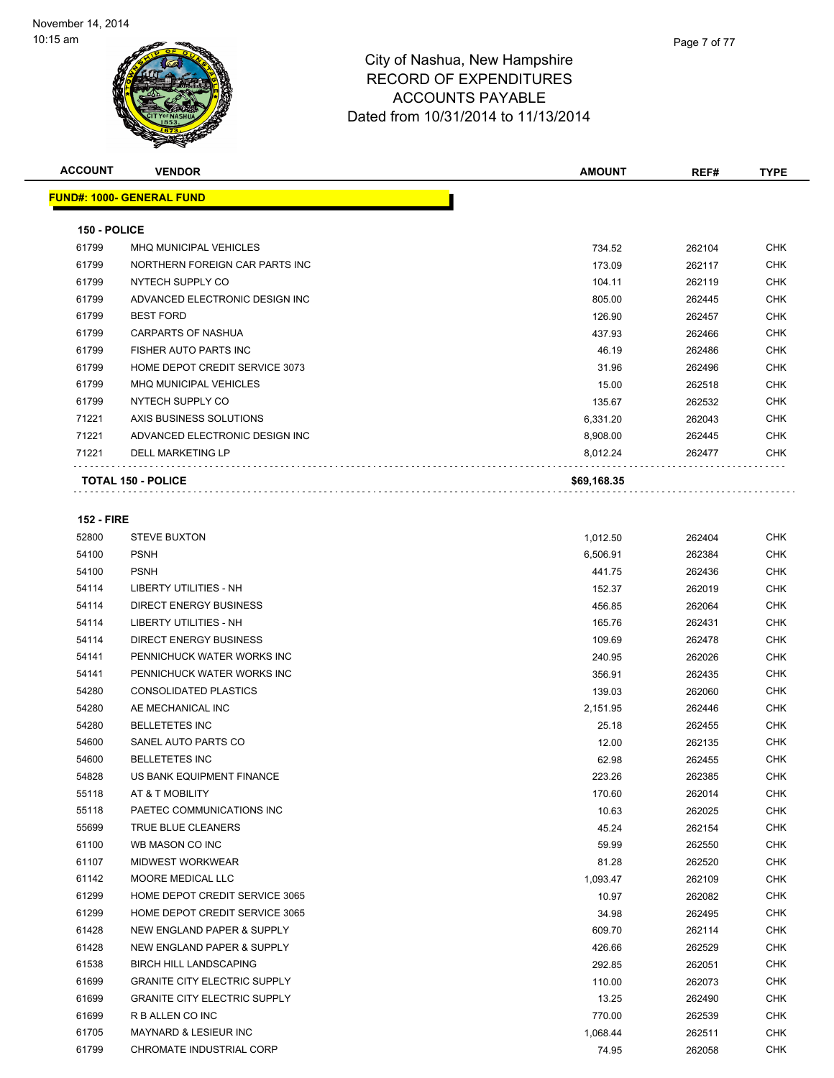| <b>ACCOUNT</b> | <b>VENDOR</b>                    | <b>AMOUNT</b> | REF#   | <b>TYPE</b> |
|----------------|----------------------------------|---------------|--------|-------------|
|                | <b>FUND#: 1000- GENERAL FUND</b> |               |        |             |
| 150 - POLICE   |                                  |               |        |             |
| 61799          | <b>MHQ MUNICIPAL VEHICLES</b>    | 734.52        | 262104 | <b>CHK</b>  |
| 61799          | NORTHERN FOREIGN CAR PARTS INC   | 173.09        | 262117 | <b>CHK</b>  |
| 61799          | NYTECH SUPPLY CO                 | 104.11        | 262119 | <b>CHK</b>  |
| 61799          | ADVANCED ELECTRONIC DESIGN INC   | 805.00        | 262445 | <b>CHK</b>  |
| 61799          | <b>BEST FORD</b>                 | 126.90        | 262457 | <b>CHK</b>  |
| 61799          | <b>CARPARTS OF NASHUA</b>        | 437.93        | 262466 | <b>CHK</b>  |
| 61799          | <b>FISHER AUTO PARTS INC</b>     | 46.19         | 262486 | <b>CHK</b>  |
| 61799          | HOME DEPOT CREDIT SERVICE 3073   | 31.96         | 262496 | <b>CHK</b>  |
| 61799          | <b>MHQ MUNICIPAL VEHICLES</b>    | 15.00         | 262518 | <b>CHK</b>  |
| 61799          | NYTECH SUPPLY CO                 | 135.67        | 262532 | <b>CHK</b>  |
| 71221          | AXIS BUSINESS SOLUTIONS          | 6,331.20      | 262043 | <b>CHK</b>  |
| 71221          | ADVANCED ELECTRONIC DESIGN INC   | 8,908.00      | 262445 | <b>CHK</b>  |
| 71221          | <b>DELL MARKETING LP</b>         | 8,012.24      | 262477 | <b>CHK</b>  |
|                | <b>TOTAL 150 - POLICE</b>        | \$69,168.35   |        |             |
|                |                                  |               |        |             |

### **152 - FIRE**

| 52800 | <b>STEVE BUXTON</b>                 | 1,012.50 | 262404 | <b>CHK</b> |
|-------|-------------------------------------|----------|--------|------------|
| 54100 | <b>PSNH</b>                         | 6,506.91 | 262384 | <b>CHK</b> |
| 54100 | <b>PSNH</b>                         | 441.75   | 262436 | <b>CHK</b> |
| 54114 | <b>LIBERTY UTILITIES - NH</b>       | 152.37   | 262019 | <b>CHK</b> |
| 54114 | <b>DIRECT ENERGY BUSINESS</b>       | 456.85   | 262064 | CHK        |
| 54114 | LIBERTY UTILITIES - NH              | 165.76   | 262431 | <b>CHK</b> |
| 54114 | <b>DIRECT ENERGY BUSINESS</b>       | 109.69   | 262478 | <b>CHK</b> |
| 54141 | PENNICHUCK WATER WORKS INC          | 240.95   | 262026 | <b>CHK</b> |
| 54141 | PENNICHUCK WATER WORKS INC          | 356.91   | 262435 | <b>CHK</b> |
| 54280 | <b>CONSOLIDATED PLASTICS</b>        | 139.03   | 262060 | <b>CHK</b> |
| 54280 | AE MECHANICAL INC                   | 2,151.95 | 262446 | <b>CHK</b> |
| 54280 | <b>BELLETETES INC</b>               | 25.18    | 262455 | <b>CHK</b> |
| 54600 | SANEL AUTO PARTS CO                 | 12.00    | 262135 | <b>CHK</b> |
| 54600 | <b>BELLETETES INC</b>               | 62.98    | 262455 | <b>CHK</b> |
| 54828 | US BANK EQUIPMENT FINANCE           | 223.26   | 262385 | <b>CHK</b> |
| 55118 | AT & T MOBILITY                     | 170.60   | 262014 | <b>CHK</b> |
| 55118 | PAETEC COMMUNICATIONS INC           | 10.63    | 262025 | <b>CHK</b> |
| 55699 | TRUE BLUE CLEANERS                  | 45.24    | 262154 | <b>CHK</b> |
| 61100 | WB MASON CO INC                     | 59.99    | 262550 | <b>CHK</b> |
| 61107 | <b>MIDWEST WORKWEAR</b>             | 81.28    | 262520 | <b>CHK</b> |
| 61142 | <b>MOORE MEDICAL LLC</b>            | 1,093.47 | 262109 | <b>CHK</b> |
| 61299 | HOME DEPOT CREDIT SERVICE 3065      | 10.97    | 262082 | <b>CHK</b> |
| 61299 | HOME DEPOT CREDIT SERVICE 3065      | 34.98    | 262495 | <b>CHK</b> |
| 61428 | NEW ENGLAND PAPER & SUPPLY          | 609.70   | 262114 | <b>CHK</b> |
| 61428 | NEW ENGLAND PAPER & SUPPLY          | 426.66   | 262529 | <b>CHK</b> |
| 61538 | <b>BIRCH HILL LANDSCAPING</b>       | 292.85   | 262051 | <b>CHK</b> |
| 61699 | <b>GRANITE CITY ELECTRIC SUPPLY</b> | 110.00   | 262073 | <b>CHK</b> |
| 61699 | <b>GRANITE CITY ELECTRIC SUPPLY</b> | 13.25    | 262490 | <b>CHK</b> |
| 61699 | R B ALLEN CO INC                    | 770.00   | 262539 | <b>CHK</b> |
| 61705 | <b>MAYNARD &amp; LESIEUR INC</b>    | 1,068.44 | 262511 | <b>CHK</b> |
| 61799 | CHROMATE INDUSTRIAL CORP            | 74.95    | 262058 | <b>CHK</b> |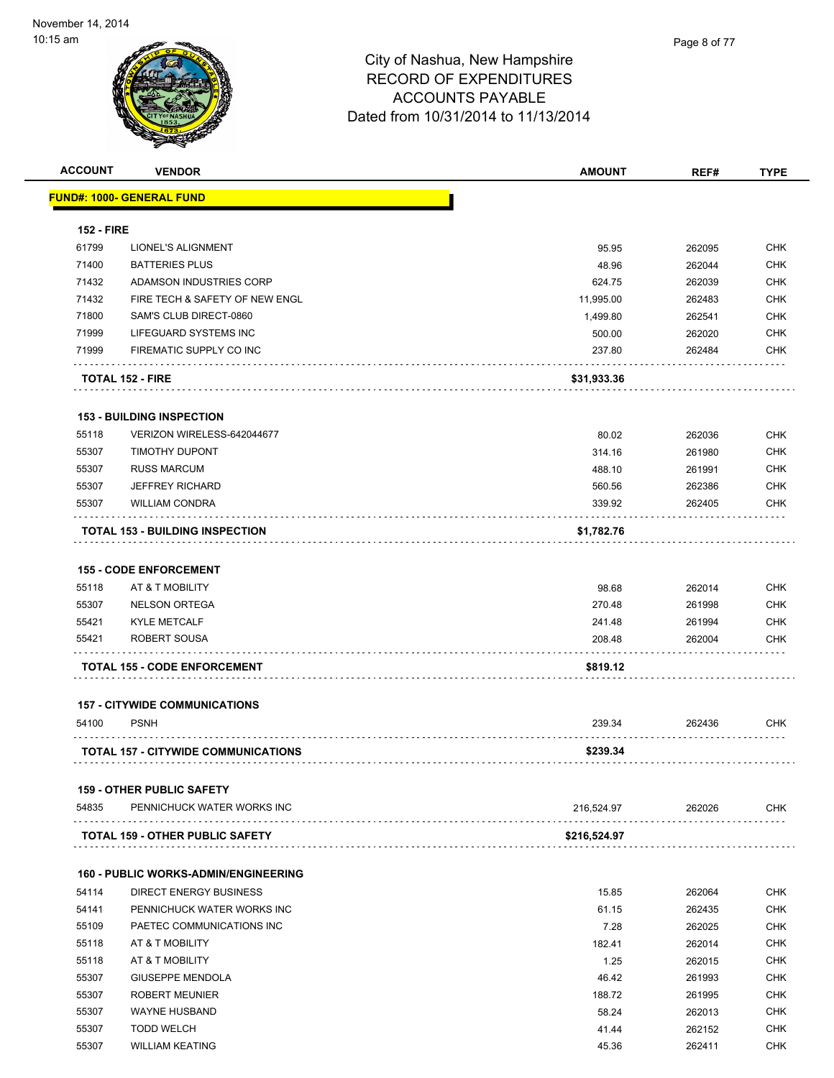| <b>ACCOUNT</b>    | <b>VENDOR</b>                                       | <b>AMOUNT</b>    | REF#             | <b>TYPE</b>       |
|-------------------|-----------------------------------------------------|------------------|------------------|-------------------|
|                   | <u> FUND#: 1000- GENERAL FUND</u>                   |                  |                  |                   |
| <b>152 - FIRE</b> |                                                     |                  |                  |                   |
| 61799             | LIONEL'S ALIGNMENT                                  | 95.95            | 262095           | <b>CHK</b>        |
| 71400             | <b>BATTERIES PLUS</b>                               | 48.96            | 262044           | <b>CHK</b>        |
| 71432             | ADAMSON INDUSTRIES CORP                             | 624.75           | 262039           | <b>CHK</b>        |
| 71432             | FIRE TECH & SAFETY OF NEW ENGL                      | 11,995.00        | 262483           | <b>CHK</b>        |
| 71800             | SAM'S CLUB DIRECT-0860                              | 1,499.80         | 262541           | <b>CHK</b>        |
| 71999             | LIFEGUARD SYSTEMS INC                               | 500.00           | 262020           | <b>CHK</b>        |
| 71999             | FIREMATIC SUPPLY CO INC                             | 237.80           | 262484           | <b>CHK</b>        |
|                   | <b>TOTAL 152 - FIRE</b>                             | \$31,933.36      |                  |                   |
|                   | <b>153 - BUILDING INSPECTION</b>                    |                  |                  |                   |
| 55118             | VERIZON WIRELESS-642044677                          | 80.02            | 262036           | <b>CHK</b>        |
| 55307             | <b>TIMOTHY DUPONT</b>                               | 314.16           | 261980           | <b>CHK</b>        |
| 55307             | <b>RUSS MARCUM</b>                                  | 488.10           | 261991           | <b>CHK</b>        |
| 55307             | <b>JEFFREY RICHARD</b>                              | 560.56           | 262386           | <b>CHK</b>        |
| 55307             | <b>WILLIAM CONDRA</b>                               | 339.92           | 262405           | <b>CHK</b>        |
|                   | <b>TOTAL 153 - BUILDING INSPECTION</b>              | \$1,782.76       |                  |                   |
|                   |                                                     |                  |                  |                   |
|                   | <b>155 - CODE ENFORCEMENT</b>                       |                  |                  |                   |
| 55118             | AT & T MOBILITY                                     | 98.68            | 262014           | <b>CHK</b>        |
| 55307             | <b>NELSON ORTEGA</b>                                | 270.48           | 261998           | <b>CHK</b>        |
| 55421<br>55421    | <b>KYLE METCALF</b><br>ROBERT SOUSA                 | 241.48<br>208.48 | 261994<br>262004 | <b>CHK</b><br>CHK |
|                   | <b>TOTAL 155 - CODE ENFORCEMENT</b>                 | \$819.12         |                  |                   |
|                   |                                                     |                  |                  |                   |
| 54100             | <b>157 - CITYWIDE COMMUNICATIONS</b><br><b>PSNH</b> | 239.34           | 262436           | <b>CHK</b>        |
|                   |                                                     |                  |                  |                   |
|                   | <b>TOTAL 157 - CITYWIDE COMMUNICATIONS</b>          | \$239.34         |                  |                   |
|                   | <b>159 - OTHER PUBLIC SAFETY</b>                    |                  |                  |                   |
| 54835             | PENNICHUCK WATER WORKS INC                          | 216,524.97       | 262026           | <b>CHK</b>        |
|                   | <b>TOTAL 159 - OTHER PUBLIC SAFETY</b>              | \$216,524.97     |                  |                   |
|                   | <b>160 - PUBLIC WORKS-ADMIN/ENGINEERING</b>         |                  |                  |                   |
| 54114             | DIRECT ENERGY BUSINESS                              | 15.85            | 262064           | <b>CHK</b>        |
| 54141             | PENNICHUCK WATER WORKS INC                          | 61.15            | 262435           | <b>CHK</b>        |
| 55109             | PAETEC COMMUNICATIONS INC                           | 7.28             | 262025           | <b>CHK</b>        |
| 55118             | AT & T MOBILITY                                     | 182.41           | 262014           | <b>CHK</b>        |
| 55118             | AT & T MOBILITY                                     | 1.25             | 262015           | <b>CHK</b>        |
| 55307             | <b>GIUSEPPE MENDOLA</b>                             | 46.42            | 261993           | <b>CHK</b>        |
| 55307             | <b>ROBERT MEUNIER</b>                               | 188.72           | 261995           | <b>CHK</b>        |
| 55307             | <b>WAYNE HUSBAND</b>                                | 58.24            | 262013           | <b>CHK</b>        |
| 55307             | <b>TODD WELCH</b>                                   | 41.44            | 262152           | <b>CHK</b>        |
| 55307             | <b>WILLIAM KEATING</b>                              | 45.36            | 262411           | <b>CHK</b>        |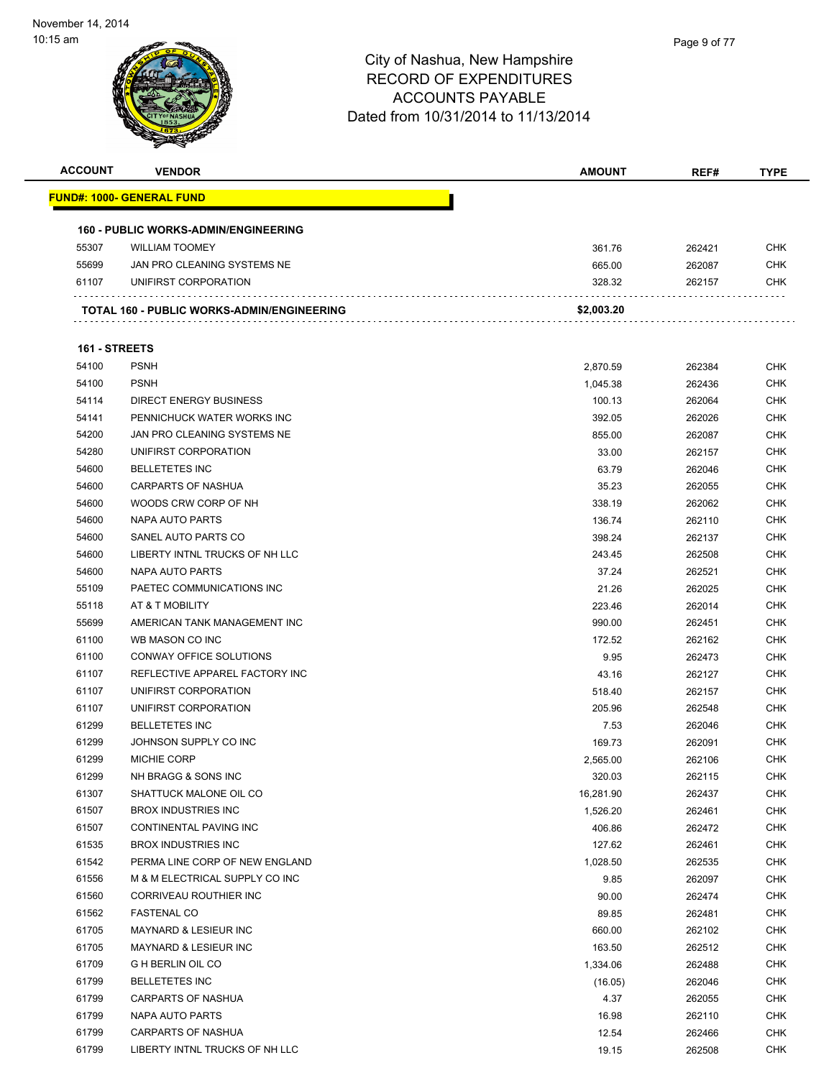| <b>ACCOUNT</b> | <b>VENDOR</b>                               | <b>AMOUNT</b> | REF#   | <b>TYPE</b> |
|----------------|---------------------------------------------|---------------|--------|-------------|
|                | <u> FUND#: 1000- GENERAL FUND</u>           |               |        |             |
|                |                                             |               |        |             |
|                | <b>160 - PUBLIC WORKS-ADMIN/ENGINEERING</b> |               |        |             |
| 55307          | <b>WILLIAM TOOMEY</b>                       | 361.76        | 262421 | CHK         |
| 55699          | JAN PRO CLEANING SYSTEMS NE                 | 665.00        | 262087 | <b>CHK</b>  |
| 61107          | UNIFIRST CORPORATION                        | 328.32        | 262157 | CHK         |
|                | TOTAL 160 - PUBLIC WORKS-ADMIN/ENGINEERING  | \$2,003.20    |        |             |
| 161 - STREETS  |                                             |               |        |             |
| 54100          | <b>PSNH</b>                                 | 2,870.59      | 262384 | <b>CHK</b>  |
| 54100          | <b>PSNH</b>                                 | 1,045.38      | 262436 | <b>CHK</b>  |
| 54114          | <b>DIRECT ENERGY BUSINESS</b>               | 100.13        | 262064 | <b>CHK</b>  |
| 54141          | PENNICHUCK WATER WORKS INC                  | 392.05        | 262026 | <b>CHK</b>  |
| 54200          | JAN PRO CLEANING SYSTEMS NE                 | 855.00        | 262087 | <b>CHK</b>  |
| 54280          | UNIFIRST CORPORATION                        | 33.00         | 262157 | <b>CHK</b>  |
| 54600          | <b>BELLETETES INC</b>                       | 63.79         | 262046 | <b>CHK</b>  |
| 54600          | <b>CARPARTS OF NASHUA</b>                   | 35.23         | 262055 | <b>CHK</b>  |
| 54600          | WOODS CRW CORP OF NH                        | 338.19        | 262062 | <b>CHK</b>  |
| 54600          | NAPA AUTO PARTS                             | 136.74        | 262110 | <b>CHK</b>  |
| 54600          | SANEL AUTO PARTS CO                         | 398.24        | 262137 | <b>CHK</b>  |
| 54600          | LIBERTY INTNL TRUCKS OF NH LLC              | 243.45        | 262508 | <b>CHK</b>  |
| 54600          | NAPA AUTO PARTS                             | 37.24         | 262521 | <b>CHK</b>  |
| 55109          | PAETEC COMMUNICATIONS INC                   | 21.26         | 262025 | <b>CHK</b>  |
| 55118          | AT & T MOBILITY                             | 223.46        | 262014 | <b>CHK</b>  |
| 55699          | AMERICAN TANK MANAGEMENT INC                | 990.00        | 262451 | <b>CHK</b>  |
| 61100          | WB MASON CO INC                             | 172.52        | 262162 | <b>CHK</b>  |
| 61100          | CONWAY OFFICE SOLUTIONS                     | 9.95          | 262473 | <b>CHK</b>  |
| 61107          | REFLECTIVE APPAREL FACTORY INC              | 43.16         | 262127 | <b>CHK</b>  |
| 61107          | UNIFIRST CORPORATION                        | 518.40        | 262157 | <b>CHK</b>  |
| 61107          | UNIFIRST CORPORATION                        | 205.96        | 262548 | <b>CHK</b>  |
| 61299          | <b>BELLETETES INC</b>                       | 7.53          | 262046 | <b>CHK</b>  |
| 61299          | JOHNSON SUPPLY CO INC                       | 169.73        | 262091 | <b>CHK</b>  |
| 61299          | <b>MICHIE CORP</b>                          | 2,565.00      | 262106 | <b>CHK</b>  |
| 61299          | NH BRAGG & SONS INC                         | 320.03        | 262115 | <b>CHK</b>  |
| 61307          | SHATTUCK MALONE OIL CO                      | 16,281.90     | 262437 | <b>CHK</b>  |
| 61507          | <b>BROX INDUSTRIES INC</b>                  | 1,526.20      | 262461 | <b>CHK</b>  |
| 61507          | CONTINENTAL PAVING INC                      | 406.86        | 262472 | <b>CHK</b>  |
| 61535          | <b>BROX INDUSTRIES INC</b>                  | 127.62        | 262461 | <b>CHK</b>  |
| 61542          | PERMA LINE CORP OF NEW ENGLAND              | 1,028.50      | 262535 | <b>CHK</b>  |
| 61556          | M & M ELECTRICAL SUPPLY CO INC              | 9.85          | 262097 | CHK         |
| 61560          | CORRIVEAU ROUTHIER INC                      | 90.00         | 262474 | <b>CHK</b>  |
| 61562          | <b>FASTENAL CO</b>                          | 89.85         | 262481 | CHK         |
| 61705          | MAYNARD & LESIEUR INC                       | 660.00        | 262102 | CHK         |
| 61705          | <b>MAYNARD &amp; LESIEUR INC</b>            | 163.50        | 262512 | <b>CHK</b>  |
| 61709          | <b>GHBERLIN OIL CO</b>                      | 1,334.06      | 262488 | CHK         |
| 61799          | <b>BELLETETES INC</b>                       | (16.05)       | 262046 | <b>CHK</b>  |
| 61799          | <b>CARPARTS OF NASHUA</b>                   | 4.37          | 262055 | <b>CHK</b>  |
| 61799          | NAPA AUTO PARTS                             | 16.98         | 262110 | CHK         |
| 61799          | <b>CARPARTS OF NASHUA</b>                   | 12.54         | 262466 | <b>CHK</b>  |
| 61799          | LIBERTY INTNL TRUCKS OF NH LLC              | 19.15         | 262508 | <b>CHK</b>  |
|                |                                             |               |        |             |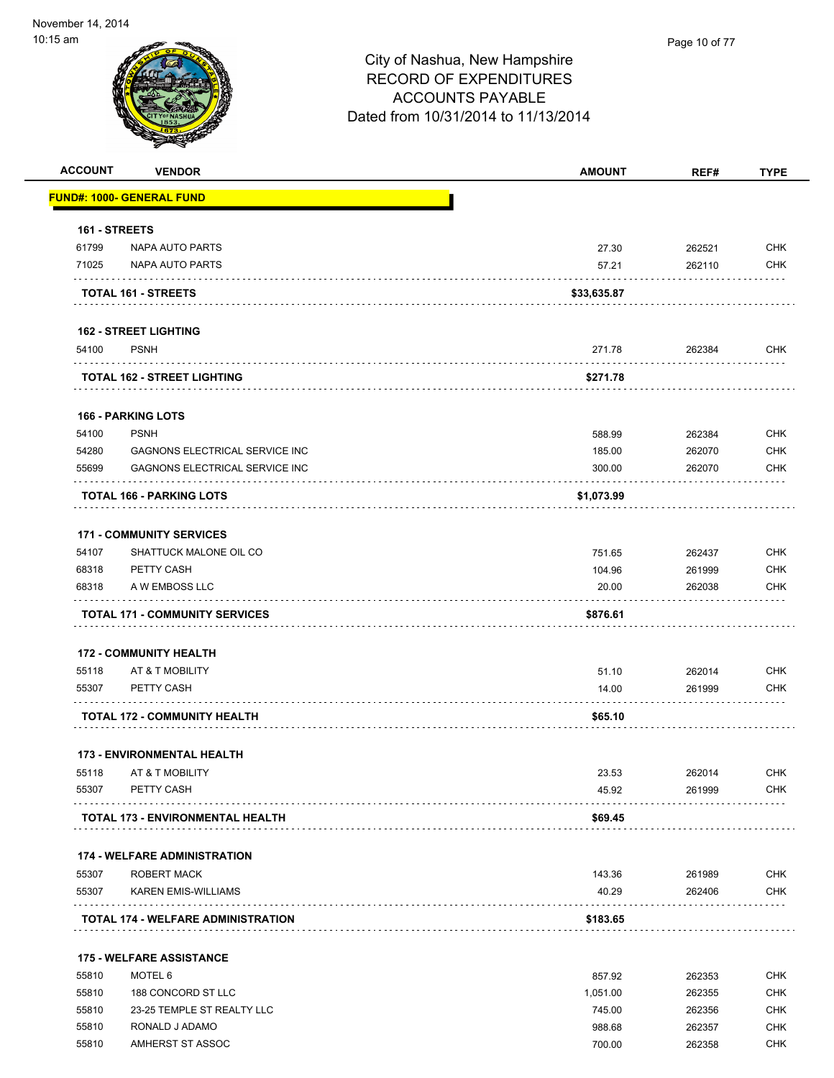| <b>ACCOUNT</b> | <b>VENDOR</b>                             | <b>AMOUNT</b> | REF#   | <b>TYPE</b> |
|----------------|-------------------------------------------|---------------|--------|-------------|
|                | <b>FUND#: 1000- GENERAL FUND</b>          |               |        |             |
| 161 - STREETS  |                                           |               |        |             |
| 61799          | NAPA AUTO PARTS                           | 27.30         | 262521 | <b>CHK</b>  |
| 71025          | NAPA AUTO PARTS                           | 57.21         | 262110 | <b>CHK</b>  |
|                | <b>TOTAL 161 - STREETS</b>                | \$33,635.87   |        |             |
|                | <b>162 - STREET LIGHTING</b>              |               |        |             |
| 54100          | <b>PSNH</b>                               | 271.78        | 262384 | <b>CHK</b>  |
|                | <b>TOTAL 162 - STREET LIGHTING</b>        | \$271.78      |        |             |
|                | <b>166 - PARKING LOTS</b>                 |               |        |             |
| 54100          | <b>PSNH</b>                               | 588.99        | 262384 | <b>CHK</b>  |
| 54280          | <b>GAGNONS ELECTRICAL SERVICE INC</b>     | 185.00        | 262070 | <b>CHK</b>  |
| 55699          | <b>GAGNONS ELECTRICAL SERVICE INC</b>     | 300.00        | 262070 | <b>CHK</b>  |
|                | TOTAL 166 - PARKING LOTS                  | \$1,073.99    |        |             |
|                | <b>171 - COMMUNITY SERVICES</b>           |               |        |             |
| 54107          | SHATTUCK MALONE OIL CO                    | 751.65        | 262437 | <b>CHK</b>  |
| 68318          | PETTY CASH                                | 104.96        | 261999 | <b>CHK</b>  |
| 68318          | A W EMBOSS LLC                            | 20.00         | 262038 | <b>CHK</b>  |
|                | <b>TOTAL 171 - COMMUNITY SERVICES</b>     | \$876.61      |        |             |
|                | <b>172 - COMMUNITY HEALTH</b>             |               |        |             |
| 55118          | AT & T MOBILITY                           | 51.10         | 262014 | <b>CHK</b>  |
| 55307          | PETTY CASH                                | 14.00         | 261999 | <b>CHK</b>  |
|                | <b>TOTAL 172 - COMMUNITY HEALTH</b>       | \$65.10       |        |             |
|                | <b>173 - ENVIRONMENTAL HEALTH</b>         |               |        |             |
| 55118          | AT & T MOBILITY                           | 23.53         | 262014 | CHK         |
| 55307          | PETTY CASH                                | 45.92         | 261999 | <b>CHK</b>  |
|                | TOTAL 173 - ENVIRONMENTAL HEALTH          | \$69.45       |        |             |
|                | <b>174 - WELFARE ADMINISTRATION</b>       |               |        |             |
| 55307          | <b>ROBERT MACK</b>                        | 143.36        | 261989 | <b>CHK</b>  |
| 55307          | <b>KAREN EMIS-WILLIAMS</b>                | 40.29         | 262406 | <b>CHK</b>  |
|                | <b>TOTAL 174 - WELFARE ADMINISTRATION</b> | \$183.65      |        |             |
|                | <b>175 - WELFARE ASSISTANCE</b>           |               |        |             |
| 55810          | MOTEL 6                                   | 857.92        | 262353 | <b>CHK</b>  |
| 55810          | 188 CONCORD ST LLC                        | 1,051.00      | 262355 | <b>CHK</b>  |
| 55810          | 23-25 TEMPLE ST REALTY LLC                | 745.00        | 262356 | <b>CHK</b>  |
| 55810          | RONALD J ADAMO                            | 988.68        | 262357 | <b>CHK</b>  |
| 55810          | AMHERST ST ASSOC                          | 700.00        | 262358 | <b>CHK</b>  |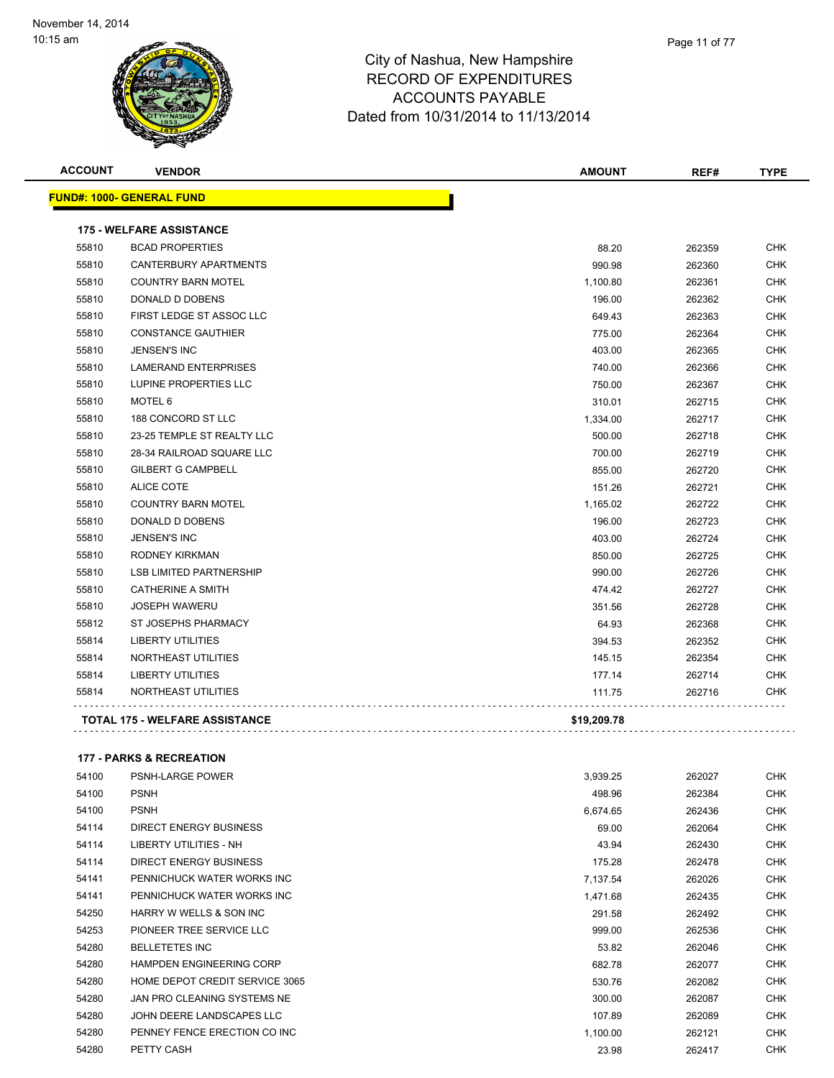

|       | Page 11 of 77 |
|-------|---------------|
| shire |               |
| nro   |               |

| <b>ACCOUNT</b> | <b>VENDOR</b>                         | <b>AMOUNT</b> | REF#   | <b>TYPE</b> |
|----------------|---------------------------------------|---------------|--------|-------------|
|                | <b>FUND#: 1000- GENERAL FUND</b>      |               |        |             |
|                | <b>175 - WELFARE ASSISTANCE</b>       |               |        |             |
| 55810          | <b>BCAD PROPERTIES</b>                | 88.20         | 262359 | <b>CHK</b>  |
| 55810          | CANTERBURY APARTMENTS                 | 990.98        | 262360 | CHK         |
| 55810          | <b>COUNTRY BARN MOTEL</b>             | 1,100.80      | 262361 | <b>CHK</b>  |
| 55810          | DONALD D DOBENS                       | 196.00        | 262362 | <b>CHK</b>  |
| 55810          | FIRST LEDGE ST ASSOC LLC              | 649.43        | 262363 | <b>CHK</b>  |
| 55810          | <b>CONSTANCE GAUTHIER</b>             | 775.00        | 262364 | <b>CHK</b>  |
| 55810          | <b>JENSEN'S INC</b>                   | 403.00        | 262365 | <b>CHK</b>  |
| 55810          | <b>LAMERAND ENTERPRISES</b>           | 740.00        | 262366 | <b>CHK</b>  |
| 55810          | LUPINE PROPERTIES LLC                 | 750.00        | 262367 | <b>CHK</b>  |
| 55810          | MOTEL <sub>6</sub>                    | 310.01        | 262715 | <b>CHK</b>  |
| 55810          | 188 CONCORD ST LLC                    | 1,334.00      | 262717 | CHK         |
| 55810          | 23-25 TEMPLE ST REALTY LLC            | 500.00        | 262718 | <b>CHK</b>  |
| 55810          | 28-34 RAILROAD SQUARE LLC             | 700.00        | 262719 | <b>CHK</b>  |
| 55810          | <b>GILBERT G CAMPBELL</b>             | 855.00        | 262720 | <b>CHK</b>  |
| 55810          | <b>ALICE COTE</b>                     | 151.26        | 262721 | CHK         |
| 55810          | <b>COUNTRY BARN MOTEL</b>             | 1,165.02      | 262722 | <b>CHK</b>  |
| 55810          | DONALD D DOBENS                       | 196.00        | 262723 | <b>CHK</b>  |
| 55810          | <b>JENSEN'S INC</b>                   | 403.00        | 262724 | <b>CHK</b>  |
| 55810          | RODNEY KIRKMAN                        | 850.00        | 262725 | CHK         |
| 55810          | <b>LSB LIMITED PARTNERSHIP</b>        | 990.00        | 262726 | <b>CHK</b>  |
| 55810          | <b>CATHERINE A SMITH</b>              | 474.42        | 262727 | <b>CHK</b>  |
| 55810          | <b>JOSEPH WAWERU</b>                  | 351.56        | 262728 | CHK         |
| 55812          | <b>ST JOSEPHS PHARMACY</b>            | 64.93         | 262368 | <b>CHK</b>  |
| 55814          | <b>LIBERTY UTILITIES</b>              | 394.53        | 262352 | <b>CHK</b>  |
| 55814          | NORTHEAST UTILITIES                   | 145.15        | 262354 | <b>CHK</b>  |
| 55814          | <b>LIBERTY UTILITIES</b>              | 177.14        | 262714 | CHK         |
| 55814          | NORTHEAST UTILITIES                   | 111.75        | 262716 | <b>CHK</b>  |
|                | <b>TOTAL 175 - WELFARE ASSISTANCE</b> | \$19,209.78   |        |             |
|                |                                       |               |        |             |

### **177 - PARKS & RECREATION**

| 54100 | <b>PSNH-LARGE POWER</b>         | 3,939.25 | 262027 | <b>CHK</b> |
|-------|---------------------------------|----------|--------|------------|
| 54100 | <b>PSNH</b>                     | 498.96   | 262384 | <b>CHK</b> |
| 54100 | <b>PSNH</b>                     | 6,674.65 | 262436 | <b>CHK</b> |
| 54114 | DIRECT ENERGY BUSINESS          | 69.00    | 262064 | <b>CHK</b> |
| 54114 | LIBERTY UTILITIES - NH          | 43.94    | 262430 | <b>CHK</b> |
| 54114 | <b>DIRECT ENERGY BUSINESS</b>   | 175.28   | 262478 | <b>CHK</b> |
| 54141 | PENNICHUCK WATER WORKS INC      | 7,137.54 | 262026 | <b>CHK</b> |
| 54141 | PENNICHUCK WATER WORKS INC      | 1,471.68 | 262435 | <b>CHK</b> |
| 54250 | HARRY W WELLS & SON INC         | 291.58   | 262492 | <b>CHK</b> |
| 54253 | PIONEER TREE SERVICE LLC        | 999.00   | 262536 | <b>CHK</b> |
| 54280 | <b>BELLETETES INC</b>           | 53.82    | 262046 | <b>CHK</b> |
| 54280 | <b>HAMPDEN ENGINEERING CORP</b> | 682.78   | 262077 | <b>CHK</b> |
| 54280 | HOME DEPOT CREDIT SERVICE 3065  | 530.76   | 262082 | <b>CHK</b> |
| 54280 | JAN PRO CLEANING SYSTEMS NE     | 300.00   | 262087 | <b>CHK</b> |
| 54280 | JOHN DEERE LANDSCAPES LLC       | 107.89   | 262089 | <b>CHK</b> |
| 54280 | PENNEY FENCE ERECTION CO INC    | 1,100.00 | 262121 | <b>CHK</b> |
| 54280 | PETTY CASH                      | 23.98    | 262417 | <b>CHK</b> |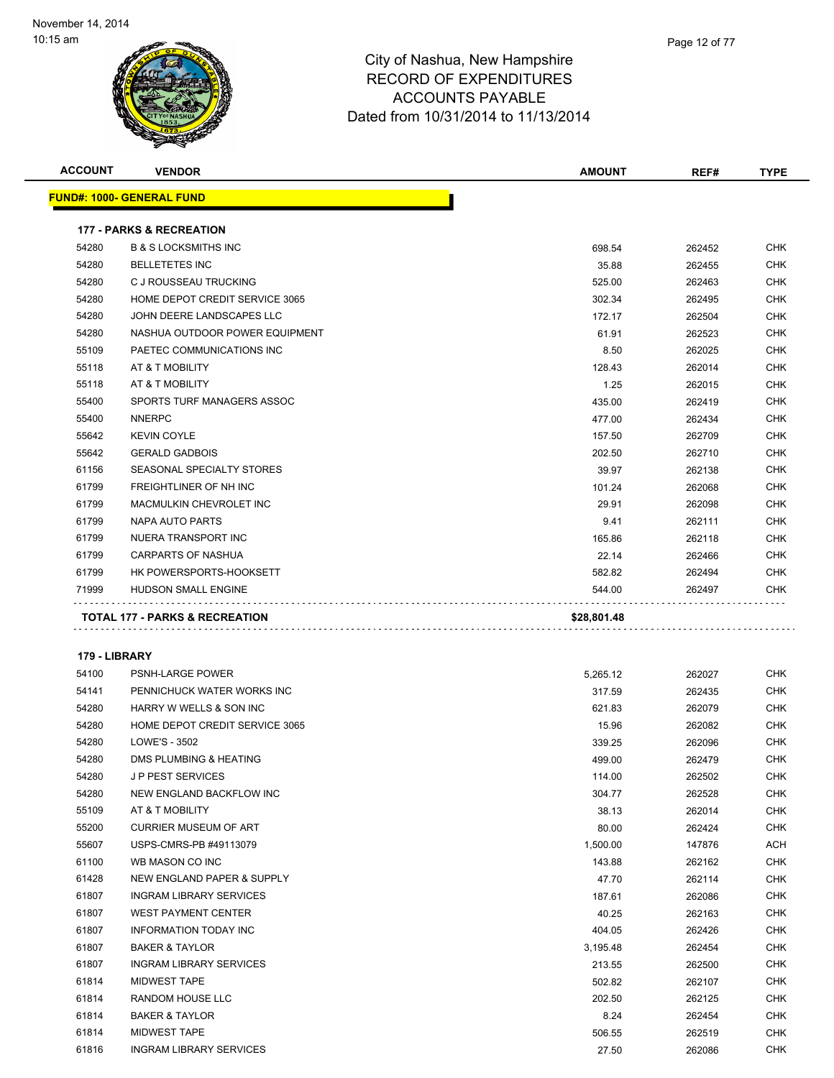

| <b>ACCOUNT</b> | <b>VENDOR</b>                       | <b>AMOUNT</b> | REF#   | <b>TYPE</b> |
|----------------|-------------------------------------|---------------|--------|-------------|
|                | <u> FUND#: 1000- GENERAL FUND</u>   |               |        |             |
|                | <b>177 - PARKS &amp; RECREATION</b> |               |        |             |
| 54280          | <b>B &amp; S LOCKSMITHS INC</b>     | 698.54        | 262452 | <b>CHK</b>  |
| 54280          | <b>BELLETETES INC</b>               | 35.88         | 262455 | <b>CHK</b>  |
| 54280          | C J ROUSSEAU TRUCKING               | 525.00        | 262463 | CHK         |
| 54280          | HOME DEPOT CREDIT SERVICE 3065      | 302.34        | 262495 | <b>CHK</b>  |
| 54280          | JOHN DEERE LANDSCAPES LLC           | 172.17        | 262504 | <b>CHK</b>  |
| 54280          | NASHUA OUTDOOR POWER EQUIPMENT      | 61.91         | 262523 | <b>CHK</b>  |
| 55109          | PAETEC COMMUNICATIONS INC           | 8.50          | 262025 | <b>CHK</b>  |
| 55118          | AT & T MOBILITY                     | 128.43        | 262014 | CHK         |
| 55118          | AT & T MOBILITY                     | 1.25          | 262015 | <b>CHK</b>  |
| 55400          | SPORTS TURF MANAGERS ASSOC          | 435.00        | 262419 | <b>CHK</b>  |
| 55400          | <b>NNERPC</b>                       | 477.00        | 262434 | <b>CHK</b>  |
| 55642          | <b>KEVIN COYLE</b>                  | 157.50        | 262709 | <b>CHK</b>  |
| 55642          | <b>GERALD GADBOIS</b>               | 202.50        | 262710 | <b>CHK</b>  |
| 61156          | SEASONAL SPECIALTY STORES           | 39.97         | 262138 | <b>CHK</b>  |
| 61799          | FREIGHTLINER OF NH INC              | 101.24        | 262068 | <b>CHK</b>  |
| 61799          | <b>MACMULKIN CHEVROLET INC</b>      | 29.91         | 262098 | CHK         |
| 61799          | NAPA AUTO PARTS                     | 9.41          | 262111 | <b>CHK</b>  |
| 61799          | NUERA TRANSPORT INC                 | 165.86        | 262118 | <b>CHK</b>  |
| 61799          | CARPARTS OF NASHUA                  | 22.14         | 262466 | CHK         |
| 61799          | HK POWERSPORTS-HOOKSETT             | 582.82        | 262494 | CHK         |
| 71999          | HUDSON SMALL ENGINE                 | 544.00        | 262497 | <b>CHK</b>  |
|                | .                                   |               |        |             |
|                | TOTAL 177 - PARKS & RECREATION      | \$28,801.48   |        |             |
|                |                                     |               |        |             |
| 179 - LIBRARY  |                                     |               |        |             |
| 54100          | <b>PSNH-LARGE POWER</b>             | 5,265.12      | 262027 | CHK         |
| 54141          | PENNICHUCK WATER WORKS INC          | 317.59        | 262435 | CHK         |
| 54280          | HARRY W WELLS & SON INC             | 621.83        | 262079 | CHK         |
| 54280          | HOME DEPOT CREDIT SERVICE 3065      | 15.96         | 262082 | CHK         |
| 54280          | LOWE'S - 3502                       | 339.25        | 262096 | <b>CHK</b>  |
| 54280          | DMS PLUMBING & HEATING              | 499.00        | 262479 | CHK         |
| 54280          | J P PEST SERVICES                   | 114.00        | 262502 | <b>CHK</b>  |
| 54280          | NEW ENGLAND BACKFLOW INC            | 304.77        | 262528 | CHK         |
| 55109          | AT & T MOBILITY                     | 38.13         | 262014 | CHK         |
| 55200          | <b>CURRIER MUSEUM OF ART</b>        | 80.00         | 262424 | <b>CHK</b>  |
| 55607          | USPS-CMRS-PB #49113079              | 1,500.00      | 147876 | ACH         |
| 61100          | WB MASON CO INC                     | 143.88        | 262162 | <b>CHK</b>  |
| 61428          | NEW ENGLAND PAPER & SUPPLY          | 47.70         | 262114 | CHK         |
| 61807          | <b>INGRAM LIBRARY SERVICES</b>      | 187.61        | 262086 | CHK         |
| 61807          | <b>WEST PAYMENT CENTER</b>          | 40.25         | 262163 | CHK         |
| 61807          | INFORMATION TODAY INC               | 404.05        | 262426 | <b>CHK</b>  |
| 61807          | <b>BAKER &amp; TAYLOR</b>           | 3,195.48      | 262454 | CHK         |
| 61807          | <b>INGRAM LIBRARY SERVICES</b>      | 213.55        | 262500 | CHK         |
| 61814          | MIDWEST TAPE                        | 502.82        | 262107 | CHK         |
| 61814          | RANDOM HOUSE LLC                    | 202.50        | 262125 | CHK         |
| 61814          | <b>BAKER &amp; TAYLOR</b>           | 8.24          | 262454 | CHK         |
| 61814          | MIDWEST TAPE                        | 506.55        | 262519 | CHK         |
| 61816          | <b>INGRAM LIBRARY SERVICES</b>      | 27.50         | 262086 | CHK         |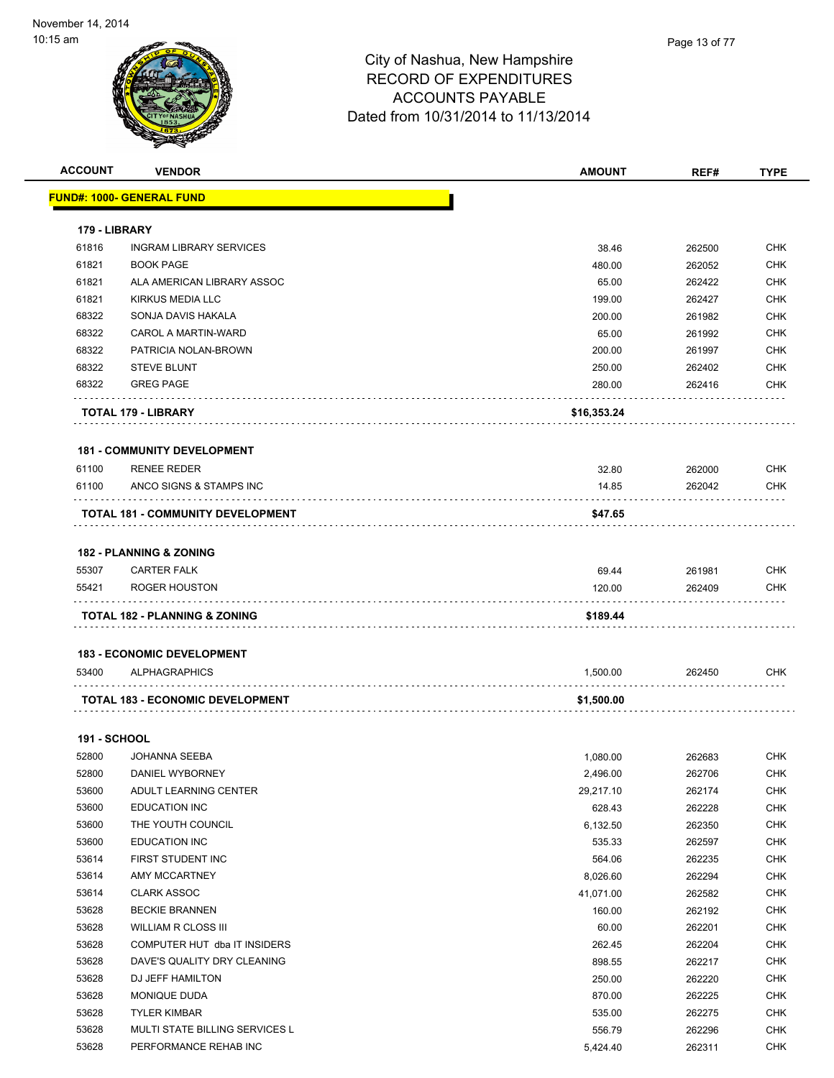| <b>ACCOUNT</b>      | <b>VENDOR</b>                            | <b>AMOUNT</b> | REF#   | <b>TYPE</b> |
|---------------------|------------------------------------------|---------------|--------|-------------|
|                     | FUND#: 1000- GENERAL FUND                |               |        |             |
|                     |                                          |               |        |             |
| 179 - LIBRARY       |                                          |               |        |             |
| 61816               | <b>INGRAM LIBRARY SERVICES</b>           | 38.46         | 262500 | <b>CHK</b>  |
| 61821               | <b>BOOK PAGE</b>                         | 480.00        | 262052 | <b>CHK</b>  |
| 61821               | ALA AMERICAN LIBRARY ASSOC               | 65.00         | 262422 | CHK         |
| 61821               | <b>KIRKUS MEDIA LLC</b>                  | 199.00        | 262427 | <b>CHK</b>  |
| 68322               | SONJA DAVIS HAKALA                       | 200.00        | 261982 | <b>CHK</b>  |
| 68322               | <b>CAROL A MARTIN-WARD</b>               | 65.00         | 261992 | <b>CHK</b>  |
| 68322               | PATRICIA NOLAN-BROWN                     | 200.00        | 261997 | <b>CHK</b>  |
| 68322               | <b>STEVE BLUNT</b>                       | 250.00        | 262402 | <b>CHK</b>  |
| 68322               | <b>GREG PAGE</b>                         | 280.00        | 262416 | <b>CHK</b>  |
|                     | TOTAL 179 - LIBRARY                      | \$16,353.24   |        |             |
|                     | <b>181 - COMMUNITY DEVELOPMENT</b>       |               |        |             |
| 61100               | <b>RENEE REDER</b>                       | 32.80         | 262000 | CHK         |
| 61100               | ANCO SIGNS & STAMPS INC                  | 14.85         | 262042 | <b>CHK</b>  |
|                     | TOTAL 181 - COMMUNITY DEVELOPMENT        | \$47.65       |        |             |
|                     |                                          |               |        |             |
|                     | <b>182 - PLANNING &amp; ZONING</b>       |               |        |             |
| 55307               | <b>CARTER FALK</b>                       | 69.44         | 261981 | <b>CHK</b>  |
| 55421               | ROGER HOUSTON                            | 120.00        | 262409 | CHK         |
|                     | <b>TOTAL 182 - PLANNING &amp; ZONING</b> | \$189.44      |        |             |
|                     |                                          |               |        |             |
|                     | <b>183 - ECONOMIC DEVELOPMENT</b>        |               |        |             |
| 53400               | <b>ALPHAGRAPHICS</b>                     | 1,500.00      | 262450 | CHK         |
|                     | TOTAL 183 - ECONOMIC DEVELOPMENT         | \$1,500.00    |        |             |
| <b>191 - SCHOOL</b> |                                          |               |        |             |
| 52800               | <b>JOHANNA SEEBA</b>                     | 1,080.00      | 262683 | <b>CHK</b>  |
| 52800               | DANIEL WYBORNEY                          | 2,496.00      | 262706 | CHK         |
| 53600               | ADULT LEARNING CENTER                    | 29,217.10     | 262174 | <b>CHK</b>  |
| 53600               | <b>EDUCATION INC</b>                     | 628.43        | 262228 | <b>CHK</b>  |
| 53600               | THE YOUTH COUNCIL                        | 6,132.50      | 262350 | <b>CHK</b>  |
| 53600               | <b>EDUCATION INC</b>                     | 535.33        | 262597 | <b>CHK</b>  |
| 53614               | FIRST STUDENT INC                        | 564.06        | 262235 | CHK         |
| 53614               | AMY MCCARTNEY                            | 8,026.60      | 262294 | <b>CHK</b>  |
| 53614               | <b>CLARK ASSOC</b>                       | 41,071.00     | 262582 | <b>CHK</b>  |
| 53628               | <b>BECKIE BRANNEN</b>                    | 160.00        | 262192 | CHK         |
| 53628               | <b>WILLIAM R CLOSS III</b>               | 60.00         | 262201 | <b>CHK</b>  |
| 53628               | COMPUTER HUT dba IT INSIDERS             | 262.45        | 262204 | <b>CHK</b>  |
| 53628               | DAVE'S QUALITY DRY CLEANING              | 898.55        | 262217 | <b>CHK</b>  |
| 53628               | DJ JEFF HAMILTON                         | 250.00        | 262220 | <b>CHK</b>  |
| 53628               | MONIQUE DUDA                             | 870.00        | 262225 | <b>CHK</b>  |
| 53628               | <b>TYLER KIMBAR</b>                      | 535.00        | 262275 | <b>CHK</b>  |
| 53628               | MULTI STATE BILLING SERVICES L           | 556.79        | 262296 | <b>CHK</b>  |
| 53628               | PERFORMANCE REHAB INC                    | 5,424.40      | 262311 | <b>CHK</b>  |
|                     |                                          |               |        |             |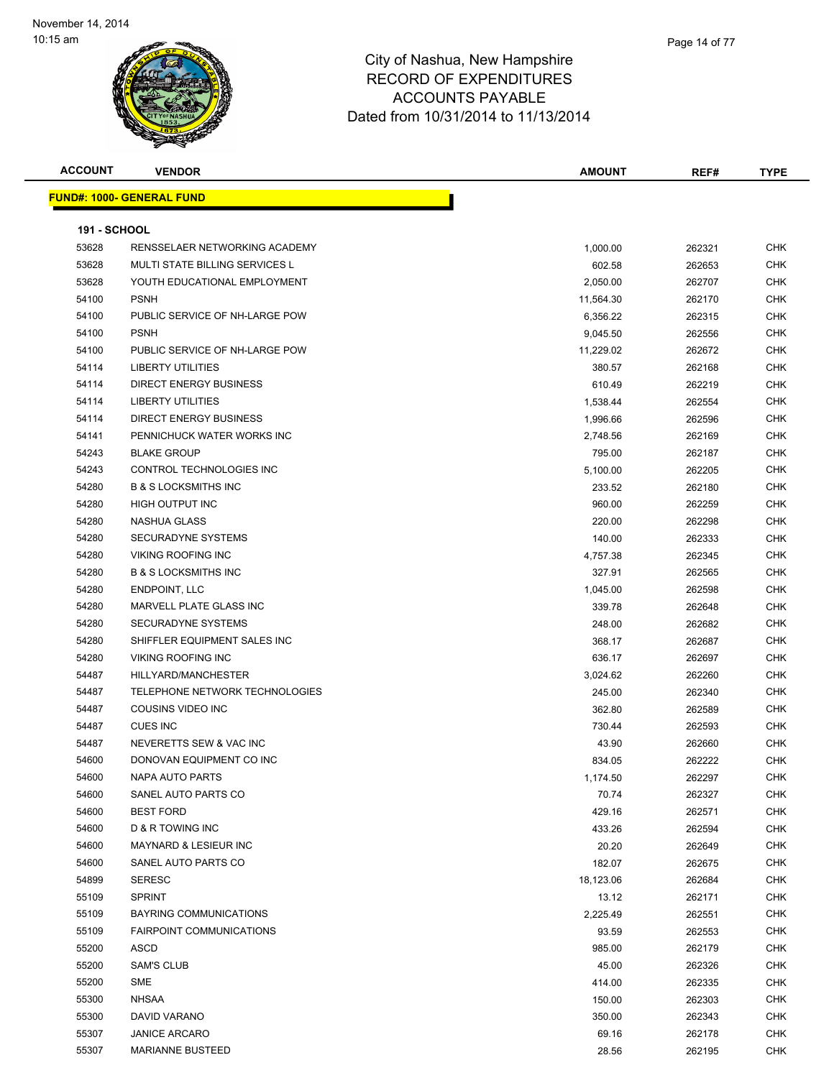| <b>ACCOUNT</b>      | <b>VENDOR</b>                         | <b>AMOUNT</b> | REF#   | <b>TYPE</b> |
|---------------------|---------------------------------------|---------------|--------|-------------|
|                     | <b>FUND#: 1000- GENERAL FUND</b>      |               |        |             |
|                     |                                       |               |        |             |
| <b>191 - SCHOOL</b> |                                       |               |        |             |
| 53628               | RENSSELAER NETWORKING ACADEMY         | 1,000.00      | 262321 | <b>CHK</b>  |
| 53628               | <b>MULTI STATE BILLING SERVICES L</b> | 602.58        | 262653 | <b>CHK</b>  |
| 53628               | YOUTH EDUCATIONAL EMPLOYMENT          | 2,050.00      | 262707 | <b>CHK</b>  |
| 54100               | <b>PSNH</b>                           | 11,564.30     | 262170 | <b>CHK</b>  |
| 54100               | PUBLIC SERVICE OF NH-LARGE POW        | 6,356.22      | 262315 | CHK         |
| 54100               | <b>PSNH</b>                           | 9,045.50      | 262556 | CHK         |
| 54100               | PUBLIC SERVICE OF NH-LARGE POW        | 11,229.02     | 262672 | CHK         |
| 54114               | <b>LIBERTY UTILITIES</b>              | 380.57        | 262168 | CHK         |
| 54114               | DIRECT ENERGY BUSINESS                | 610.49        | 262219 | <b>CHK</b>  |
| 54114               | <b>LIBERTY UTILITIES</b>              | 1,538.44      | 262554 | <b>CHK</b>  |
| 54114               | DIRECT ENERGY BUSINESS                | 1,996.66      | 262596 | CHK         |
| 54141               | PENNICHUCK WATER WORKS INC            | 2,748.56      | 262169 | CHK         |
| 54243               | <b>BLAKE GROUP</b>                    | 795.00        | 262187 | <b>CHK</b>  |
| 54243               | CONTROL TECHNOLOGIES INC              | 5,100.00      | 262205 | <b>CHK</b>  |
| 54280               | <b>B &amp; S LOCKSMITHS INC</b>       | 233.52        | 262180 | <b>CHK</b>  |
| 54280               | HIGH OUTPUT INC                       | 960.00        | 262259 | CHK         |
| 54280               | NASHUA GLASS                          | 220.00        | 262298 | <b>CHK</b>  |
| 54280               | <b>SECURADYNE SYSTEMS</b>             | 140.00        | 262333 | <b>CHK</b>  |
| 54280               | <b>VIKING ROOFING INC</b>             | 4,757.38      | 262345 | CHK         |
| 54280               | <b>B &amp; S LOCKSMITHS INC</b>       | 327.91        | 262565 | <b>CHK</b>  |
| 54280               | <b>ENDPOINT, LLC</b>                  | 1,045.00      | 262598 | <b>CHK</b>  |
| 54280               | MARVELL PLATE GLASS INC               | 339.78        | 262648 | CHK         |
| 54280               | SECURADYNE SYSTEMS                    | 248.00        | 262682 | <b>CHK</b>  |
| 54280               | SHIFFLER EQUIPMENT SALES INC          | 368.17        | 262687 | CHK         |
| 54280               | <b>VIKING ROOFING INC</b>             | 636.17        | 262697 | <b>CHK</b>  |
| 54487               | HILLYARD/MANCHESTER                   | 3,024.62      | 262260 | <b>CHK</b>  |
| 54487               | TELEPHONE NETWORK TECHNOLOGIES        | 245.00        | 262340 | CHK         |
| 54487               | COUSINS VIDEO INC                     | 362.80        | 262589 | CHK         |
| 54487               | <b>CUES INC</b>                       | 730.44        | 262593 | CHK         |
| 54487               | NEVERETTS SEW & VAC INC               | 43.90         | 262660 | CHK         |
| 54600               | DONOVAN EQUIPMENT CO INC              | 834.05        | 262222 | <b>CHK</b>  |
| 54600               | NAPA AUTO PARTS                       | 1,174.50      | 262297 | <b>CHK</b>  |
| 54600               | SANEL AUTO PARTS CO                   | 70.74         | 262327 | <b>CHK</b>  |
| 54600               | <b>BEST FORD</b>                      | 429.16        | 262571 | <b>CHK</b>  |
| 54600               | <b>D &amp; R TOWING INC</b>           | 433.26        | 262594 | <b>CHK</b>  |
| 54600               | MAYNARD & LESIEUR INC                 | 20.20         | 262649 | <b>CHK</b>  |
| 54600               | SANEL AUTO PARTS CO                   | 182.07        | 262675 | <b>CHK</b>  |
| 54899               | <b>SERESC</b>                         | 18,123.06     | 262684 | <b>CHK</b>  |
| 55109               | <b>SPRINT</b>                         | 13.12         | 262171 | <b>CHK</b>  |
| 55109               |                                       |               |        |             |
|                     | BAYRING COMMUNICATIONS                | 2,225.49      | 262551 | CHK         |
| 55109               | <b>FAIRPOINT COMMUNICATIONS</b>       | 93.59         | 262553 | <b>CHK</b>  |
| 55200               | ASCD                                  | 985.00        | 262179 | <b>CHK</b>  |
| 55200               | <b>SAM'S CLUB</b>                     | 45.00         | 262326 | <b>CHK</b>  |
| 55200               | SME                                   | 414.00        | 262335 | <b>CHK</b>  |
| 55300               | <b>NHSAA</b>                          | 150.00        | 262303 | <b>CHK</b>  |
| 55300               | DAVID VARANO                          | 350.00        | 262343 | <b>CHK</b>  |
| 55307               | <b>JANICE ARCARO</b>                  | 69.16         | 262178 | <b>CHK</b>  |
| 55307               | <b>MARIANNE BUSTEED</b>               | 28.56         | 262195 | <b>CHK</b>  |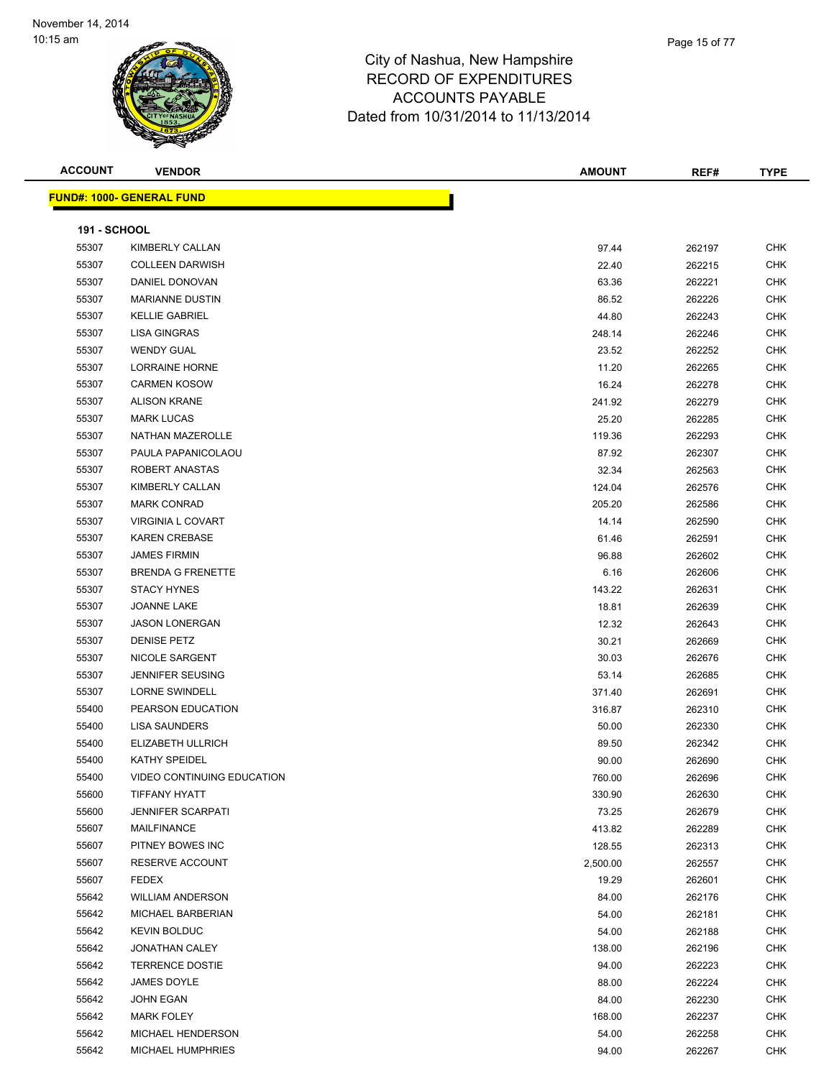

| <b>ACCOUNT</b>      | <b>VENDOR</b>                     | <b>AMOUNT</b> | REF#   | <b>TYPE</b> |
|---------------------|-----------------------------------|---------------|--------|-------------|
|                     | <u> FUND#: 1000- GENERAL FUND</u> |               |        |             |
| <b>191 - SCHOOL</b> |                                   |               |        |             |
| 55307               | KIMBERLY CALLAN                   | 97.44         | 262197 | <b>CHK</b>  |
| 55307               | <b>COLLEEN DARWISH</b>            | 22.40         | 262215 | <b>CHK</b>  |
| 55307               | DANIEL DONOVAN                    | 63.36         | 262221 | <b>CHK</b>  |
| 55307               | <b>MARIANNE DUSTIN</b>            | 86.52         | 262226 | <b>CHK</b>  |
| 55307               | <b>KELLIE GABRIEL</b>             | 44.80         | 262243 | <b>CHK</b>  |
| 55307               | LISA GINGRAS                      | 248.14        | 262246 | <b>CHK</b>  |
| 55307               | <b>WENDY GUAL</b>                 | 23.52         | 262252 | <b>CHK</b>  |
| 55307               | LORRAINE HORNE                    | 11.20         | 262265 | <b>CHK</b>  |
| 55307               | <b>CARMEN KOSOW</b>               | 16.24         | 262278 | <b>CHK</b>  |
| 55307               | <b>ALISON KRANE</b>               |               |        | <b>CHK</b>  |
| 55307               | <b>MARK LUCAS</b>                 | 241.92        | 262279 | <b>CHK</b>  |
|                     |                                   | 25.20         | 262285 |             |
| 55307               | NATHAN MAZEROLLE                  | 119.36        | 262293 | <b>CHK</b>  |
| 55307               | PAULA PAPANICOLAOU                | 87.92         | 262307 | <b>CHK</b>  |
| 55307               | ROBERT ANASTAS                    | 32.34         | 262563 | <b>CHK</b>  |
| 55307               | KIMBERLY CALLAN                   | 124.04        | 262576 | <b>CHK</b>  |
| 55307               | <b>MARK CONRAD</b>                | 205.20        | 262586 | <b>CHK</b>  |
| 55307               | <b>VIRGINIA L COVART</b>          | 14.14         | 262590 | <b>CHK</b>  |
| 55307               | <b>KAREN CREBASE</b>              | 61.46         | 262591 | <b>CHK</b>  |
| 55307               | <b>JAMES FIRMIN</b>               | 96.88         | 262602 | <b>CHK</b>  |
| 55307               | <b>BRENDA G FRENETTE</b>          | 6.16          | 262606 | <b>CHK</b>  |
| 55307               | <b>STACY HYNES</b>                | 143.22        | 262631 | <b>CHK</b>  |
| 55307               | <b>JOANNE LAKE</b>                | 18.81         | 262639 | <b>CHK</b>  |
| 55307               | <b>JASON LONERGAN</b>             | 12.32         | 262643 | <b>CHK</b>  |
| 55307               | <b>DENISE PETZ</b>                | 30.21         | 262669 | <b>CHK</b>  |
| 55307               | NICOLE SARGENT                    | 30.03         | 262676 | <b>CHK</b>  |
| 55307               | <b>JENNIFER SEUSING</b>           | 53.14         | 262685 | <b>CHK</b>  |
| 55307               | <b>LORNE SWINDELL</b>             | 371.40        | 262691 | <b>CHK</b>  |
| 55400               | PEARSON EDUCATION                 | 316.87        | 262310 | <b>CHK</b>  |
| 55400               | <b>LISA SAUNDERS</b>              | 50.00         | 262330 | <b>CHK</b>  |
| 55400               | ELIZABETH ULLRICH                 | 89.50         | 262342 | CHK         |
| 55400               | <b>KATHY SPEIDEL</b>              | 90.00         | 262690 | <b>CHK</b>  |
| 55400               | VIDEO CONTINUING EDUCATION        | 760.00        | 262696 | <b>CHK</b>  |
| 55600               | <b>TIFFANY HYATT</b>              | 330.90        | 262630 | CHK         |
| 55600               | <b>JENNIFER SCARPATI</b>          | 73.25         | 262679 | <b>CHK</b>  |
| 55607               | MAILFINANCE                       | 413.82        | 262289 | <b>CHK</b>  |
| 55607               | PITNEY BOWES INC                  | 128.55        | 262313 | <b>CHK</b>  |
| 55607               | RESERVE ACCOUNT                   | 2,500.00      | 262557 | <b>CHK</b>  |
| 55607               | <b>FEDEX</b>                      | 19.29         | 262601 | <b>CHK</b>  |
| 55642               | <b>WILLIAM ANDERSON</b>           | 84.00         | 262176 | <b>CHK</b>  |
| 55642               | MICHAEL BARBERIAN                 | 54.00         | 262181 | <b>CHK</b>  |
| 55642               | <b>KEVIN BOLDUC</b>               | 54.00         | 262188 | <b>CHK</b>  |
| 55642               | <b>JONATHAN CALEY</b>             | 138.00        | 262196 | <b>CHK</b>  |
| 55642               | <b>TERRENCE DOSTIE</b>            | 94.00         | 262223 | <b>CHK</b>  |
| 55642               | JAMES DOYLE                       | 88.00         | 262224 | <b>CHK</b>  |
| 55642               | JOHN EGAN                         | 84.00         | 262230 | <b>CHK</b>  |
| 55642               | <b>MARK FOLEY</b>                 | 168.00        | 262237 | <b>CHK</b>  |
| 55642               | MICHAEL HENDERSON                 | 54.00         | 262258 | <b>CHK</b>  |
| 55642               | MICHAEL HUMPHRIES                 | 94.00         | 262267 | <b>CHK</b>  |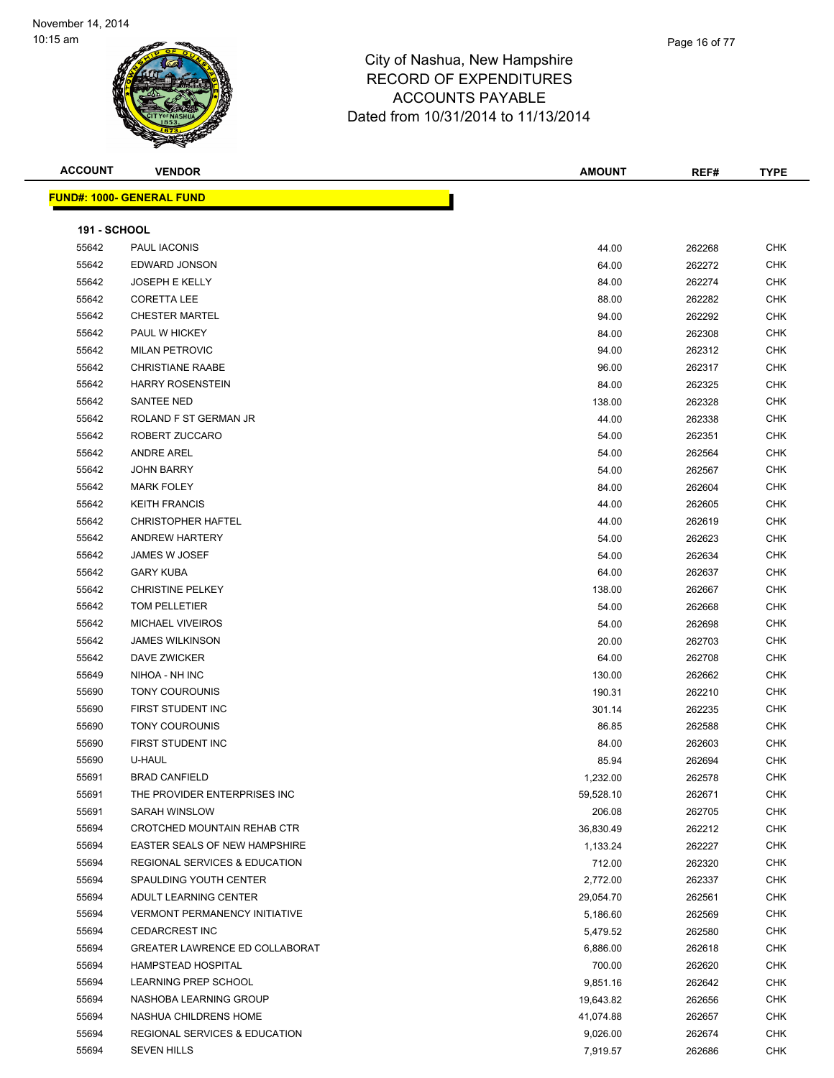**ACCOUNT VENDOR AMOUNT REF# TYPE FUND#: 1000- GENERAL FUND 191 - SCHOOL** PAUL IACONIS 44.00 262268 CHK EDWARD JONSON 64.00 262272 CHK JOSEPH E KELLY 84.00 262274 CHK CORETTA LEE 88.00 262282 CHK CHESTER MARTEL 94.00 262292 CHK PAUL W HICKEY 84.00 262308 CHK MILAN PETROVIC 94.00 262312 CHK CHRISTIANE RAABE 96.00 262317 CHK HARRY ROSENSTEIN 84.00 262325 CHK SANTEE NED 138.00 262328 CHK ROLAND F ST GERMAN JR 44.00 262338 CHK ROBERT ZUCCARO 54.00 262351 CHK ANDRE AREL 54.00 262564 CHK JOHN BARRY 54.00 262567 CHK MARK FOLEY 84.00 262604 CHK KEITH FRANCIS 44.00 262605 CHK CHRISTOPHER HAFTEL 44.00 262619 CHK ANDREW HARTERY 54.00 262623 CHK JAMES W JOSEF 54.00 262634 CHK GARY KUBA 64.00 262637 CHK CHRISTINE PELKEY 138.00 262667 CHK TOM PELLETIER 54.00 262668 CHK MICHAEL VIVEIROS 54.00 262698 CHK JAMES WILKINSON 20.00 262703 CHK DAVE ZWICKER 64.00 262708 CHK NIHOA - NH INC 130.00 262662 CHK TONY COUROUNIS 190.31 262210 CHK FIRST STUDENT INC 301.14 262235 CHK TONY COUROUNIS 86.85 262588 CHK FIRST STUDENT INC 84.00 262603 CHK U-HAUL 85.94 262694 CHK BRAD CANFIELD 1,232.00 262578 CHK THE PROVIDER ENTERPRISES INC 59,528.10 262671 CHK SARAH WINSLOW 206.08 262705 CHK CROTCHED MOUNTAIN REHAB CTR 36,830.49 262212 CHK 55694 EASTER SEALS OF NEW HAMPSHIRE 1,133.24 262227 CHK REGIONAL SERVICES & EDUCATION 712.00 262320 CHK SPAULDING YOUTH CENTER 2,772.00 262337 CHK ADULT LEARNING CENTER 29,054.70 262561 CHK VERMONT PERMANENCY INITIATIVE 5,186.60 262569 CHK CEDARCREST INC 5,479.52 262580 CHK GREATER LAWRENCE ED COLLABORAT 6,886.00 262618 CHK HAMPSTEAD HOSPITAL 700.00 262620 CHK LEARNING PREP SCHOOL 9,851.16 262642 CHK NASHOBA LEARNING GROUP 19,643.82 262656 CHK NASHUA CHILDRENS HOME 41,074.88 262657 CHK REGIONAL SERVICES & EDUCATION 9,026.00 262674 CHK SEVEN HILLS 7,919.57 262686 CHK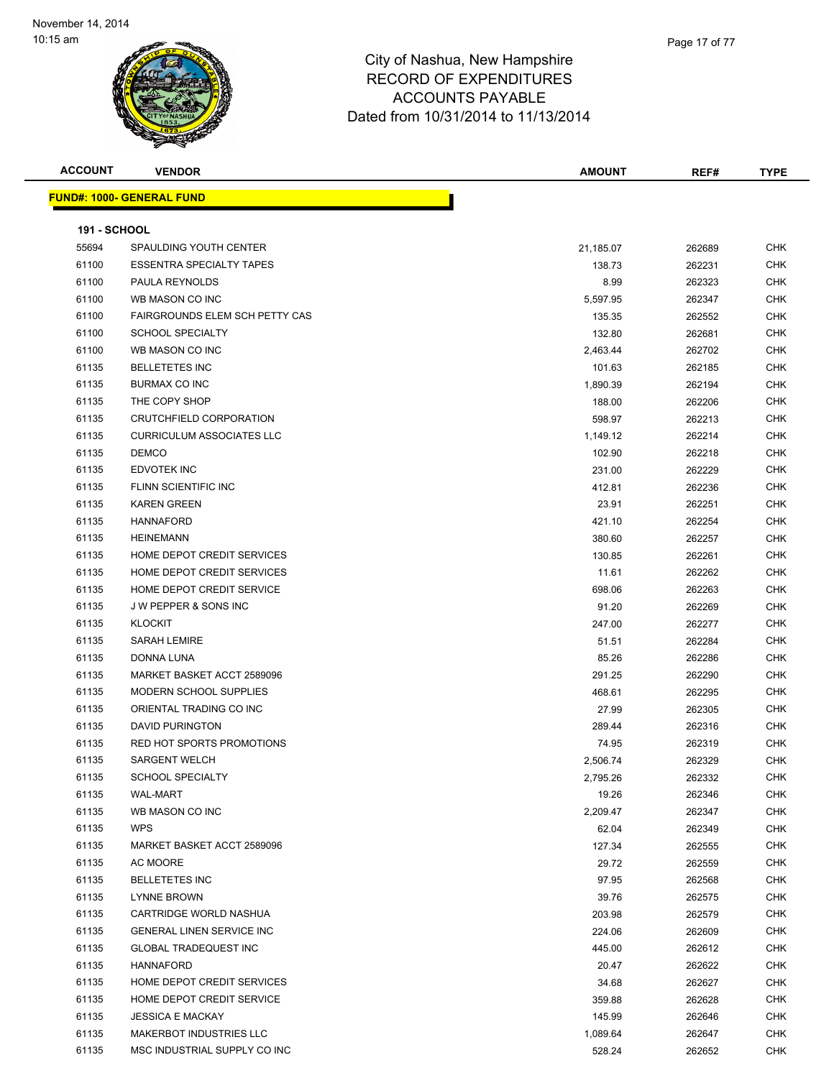| <b>ACCOUNT</b>      | <b>VENDOR</b>                    | <b>AMOUNT</b> | REF#   | <b>TYPE</b> |
|---------------------|----------------------------------|---------------|--------|-------------|
|                     | <b>FUND#: 1000- GENERAL FUND</b> |               |        |             |
|                     |                                  |               |        |             |
| <b>191 - SCHOOL</b> |                                  |               |        |             |
| 55694               | SPAULDING YOUTH CENTER           | 21,185.07     | 262689 | <b>CHK</b>  |
| 61100               | <b>ESSENTRA SPECIALTY TAPES</b>  | 138.73        | 262231 | <b>CHK</b>  |
| 61100               | PAULA REYNOLDS                   | 8.99          | 262323 | CHK         |
| 61100               | WB MASON CO INC                  | 5,597.95      | 262347 | <b>CHK</b>  |
| 61100               | FAIRGROUNDS ELEM SCH PETTY CAS   | 135.35        | 262552 | <b>CHK</b>  |
| 61100               | <b>SCHOOL SPECIALTY</b>          | 132.80        | 262681 | <b>CHK</b>  |
| 61100               | WB MASON CO INC                  | 2,463.44      | 262702 | <b>CHK</b>  |
| 61135               | <b>BELLETETES INC</b>            | 101.63        | 262185 | <b>CHK</b>  |
| 61135               | BURMAX CO INC                    | 1,890.39      | 262194 | <b>CHK</b>  |
| 61135               | THE COPY SHOP                    | 188.00        | 262206 | <b>CHK</b>  |
| 61135               | CRUTCHFIELD CORPORATION          | 598.97        | 262213 | <b>CHK</b>  |
| 61135               | <b>CURRICULUM ASSOCIATES LLC</b> | 1,149.12      | 262214 | <b>CHK</b>  |
| 61135               | <b>DEMCO</b>                     | 102.90        | 262218 | <b>CHK</b>  |
| 61135               | EDVOTEK INC                      | 231.00        | 262229 | CHK         |
| 61135               | FLINN SCIENTIFIC INC             | 412.81        | 262236 | CHK         |
| 61135               | <b>KAREN GREEN</b>               | 23.91         | 262251 | CHK         |
| 61135               | <b>HANNAFORD</b>                 | 421.10        | 262254 | CHK         |
| 61135               | <b>HEINEMANN</b>                 | 380.60        | 262257 | <b>CHK</b>  |
| 61135               | HOME DEPOT CREDIT SERVICES       | 130.85        | 262261 | <b>CHK</b>  |
| 61135               | HOME DEPOT CREDIT SERVICES       | 11.61         | 262262 | <b>CHK</b>  |
| 61135               | HOME DEPOT CREDIT SERVICE        | 698.06        | 262263 | <b>CHK</b>  |
| 61135               | J W PEPPER & SONS INC            | 91.20         | 262269 | <b>CHK</b>  |
| 61135               | <b>KLOCKIT</b>                   | 247.00        | 262277 | <b>CHK</b>  |
| 61135               | SARAH LEMIRE                     | 51.51         | 262284 | CHK         |
| 61135               | DONNA LUNA                       | 85.26         | 262286 | CHK         |
| 61135               | MARKET BASKET ACCT 2589096       | 291.25        | 262290 | <b>CHK</b>  |
| 61135               | <b>MODERN SCHOOL SUPPLIES</b>    | 468.61        | 262295 | <b>CHK</b>  |
| 61135               | ORIENTAL TRADING CO INC          | 27.99         | 262305 | <b>CHK</b>  |
| 61135               | <b>DAVID PURINGTON</b>           | 289.44        | 262316 | <b>CHK</b>  |
| 61135               | RED HOT SPORTS PROMOTIONS        | 74.95         | 262319 | <b>CHK</b>  |
| 61135               | <b>SARGENT WELCH</b>             | 2,506.74      | 262329 | CHK         |
| 61135               | <b>SCHOOL SPECIALTY</b>          | 2,795.26      | 262332 | <b>CHK</b>  |
| 61135               | <b>WAL-MART</b>                  | 19.26         | 262346 | <b>CHK</b>  |
| 61135               | WB MASON CO INC                  | 2,209.47      | 262347 | <b>CHK</b>  |
| 61135               | <b>WPS</b>                       | 62.04         | 262349 | CHK         |
| 61135               | MARKET BASKET ACCT 2589096       | 127.34        | 262555 | CHK         |
| 61135               | AC MOORE                         | 29.72         | 262559 | <b>CHK</b>  |
| 61135               | <b>BELLETETES INC</b>            | 97.95         | 262568 | <b>CHK</b>  |
| 61135               | <b>LYNNE BROWN</b>               | 39.76         | 262575 | <b>CHK</b>  |
| 61135               | CARTRIDGE WORLD NASHUA           | 203.98        | 262579 | <b>CHK</b>  |
| 61135               | <b>GENERAL LINEN SERVICE INC</b> | 224.06        | 262609 | <b>CHK</b>  |
| 61135               | <b>GLOBAL TRADEQUEST INC</b>     | 445.00        | 262612 | <b>CHK</b>  |
| 61135               | <b>HANNAFORD</b>                 | 20.47         | 262622 | <b>CHK</b>  |
| 61135               | HOME DEPOT CREDIT SERVICES       | 34.68         | 262627 | <b>CHK</b>  |
| 61135               | HOME DEPOT CREDIT SERVICE        | 359.88        | 262628 | <b>CHK</b>  |
| 61135               | <b>JESSICA E MACKAY</b>          | 145.99        | 262646 | CHK         |
| 61135               | <b>MAKERBOT INDUSTRIES LLC</b>   | 1,089.64      | 262647 | CHK         |
| 61135               | MSC INDUSTRIAL SUPPLY CO INC     | 528.24        | 262652 | <b>CHK</b>  |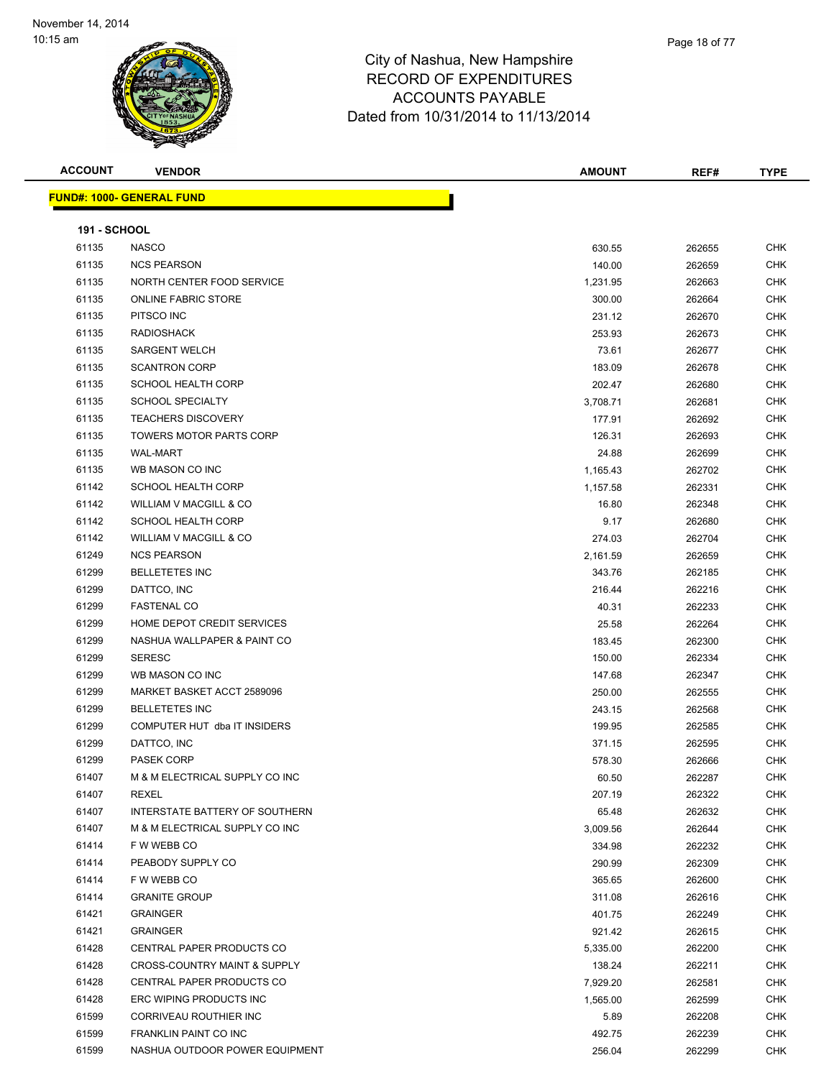| <b>ACCOUNT</b>      | <b>VENDOR</b>                           | <b>AMOUNT</b> | REF#   | <b>TYPE</b> |
|---------------------|-----------------------------------------|---------------|--------|-------------|
|                     | <u> FUND#: 1000- GENERAL FUND</u>       |               |        |             |
|                     |                                         |               |        |             |
| <b>191 - SCHOOL</b> |                                         |               |        |             |
| 61135               | <b>NASCO</b>                            | 630.55        | 262655 | <b>CHK</b>  |
| 61135               | <b>NCS PEARSON</b>                      | 140.00        | 262659 | <b>CHK</b>  |
| 61135               | NORTH CENTER FOOD SERVICE               | 1,231.95      | 262663 | <b>CHK</b>  |
| 61135               | <b>ONLINE FABRIC STORE</b>              | 300.00        | 262664 | <b>CHK</b>  |
| 61135               | PITSCO INC                              | 231.12        | 262670 | CHK         |
| 61135               | <b>RADIOSHACK</b>                       | 253.93        | 262673 | <b>CHK</b>  |
| 61135               | <b>SARGENT WELCH</b>                    | 73.61         | 262677 | <b>CHK</b>  |
| 61135               | <b>SCANTRON CORP</b>                    | 183.09        | 262678 | CHK         |
| 61135               | <b>SCHOOL HEALTH CORP</b>               | 202.47        | 262680 | <b>CHK</b>  |
| 61135               | <b>SCHOOL SPECIALTY</b>                 | 3,708.71      | 262681 | <b>CHK</b>  |
| 61135               | <b>TEACHERS DISCOVERY</b>               | 177.91        | 262692 | CHK         |
| 61135               | <b>TOWERS MOTOR PARTS CORP</b>          | 126.31        | 262693 | <b>CHK</b>  |
| 61135               | <b>WAL-MART</b>                         | 24.88         | 262699 | CHK         |
| 61135               | WB MASON CO INC                         | 1,165.43      | 262702 | CHK         |
| 61142               | <b>SCHOOL HEALTH CORP</b>               | 1,157.58      | 262331 | CHK         |
| 61142               | WILLIAM V MACGILL & CO                  | 16.80         | 262348 | CHK         |
| 61142               | <b>SCHOOL HEALTH CORP</b>               | 9.17          | 262680 | CHK         |
| 61142               | WILLIAM V MACGILL & CO                  | 274.03        | 262704 | CHK         |
| 61249               | <b>NCS PEARSON</b>                      | 2,161.59      | 262659 | CHK         |
| 61299               | <b>BELLETETES INC</b>                   | 343.76        | 262185 | <b>CHK</b>  |
| 61299               | DATTCO, INC                             | 216.44        | 262216 | CHK         |
| 61299               | <b>FASTENAL CO</b>                      | 40.31         | 262233 | <b>CHK</b>  |
| 61299               | HOME DEPOT CREDIT SERVICES              | 25.58         | 262264 | <b>CHK</b>  |
| 61299               | NASHUA WALLPAPER & PAINT CO             | 183.45        | 262300 | CHK         |
| 61299               | <b>SERESC</b>                           | 150.00        | 262334 | CHK         |
| 61299               | WB MASON CO INC                         | 147.68        | 262347 | CHK         |
| 61299               | MARKET BASKET ACCT 2589096              | 250.00        | 262555 | CHK         |
| 61299               | <b>BELLETETES INC</b>                   | 243.15        | 262568 | CHK         |
| 61299               | COMPUTER HUT dba IT INSIDERS            | 199.95        | 262585 | CHK         |
| 61299               | DATTCO, INC                             | 371.15        | 262595 | CHK         |
| 61299               | <b>PASEK CORP</b>                       | 578.30        | 262666 | <b>CHK</b>  |
| 61407               | M & M ELECTRICAL SUPPLY CO INC          | 60.50         | 262287 | <b>CHK</b>  |
| 61407               | REXEL                                   | 207.19        | 262322 | <b>CHK</b>  |
| 61407               | INTERSTATE BATTERY OF SOUTHERN          | 65.48         | 262632 | <b>CHK</b>  |
| 61407               | M & M ELECTRICAL SUPPLY CO INC          | 3,009.56      | 262644 | CHK         |
| 61414               | F W WEBB CO                             | 334.98        | 262232 | CHK         |
| 61414               | PEABODY SUPPLY CO                       | 290.99        | 262309 | CHK         |
| 61414               | F W WEBB CO                             | 365.65        | 262600 | CHK         |
| 61414               | <b>GRANITE GROUP</b>                    | 311.08        | 262616 | CHK         |
| 61421               | <b>GRAINGER</b>                         | 401.75        | 262249 | CHK         |
| 61421               | <b>GRAINGER</b>                         | 921.42        | 262615 | <b>CHK</b>  |
| 61428               | CENTRAL PAPER PRODUCTS CO               | 5,335.00      | 262200 | <b>CHK</b>  |
| 61428               | <b>CROSS-COUNTRY MAINT &amp; SUPPLY</b> | 138.24        | 262211 | CHK         |
| 61428               | CENTRAL PAPER PRODUCTS CO               | 7,929.20      | 262581 | CHK         |
| 61428               | ERC WIPING PRODUCTS INC                 | 1,565.00      | 262599 | CHK         |
| 61599               | CORRIVEAU ROUTHIER INC                  | 5.89          | 262208 | CHK         |
| 61599               | FRANKLIN PAINT CO INC                   | 492.75        | 262239 | CHK         |
| 61599               | NASHUA OUTDOOR POWER EQUIPMENT          | 256.04        | 262299 | CHK         |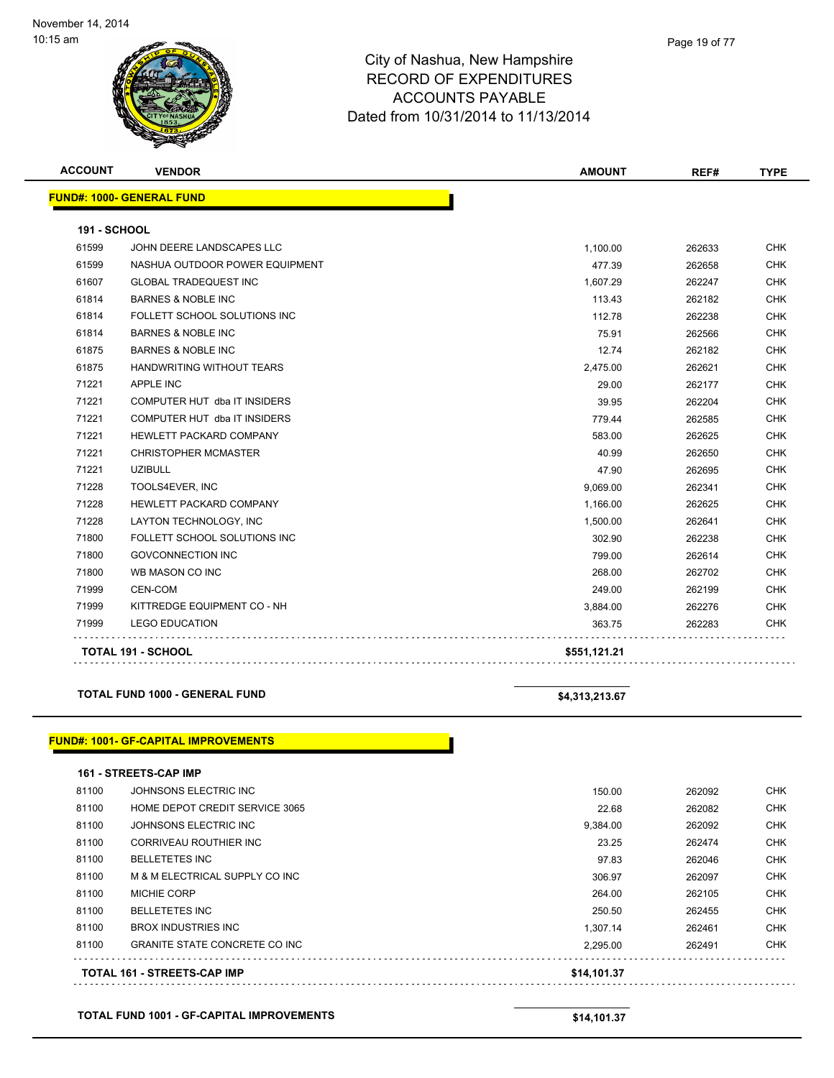| <b>ACCOUNT</b>      | <b>VENDOR</b>                    | <b>AMOUNT</b> | REF#   | <b>TYPE</b> |
|---------------------|----------------------------------|---------------|--------|-------------|
|                     | <b>FUND#: 1000- GENERAL FUND</b> |               |        |             |
|                     |                                  |               |        |             |
| <b>191 - SCHOOL</b> |                                  |               |        |             |
| 61599               | JOHN DEERE LANDSCAPES LLC        | 1,100.00      | 262633 | <b>CHK</b>  |
| 61599               | NASHUA OUTDOOR POWER EQUIPMENT   | 477.39        | 262658 | <b>CHK</b>  |
| 61607               | <b>GLOBAL TRADEQUEST INC</b>     | 1,607.29      | 262247 | <b>CHK</b>  |
| 61814               | <b>BARNES &amp; NOBLE INC</b>    | 113.43        | 262182 | <b>CHK</b>  |
| 61814               | FOLLETT SCHOOL SOLUTIONS INC     | 112.78        | 262238 | <b>CHK</b>  |
| 61814               | <b>BARNES &amp; NOBLE INC</b>    | 75.91         | 262566 | <b>CHK</b>  |
| 61875               | <b>BARNES &amp; NOBLE INC</b>    | 12.74         | 262182 | <b>CHK</b>  |
| 61875               | <b>HANDWRITING WITHOUT TEARS</b> | 2,475.00      | 262621 | <b>CHK</b>  |
| 71221               | <b>APPLE INC</b>                 | 29.00         | 262177 | <b>CHK</b>  |
| 71221               | COMPUTER HUT dba IT INSIDERS     | 39.95         | 262204 | <b>CHK</b>  |
| 71221               | COMPUTER HUT dba IT INSIDERS     | 779.44        | 262585 | <b>CHK</b>  |
| 71221               | <b>HEWLETT PACKARD COMPANY</b>   | 583.00        | 262625 | <b>CHK</b>  |
| 71221               | <b>CHRISTOPHER MCMASTER</b>      | 40.99         | 262650 | <b>CHK</b>  |
| 71221               | <b>UZIBULL</b>                   | 47.90         | 262695 | <b>CHK</b>  |
| 71228               | TOOLS4EVER, INC                  | 9,069.00      | 262341 | <b>CHK</b>  |
| 71228               | HEWLETT PACKARD COMPANY          | 1,166.00      | 262625 | <b>CHK</b>  |
| 71228               | LAYTON TECHNOLOGY, INC           | 1,500.00      | 262641 | <b>CHK</b>  |
| 71800               | FOLLETT SCHOOL SOLUTIONS INC     | 302.90        | 262238 | <b>CHK</b>  |
| 71800               | <b>GOVCONNECTION INC</b>         | 799.00        | 262614 | <b>CHK</b>  |
| 71800               | WB MASON CO INC                  | 268.00        | 262702 | <b>CHK</b>  |
| 71999               | <b>CEN-COM</b>                   | 249.00        | 262199 | <b>CHK</b>  |
| 71999               | KITTREDGE EQUIPMENT CO - NH      | 3,884.00      | 262276 | <b>CHK</b>  |
| 71999               | <b>LEGO EDUCATION</b>            | 363.75        | 262283 | <b>CHK</b>  |
|                     | <b>TOTAL 191 - SCHOOL</b>        | \$551,121.21  |        |             |

### **TOTAL FUND 1000 - GENERAL FUND \$4,313,213.67**

### **FUND#: 1001- GF-CAPITAL IMPROVEMENTS**

|  |  |  |  |  |  | <b>161 - STREETS-CAP IMP</b> |
|--|--|--|--|--|--|------------------------------|
|--|--|--|--|--|--|------------------------------|

|       | <b>TOTAL 161 - STREETS-CAP IMP</b>    | \$14.101.37 |        |            |
|-------|---------------------------------------|-------------|--------|------------|
| 81100 | <b>GRANITE STATE CONCRETE CO INC.</b> | 2.295.00    | 262491 | <b>CHK</b> |
| 81100 | <b>BROX INDUSTRIES INC.</b>           | 1.307.14    | 262461 | <b>CHK</b> |
| 81100 | <b>BELLETETES INC</b>                 | 250.50      | 262455 | <b>CHK</b> |
| 81100 | <b>MICHIE CORP</b>                    | 264.00      | 262105 | <b>CHK</b> |
| 81100 | M & M ELECTRICAL SUPPLY CO INC        | 306.97      | 262097 | <b>CHK</b> |
| 81100 | <b>BELLETETES INC</b>                 | 97.83       | 262046 | <b>CHK</b> |
| 81100 | CORRIVEAU ROUTHIER INC                | 23.25       | 262474 | <b>CHK</b> |
| 81100 | JOHNSONS ELECTRIC INC                 | 9,384.00    | 262092 | <b>CHK</b> |
| 81100 | HOME DEPOT CREDIT SERVICE 3065        | 22.68       | 262082 | <b>CHK</b> |
| 81100 | JOHNSONS ELECTRIC INC                 | 150.00      | 262092 | <b>CHK</b> |
|       |                                       |             |        |            |

### **TOTAL FUND 1001 - GF-CAPITAL IMPROVEMENTS \$14,101.37**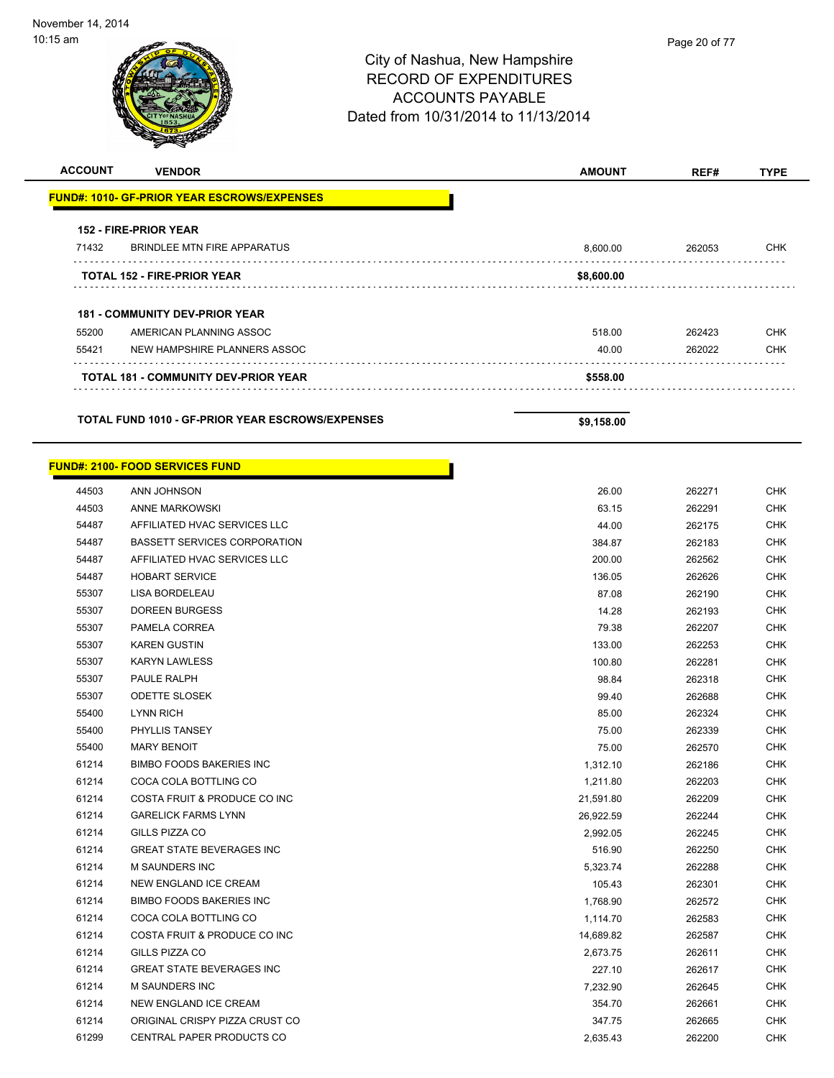| <b>ACCOUNT</b> | <b>VENDOR</b>                                           | <b>AMOUNT</b> | REF#   | <b>TYPE</b> |
|----------------|---------------------------------------------------------|---------------|--------|-------------|
|                | <b>FUND#: 1010- GF-PRIOR YEAR ESCROWS/EXPENSES</b>      |               |        |             |
|                | <b>152 - FIRE-PRIOR YEAR</b>                            |               |        |             |
| 71432          | BRINDLEE MTN FIRE APPARATUS                             | 8,600.00      | 262053 | <b>CHK</b>  |
|                | <b>TOTAL 152 - FIRE-PRIOR YEAR</b>                      | \$8,600.00    |        |             |
|                | <b>181 - COMMUNITY DEV-PRIOR YEAR</b>                   |               |        |             |
| 55200          | AMERICAN PLANNING ASSOC                                 | 518.00        | 262423 | <b>CHK</b>  |
| 55421          | NEW HAMPSHIRE PLANNERS ASSOC                            | 40.00         | 262022 | <b>CHK</b>  |
|                | <b>TOTAL 181 - COMMUNITY DEV-PRIOR YEAR</b>             | \$558.00      |        |             |
|                | <b>TOTAL FUND 1010 - GF-PRIOR YEAR ESCROWS/EXPENSES</b> | \$9,158.00    |        |             |

Т

| <u> FUND#: 2100- FOOD SERVICES FUND</u> |  |
|-----------------------------------------|--|
|-----------------------------------------|--|

| 44503 | ANN JOHNSON                         | 26.00     | 262271 | <b>CHK</b> |
|-------|-------------------------------------|-----------|--------|------------|
| 44503 | ANNE MARKOWSKI                      | 63.15     | 262291 | <b>CHK</b> |
| 54487 | AFFILIATED HVAC SERVICES LLC        | 44.00     | 262175 | <b>CHK</b> |
| 54487 | <b>BASSETT SERVICES CORPORATION</b> | 384.87    | 262183 | CHK        |
| 54487 | AFFILIATED HVAC SERVICES LLC        | 200.00    | 262562 | <b>CHK</b> |
| 54487 | <b>HOBART SERVICE</b>               | 136.05    | 262626 | CHK        |
| 55307 | LISA BORDELEAU                      | 87.08     | 262190 | <b>CHK</b> |
| 55307 | <b>DOREEN BURGESS</b>               | 14.28     | 262193 | <b>CHK</b> |
| 55307 | PAMELA CORREA                       | 79.38     | 262207 | <b>CHK</b> |
| 55307 | <b>KAREN GUSTIN</b>                 | 133.00    | 262253 | <b>CHK</b> |
| 55307 | <b>KARYN LAWLESS</b>                | 100.80    | 262281 | <b>CHK</b> |
| 55307 | PAULE RALPH                         | 98.84     | 262318 | <b>CHK</b> |
| 55307 | <b>ODETTE SLOSEK</b>                | 99.40     | 262688 | <b>CHK</b> |
| 55400 | <b>LYNN RICH</b>                    | 85.00     | 262324 | <b>CHK</b> |
| 55400 | PHYLLIS TANSEY                      | 75.00     | 262339 | <b>CHK</b> |
| 55400 | <b>MARY BENOIT</b>                  | 75.00     | 262570 | <b>CHK</b> |
| 61214 | <b>BIMBO FOODS BAKERIES INC</b>     | 1,312.10  | 262186 | <b>CHK</b> |
| 61214 | COCA COLA BOTTLING CO               | 1,211.80  | 262203 | <b>CHK</b> |
| 61214 | COSTA FRUIT & PRODUCE CO INC        | 21,591.80 | 262209 | <b>CHK</b> |
| 61214 | <b>GARELICK FARMS LYNN</b>          | 26,922.59 | 262244 | CHK        |
| 61214 | GILLS PIZZA CO                      | 2,992.05  | 262245 | CHK        |
| 61214 | <b>GREAT STATE BEVERAGES INC</b>    | 516.90    | 262250 | <b>CHK</b> |
| 61214 | <b>M SAUNDERS INC</b>               | 5,323.74  | 262288 | <b>CHK</b> |
| 61214 | NEW ENGLAND ICE CREAM               | 105.43    | 262301 | <b>CHK</b> |
| 61214 | <b>BIMBO FOODS BAKERIES INC</b>     | 1,768.90  | 262572 | <b>CHK</b> |
| 61214 | COCA COLA BOTTLING CO               | 1,114.70  | 262583 | <b>CHK</b> |
| 61214 | COSTA FRUIT & PRODUCE CO INC        | 14,689.82 | 262587 | <b>CHK</b> |
| 61214 | GILLS PIZZA CO                      | 2,673.75  | 262611 | <b>CHK</b> |
| 61214 | <b>GREAT STATE BEVERAGES INC</b>    | 227.10    | 262617 | <b>CHK</b> |
| 61214 | <b>M SAUNDERS INC</b>               | 7,232.90  | 262645 | <b>CHK</b> |
| 61214 | NEW ENGLAND ICE CREAM               | 354.70    | 262661 | <b>CHK</b> |
| 61214 | ORIGINAL CRISPY PIZZA CRUST CO      | 347.75    | 262665 | CHK        |
| 61299 | CENTRAL PAPER PRODUCTS CO           | 2,635.43  | 262200 | <b>CHK</b> |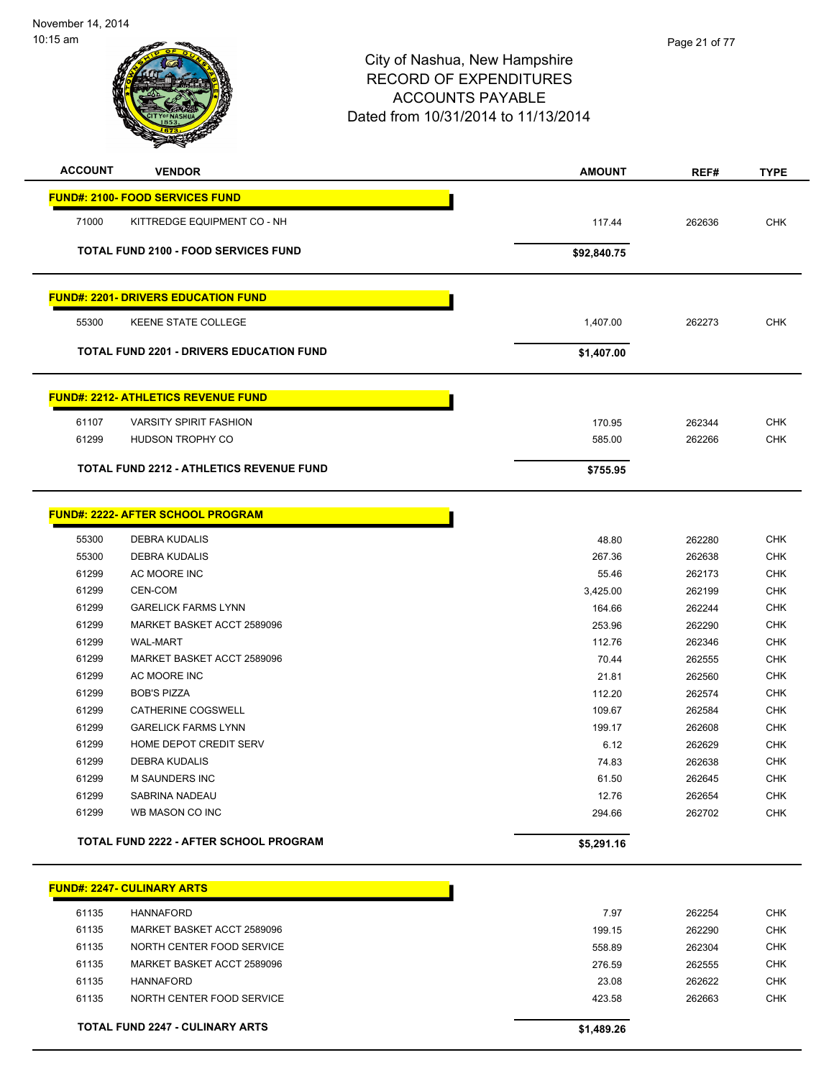

| <b>ACCOUNT</b> | <b>VENDOR</b>                                   | <b>AMOUNT</b> | REF#   | <b>TYPE</b>  |
|----------------|-------------------------------------------------|---------------|--------|--------------|
|                | <b>FUND#: 2100- FOOD SERVICES FUND</b>          |               |        |              |
| 71000          | KITTREDGE EQUIPMENT CO - NH                     | 117.44        | 262636 | <b>CHK</b>   |
|                | <b>TOTAL FUND 2100 - FOOD SERVICES FUND</b>     | \$92,840.75   |        |              |
|                | <b>FUND#: 2201- DRIVERS EDUCATION FUND</b>      |               |        |              |
| 55300          | KEENE STATE COLLEGE                             | 1,407.00      | 262273 | <b>CHK</b>   |
|                | <b>TOTAL FUND 2201 - DRIVERS EDUCATION FUND</b> | \$1,407.00    |        |              |
|                | <b>FUND#: 2212- ATHLETICS REVENUE FUND</b>      |               |        |              |
| 61107          | <b>VARSITY SPIRIT FASHION</b>                   | 170.95        | 262344 | <b>CHK</b>   |
| 61299          | <b>HUDSON TROPHY CO</b>                         | 585.00        | 262266 | <b>CHK</b>   |
|                | TOTAL FUND 2212 - ATHLETICS REVENUE FUND        | \$755.95      |        |              |
|                | <b>FUND#: 2222- AFTER SCHOOL PROGRAM</b>        |               |        |              |
| 55300          | <b>DEBRA KUDALIS</b>                            | 48.80         | 262280 | <b>CHK</b>   |
| 55300          | <b>DEBRA KUDALIS</b>                            | 267.36        | 262638 | <b>CHK</b>   |
| 61299          | AC MOORE INC                                    | 55.46         | 262173 | <b>CHK</b>   |
| 61299          | CEN-COM                                         | 3,425.00      | 262199 | <b>CHK</b>   |
| 61299          | <b>GARELICK FARMS LYNN</b>                      | 164.66        | 262244 | <b>CHK</b>   |
| 61299          | MARKET BASKET ACCT 2589096                      | 253.96        | 262290 | <b>CHK</b>   |
| 61299          | <b>WAL-MART</b>                                 | 112.76        | 262346 | <b>CHK</b>   |
| 61299          | MARKET BASKET ACCT 2589096                      | 70.44         | 262555 | <b>CHK</b>   |
| 61299          | AC MOORE INC                                    | 21.81         | 262560 | <b>CHK</b>   |
| 61299          | <b>BOB'S PIZZA</b>                              | 112.20        | 262574 | <b>CHK</b>   |
| 61299          | CATHERINE COGSWELL                              | 109.67        | 262584 | <b>CHK</b>   |
| 61299          | <b>GARELICK FARMS LYNN</b>                      | 199.17        | 262608 | <b>CHK</b>   |
| 61299          | HOME DEPOT CREDIT SERV                          | 6.12          | 262629 | <b>CHK</b>   |
| 61299          | DEBRA KUDALIS                                   | 74.83         | 262638 | <b>CHK</b>   |
| 61299          | M SAUNDERS INC                                  | 61.50         | 262645 | <b>CHK</b>   |
| 61299          | SABRINA NADEAU                                  | 12.76         | 262654 | <b>CHK</b>   |
| 61299          | WB MASON CO INC                                 | 294.66        | 262702 | <b>CHK</b>   |
|                | TOTAL FUND 2222 - AFTER SCHOOL PROGRAM          | \$5,291.16    |        |              |
|                | <b>FUND#: 2247- CULINARY ARTS</b>               |               |        |              |
| 61135          | <b>HANNAFORD</b>                                | 7.97          | 262254 | <b>CHK</b>   |
| 34405          | <b>IADIZET DAOIZET ACCT OF 00000</b>            |               | 00000  | $\sim$ $\mu$ |

|       | <b>TOTAL FUND 2247 - CULINARY ARTS</b> | \$1,489.26 |        |            |
|-------|----------------------------------------|------------|--------|------------|
| 61135 | NORTH CENTER FOOD SERVICE              | 423.58     | 262663 | <b>CHK</b> |
| 61135 | HANNAFORD                              | 23.08      | 262622 | <b>CHK</b> |
| 61135 | MARKET BASKET ACCT 2589096             | 276.59     | 262555 | <b>CHK</b> |
| 61135 | NORTH CENTER FOOD SERVICE              | 558.89     | 262304 | <b>CHK</b> |
| 61135 | MARKET BASKET ACCT 2589096             | 199.15     | 262290 | <b>CHK</b> |
|       |                                        |            |        |            |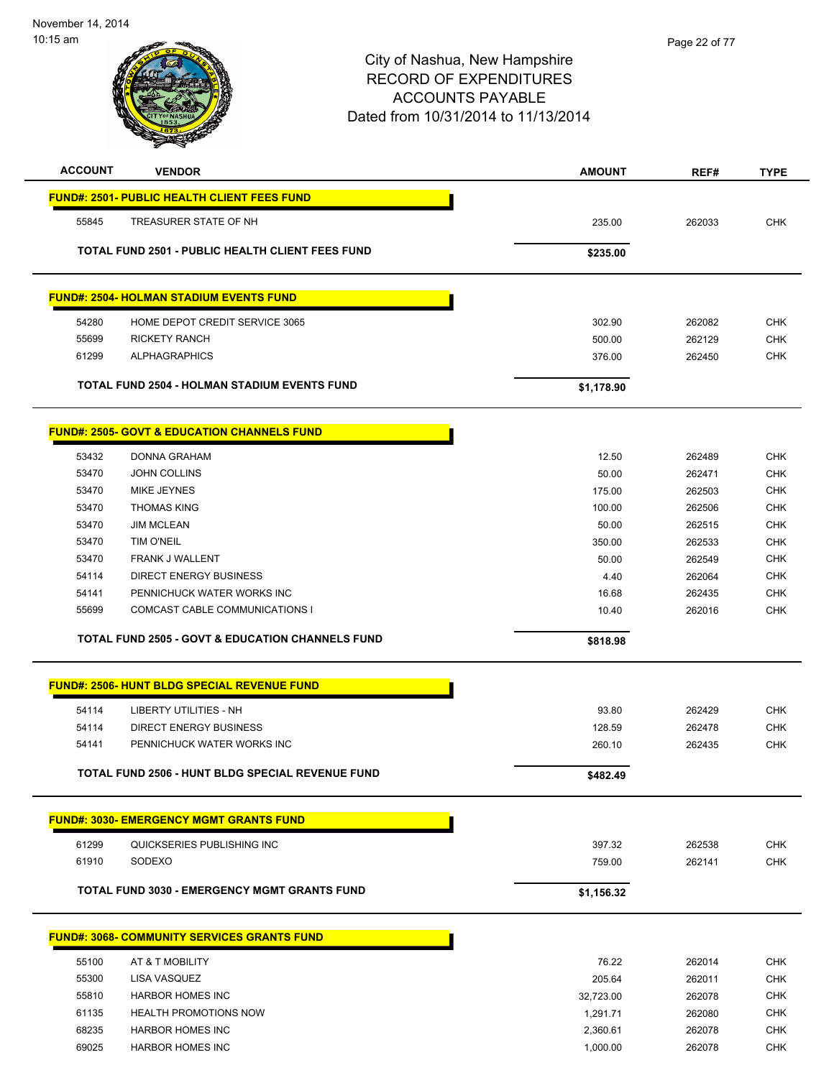

| <b>ACCOUNT</b> | <b>VENDOR</b>                                               | <b>AMOUNT</b> | REF#   | <b>TYPE</b> |
|----------------|-------------------------------------------------------------|---------------|--------|-------------|
|                | <b>FUND#: 2501- PUBLIC HEALTH CLIENT FEES FUND</b>          |               |        |             |
| 55845          | TREASURER STATE OF NH                                       | 235.00        | 262033 | <b>CHK</b>  |
|                | <b>TOTAL FUND 2501 - PUBLIC HEALTH CLIENT FEES FUND</b>     | \$235.00      |        |             |
|                |                                                             |               |        |             |
|                | <b>FUND#: 2504- HOLMAN STADIUM EVENTS FUND</b>              |               |        |             |
| 54280          | HOME DEPOT CREDIT SERVICE 3065                              | 302.90        | 262082 | <b>CHK</b>  |
| 55699          | <b>RICKETY RANCH</b>                                        | 500.00        | 262129 | <b>CHK</b>  |
| 61299          | <b>ALPHAGRAPHICS</b>                                        | 376.00        | 262450 | <b>CHK</b>  |
|                | <b>TOTAL FUND 2504 - HOLMAN STADIUM EVENTS FUND</b>         | \$1,178.90    |        |             |
|                | <b>FUND#: 2505- GOVT &amp; EDUCATION CHANNELS FUND</b>      |               |        |             |
| 53432          | DONNA GRAHAM                                                | 12.50         | 262489 | <b>CHK</b>  |
| 53470          | <b>JOHN COLLINS</b>                                         | 50.00         | 262471 | <b>CHK</b>  |
| 53470          | MIKE JEYNES                                                 | 175.00        | 262503 | <b>CHK</b>  |
| 53470          | <b>THOMAS KING</b>                                          | 100.00        | 262506 | <b>CHK</b>  |
| 53470          | <b>JIM MCLEAN</b>                                           | 50.00         | 262515 | <b>CHK</b>  |
| 53470          | <b>TIM O'NEIL</b>                                           | 350.00        | 262533 | <b>CHK</b>  |
| 53470          | FRANK J WALLENT                                             | 50.00         | 262549 | <b>CHK</b>  |
| 54114          | DIRECT ENERGY BUSINESS                                      | 4.40          | 262064 | <b>CHK</b>  |
| 54141          | PENNICHUCK WATER WORKS INC                                  | 16.68         | 262435 | <b>CHK</b>  |
| 55699          | COMCAST CABLE COMMUNICATIONS I                              | 10.40         | 262016 | <b>CHK</b>  |
|                | <b>TOTAL FUND 2505 - GOVT &amp; EDUCATION CHANNELS FUND</b> | \$818.98      |        |             |
|                | <b>FUND#: 2506- HUNT BLDG SPECIAL REVENUE FUND</b>          |               |        |             |
|                |                                                             |               |        |             |
| 54114          | LIBERTY UTILITIES - NH                                      | 93.80         | 262429 | <b>CHK</b>  |
| 54114          | DIRECT ENERGY BUSINESS                                      | 128.59        | 262478 | <b>CHK</b>  |
| 54141          | PENNICHUCK WATER WORKS INC                                  | 260.10        | 262435 | <b>CHK</b>  |
|                | TOTAL FUND 2506 - HUNT BLDG SPECIAL REVENUE FUND            | \$482.49      |        |             |
|                | <b>FUND#: 3030- EMERGENCY MGMT GRANTS FUND</b>              |               |        |             |
| 61299          | QUICKSERIES PUBLISHING INC                                  | 397.32        | 262538 | CHK         |
| 61910          | SODEXO                                                      | 759.00        | 262141 | <b>CHK</b>  |
|                | <b>TOTAL FUND 3030 - EMERGENCY MGMT GRANTS FUND</b>         | \$1,156.32    |        |             |
|                | <b>FUND#: 3068- COMMUNITY SERVICES GRANTS FUND</b>          |               |        |             |
|                |                                                             |               |        |             |
| 55100          | AT & T MOBILITY                                             | 76.22         | 262014 | <b>CHK</b>  |
| 55300          | LISA VASQUEZ                                                | 205.64        | 262011 | <b>CHK</b>  |
| 55810          | <b>HARBOR HOMES INC</b>                                     | 32,723.00     | 262078 | <b>CHK</b>  |
| 61135          | <b>HEALTH PROMOTIONS NOW</b>                                | 1,291.71      | 262080 | <b>CHK</b>  |
| 68235          | <b>HARBOR HOMES INC</b>                                     | 2,360.61      | 262078 | <b>CHK</b>  |
| 69025          | <b>HARBOR HOMES INC</b>                                     | 1,000.00      | 262078 | <b>CHK</b>  |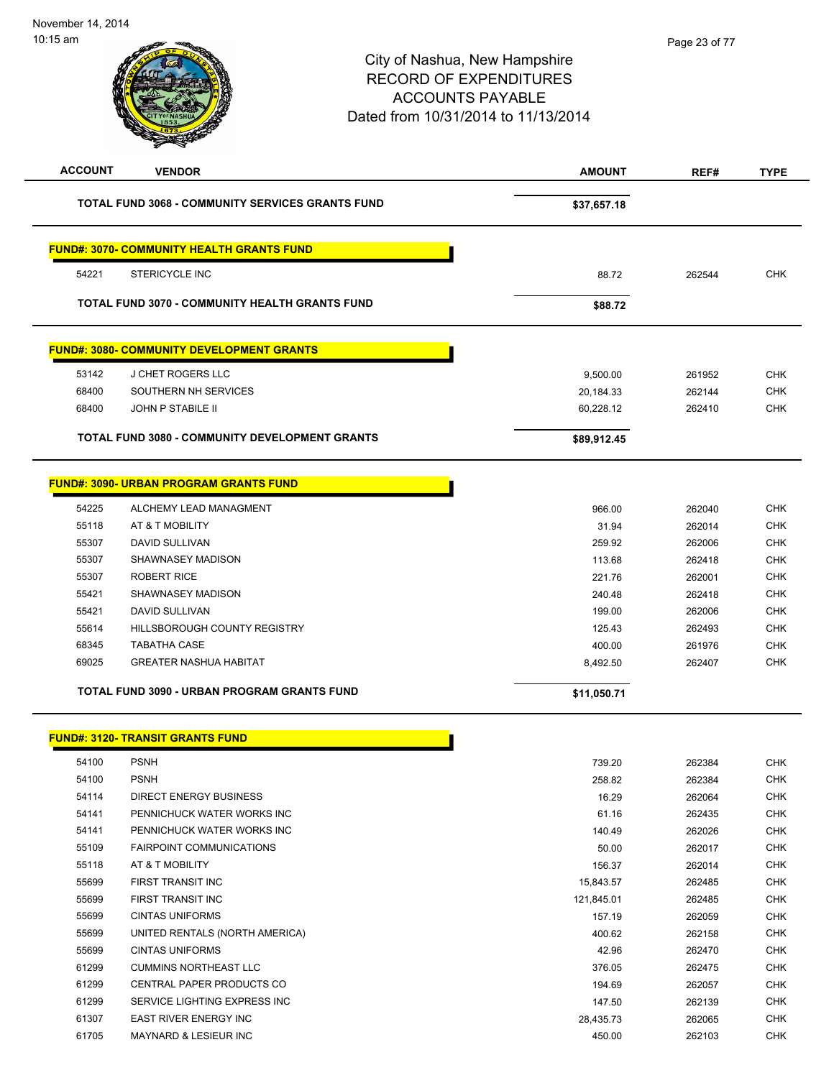| <b>ACCOUNT</b> | <b>VENDOR</b>                                           | <b>AMOUNT</b> | REF#   | <b>TYPE</b> |
|----------------|---------------------------------------------------------|---------------|--------|-------------|
|                | <b>TOTAL FUND 3068 - COMMUNITY SERVICES GRANTS FUND</b> | \$37,657.18   |        |             |
|                | <b>FUND#: 3070- COMMUNITY HEALTH GRANTS FUND</b>        |               |        |             |
| 54221          | <b>STERICYCLE INC</b>                                   | 88.72         | 262544 | <b>CHK</b>  |
|                | <b>TOTAL FUND 3070 - COMMUNITY HEALTH GRANTS FUND</b>   | \$88.72       |        |             |
|                | <b>FUND#: 3080- COMMUNITY DEVELOPMENT GRANTS</b>        |               |        |             |
| 53142          | J CHET ROGERS LLC                                       | 9,500.00      | 261952 | <b>CHK</b>  |
| 68400          | SOUTHERN NH SERVICES                                    | 20,184.33     | 262144 | <b>CHK</b>  |
| 68400          | <b>JOHN P STABILE II</b>                                | 60,228.12     | 262410 | <b>CHK</b>  |
|                | TOTAL FUND 3080 - COMMUNITY DEVELOPMENT GRANTS          | \$89,912.45   |        |             |
|                | <b>FUND#: 3090- URBAN PROGRAM GRANTS FUND</b>           |               |        |             |
| 54225          | ALCHEMY LEAD MANAGMENT                                  | 966.00        | 262040 | <b>CHK</b>  |
| 55118          | AT & T MOBILITY                                         | 31.94         | 262014 | <b>CHK</b>  |
| 55307          | <b>DAVID SULLIVAN</b>                                   | 259.92        | 262006 | <b>CHK</b>  |
| 55307          | <b>SHAWNASEY MADISON</b>                                | 113.68        | 262418 | <b>CHK</b>  |
| 55307          | <b>ROBERT RICE</b>                                      | 221.76        | 262001 | <b>CHK</b>  |
| 55421          | <b>SHAWNASEY MADISON</b>                                | 240.48        | 262418 | <b>CHK</b>  |
| 55421          | <b>DAVID SULLIVAN</b>                                   | 199.00        | 262006 | <b>CHK</b>  |
| 55614          | HILLSBOROUGH COUNTY REGISTRY                            | 125.43        | 262493 | <b>CHK</b>  |
| 68345          | <b>TABATHA CASE</b>                                     | 400.00        | 261976 | <b>CHK</b>  |
| 69025          | <b>GREATER NASHUA HABITAT</b>                           | 8,492.50      | 262407 | <b>CHK</b>  |
|                | <b>TOTAL FUND 3090 - URBAN PROGRAM GRANTS FUND</b>      | \$11,050.71   |        |             |
|                | <b>FUND#: 3120- TRANSIT GRANTS FUND</b>                 |               |        |             |
| 54100          | <b>PSNH</b>                                             | 739.20        | 262384 | <b>CHK</b>  |
| 54100          | <b>PSNH</b>                                             | 258.82        | 262384 | <b>CHK</b>  |
| 54114          | <b>DIRECT ENERGY BUSINESS</b>                           | 16.29         | 262064 | <b>CHK</b>  |

| <b>UTIUU</b> | .                                | LUU.UL     | ∠∪∠∪∪  | ◡᠁         |
|--------------|----------------------------------|------------|--------|------------|
| 54114        | DIRECT ENERGY BUSINESS           | 16.29      | 262064 | <b>CHK</b> |
| 54141        | PENNICHUCK WATER WORKS INC       | 61.16      | 262435 | <b>CHK</b> |
| 54141        | PENNICHUCK WATER WORKS INC       | 140.49     | 262026 | <b>CHK</b> |
| 55109        | <b>FAIRPOINT COMMUNICATIONS</b>  | 50.00      | 262017 | <b>CHK</b> |
| 55118        | AT & T MOBILITY                  | 156.37     | 262014 | <b>CHK</b> |
| 55699        | FIRST TRANSIT INC                | 15,843.57  | 262485 | <b>CHK</b> |
| 55699        | FIRST TRANSIT INC                | 121,845.01 | 262485 | <b>CHK</b> |
| 55699        | <b>CINTAS UNIFORMS</b>           | 157.19     | 262059 | CHK        |
| 55699        | UNITED RENTALS (NORTH AMERICA)   | 400.62     | 262158 | <b>CHK</b> |
| 55699        | <b>CINTAS UNIFORMS</b>           | 42.96      | 262470 | CHK        |
| 61299        | <b>CUMMINS NORTHEAST LLC</b>     | 376.05     | 262475 | <b>CHK</b> |
| 61299        | <b>CENTRAL PAPER PRODUCTS CO</b> | 194.69     | 262057 | <b>CHK</b> |
| 61299        | SERVICE LIGHTING EXPRESS INC     | 147.50     | 262139 | <b>CHK</b> |
| 61307        | <b>EAST RIVER ENERGY INC</b>     | 28,435.73  | 262065 | <b>CHK</b> |
| 61705        | <b>MAYNARD &amp; LESIEUR INC</b> | 450.00     | 262103 | <b>CHK</b> |
|              |                                  |            |        |            |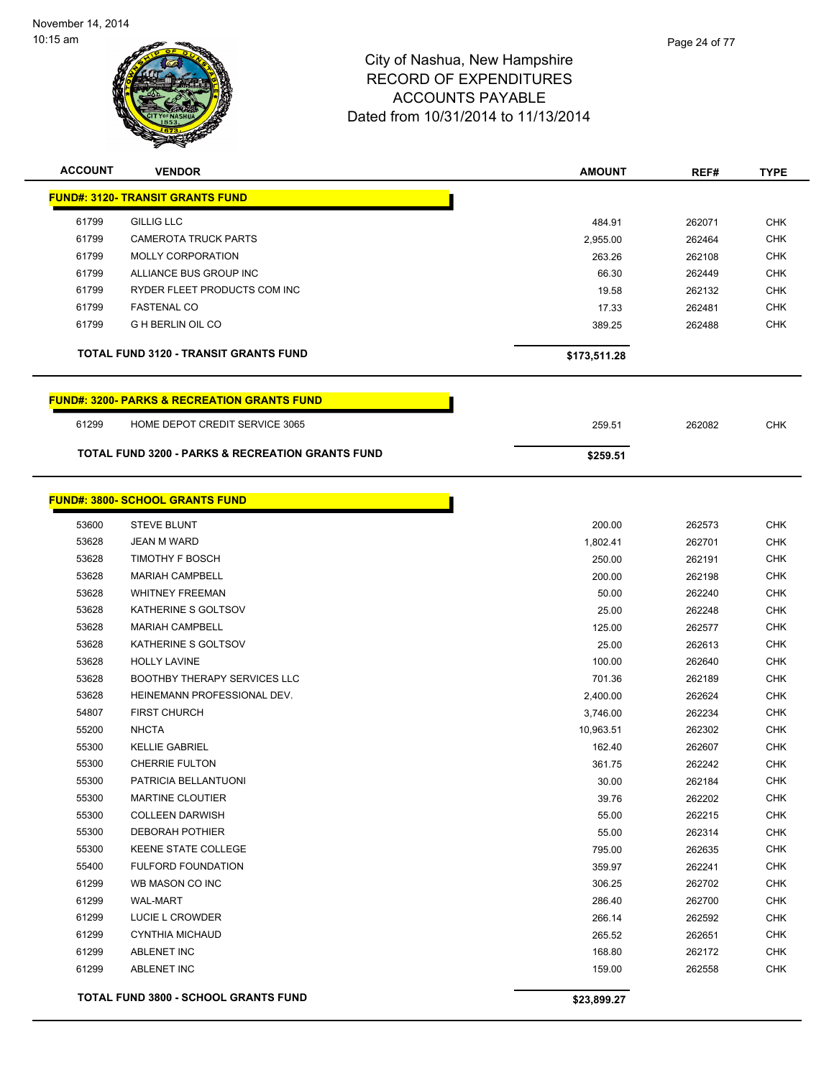

| <b>ACCOUNT</b> | <b>VENDOR</b>                                          | <b>AMOUNT</b> | REF#   | <b>TYPE</b> |
|----------------|--------------------------------------------------------|---------------|--------|-------------|
|                | <b>FUND#: 3120- TRANSIT GRANTS FUND</b>                |               |        |             |
| 61799          | <b>GILLIG LLC</b>                                      | 484.91        | 262071 | <b>CHK</b>  |
| 61799          | <b>CAMEROTA TRUCK PARTS</b>                            | 2,955.00      | 262464 | <b>CHK</b>  |
| 61799          | <b>MOLLY CORPORATION</b>                               | 263.26        | 262108 | <b>CHK</b>  |
| 61799          | ALLIANCE BUS GROUP INC                                 | 66.30         | 262449 | <b>CHK</b>  |
| 61799          | RYDER FLEET PRODUCTS COM INC                           | 19.58         | 262132 | <b>CHK</b>  |
| 61799          | <b>FASTENAL CO</b>                                     | 17.33         | 262481 | <b>CHK</b>  |
| 61799          | <b>G H BERLIN OIL CO</b>                               | 389.25        | 262488 | <b>CHK</b>  |
|                | <b>TOTAL FUND 3120 - TRANSIT GRANTS FUND</b>           | \$173,511.28  |        |             |
|                |                                                        |               |        |             |
|                | <b>FUND#: 3200- PARKS &amp; RECREATION GRANTS FUND</b> |               |        |             |
| 61299          | HOME DEPOT CREDIT SERVICE 3065                         | 259.51        | 262082 | <b>CHK</b>  |
|                | TOTAL FUND 3200 - PARKS & RECREATION GRANTS FUND       | \$259.51      |        |             |
|                |                                                        |               |        |             |
|                | <b>FUND#: 3800- SCHOOL GRANTS FUND</b>                 |               |        |             |
| 53600          | <b>STEVE BLUNT</b>                                     | 200.00        | 262573 | <b>CHK</b>  |
| 53628          | JEAN M WARD                                            | 1,802.41      | 262701 | <b>CHK</b>  |
| 53628          | TIMOTHY F BOSCH                                        | 250.00        | 262191 | <b>CHK</b>  |
| 53628          | <b>MARIAH CAMPBELL</b>                                 | 200.00        | 262198 | <b>CHK</b>  |
| 53628          | <b>WHITNEY FREEMAN</b>                                 | 50.00         | 262240 | <b>CHK</b>  |
| 53628          | KATHERINE S GOLTSOV                                    | 25.00         | 262248 | <b>CHK</b>  |
| 53628          | <b>MARIAH CAMPBELL</b>                                 | 125.00        | 262577 | <b>CHK</b>  |
| 53628          | KATHERINE S GOLTSOV                                    | 25.00         | 262613 | <b>CHK</b>  |
| 53628          | <b>HOLLY LAVINE</b>                                    | 100.00        | 262640 | <b>CHK</b>  |
| 53628          | <b>BOOTHBY THERAPY SERVICES LLC</b>                    | 701.36        | 262189 | <b>CHK</b>  |
| 53628          | HEINEMANN PROFESSIONAL DEV.                            | 2,400.00      | 262624 | <b>CHK</b>  |
| 54807          | <b>FIRST CHURCH</b>                                    | 3,746.00      | 262234 | <b>CHK</b>  |
| 55200          | <b>NHCTA</b>                                           | 10,963.51     | 262302 | <b>CHK</b>  |
| 55300          | <b>KELLIE GABRIEL</b>                                  | 162.40        | 262607 | <b>CHK</b>  |
| 55300          | <b>CHERRIE FULTON</b>                                  | 361.75        | 262242 | <b>CHK</b>  |
| 55300          | PATRICIA BELLANTUONI                                   | 30.00         | 262184 | CHK         |
| 55300          | <b>MARTINE CLOUTIER</b>                                | 39.76         | 262202 | <b>CHK</b>  |
| 55300          | <b>COLLEEN DARWISH</b>                                 | 55.00         | 262215 | <b>CHK</b>  |
| 55300          | <b>DEBORAH POTHIER</b>                                 | 55.00         | 262314 | <b>CHK</b>  |
| 55300          | <b>KEENE STATE COLLEGE</b>                             | 795.00        | 262635 | <b>CHK</b>  |
| 55400          | <b>FULFORD FOUNDATION</b>                              | 359.97        | 262241 | <b>CHK</b>  |
| 61299          | WB MASON CO INC                                        | 306.25        | 262702 | <b>CHK</b>  |
| 61299          | WAL-MART                                               | 286.40        | 262700 | <b>CHK</b>  |
| 61299          | LUCIE L CROWDER                                        | 266.14        | 262592 | <b>CHK</b>  |
| 61299          | <b>CYNTHIA MICHAUD</b>                                 | 265.52        | 262651 | <b>CHK</b>  |
| 61299          | ABLENET INC                                            | 168.80        | 262172 | <b>CHK</b>  |
| 61299          | ABLENET INC                                            | 159.00        | 262558 | <b>CHK</b>  |
|                | <b>TOTAL FUND 3800 - SCHOOL GRANTS FUND</b>            | \$23,899.27   |        |             |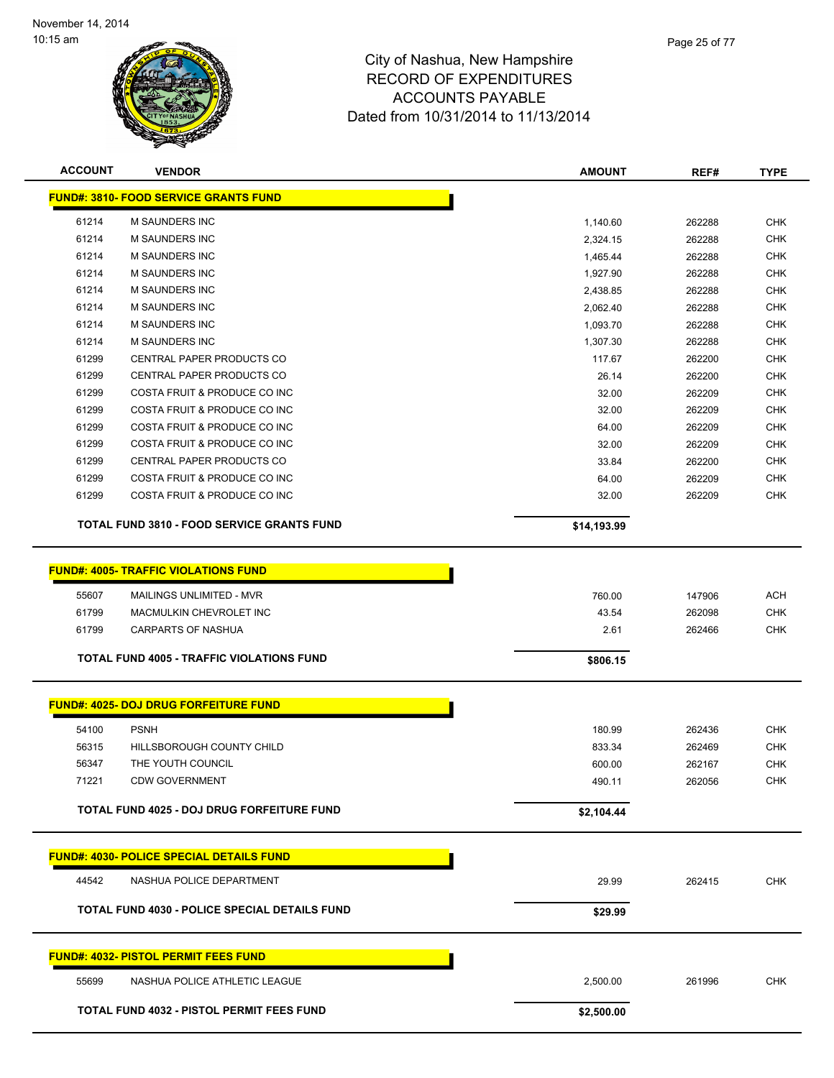

| <b>ACCOUNT</b> | <b>VENDOR</b>                                                                                      | <b>AMOUNT</b>   | REF#             | <b>TYPE</b>              |
|----------------|----------------------------------------------------------------------------------------------------|-----------------|------------------|--------------------------|
|                | <b>FUND#: 3810- FOOD SERVICE GRANTS FUND</b>                                                       |                 |                  |                          |
| 61214          | M SAUNDERS INC                                                                                     | 1,140.60        | 262288           | <b>CHK</b>               |
| 61214          | M SAUNDERS INC                                                                                     | 2,324.15        | 262288           | <b>CHK</b>               |
| 61214          | M SAUNDERS INC                                                                                     | 1,465.44        | 262288           | <b>CHK</b>               |
| 61214          | M SAUNDERS INC                                                                                     | 1,927.90        | 262288           | CHK                      |
| 61214          | M SAUNDERS INC                                                                                     | 2,438.85        | 262288           | CHK                      |
| 61214          | <b>M SAUNDERS INC</b>                                                                              | 2,062.40        | 262288           | <b>CHK</b>               |
| 61214          | M SAUNDERS INC                                                                                     | 1,093.70        | 262288           | CHK                      |
| 61214          | <b>M SAUNDERS INC</b>                                                                              | 1,307.30        | 262288           | <b>CHK</b>               |
| 61299          | CENTRAL PAPER PRODUCTS CO                                                                          | 117.67          | 262200           | CHK                      |
| 61299          | CENTRAL PAPER PRODUCTS CO                                                                          | 26.14           | 262200           | CHK                      |
| 61299          | COSTA FRUIT & PRODUCE CO INC                                                                       | 32.00           | 262209           | CHK                      |
| 61299          | COSTA FRUIT & PRODUCE CO INC                                                                       | 32.00           | 262209           | CHK                      |
| 61299          | COSTA FRUIT & PRODUCE CO INC                                                                       | 64.00           | 262209           | <b>CHK</b>               |
| 61299          | COSTA FRUIT & PRODUCE CO INC                                                                       | 32.00           | 262209           | <b>CHK</b>               |
| 61299          | CENTRAL PAPER PRODUCTS CO                                                                          | 33.84           | 262200           | <b>CHK</b>               |
| 61299          | COSTA FRUIT & PRODUCE CO INC                                                                       | 64.00           | 262209           | <b>CHK</b>               |
| 61299          | COSTA FRUIT & PRODUCE CO INC                                                                       | 32.00           | 262209           | <b>CHK</b>               |
|                | <b>TOTAL FUND 3810 - FOOD SERVICE GRANTS FUND</b>                                                  | \$14,193.99     |                  |                          |
| 55607<br>61799 | <b>FUND#: 4005- TRAFFIC VIOLATIONS FUND</b><br>MAILINGS UNLIMITED - MVR<br>MACMULKIN CHEVROLET INC | 760.00<br>43.54 | 147906<br>262098 | <b>ACH</b><br><b>CHK</b> |
| 61799          | CARPARTS OF NASHUA                                                                                 | 2.61            | 262466           | CHK                      |
|                | <b>TOTAL FUND 4005 - TRAFFIC VIOLATIONS FUND</b>                                                   | \$806.15        |                  |                          |
|                | <b>FUND#: 4025- DOJ DRUG FORFEITURE FUND</b>                                                       |                 |                  |                          |
| 54100          | <b>PSNH</b>                                                                                        | 180.99          | 262436           | <b>CHK</b>               |
| 56315          | HILLSBOROUGH COUNTY CHILD                                                                          | 833.34          | 262469           | <b>CHK</b>               |
| 56347          | THE YOUTH COUNCIL                                                                                  | 600.00          | 262167           | CHK                      |
| 71221          | <b>CDW GOVERNMENT</b>                                                                              | 490.11          | 262056           | <b>CHK</b>               |
|                | TOTAL FUND 4025 - DOJ DRUG FORFEITURE FUND                                                         | \$2,104.44      |                  |                          |
|                | <u> FUND#: 4030- POLICE SPECIAL DETAILS FUND</u>                                                   |                 |                  |                          |
| 44542          | NASHUA POLICE DEPARTMENT                                                                           | 29.99           | 262415           | <b>CHK</b>               |
|                |                                                                                                    |                 |                  |                          |
|                | <b>TOTAL FUND 4030 - POLICE SPECIAL DETAILS FUND</b>                                               | \$29.99         |                  |                          |
|                | <b>FUND#: 4032- PISTOL PERMIT FEES FUND</b>                                                        |                 |                  |                          |
| 55699          | NASHUA POLICE ATHLETIC LEAGUE                                                                      | 2,500.00        | 261996           | <b>CHK</b>               |
|                | TOTAL FUND 4032 - PISTOL PERMIT FEES FUND                                                          | \$2,500.00      |                  |                          |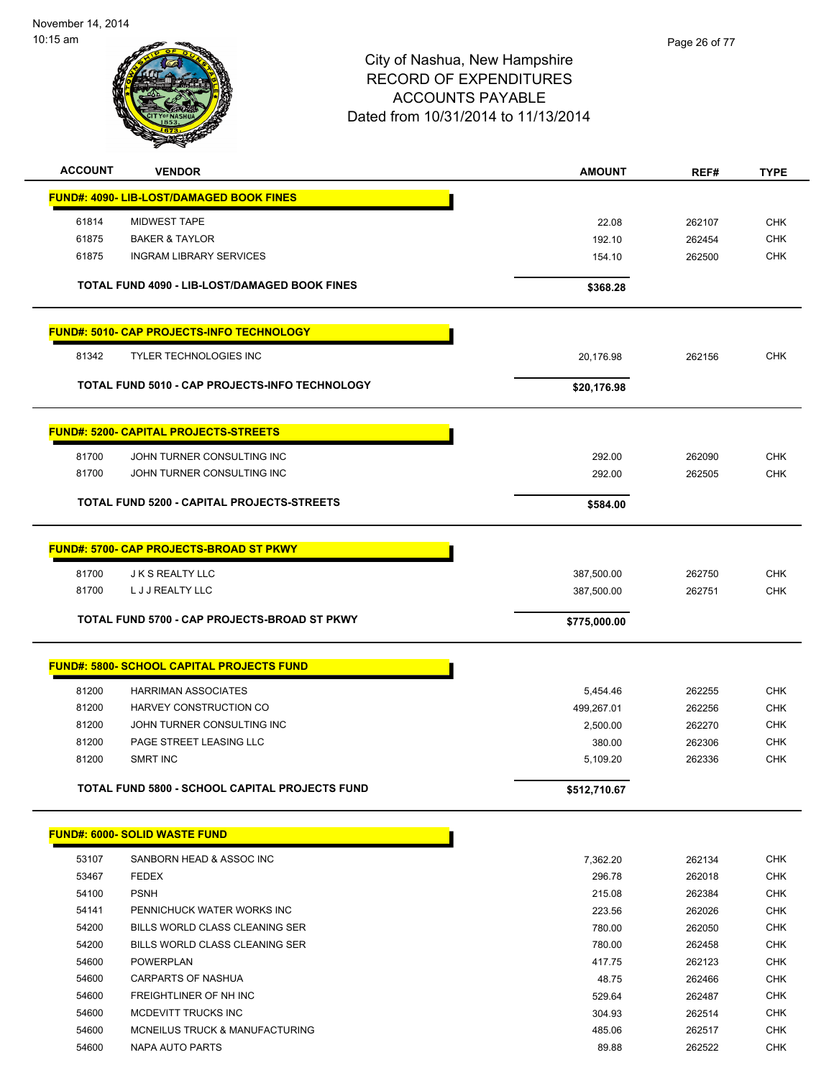

| <b>ACCOUNT</b> | <b>VENDOR</b>                                        | <b>AMOUNT</b>          | REF#             | <b>TYPE</b>              |
|----------------|------------------------------------------------------|------------------------|------------------|--------------------------|
|                | FUND#: 4090- LIB-LOST/DAMAGED BOOK FINES             |                        |                  |                          |
| 61814          | <b>MIDWEST TAPE</b>                                  | 22.08                  |                  | <b>CHK</b>               |
| 61875          | <b>BAKER &amp; TAYLOR</b>                            | 192.10                 | 262107<br>262454 | <b>CHK</b>               |
| 61875          | <b>INGRAM LIBRARY SERVICES</b>                       | 154.10                 | 262500           | <b>CHK</b>               |
|                |                                                      |                        |                  |                          |
|                | TOTAL FUND 4090 - LIB-LOST/DAMAGED BOOK FINES        | \$368.28               |                  |                          |
|                | <b>FUND#: 5010- CAP PROJECTS-INFO TECHNOLOGY</b>     |                        |                  |                          |
| 81342          | <b>TYLER TECHNOLOGIES INC</b>                        | 20,176.98              | 262156           | <b>CHK</b>               |
|                | TOTAL FUND 5010 - CAP PROJECTS-INFO TECHNOLOGY       | \$20,176.98            |                  |                          |
|                | <b>FUND#: 5200- CAPITAL PROJECTS-STREETS</b>         |                        |                  |                          |
| 81700          | JOHN TURNER CONSULTING INC                           | 292.00                 | 262090           | <b>CHK</b>               |
| 81700          | JOHN TURNER CONSULTING INC                           | 292.00                 | 262505           | <b>CHK</b>               |
|                | TOTAL FUND 5200 - CAPITAL PROJECTS-STREETS           | \$584.00               |                  |                          |
|                |                                                      |                        |                  |                          |
|                | <b>FUND#: 5700- CAP PROJECTS-BROAD ST PKWY</b>       |                        |                  |                          |
| 81700          | <b>JK S REALTY LLC</b>                               | 387,500.00             | 262750           | <b>CHK</b>               |
| 81700          | L J J REALTY LLC                                     | 387,500.00             | 262751           | <b>CHK</b>               |
|                | TOTAL FUND 5700 - CAP PROJECTS-BROAD ST PKWY         | \$775,000.00           |                  |                          |
|                | <b>FUND#: 5800- SCHOOL CAPITAL PROJECTS FUND</b>     |                        |                  |                          |
| 81200          |                                                      |                        |                  |                          |
| 81200          | <b>HARRIMAN ASSOCIATES</b><br>HARVEY CONSTRUCTION CO | 5,454.46<br>499,267.01 | 262255<br>262256 | <b>CHK</b><br><b>CHK</b> |
| 81200          | JOHN TURNER CONSULTING INC                           | 2,500.00               | 262270           | <b>CHK</b>               |
| 81200          | PAGE STREET LEASING LLC                              | 380.00                 | 262306           | <b>CHK</b>               |
| 81200          | <b>SMRT INC</b>                                      | 5,109.20               | 262336           | <b>CHK</b>               |
|                | TOTAL FUND 5800 - SCHOOL CAPITAL PROJECTS FUND       | \$512,710.67           |                  |                          |
|                |                                                      |                        |                  |                          |
|                | <b>FUND#: 6000- SOLID WASTE FUND</b>                 |                        |                  |                          |
| 53107          | SANBORN HEAD & ASSOC INC                             | 7,362.20               | 262134           | <b>CHK</b>               |
| 53467          | <b>FEDEX</b>                                         | 296.78                 | 262018           | <b>CHK</b>               |
| 54100          | <b>PSNH</b>                                          | 215.08                 | 262384           | <b>CHK</b>               |
| 54141          | PENNICHUCK WATER WORKS INC                           | 223.56                 | 262026           | <b>CHK</b>               |
| 54200          | BILLS WORLD CLASS CLEANING SER                       | 780.00                 | 262050           | <b>CHK</b>               |
| 54200          | BILLS WORLD CLASS CLEANING SER                       | 780.00                 | 262458           | <b>CHK</b>               |
| 54600          | POWERPLAN                                            | 417.75                 | 262123           | <b>CHK</b>               |
| 54600          | <b>CARPARTS OF NASHUA</b>                            | 48.75                  | 262466           | <b>CHK</b>               |
| 54600          | FREIGHTLINER OF NH INC                               | 529.64                 | 262487           | <b>CHK</b>               |
| 54600          | MCDEVITT TRUCKS INC                                  | 304.93                 | 262514           | <b>CHK</b>               |
| 54600          | MCNEILUS TRUCK & MANUFACTURING                       | 485.06                 | 262517           | <b>CHK</b>               |
| 54600          | NAPA AUTO PARTS                                      | 89.88                  | 262522           | <b>CHK</b>               |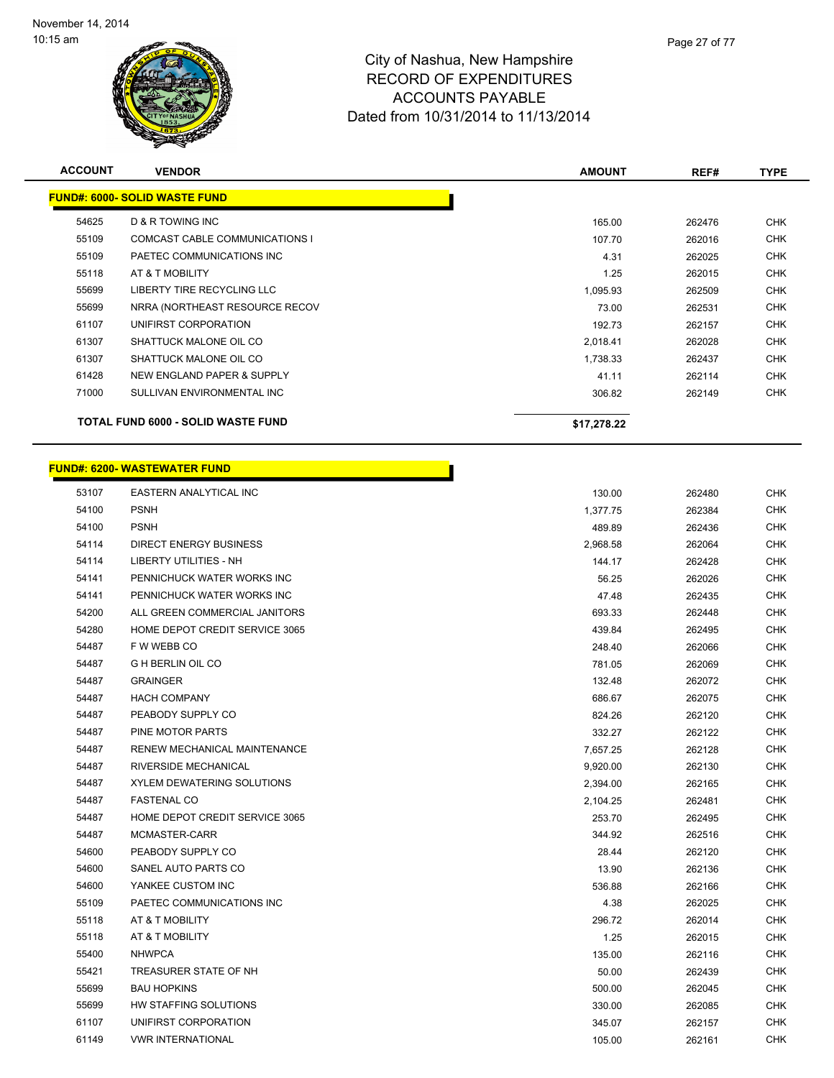**FUND#: 6000- SC** 



## City of Nashua, New Hampshire RECORD OF EXPENDITURES ACCOUNTS PAYABLE Dated from 10/31/2014 to 11/13/2014

|                | alik S                               |               |        |             |
|----------------|--------------------------------------|---------------|--------|-------------|
| <b>ACCOUNT</b> | <b>VENDOR</b>                        | <b>AMOUNT</b> | REF#   | <b>TYPE</b> |
|                | <u> IND#: 6000- SOLID WASTE FUND</u> |               |        |             |
| 54625          | <b>D &amp; R TOWING INC</b>          | 165.00        | 262476 | <b>CHK</b>  |
| 55109          | COMCAST CABLE COMMUNICATIONS I       | 107.70        | 262016 | <b>CHK</b>  |
| 55109          | PAETEC COMMUNICATIONS INC            | 4.31          | 262025 | <b>CHK</b>  |
| 55118          | AT & T MOBILITY                      | 1.25          | 262015 | <b>CHK</b>  |
| 55699          | LIBERTY TIRE RECYCLING LLC           | 1,095.93      | 262509 | <b>CHK</b>  |
| -----          |                                      | ----          | ------ | -----       |

h

|       | TOTAL FUND 6000 - SOLID WASTE FUND | \$17,278.22 |        |     |
|-------|------------------------------------|-------------|--------|-----|
| 71000 | SULLIVAN ENVIRONMENTAL INC         | 306.82      | 262149 | CHK |
| 61428 | NEW ENGLAND PAPER & SUPPLY         | 41.11       | 262114 | CHK |
| 61307 | SHATTUCK MALONE OIL CO             | 1,738.33    | 262437 | CHK |
| 61307 | SHATTUCK MALONE OIL CO             | 2.018.41    | 262028 | CHK |
| 61107 | UNIFIRST CORPORATION               | 192.73      | 262157 | CHK |
| 55699 | NRRA (NORTHEAST RESOURCE RECOV     | 73.00       | 262531 | CHK |
| 55699 | LIBERTY TIRE RECYCLING LLC         | 1,095.93    | 262509 | CHK |
|       |                                    |             |        |     |

### **FUND#: 6200- WASTEWATER FUND**

| 53107 | EASTERN ANALYTICAL INC              | 130.00   | 262480 | CHK        |
|-------|-------------------------------------|----------|--------|------------|
| 54100 | <b>PSNH</b>                         | 1,377.75 | 262384 | <b>CHK</b> |
| 54100 | <b>PSNH</b>                         | 489.89   | 262436 | <b>CHK</b> |
| 54114 | <b>DIRECT ENERGY BUSINESS</b>       | 2,968.58 | 262064 | <b>CHK</b> |
| 54114 | <b>LIBERTY UTILITIES - NH</b>       | 144.17   | 262428 | <b>CHK</b> |
| 54141 | PENNICHUCK WATER WORKS INC          | 56.25    | 262026 | <b>CHK</b> |
| 54141 | PENNICHUCK WATER WORKS INC          | 47.48    | 262435 | <b>CHK</b> |
| 54200 | ALL GREEN COMMERCIAL JANITORS       | 693.33   | 262448 | <b>CHK</b> |
| 54280 | HOME DEPOT CREDIT SERVICE 3065      | 439.84   | 262495 | <b>CHK</b> |
| 54487 | F W WEBB CO                         | 248.40   | 262066 | <b>CHK</b> |
| 54487 | <b>G H BERLIN OIL CO</b>            | 781.05   | 262069 | <b>CHK</b> |
| 54487 | <b>GRAINGER</b>                     | 132.48   | 262072 | <b>CHK</b> |
| 54487 | <b>HACH COMPANY</b>                 | 686.67   | 262075 | CHK        |
| 54487 | PEABODY SUPPLY CO                   | 824.26   | 262120 | <b>CHK</b> |
| 54487 | PINE MOTOR PARTS                    | 332.27   | 262122 | <b>CHK</b> |
| 54487 | <b>RENEW MECHANICAL MAINTENANCE</b> | 7,657.25 | 262128 | <b>CHK</b> |
| 54487 | RIVERSIDE MECHANICAL                | 9,920.00 | 262130 | CHK        |
| 54487 | <b>XYLEM DEWATERING SOLUTIONS</b>   | 2,394.00 | 262165 | <b>CHK</b> |
| 54487 | <b>FASTENAL CO</b>                  | 2,104.25 | 262481 | <b>CHK</b> |
| 54487 | HOME DEPOT CREDIT SERVICE 3065      | 253.70   | 262495 | CHK        |
| 54487 | MCMASTER-CARR                       | 344.92   | 262516 | <b>CHK</b> |
| 54600 | PEABODY SUPPLY CO                   | 28.44    | 262120 | <b>CHK</b> |
| 54600 | SANEL AUTO PARTS CO                 | 13.90    | 262136 | <b>CHK</b> |
| 54600 | YANKEE CUSTOM INC                   | 536.88   | 262166 | <b>CHK</b> |
| 55109 | PAETEC COMMUNICATIONS INC           | 4.38     | 262025 | <b>CHK</b> |
| 55118 | AT & T MOBILITY                     | 296.72   | 262014 | <b>CHK</b> |
| 55118 | AT & T MOBILITY                     | 1.25     | 262015 | <b>CHK</b> |
| 55400 | <b>NHWPCA</b>                       | 135.00   | 262116 | <b>CHK</b> |
| 55421 | TREASURER STATE OF NH               | 50.00    | 262439 | <b>CHK</b> |
| 55699 | <b>BAU HOPKINS</b>                  | 500.00   | 262045 | <b>CHK</b> |
| 55699 | HW STAFFING SOLUTIONS               | 330.00   | 262085 | <b>CHK</b> |
| 61107 | UNIFIRST CORPORATION                | 345.07   | 262157 | <b>CHK</b> |
| 61149 | <b>VWR INTERNATIONAL</b>            | 105.00   | 262161 | <b>CHK</b> |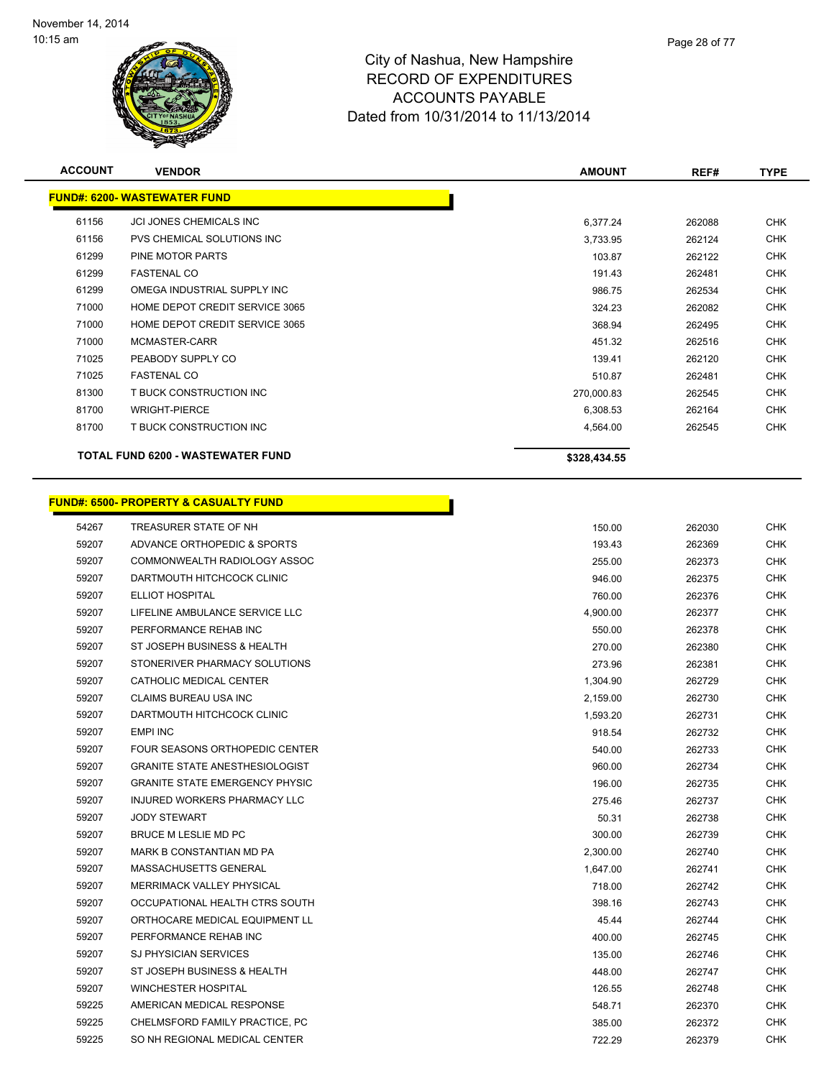

| <b>ACCOUNT</b> | <b>VENDOR</b>                            | <b>AMOUNT</b> | REF#   | <b>TYPE</b> |
|----------------|------------------------------------------|---------------|--------|-------------|
|                | <b>FUND#: 6200- WASTEWATER FUND</b>      |               |        |             |
| 61156          | <b>JCI JONES CHEMICALS INC</b>           | 6,377.24      | 262088 | <b>CHK</b>  |
| 61156          | PVS CHEMICAL SOLUTIONS INC               | 3,733.95      | 262124 | <b>CHK</b>  |
| 61299          | PINE MOTOR PARTS                         | 103.87        | 262122 | <b>CHK</b>  |
| 61299          | <b>FASTENAL CO</b>                       | 191.43        | 262481 | <b>CHK</b>  |
| 61299          | OMEGA INDUSTRIAL SUPPLY INC              | 986.75        | 262534 | <b>CHK</b>  |
| 71000          | HOME DEPOT CREDIT SERVICE 3065           | 324.23        | 262082 | <b>CHK</b>  |
| 71000          | HOME DEPOT CREDIT SERVICE 3065           | 368.94        | 262495 | <b>CHK</b>  |
| 71000          | MCMASTER-CARR                            | 451.32        | 262516 | <b>CHK</b>  |
| 71025          | PEABODY SUPPLY CO                        | 139.41        | 262120 | <b>CHK</b>  |
| 71025          | <b>FASTENAL CO</b>                       | 510.87        | 262481 | <b>CHK</b>  |
| 81300          | T BUCK CONSTRUCTION INC                  | 270,000.83    | 262545 | <b>CHK</b>  |
| 81700          | <b>WRIGHT-PIERCE</b>                     | 6,308.53      | 262164 | <b>CHK</b>  |
| 81700          | T BUCK CONSTRUCTION INC                  | 4,564.00      | 262545 | <b>CHK</b>  |
|                | <b>TOTAL FUND 6200 - WASTEWATER FUND</b> | \$328,434.55  |        |             |

|       | <b>FUND#: 6500- PROPERTY &amp; CASUALTY FUND</b> |          |        |
|-------|--------------------------------------------------|----------|--------|
| 54267 | TREASURER STATE OF NH                            | 150.00   | 262030 |
| 59207 | ADVANCE ORTHOPEDIC & SPORTS                      | 193.43   | 262369 |
| 59207 | COMMONWEALTH RADIOLOGY ASSOC                     | 255.00   | 262373 |
| 59207 | DARTMOUTH HITCHCOCK CLINIC                       | 946.00   | 262375 |
| 59207 | <b>ELLIOT HOSPITAL</b>                           | 760.00   | 262376 |
| 59207 | LIFELINE AMBULANCE SERVICE LLC                   | 4,900.00 | 262377 |
| 59207 | PERFORMANCE REHAB INC                            | 550.00   | 262378 |
| 59207 | ST JOSEPH BUSINESS & HEALTH                      | 270.00   | 262380 |
| 59207 | STONERIVER PHARMACY SOLUTIONS                    | 273.96   | 262381 |
| 59207 | CATHOLIC MEDICAL CENTER                          | 1,304.90 | 262729 |
| 59207 | CLAIMS BUREAU USA INC                            | 2,159.00 | 262730 |
| 59207 | DARTMOUTH HITCHCOCK CLINIC                       | 1,593.20 | 262731 |
| 59207 | <b>EMPI INC</b>                                  | 918.54   | 262732 |
| 59207 | FOUR SEASONS ORTHOPEDIC CENTER                   | 540.00   | 262733 |
| 59207 | <b>GRANITE STATE ANESTHESIOLOGIST</b>            | 960.00   | 262734 |
| 59207 | <b>GRANITE STATE EMERGENCY PHYSIC</b>            | 196.00   | 262735 |
| 59207 | <b>INJURED WORKERS PHARMACY LLC</b>              | 275.46   | 262737 |
| 59207 | <b>JODY STEWART</b>                              | 50.31    | 262738 |
| 59207 | BRUCE M LESLIE MD PC                             | 300.00   | 262739 |
| 59207 | MARK B CONSTANTIAN MD PA                         | 2,300.00 | 262740 |
| 59207 | MASSACHUSETTS GENERAL                            | 1,647.00 | 262741 |
| 59207 | MERRIMACK VALLEY PHYSICAL                        | 718.00   | 262742 |
| 59207 | OCCUPATIONAL HEALTH CTRS SOUTH                   | 398.16   | 262743 |
| 59207 | ORTHOCARE MEDICAL EQUIPMENT LL                   | 45.44    | 262744 |
| 59207 | PERFORMANCE REHAB INC                            | 400.00   | 262745 |
| 59207 | <b>SJ PHYSICIAN SERVICES</b>                     | 135.00   | 262746 |
| 59207 | ST JOSEPH BUSINESS & HEALTH                      | 448.00   | 262747 |
| 59207 | <b>WINCHESTER HOSPITAL</b>                       | 126.55   | 262748 |
| 59225 | AMERICAN MEDICAL RESPONSE                        | 548.71   | 262370 |
| 59225 | CHELMSFORD FAMILY PRACTICE, PC                   | 385.00   | 262372 |
| 59225 | SO NH REGIONAL MEDICAL CENTER                    | 722.29   | 262379 |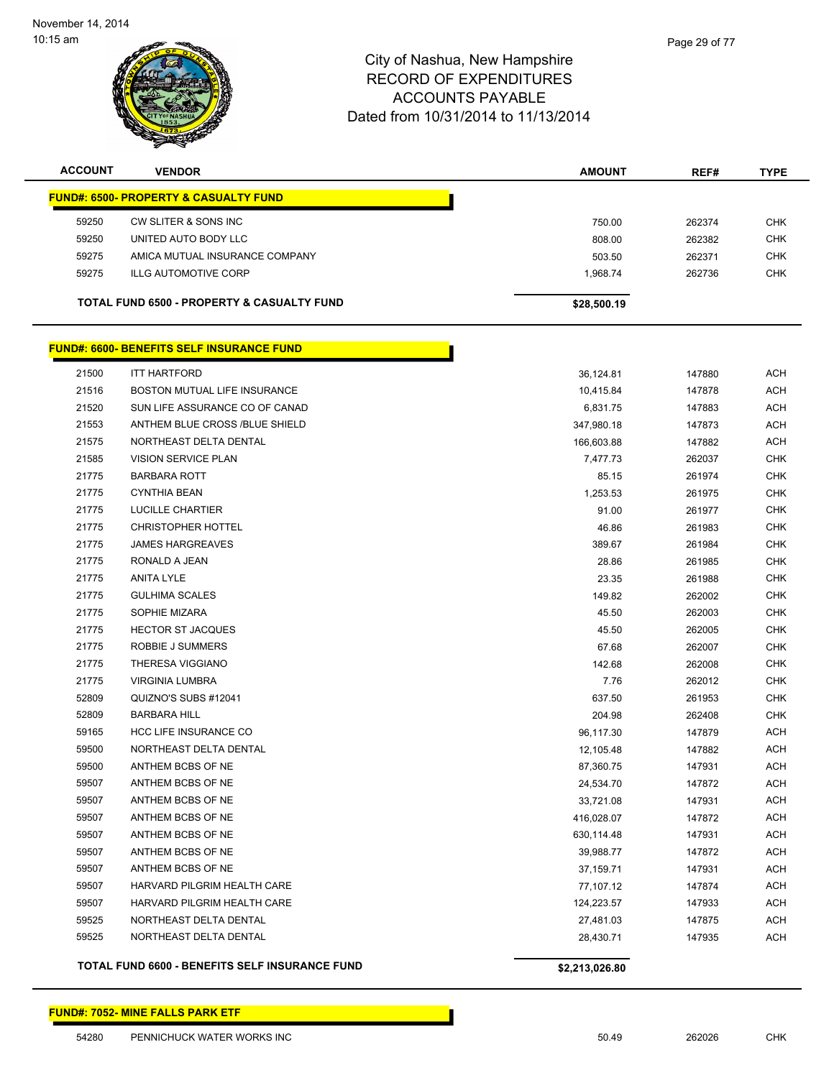

| <b>ACCOUNT</b> | <b>VENDOR</b>                                    | <b>AMOUNT</b>  | REF#   | <b>TYPE</b> |
|----------------|--------------------------------------------------|----------------|--------|-------------|
|                | <b>FUND#: 6500- PROPERTY &amp; CASUALTY FUND</b> |                |        |             |
| 59250          | CW SLITER & SONS INC                             | 750.00         | 262374 | <b>CHK</b>  |
| 59250          | UNITED AUTO BODY LLC                             | 808.00         | 262382 | <b>CHK</b>  |
| 59275          | AMICA MUTUAL INSURANCE COMPANY                   | 503.50         | 262371 | <b>CHK</b>  |
| 59275          | <b>ILLG AUTOMOTIVE CORP</b>                      | 1,968.74       | 262736 | <b>CHK</b>  |
|                |                                                  |                |        |             |
|                | TOTAL FUND 6500 - PROPERTY & CASUALTY FUND       | \$28,500.19    |        |             |
|                | <b>FUND#: 6600- BENEFITS SELF INSURANCE FUND</b> |                |        |             |
| 21500          | <b>ITT HARTFORD</b>                              | 36,124.81      | 147880 | <b>ACH</b>  |
| 21516          | BOSTON MUTUAL LIFE INSURANCE                     | 10,415.84      | 147878 | <b>ACH</b>  |
| 21520          | SUN LIFE ASSURANCE CO OF CANAD                   | 6,831.75       | 147883 | <b>ACH</b>  |
| 21553          | ANTHEM BLUE CROSS /BLUE SHIELD                   | 347,980.18     | 147873 | <b>ACH</b>  |
| 21575          | NORTHEAST DELTA DENTAL                           | 166,603.88     | 147882 | <b>ACH</b>  |
| 21585          | <b>VISION SERVICE PLAN</b>                       | 7,477.73       | 262037 | <b>CHK</b>  |
| 21775          | <b>BARBARA ROTT</b>                              | 85.15          | 261974 | <b>CHK</b>  |
| 21775          | <b>CYNTHIA BEAN</b>                              | 1,253.53       | 261975 | <b>CHK</b>  |
| 21775          | <b>LUCILLE CHARTIER</b>                          | 91.00          | 261977 | <b>CHK</b>  |
| 21775          | <b>CHRISTOPHER HOTTEL</b>                        | 46.86          | 261983 | <b>CHK</b>  |
| 21775          | <b>JAMES HARGREAVES</b>                          | 389.67         | 261984 | <b>CHK</b>  |
| 21775          | RONALD A JEAN                                    | 28.86          | 261985 | <b>CHK</b>  |
| 21775          | <b>ANITA LYLE</b>                                | 23.35          | 261988 | <b>CHK</b>  |
| 21775          | <b>GULHIMA SCALES</b>                            | 149.82         | 262002 | <b>CHK</b>  |
| 21775          | SOPHIE MIZARA                                    | 45.50          | 262003 | <b>CHK</b>  |
| 21775          | <b>HECTOR ST JACQUES</b>                         | 45.50          | 262005 | <b>CHK</b>  |
| 21775          | ROBBIE J SUMMERS                                 | 67.68          | 262007 | <b>CHK</b>  |
| 21775          | THERESA VIGGIANO                                 | 142.68         | 262008 | <b>CHK</b>  |
| 21775          | <b>VIRGINIA LUMBRA</b>                           | 7.76           | 262012 | <b>CHK</b>  |
| 52809          | QUIZNO'S SUBS #12041                             | 637.50         | 261953 | <b>CHK</b>  |
| 52809          | <b>BARBARA HILL</b>                              | 204.98         | 262408 | <b>CHK</b>  |
| 59165          | <b>HCC LIFE INSURANCE CO</b>                     | 96,117.30      | 147879 | <b>ACH</b>  |
| 59500          | NORTHEAST DELTA DENTAL                           | 12,105.48      | 147882 | <b>ACH</b>  |
| 59500          | ANTHEM BCBS OF NE                                | 87,360.75      | 147931 | <b>ACH</b>  |
| 59507          | ANTHEM BCBS OF NE                                | 24,534.70      | 147872 | <b>ACH</b>  |
| 59507          | ANTHEM BCBS OF NE                                | 33,721.08      | 147931 | <b>ACH</b>  |
| 59507          | ANTHEM BCBS OF NE                                | 416,028.07     | 147872 | <b>ACH</b>  |
| 59507          | ANTHEM BCBS OF NE                                | 630,114.48     | 147931 | <b>ACH</b>  |
| 59507          | ANTHEM BCBS OF NE                                | 39,988.77      | 147872 | <b>ACH</b>  |
| 59507          | ANTHEM BCBS OF NE                                | 37,159.71      | 147931 | <b>ACH</b>  |
| 59507          | HARVARD PILGRIM HEALTH CARE                      | 77,107.12      | 147874 | <b>ACH</b>  |
| 59507          | HARVARD PILGRIM HEALTH CARE                      | 124,223.57     | 147933 | <b>ACH</b>  |
| 59525          | NORTHEAST DELTA DENTAL                           | 27,481.03      | 147875 | <b>ACH</b>  |
| 59525          | NORTHEAST DELTA DENTAL                           | 28,430.71      | 147935 | <b>ACH</b>  |
|                | TOTAL FUND 6600 - BENEFITS SELF INSURANCE FUND   | \$2,213,026.80 |        |             |

## Page 29 of 77

### **FUND#: 7052- MINE FALLS PARK ETF**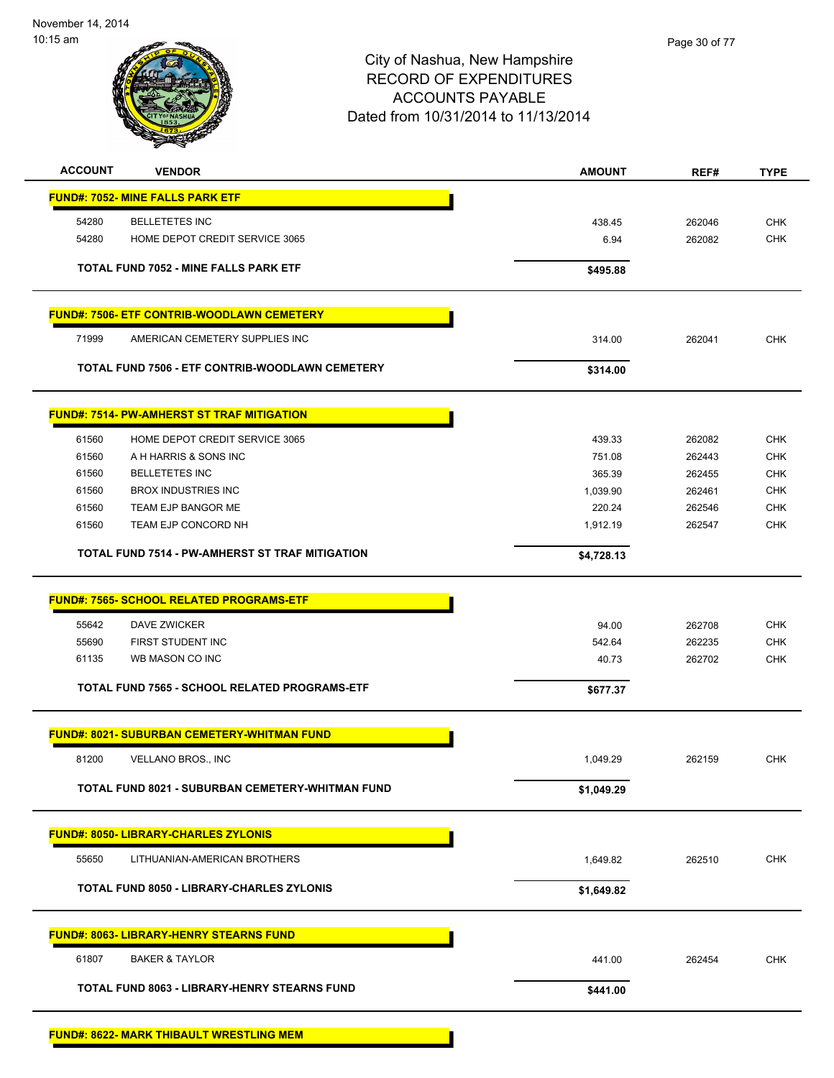

| <b>ACCOUNT</b> | <b>VENDOR</b>                                           | <b>AMOUNT</b> | REF#   | <b>TYPE</b> |
|----------------|---------------------------------------------------------|---------------|--------|-------------|
|                | <b>FUND#: 7052- MINE FALLS PARK ETF</b>                 |               |        |             |
| 54280          | <b>BELLETETES INC</b>                                   | 438.45        | 262046 | <b>CHK</b>  |
| 54280          | HOME DEPOT CREDIT SERVICE 3065                          | 6.94          | 262082 | <b>CHK</b>  |
|                | <b>TOTAL FUND 7052 - MINE FALLS PARK ETF</b>            | \$495.88      |        |             |
|                | <b>FUND#: 7506- ETF CONTRIB-WOODLAWN CEMETERY</b>       |               |        |             |
| 71999          | AMERICAN CEMETERY SUPPLIES INC                          | 314.00        | 262041 | <b>CHK</b>  |
|                | TOTAL FUND 7506 - ETF CONTRIB-WOODLAWN CEMETERY         | \$314.00      |        |             |
|                | <b>FUND#: 7514- PW-AMHERST ST TRAF MITIGATION</b>       |               |        |             |
| 61560          | HOME DEPOT CREDIT SERVICE 3065                          | 439.33        | 262082 | <b>CHK</b>  |
| 61560          | A H HARRIS & SONS INC                                   | 751.08        | 262443 | <b>CHK</b>  |
| 61560          | <b>BELLETETES INC</b>                                   | 365.39        | 262455 | <b>CHK</b>  |
| 61560          | <b>BROX INDUSTRIES INC</b>                              | 1,039.90      | 262461 | <b>CHK</b>  |
| 61560          | TEAM EJP BANGOR ME                                      | 220.24        | 262546 | <b>CHK</b>  |
| 61560          | TEAM EJP CONCORD NH                                     | 1,912.19      | 262547 | <b>CHK</b>  |
|                | TOTAL FUND 7514 - PW-AMHERST ST TRAF MITIGATION         | \$4,728.13    |        |             |
|                | <b>FUND#: 7565- SCHOOL RELATED PROGRAMS-ETF</b>         |               |        |             |
| 55642          | <b>DAVE ZWICKER</b>                                     | 94.00         | 262708 | <b>CHK</b>  |
| 55690          | FIRST STUDENT INC                                       | 542.64        | 262235 | <b>CHK</b>  |
| 61135          | WB MASON CO INC                                         | 40.73         | 262702 | <b>CHK</b>  |
|                | TOTAL FUND 7565 - SCHOOL RELATED PROGRAMS-ETF           | \$677.37      |        |             |
|                | <b>FUND#: 8021- SUBURBAN CEMETERY-WHITMAN FUND</b>      |               |        |             |
| 81200          | VELLANO BROS., INC                                      | 1,049.29      | 262159 | <b>CHK</b>  |
|                | <b>TOTAL FUND 8021 - SUBURBAN CEMETERY-WHITMAN FUND</b> | \$1,049.29    |        |             |
|                |                                                         |               |        |             |
|                | <b>FUND#: 8050- LIBRARY-CHARLES ZYLONIS</b>             |               |        |             |
| 55650          | LITHUANIAN-AMERICAN BROTHERS                            | 1,649.82      | 262510 | <b>CHK</b>  |
|                | TOTAL FUND 8050 - LIBRARY-CHARLES ZYLONIS               | \$1,649.82    |        |             |
|                | <b>FUND#: 8063- LIBRARY-HENRY STEARNS FUND</b>          |               |        |             |
| 61807          | <b>BAKER &amp; TAYLOR</b>                               | 441.00        | 262454 | <b>CHK</b>  |
|                | TOTAL FUND 8063 - LIBRARY-HENRY STEARNS FUND            | \$441.00      |        |             |
|                |                                                         |               |        |             |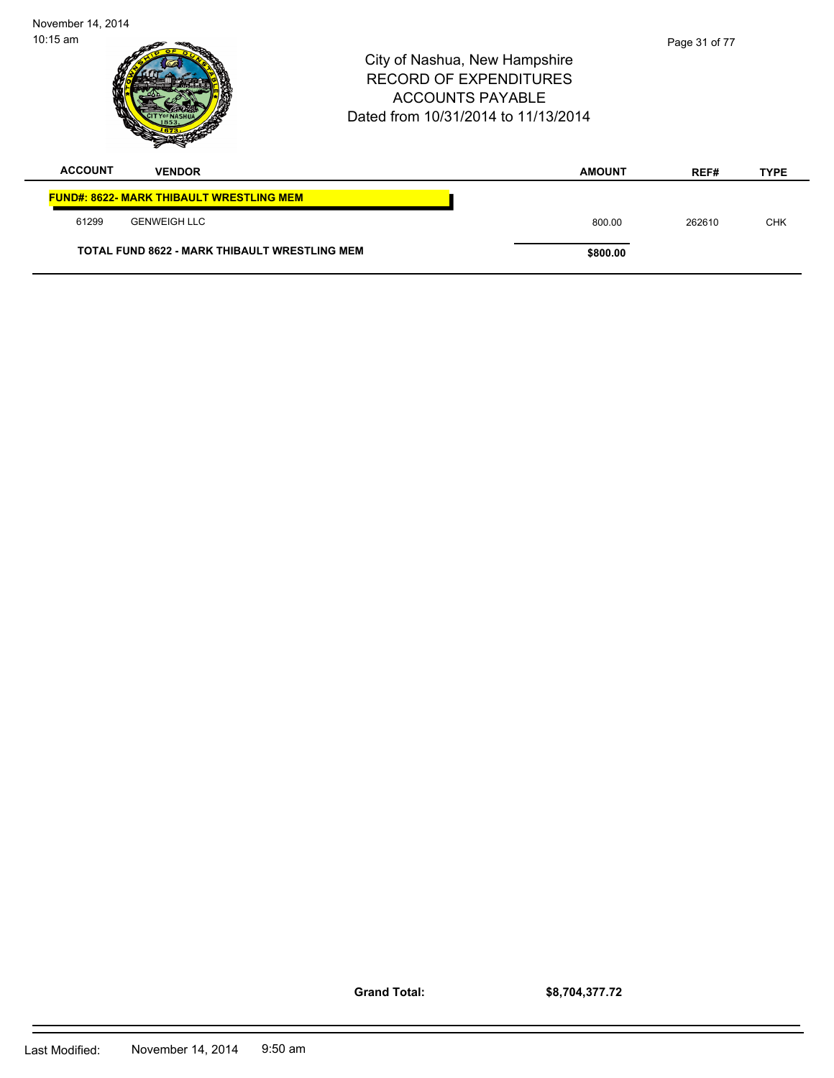| $10:15$ am     |                                                      | City of Nashua, New Hampshire<br><b>RECORD OF EXPENDITURES</b><br><b>ACCOUNTS PAYABLE</b><br>Dated from 10/31/2014 to 11/13/2014 |               | Page 31 of 77 |             |
|----------------|------------------------------------------------------|----------------------------------------------------------------------------------------------------------------------------------|---------------|---------------|-------------|
| <b>ACCOUNT</b> | <b>VENDOR</b>                                        |                                                                                                                                  | <b>AMOUNT</b> | REF#          | <b>TYPE</b> |
|                | <b>FUND#: 8622- MARK THIBAULT WRESTLING MEM</b>      |                                                                                                                                  |               |               |             |
| 61299          | <b>GENWEIGH LLC</b>                                  |                                                                                                                                  | 800.00        | 262610        | <b>CHK</b>  |
|                | <b>TOTAL FUND 8622 - MARK THIBAULT WRESTLING MEM</b> |                                                                                                                                  | \$800.00      |               |             |

**Grand Total:**

**\$8,704,377.72**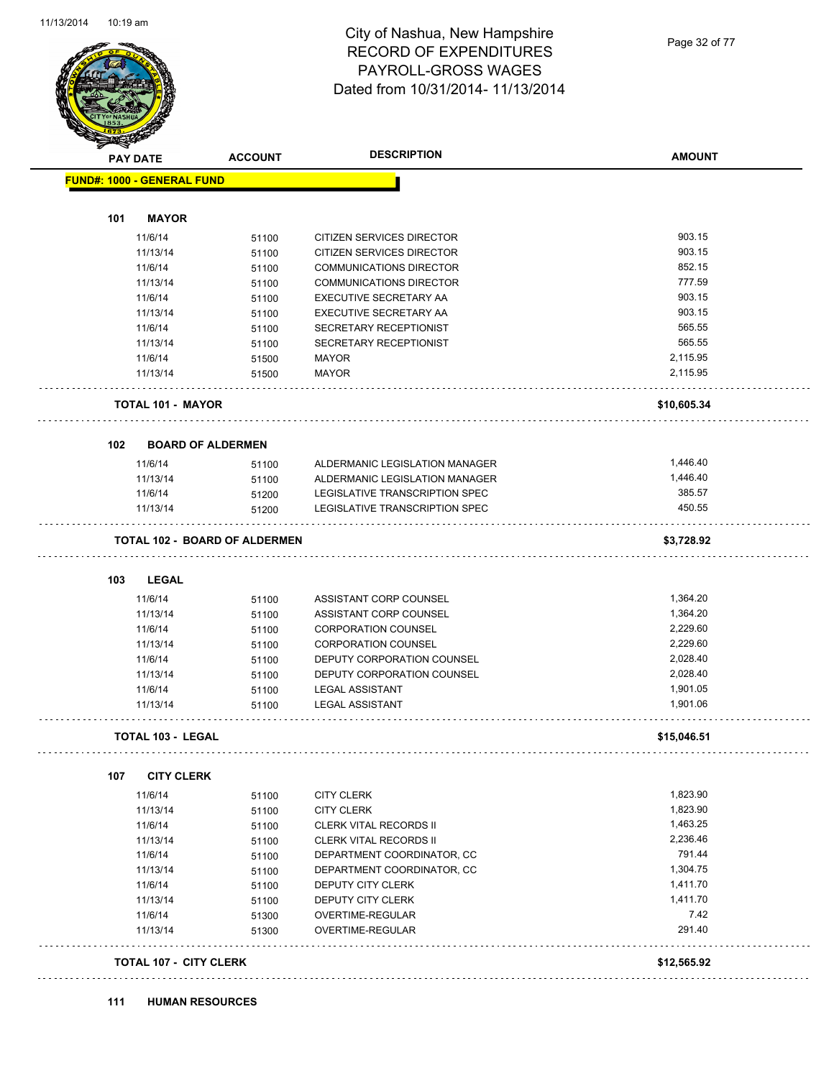

## City of Nashua, New Hampshire RECORD OF EXPENDITURES PAYROLL-GROSS WAGES Dated from 10/31/2014- 11/13/2014

Page 32 of 77

|     |                                      |                               | <b>DESCRIPTION</b>                   |                |
|-----|--------------------------------------|-------------------------------|--------------------------------------|----------------|
|     | <b>PAY DATE</b>                      | <b>ACCOUNT</b>                |                                      | <b>AMOUNT</b>  |
|     | <b>FUND#: 1000 - GENERAL FUND</b>    |                               |                                      |                |
|     |                                      |                               |                                      |                |
| 101 | <b>MAYOR</b>                         |                               |                                      |                |
|     | 11/6/14                              | 51100                         | CITIZEN SERVICES DIRECTOR            | 903.15         |
|     | 11/13/14                             | 51100                         | CITIZEN SERVICES DIRECTOR            | 903.15         |
|     | 11/6/14                              | 51100                         | <b>COMMUNICATIONS DIRECTOR</b>       | 852.15         |
|     | 11/13/14                             | 51100                         | <b>COMMUNICATIONS DIRECTOR</b>       | 777.59         |
|     | 11/6/14                              | 51100                         | EXECUTIVE SECRETARY AA               | 903.15         |
|     | 11/13/14                             | 51100                         | EXECUTIVE SECRETARY AA               | 903.15         |
|     | 11/6/14                              | 51100                         | SECRETARY RECEPTIONIST               | 565.55         |
|     | 11/13/14                             | 51100                         | SECRETARY RECEPTIONIST               | 565.55         |
|     | 11/6/14                              | 51500                         | <b>MAYOR</b>                         | 2,115.95       |
|     | 11/13/14                             | 51500                         | <b>MAYOR</b>                         | 2,115.95       |
|     | <b>TOTAL 101 - MAYOR</b>             |                               |                                      | \$10,605.34    |
| 102 | <b>BOARD OF ALDERMEN</b>             |                               |                                      |                |
|     | 11/6/14                              | 51100                         | ALDERMANIC LEGISLATION MANAGER       | 1,446.40       |
|     | 11/13/14                             | 51100                         | ALDERMANIC LEGISLATION MANAGER       | 1,446.40       |
|     | 11/6/14                              | 51200                         | LEGISLATIVE TRANSCRIPTION SPEC       | 385.57         |
|     | 11/13/14                             | 51200                         | LEGISLATIVE TRANSCRIPTION SPEC       | 450.55         |
|     | <b>TOTAL 102 - BOARD OF ALDERMEN</b> |                               |                                      | \$3,728.92     |
| 103 | <b>LEGAL</b>                         |                               |                                      |                |
|     | 11/6/14                              | 51100                         | ASSISTANT CORP COUNSEL               | 1,364.20       |
|     | 11/13/14                             | 51100                         | ASSISTANT CORP COUNSEL               | 1,364.20       |
|     | 11/6/14                              | 51100                         | <b>CORPORATION COUNSEL</b>           | 2,229.60       |
|     | 11/13/14                             | 51100                         | <b>CORPORATION COUNSEL</b>           | 2,229.60       |
|     | 11/6/14                              | 51100                         | DEPUTY CORPORATION COUNSEL           | 2,028.40       |
|     | 11/13/14                             | 51100                         | DEPUTY CORPORATION COUNSEL           | 2,028.40       |
|     | 11/6/14                              | 51100                         | <b>LEGAL ASSISTANT</b>               | 1,901.05       |
|     | 11/13/14                             | 51100                         | <b>LEGAL ASSISTANT</b>               | 1,901.06       |
|     | <b>TOTAL 103 - LEGAL</b>             |                               |                                      | \$15,046.51    |
| 107 | <b>CITY CLERK</b>                    |                               |                                      |                |
|     | 11/6/14                              | 51100                         | <b>CITY CLERK</b>                    | 1,823.90       |
|     | 11/13/14                             | 51100                         | <b>CITY CLERK</b>                    | 1,823.90       |
|     | 11/6/14                              |                               | <b>CLERK VITAL RECORDS II</b>        | 1,463.25       |
|     | 11/13/14                             | 51100                         | <b>CLERK VITAL RECORDS II</b>        | 2,236.46       |
|     |                                      | 51100                         |                                      | 791.44         |
|     | 11/6/14                              | 51100                         | DEPARTMENT COORDINATOR, CC           | 1,304.75       |
|     | 11/13/14                             | 51100                         | DEPARTMENT COORDINATOR, CC           |                |
|     | 11/6/14                              | 51100                         | DEPUTY CITY CLERK                    | 1,411.70       |
|     | 11/13/14                             | 51100                         | DEPUTY CITY CLERK                    | 1,411.70       |
|     | 11/6/14<br>11/13/14                  | 51300<br>51300                | OVERTIME-REGULAR<br>OVERTIME-REGULAR | 7.42<br>291.40 |
|     |                                      |                               |                                      |                |
|     |                                      | <b>TOTAL 107 - CITY CLERK</b> |                                      | \$12,565.92    |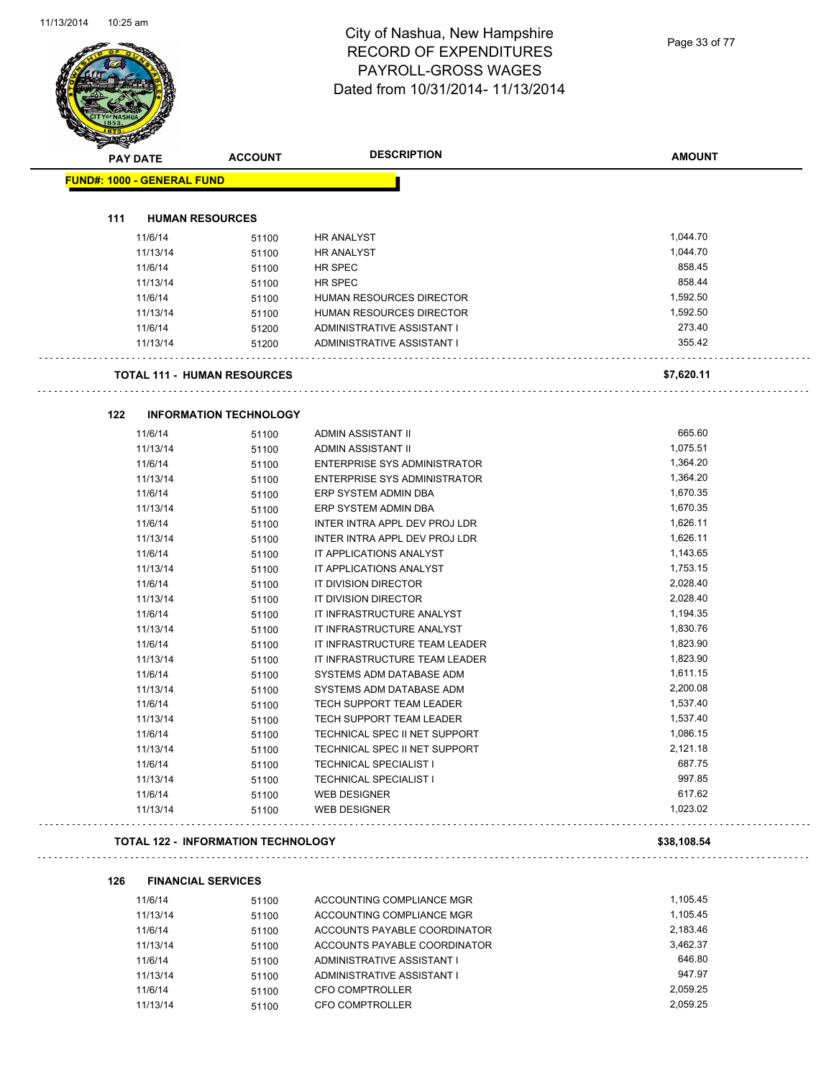## City of Nashua, New Hampshire RECORD OF EXPENDITURES PAYROLL-GROSS WAGES Dated from 10/31/2014- 11/13/2014

Page 33 of 77

|     | <b>PAY DATE</b>                   | <b>ACCOUNT</b>                            | <b>DESCRIPTION</b>                  | <b>AMOUNT</b>        |
|-----|-----------------------------------|-------------------------------------------|-------------------------------------|----------------------|
|     | <b>FUND#: 1000 - GENERAL FUND</b> |                                           |                                     |                      |
|     |                                   |                                           |                                     |                      |
| 111 |                                   | <b>HUMAN RESOURCES</b>                    |                                     |                      |
|     | 11/6/14                           | 51100                                     | <b>HR ANALYST</b>                   | 1,044.70             |
|     | 11/13/14                          | 51100                                     | <b>HR ANALYST</b>                   | 1,044.70             |
|     | 11/6/14                           | 51100                                     | HR SPEC                             | 858.45               |
|     | 11/13/14                          | 51100                                     | HR SPEC                             | 858.44               |
|     | 11/6/14                           | 51100                                     | HUMAN RESOURCES DIRECTOR            | 1,592.50             |
|     | 11/13/14                          | 51100                                     | HUMAN RESOURCES DIRECTOR            | 1,592.50             |
|     | 11/6/14                           | 51200                                     | ADMINISTRATIVE ASSISTANT I          | 273.40<br>355.42     |
|     | 11/13/14                          | 51200                                     | ADMINISTRATIVE ASSISTANT I          |                      |
|     |                                   | <b>TOTAL 111 - HUMAN RESOURCES</b>        |                                     | \$7,620.11           |
| 122 |                                   | <b>INFORMATION TECHNOLOGY</b>             |                                     |                      |
|     | 11/6/14                           | 51100                                     | ADMIN ASSISTANT II                  | 665.60               |
|     | 11/13/14                          | 51100                                     | ADMIN ASSISTANT II                  | 1,075.51             |
|     | 11/6/14                           | 51100                                     | ENTERPRISE SYS ADMINISTRATOR        | 1,364.20             |
|     | 11/13/14                          | 51100                                     | <b>ENTERPRISE SYS ADMINISTRATOR</b> | 1,364.20             |
|     | 11/6/14                           | 51100                                     | ERP SYSTEM ADMIN DBA                | 1,670.35             |
|     | 11/13/14                          | 51100                                     | ERP SYSTEM ADMIN DBA                | 1,670.35             |
|     | 11/6/14                           | 51100                                     | INTER INTRA APPL DEV PROJ LDR       | 1,626.11             |
|     | 11/13/14                          | 51100                                     | INTER INTRA APPL DEV PROJ LDR       | 1,626.11             |
|     | 11/6/14                           | 51100                                     | IT APPLICATIONS ANALYST             | 1,143.65             |
|     | 11/13/14                          | 51100                                     | IT APPLICATIONS ANALYST             | 1,753.15             |
|     | 11/6/14                           | 51100                                     | IT DIVISION DIRECTOR                | 2,028.40             |
|     | 11/13/14                          | 51100                                     | IT DIVISION DIRECTOR                | 2,028.40             |
|     | 11/6/14                           | 51100                                     | IT INFRASTRUCTURE ANALYST           | 1,194.35             |
|     | 11/13/14                          | 51100                                     | IT INFRASTRUCTURE ANALYST           | 1,830.76             |
|     | 11/6/14                           | 51100                                     | IT INFRASTRUCTURE TEAM LEADER       | 1,823.90             |
|     | 11/13/14                          | 51100                                     | IT INFRASTRUCTURE TEAM LEADER       | 1,823.90             |
|     | 11/6/14                           | 51100                                     | SYSTEMS ADM DATABASE ADM            | 1,611.15             |
|     | 11/13/14                          | 51100                                     | SYSTEMS ADM DATABASE ADM            | 2,200.08             |
|     | 11/6/14                           | 51100                                     | TECH SUPPORT TEAM LEADER            | 1,537.40             |
|     | 11/13/14                          | 51100                                     | TECH SUPPORT TEAM LEADER            | 1,537.40             |
|     | 11/6/14                           | 51100                                     | TECHNICAL SPEC II NET SUPPORT       | 1,086.15             |
|     | 11/13/14                          | 51100                                     | TECHNICAL SPEC II NET SUPPORT       | 2,121.18             |
|     | 11/6/14                           | 51100                                     | <b>TECHNICAL SPECIALIST I</b>       | 687.75               |
|     | 11/13/14                          | 51100                                     | <b>TECHNICAL SPECIALIST I</b>       | 997.85               |
|     | 11/6/14                           | 51100                                     | <b>WEB DESIGNER</b>                 | 617.62               |
|     | 11/13/14                          | 51100                                     | <b>WEB DESIGNER</b>                 | 1,023.02             |
|     |                                   | <b>TOTAL 122 - INFORMATION TECHNOLOGY</b> |                                     | \$38,108.54          |
|     |                                   |                                           |                                     |                      |
| 126 |                                   | <b>FINANCIAL SERVICES</b>                 |                                     | 1,105.45             |
|     | 11/6/14                           | 51100                                     | ACCOUNTING COMPLIANCE MGR           | 1,105.45             |
|     | 11/13/14                          | 51100                                     | ACCOUNTING COMPLIANCE MGR           |                      |
|     | 11/6/14                           | 51100                                     | ACCOUNTS PAYABLE COORDINATOR        | 2,183.46<br>3,462.37 |
|     | 11/13/14                          | 51100                                     | ACCOUNTS PAYABLE COORDINATOR        | 646.80               |
|     | 11/6/14                           | 51100                                     | ADMINISTRATIVE ASSISTANT I          | 947.97               |
|     | 11/13/14                          | 51100                                     | ADMINISTRATIVE ASSISTANT I          |                      |
|     | 11/6/14                           | 51100                                     | CFO COMPTROLLER                     | 2,059.25             |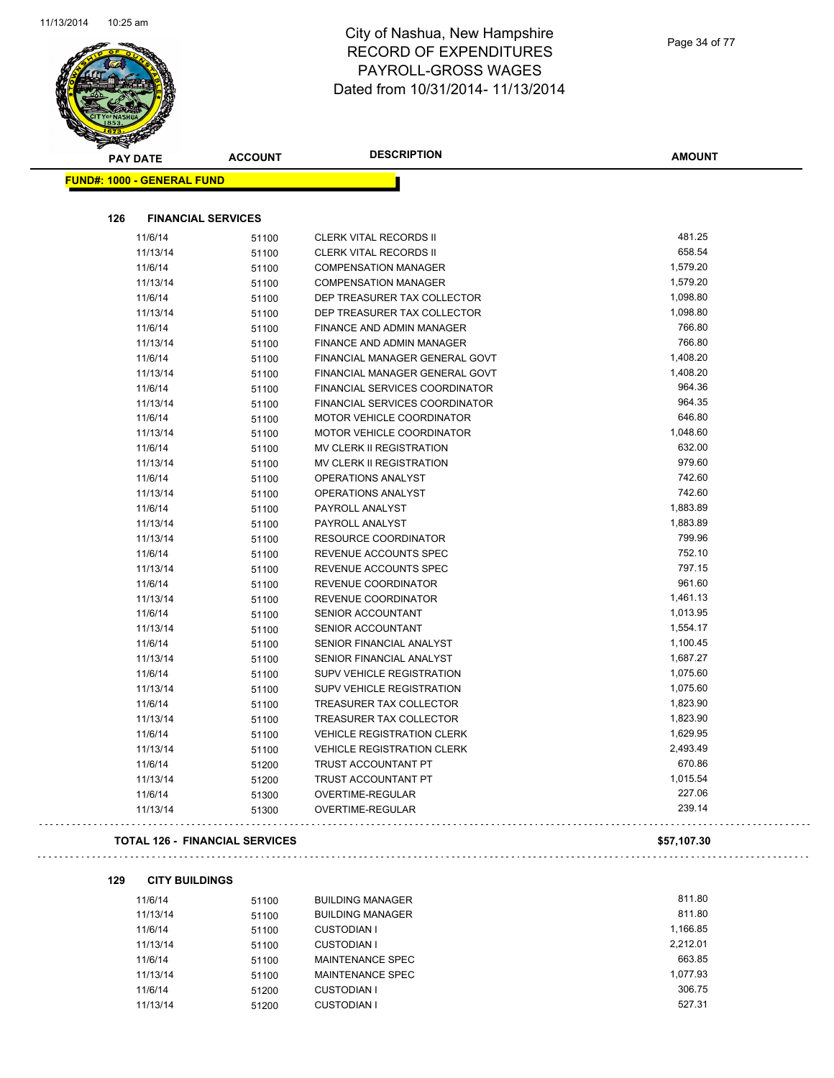$\sim$   $\sim$ 



## City of Nashua, New Hampshire RECORD OF EXPENDITURES PAYROLL-GROSS WAGES Dated from 10/31/2014- 11/13/2014

| <b>PAY DATE</b>                   | <b>ACCOUNT</b>                 | <b>DESCRIPTION</b>                      | <b>AMOUNT</b> |
|-----------------------------------|--------------------------------|-----------------------------------------|---------------|
| <b>FUND#: 1000 - GENERAL FUND</b> |                                |                                         |               |
|                                   |                                |                                         |               |
| 126                               | <b>FINANCIAL SERVICES</b>      |                                         |               |
| 11/6/14                           | 51100                          | CLERK VITAL RECORDS II                  | 481.25        |
| 11/13/14                          | 51100                          | <b>CLERK VITAL RECORDS II</b>           | 658.54        |
| 11/6/14                           | 51100                          | <b>COMPENSATION MANAGER</b>             | 1,579.20      |
| 11/13/14                          | 51100                          | <b>COMPENSATION MANAGER</b>             | 1,579.20      |
| 11/6/14                           | 51100                          | DEP TREASURER TAX COLLECTOR             | 1,098.80      |
| 11/13/14                          | 51100                          | DEP TREASURER TAX COLLECTOR             | 1,098.80      |
| 11/6/14                           | 51100                          | FINANCE AND ADMIN MANAGER               | 766.80        |
| 11/13/14                          | 51100                          | <b>FINANCE AND ADMIN MANAGER</b>        | 766.80        |
| 11/6/14                           | 51100                          | FINANCIAL MANAGER GENERAL GOVT          | 1,408.20      |
| 11/13/14                          | 51100                          | FINANCIAL MANAGER GENERAL GOVT          | 1,408.20      |
| 11/6/14                           | 51100                          | FINANCIAL SERVICES COORDINATOR          | 964.36        |
| 11/13/14                          | 51100                          | FINANCIAL SERVICES COORDINATOR          | 964.35        |
| 11/6/14                           | 51100                          | <b>MOTOR VEHICLE COORDINATOR</b>        | 646.80        |
| 11/13/14                          | 51100                          | <b>MOTOR VEHICLE COORDINATOR</b>        | 1,048.60      |
| 11/6/14                           | 51100                          | MV CLERK II REGISTRATION                | 632.00        |
| 11/13/14                          | 51100                          | MV CLERK II REGISTRATION                | 979.60        |
| 11/6/14                           | 51100                          | OPERATIONS ANALYST                      | 742.60        |
| 11/13/14                          | 51100                          | OPERATIONS ANALYST                      | 742.60        |
| 11/6/14                           | 51100                          | PAYROLL ANALYST                         | 1,883.89      |
| 11/13/14                          | 51100                          | PAYROLL ANALYST                         | 1,883.89      |
| 11/13/14                          | 51100                          | <b>RESOURCE COORDINATOR</b>             | 799.96        |
| 11/6/14                           | 51100                          | REVENUE ACCOUNTS SPEC                   | 752.10        |
| 11/13/14                          | 51100                          | REVENUE ACCOUNTS SPEC                   | 797.15        |
| 11/6/14                           | 51100                          | REVENUE COORDINATOR                     | 961.60        |
| 11/13/14                          | 51100                          | REVENUE COORDINATOR                     | 1,461.13      |
| 11/6/14                           | 51100                          | <b>SENIOR ACCOUNTANT</b>                | 1,013.95      |
| 11/13/14                          | 51100                          | SENIOR ACCOUNTANT                       | 1,554.17      |
| 11/6/14                           | 51100                          | SENIOR FINANCIAL ANALYST                | 1,100.45      |
| 11/13/14                          | 51100                          | SENIOR FINANCIAL ANALYST                | 1,687.27      |
| 11/6/14                           | 51100                          | SUPV VEHICLE REGISTRATION               | 1,075.60      |
| 11/13/14                          | 51100                          | SUPV VEHICLE REGISTRATION               | 1,075.60      |
| 11/6/14                           | 51100                          | TREASURER TAX COLLECTOR                 | 1,823.90      |
| 11/13/14                          | 51100                          | TREASURER TAX COLLECTOR                 | 1,823.90      |
| 11/6/14                           | 51100                          | <b>VEHICLE REGISTRATION CLERK</b>       | 1,629.95      |
| 11/13/14                          | 51100                          | <b>VEHICLE REGISTRATION CLERK</b>       | 2,493.49      |
| 11/6/14                           |                                | TRUST ACCOUNTANT PT                     | 670.86        |
| 11/13/14                          | 51200                          |                                         | 1,015.54      |
| 11/6/14                           | 51200                          | TRUST ACCOUNTANT PT<br>OVERTIME-REGULAR | 227.06        |
| 11/13/14                          | 51300<br>51300                 | OVERTIME-REGULAR                        | 239.14        |
|                                   | TOTAL 126 - FINANCIAL SERVICES |                                         | \$57,107.30   |
| 129<br><b>CITY BUILDINGS</b>      |                                |                                         |               |
| 11/6/14                           | 51100                          | <b>BUILDING MANAGER</b>                 | 811.80        |

| 11/6/14  | 51100 | <b>BUILDING MANAGER</b> | 811.80   |
|----------|-------|-------------------------|----------|
| 11/13/14 | 51100 | <b>BUILDING MANAGER</b> | 811.80   |
| 11/6/14  | 51100 | CUSTODIAN I             | 1.166.85 |
| 11/13/14 | 51100 | CUSTODIAN I             | 2.212.01 |
| 11/6/14  | 51100 | MAINTENANCE SPEC        | 663.85   |
| 11/13/14 | 51100 | MAINTENANCE SPEC        | 1.077.93 |
| 11/6/14  | 51200 | CUSTODIAN I             | 306.75   |
| 11/13/14 | 51200 | <b>CUSTODIAN I</b>      | 527.31   |

Page 34 of 77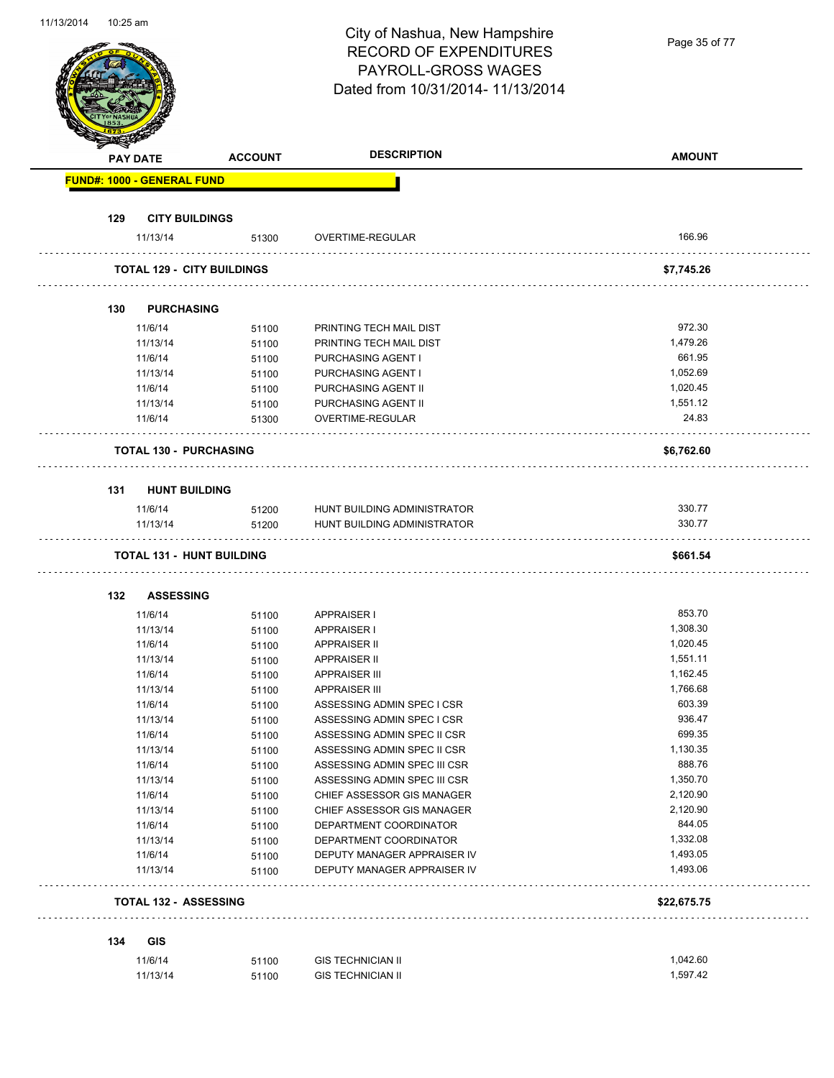| Dated from 10/31/2014- 11/13/2014<br><b>DESCRIPTION</b><br><b>AMOUNT</b><br><b>ACCOUNT</b><br><b>PAY DATE</b><br><b>FUND#: 1000 - GENERAL FUND</b><br>129<br><b>CITY BUILDINGS</b><br>166.96<br>11/13/14<br>OVERTIME-REGULAR<br>51300<br><b>TOTAL 129 - CITY BUILDINGS</b><br>\$7,745.26<br>130<br><b>PURCHASING</b><br>972.30<br>11/6/14<br>PRINTING TECH MAIL DIST<br>51100<br>1,479.26<br>PRINTING TECH MAIL DIST<br>11/13/14<br>51100<br>661.95<br>11/6/14<br>PURCHASING AGENT I<br>51100<br>1,052.69<br>PURCHASING AGENT I<br>11/13/14<br>51100<br>1,020.45<br>11/6/14<br>PURCHASING AGENT II<br>51100<br>11/13/14<br>1,551.12<br>PURCHASING AGENT II<br>51100<br>24.83<br>OVERTIME-REGULAR<br>11/6/14<br>51300<br><b>TOTAL 130 - PURCHASING</b><br>\$6,762.60<br>131<br><b>HUNT BUILDING</b><br>330.77<br>11/6/14<br>51200<br>HUNT BUILDING ADMINISTRATOR<br>330.77<br>51200<br>HUNT BUILDING ADMINISTRATOR<br>11/13/14<br><b>TOTAL 131 - HUNT BUILDING</b><br>\$661.54<br>132<br><b>ASSESSING</b><br>853.70<br>11/6/14<br><b>APPRAISER I</b><br>51100<br>1,308.30<br>11/13/14<br>51100<br><b>APPRAISER I</b><br>1,020.45<br>11/6/14<br><b>APPRAISER II</b><br>51100<br>1,551.11<br>11/13/14<br><b>APPRAISER II</b><br>51100<br>1,162.45<br>11/6/14<br><b>APPRAISER III</b><br>51100<br>1,766.68<br>11/13/14<br><b>APPRAISER III</b><br>51100<br>603.39<br>11/6/14<br>51100<br>ASSESSING ADMIN SPEC I CSR<br>936.47<br>11/13/14<br>ASSESSING ADMIN SPEC I CSR<br>51100<br>699.35<br>11/6/14<br>51100<br>ASSESSING ADMIN SPEC II CSR<br>1,130.35<br>11/13/14<br>ASSESSING ADMIN SPEC II CSR<br>51100<br>888.76<br>11/6/14<br>51100<br>ASSESSING ADMIN SPEC III CSR<br>1,350.70<br>11/13/14<br>ASSESSING ADMIN SPEC III CSR<br>51100<br>2,120.90<br>11/6/14<br>51100<br>CHIEF ASSESSOR GIS MANAGER<br>2,120.90<br>11/13/14<br>CHIEF ASSESSOR GIS MANAGER<br>51100<br>844.05<br>11/6/14<br>51100<br>DEPARTMENT COORDINATOR<br>1,332.08<br>11/13/14<br>DEPARTMENT COORDINATOR<br>51100<br>1,493.05<br>11/6/14<br>DEPUTY MANAGER APPRAISER IV<br>51100<br>1,493.06<br>11/13/14<br>DEPUTY MANAGER APPRAISER IV<br>51100<br><b>TOTAL 132 - ASSESSING</b><br>\$22,675.75 | 11/13/201 <del>4</del><br>TU.ZU dili |  | City of Nashua, New Hampshire<br><b>RECORD OF EXPENDITURES</b><br>PAYROLL-GROSS WAGES | Page 35 of 77 |
|------------------------------------------------------------------------------------------------------------------------------------------------------------------------------------------------------------------------------------------------------------------------------------------------------------------------------------------------------------------------------------------------------------------------------------------------------------------------------------------------------------------------------------------------------------------------------------------------------------------------------------------------------------------------------------------------------------------------------------------------------------------------------------------------------------------------------------------------------------------------------------------------------------------------------------------------------------------------------------------------------------------------------------------------------------------------------------------------------------------------------------------------------------------------------------------------------------------------------------------------------------------------------------------------------------------------------------------------------------------------------------------------------------------------------------------------------------------------------------------------------------------------------------------------------------------------------------------------------------------------------------------------------------------------------------------------------------------------------------------------------------------------------------------------------------------------------------------------------------------------------------------------------------------------------------------------------------------------------------------------------------------------------------------------------------------------------------------------------------------------------------------------------------------------|--------------------------------------|--|---------------------------------------------------------------------------------------|---------------|
|                                                                                                                                                                                                                                                                                                                                                                                                                                                                                                                                                                                                                                                                                                                                                                                                                                                                                                                                                                                                                                                                                                                                                                                                                                                                                                                                                                                                                                                                                                                                                                                                                                                                                                                                                                                                                                                                                                                                                                                                                                                                                                                                                                        |                                      |  |                                                                                       |               |
|                                                                                                                                                                                                                                                                                                                                                                                                                                                                                                                                                                                                                                                                                                                                                                                                                                                                                                                                                                                                                                                                                                                                                                                                                                                                                                                                                                                                                                                                                                                                                                                                                                                                                                                                                                                                                                                                                                                                                                                                                                                                                                                                                                        |                                      |  |                                                                                       |               |
|                                                                                                                                                                                                                                                                                                                                                                                                                                                                                                                                                                                                                                                                                                                                                                                                                                                                                                                                                                                                                                                                                                                                                                                                                                                                                                                                                                                                                                                                                                                                                                                                                                                                                                                                                                                                                                                                                                                                                                                                                                                                                                                                                                        |                                      |  |                                                                                       |               |
|                                                                                                                                                                                                                                                                                                                                                                                                                                                                                                                                                                                                                                                                                                                                                                                                                                                                                                                                                                                                                                                                                                                                                                                                                                                                                                                                                                                                                                                                                                                                                                                                                                                                                                                                                                                                                                                                                                                                                                                                                                                                                                                                                                        |                                      |  |                                                                                       |               |
|                                                                                                                                                                                                                                                                                                                                                                                                                                                                                                                                                                                                                                                                                                                                                                                                                                                                                                                                                                                                                                                                                                                                                                                                                                                                                                                                                                                                                                                                                                                                                                                                                                                                                                                                                                                                                                                                                                                                                                                                                                                                                                                                                                        |                                      |  |                                                                                       |               |
|                                                                                                                                                                                                                                                                                                                                                                                                                                                                                                                                                                                                                                                                                                                                                                                                                                                                                                                                                                                                                                                                                                                                                                                                                                                                                                                                                                                                                                                                                                                                                                                                                                                                                                                                                                                                                                                                                                                                                                                                                                                                                                                                                                        |                                      |  |                                                                                       |               |
|                                                                                                                                                                                                                                                                                                                                                                                                                                                                                                                                                                                                                                                                                                                                                                                                                                                                                                                                                                                                                                                                                                                                                                                                                                                                                                                                                                                                                                                                                                                                                                                                                                                                                                                                                                                                                                                                                                                                                                                                                                                                                                                                                                        |                                      |  |                                                                                       |               |
|                                                                                                                                                                                                                                                                                                                                                                                                                                                                                                                                                                                                                                                                                                                                                                                                                                                                                                                                                                                                                                                                                                                                                                                                                                                                                                                                                                                                                                                                                                                                                                                                                                                                                                                                                                                                                                                                                                                                                                                                                                                                                                                                                                        |                                      |  |                                                                                       |               |
|                                                                                                                                                                                                                                                                                                                                                                                                                                                                                                                                                                                                                                                                                                                                                                                                                                                                                                                                                                                                                                                                                                                                                                                                                                                                                                                                                                                                                                                                                                                                                                                                                                                                                                                                                                                                                                                                                                                                                                                                                                                                                                                                                                        |                                      |  |                                                                                       |               |
|                                                                                                                                                                                                                                                                                                                                                                                                                                                                                                                                                                                                                                                                                                                                                                                                                                                                                                                                                                                                                                                                                                                                                                                                                                                                                                                                                                                                                                                                                                                                                                                                                                                                                                                                                                                                                                                                                                                                                                                                                                                                                                                                                                        |                                      |  |                                                                                       |               |
|                                                                                                                                                                                                                                                                                                                                                                                                                                                                                                                                                                                                                                                                                                                                                                                                                                                                                                                                                                                                                                                                                                                                                                                                                                                                                                                                                                                                                                                                                                                                                                                                                                                                                                                                                                                                                                                                                                                                                                                                                                                                                                                                                                        |                                      |  |                                                                                       |               |
|                                                                                                                                                                                                                                                                                                                                                                                                                                                                                                                                                                                                                                                                                                                                                                                                                                                                                                                                                                                                                                                                                                                                                                                                                                                                                                                                                                                                                                                                                                                                                                                                                                                                                                                                                                                                                                                                                                                                                                                                                                                                                                                                                                        |                                      |  |                                                                                       |               |
|                                                                                                                                                                                                                                                                                                                                                                                                                                                                                                                                                                                                                                                                                                                                                                                                                                                                                                                                                                                                                                                                                                                                                                                                                                                                                                                                                                                                                                                                                                                                                                                                                                                                                                                                                                                                                                                                                                                                                                                                                                                                                                                                                                        |                                      |  |                                                                                       |               |
|                                                                                                                                                                                                                                                                                                                                                                                                                                                                                                                                                                                                                                                                                                                                                                                                                                                                                                                                                                                                                                                                                                                                                                                                                                                                                                                                                                                                                                                                                                                                                                                                                                                                                                                                                                                                                                                                                                                                                                                                                                                                                                                                                                        |                                      |  |                                                                                       |               |
|                                                                                                                                                                                                                                                                                                                                                                                                                                                                                                                                                                                                                                                                                                                                                                                                                                                                                                                                                                                                                                                                                                                                                                                                                                                                                                                                                                                                                                                                                                                                                                                                                                                                                                                                                                                                                                                                                                                                                                                                                                                                                                                                                                        |                                      |  |                                                                                       |               |
|                                                                                                                                                                                                                                                                                                                                                                                                                                                                                                                                                                                                                                                                                                                                                                                                                                                                                                                                                                                                                                                                                                                                                                                                                                                                                                                                                                                                                                                                                                                                                                                                                                                                                                                                                                                                                                                                                                                                                                                                                                                                                                                                                                        |                                      |  |                                                                                       |               |
|                                                                                                                                                                                                                                                                                                                                                                                                                                                                                                                                                                                                                                                                                                                                                                                                                                                                                                                                                                                                                                                                                                                                                                                                                                                                                                                                                                                                                                                                                                                                                                                                                                                                                                                                                                                                                                                                                                                                                                                                                                                                                                                                                                        |                                      |  |                                                                                       |               |
|                                                                                                                                                                                                                                                                                                                                                                                                                                                                                                                                                                                                                                                                                                                                                                                                                                                                                                                                                                                                                                                                                                                                                                                                                                                                                                                                                                                                                                                                                                                                                                                                                                                                                                                                                                                                                                                                                                                                                                                                                                                                                                                                                                        |                                      |  |                                                                                       |               |
|                                                                                                                                                                                                                                                                                                                                                                                                                                                                                                                                                                                                                                                                                                                                                                                                                                                                                                                                                                                                                                                                                                                                                                                                                                                                                                                                                                                                                                                                                                                                                                                                                                                                                                                                                                                                                                                                                                                                                                                                                                                                                                                                                                        |                                      |  |                                                                                       |               |
|                                                                                                                                                                                                                                                                                                                                                                                                                                                                                                                                                                                                                                                                                                                                                                                                                                                                                                                                                                                                                                                                                                                                                                                                                                                                                                                                                                                                                                                                                                                                                                                                                                                                                                                                                                                                                                                                                                                                                                                                                                                                                                                                                                        |                                      |  |                                                                                       |               |
|                                                                                                                                                                                                                                                                                                                                                                                                                                                                                                                                                                                                                                                                                                                                                                                                                                                                                                                                                                                                                                                                                                                                                                                                                                                                                                                                                                                                                                                                                                                                                                                                                                                                                                                                                                                                                                                                                                                                                                                                                                                                                                                                                                        |                                      |  |                                                                                       |               |
|                                                                                                                                                                                                                                                                                                                                                                                                                                                                                                                                                                                                                                                                                                                                                                                                                                                                                                                                                                                                                                                                                                                                                                                                                                                                                                                                                                                                                                                                                                                                                                                                                                                                                                                                                                                                                                                                                                                                                                                                                                                                                                                                                                        |                                      |  |                                                                                       |               |
|                                                                                                                                                                                                                                                                                                                                                                                                                                                                                                                                                                                                                                                                                                                                                                                                                                                                                                                                                                                                                                                                                                                                                                                                                                                                                                                                                                                                                                                                                                                                                                                                                                                                                                                                                                                                                                                                                                                                                                                                                                                                                                                                                                        |                                      |  |                                                                                       |               |
|                                                                                                                                                                                                                                                                                                                                                                                                                                                                                                                                                                                                                                                                                                                                                                                                                                                                                                                                                                                                                                                                                                                                                                                                                                                                                                                                                                                                                                                                                                                                                                                                                                                                                                                                                                                                                                                                                                                                                                                                                                                                                                                                                                        |                                      |  |                                                                                       |               |
|                                                                                                                                                                                                                                                                                                                                                                                                                                                                                                                                                                                                                                                                                                                                                                                                                                                                                                                                                                                                                                                                                                                                                                                                                                                                                                                                                                                                                                                                                                                                                                                                                                                                                                                                                                                                                                                                                                                                                                                                                                                                                                                                                                        |                                      |  |                                                                                       |               |
|                                                                                                                                                                                                                                                                                                                                                                                                                                                                                                                                                                                                                                                                                                                                                                                                                                                                                                                                                                                                                                                                                                                                                                                                                                                                                                                                                                                                                                                                                                                                                                                                                                                                                                                                                                                                                                                                                                                                                                                                                                                                                                                                                                        |                                      |  |                                                                                       |               |
|                                                                                                                                                                                                                                                                                                                                                                                                                                                                                                                                                                                                                                                                                                                                                                                                                                                                                                                                                                                                                                                                                                                                                                                                                                                                                                                                                                                                                                                                                                                                                                                                                                                                                                                                                                                                                                                                                                                                                                                                                                                                                                                                                                        |                                      |  |                                                                                       |               |
|                                                                                                                                                                                                                                                                                                                                                                                                                                                                                                                                                                                                                                                                                                                                                                                                                                                                                                                                                                                                                                                                                                                                                                                                                                                                                                                                                                                                                                                                                                                                                                                                                                                                                                                                                                                                                                                                                                                                                                                                                                                                                                                                                                        |                                      |  |                                                                                       |               |
|                                                                                                                                                                                                                                                                                                                                                                                                                                                                                                                                                                                                                                                                                                                                                                                                                                                                                                                                                                                                                                                                                                                                                                                                                                                                                                                                                                                                                                                                                                                                                                                                                                                                                                                                                                                                                                                                                                                                                                                                                                                                                                                                                                        |                                      |  |                                                                                       |               |
|                                                                                                                                                                                                                                                                                                                                                                                                                                                                                                                                                                                                                                                                                                                                                                                                                                                                                                                                                                                                                                                                                                                                                                                                                                                                                                                                                                                                                                                                                                                                                                                                                                                                                                                                                                                                                                                                                                                                                                                                                                                                                                                                                                        |                                      |  |                                                                                       |               |
|                                                                                                                                                                                                                                                                                                                                                                                                                                                                                                                                                                                                                                                                                                                                                                                                                                                                                                                                                                                                                                                                                                                                                                                                                                                                                                                                                                                                                                                                                                                                                                                                                                                                                                                                                                                                                                                                                                                                                                                                                                                                                                                                                                        |                                      |  |                                                                                       |               |
|                                                                                                                                                                                                                                                                                                                                                                                                                                                                                                                                                                                                                                                                                                                                                                                                                                                                                                                                                                                                                                                                                                                                                                                                                                                                                                                                                                                                                                                                                                                                                                                                                                                                                                                                                                                                                                                                                                                                                                                                                                                                                                                                                                        |                                      |  |                                                                                       |               |
|                                                                                                                                                                                                                                                                                                                                                                                                                                                                                                                                                                                                                                                                                                                                                                                                                                                                                                                                                                                                                                                                                                                                                                                                                                                                                                                                                                                                                                                                                                                                                                                                                                                                                                                                                                                                                                                                                                                                                                                                                                                                                                                                                                        |                                      |  |                                                                                       |               |
|                                                                                                                                                                                                                                                                                                                                                                                                                                                                                                                                                                                                                                                                                                                                                                                                                                                                                                                                                                                                                                                                                                                                                                                                                                                                                                                                                                                                                                                                                                                                                                                                                                                                                                                                                                                                                                                                                                                                                                                                                                                                                                                                                                        |                                      |  |                                                                                       |               |
|                                                                                                                                                                                                                                                                                                                                                                                                                                                                                                                                                                                                                                                                                                                                                                                                                                                                                                                                                                                                                                                                                                                                                                                                                                                                                                                                                                                                                                                                                                                                                                                                                                                                                                                                                                                                                                                                                                                                                                                                                                                                                                                                                                        |                                      |  |                                                                                       |               |
|                                                                                                                                                                                                                                                                                                                                                                                                                                                                                                                                                                                                                                                                                                                                                                                                                                                                                                                                                                                                                                                                                                                                                                                                                                                                                                                                                                                                                                                                                                                                                                                                                                                                                                                                                                                                                                                                                                                                                                                                                                                                                                                                                                        |                                      |  |                                                                                       |               |
|                                                                                                                                                                                                                                                                                                                                                                                                                                                                                                                                                                                                                                                                                                                                                                                                                                                                                                                                                                                                                                                                                                                                                                                                                                                                                                                                                                                                                                                                                                                                                                                                                                                                                                                                                                                                                                                                                                                                                                                                                                                                                                                                                                        |                                      |  |                                                                                       |               |
|                                                                                                                                                                                                                                                                                                                                                                                                                                                                                                                                                                                                                                                                                                                                                                                                                                                                                                                                                                                                                                                                                                                                                                                                                                                                                                                                                                                                                                                                                                                                                                                                                                                                                                                                                                                                                                                                                                                                                                                                                                                                                                                                                                        |                                      |  |                                                                                       |               |
|                                                                                                                                                                                                                                                                                                                                                                                                                                                                                                                                                                                                                                                                                                                                                                                                                                                                                                                                                                                                                                                                                                                                                                                                                                                                                                                                                                                                                                                                                                                                                                                                                                                                                                                                                                                                                                                                                                                                                                                                                                                                                                                                                                        |                                      |  |                                                                                       |               |
|                                                                                                                                                                                                                                                                                                                                                                                                                                                                                                                                                                                                                                                                                                                                                                                                                                                                                                                                                                                                                                                                                                                                                                                                                                                                                                                                                                                                                                                                                                                                                                                                                                                                                                                                                                                                                                                                                                                                                                                                                                                                                                                                                                        |                                      |  |                                                                                       |               |
| <b>GIS</b><br>134                                                                                                                                                                                                                                                                                                                                                                                                                                                                                                                                                                                                                                                                                                                                                                                                                                                                                                                                                                                                                                                                                                                                                                                                                                                                                                                                                                                                                                                                                                                                                                                                                                                                                                                                                                                                                                                                                                                                                                                                                                                                                                                                                      |                                      |  |                                                                                       |               |
| 11/6/14<br><b>GIS TECHNICIAN II</b><br>1,042.60<br>51100                                                                                                                                                                                                                                                                                                                                                                                                                                                                                                                                                                                                                                                                                                                                                                                                                                                                                                                                                                                                                                                                                                                                                                                                                                                                                                                                                                                                                                                                                                                                                                                                                                                                                                                                                                                                                                                                                                                                                                                                                                                                                                               |                                      |  |                                                                                       |               |
| 1,597.42<br>11/13/14<br><b>GIS TECHNICIAN II</b><br>51100                                                                                                                                                                                                                                                                                                                                                                                                                                                                                                                                                                                                                                                                                                                                                                                                                                                                                                                                                                                                                                                                                                                                                                                                                                                                                                                                                                                                                                                                                                                                                                                                                                                                                                                                                                                                                                                                                                                                                                                                                                                                                                              |                                      |  |                                                                                       |               |

11/13/2014 10:25 am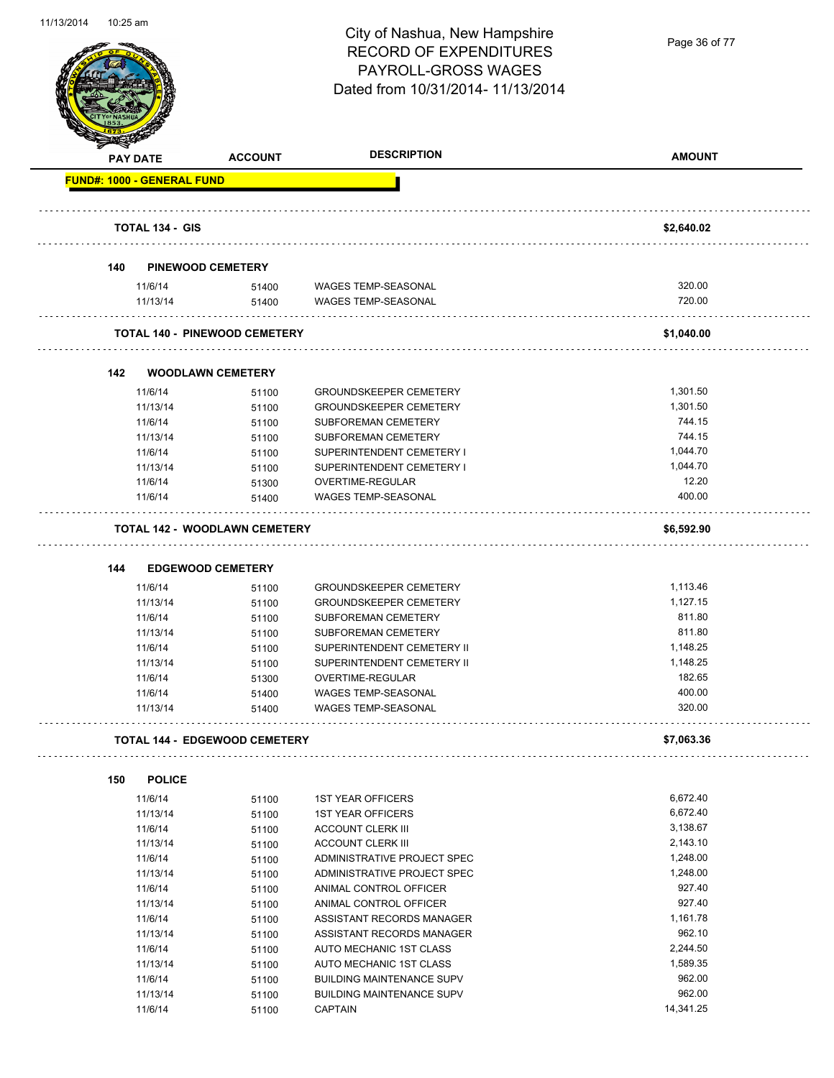

Page 36 of 77

|     | <b>PAY DATE</b>                   | <b>ACCOUNT</b>                       | <b>DESCRIPTION</b>                                                   | <b>AMOUNT</b>    |
|-----|-----------------------------------|--------------------------------------|----------------------------------------------------------------------|------------------|
|     | <b>FUND#: 1000 - GENERAL FUND</b> |                                      |                                                                      |                  |
|     |                                   |                                      |                                                                      |                  |
|     | <b>TOTAL 134 - GIS</b>            |                                      |                                                                      | \$2,640.02       |
| 140 |                                   | <b>PINEWOOD CEMETERY</b>             |                                                                      |                  |
|     | 11/6/14                           | 51400                                | <b>WAGES TEMP-SEASONAL</b>                                           | 320.00           |
|     | 11/13/14                          | 51400                                | <b>WAGES TEMP-SEASONAL</b>                                           | 720.00           |
|     |                                   | <b>TOTAL 140 - PINEWOOD CEMETERY</b> |                                                                      | \$1,040.00       |
| 142 |                                   | <b>WOODLAWN CEMETERY</b>             |                                                                      |                  |
|     | 11/6/14                           | 51100                                | <b>GROUNDSKEEPER CEMETERY</b>                                        | 1,301.50         |
|     | 11/13/14                          | 51100                                | <b>GROUNDSKEEPER CEMETERY</b>                                        | 1,301.50         |
|     | 11/6/14                           | 51100                                | <b>SUBFOREMAN CEMETERY</b>                                           | 744.15           |
|     | 11/13/14                          | 51100                                | SUBFOREMAN CEMETERY                                                  | 744.15           |
|     | 11/6/14                           | 51100                                | SUPERINTENDENT CEMETERY I                                            | 1,044.70         |
|     | 11/13/14                          | 51100                                | SUPERINTENDENT CEMETERY I                                            | 1,044.70         |
|     | 11/6/14                           | 51300                                | OVERTIME-REGULAR                                                     | 12.20            |
|     | 11/6/14                           | 51400                                | <b>WAGES TEMP-SEASONAL</b>                                           | 400.00           |
|     |                                   | <b>TOTAL 142 - WOODLAWN CEMETERY</b> |                                                                      | \$6,592.90       |
|     |                                   |                                      |                                                                      |                  |
|     |                                   |                                      |                                                                      |                  |
| 144 |                                   | <b>EDGEWOOD CEMETERY</b>             |                                                                      |                  |
|     | 11/6/14                           | 51100                                | <b>GROUNDSKEEPER CEMETERY</b>                                        | 1,113.46         |
|     | 11/13/14                          | 51100                                | <b>GROUNDSKEEPER CEMETERY</b>                                        | 1,127.15         |
|     | 11/6/14                           | 51100                                | <b>SUBFOREMAN CEMETERY</b>                                           | 811.80           |
|     | 11/13/14                          | 51100                                | SUBFOREMAN CEMETERY                                                  | 811.80           |
|     | 11/6/14                           | 51100                                | SUPERINTENDENT CEMETERY II                                           | 1,148.25         |
|     | 11/13/14                          | 51100                                | SUPERINTENDENT CEMETERY II                                           | 1,148.25         |
|     | 11/6/14                           | 51300                                | OVERTIME-REGULAR                                                     | 182.65           |
|     | 11/6/14                           | 51400                                | <b>WAGES TEMP-SEASONAL</b>                                           | 400.00           |
|     | 11/13/14                          | 51400                                | <b>WAGES TEMP-SEASONAL</b>                                           | 320.00           |
|     |                                   | <b>TOTAL 144 - EDGEWOOD CEMETERY</b> |                                                                      | \$7,063.36       |
| 150 | <b>POLICE</b>                     |                                      |                                                                      |                  |
|     | 11/6/14                           |                                      |                                                                      | 6,672.40         |
|     | 11/13/14                          | 51100                                | <b>1ST YEAR OFFICERS</b><br><b>1ST YEAR OFFICERS</b>                 | 6,672.40         |
|     | 11/6/14                           | 51100                                | <b>ACCOUNT CLERK III</b>                                             | 3,138.67         |
|     | 11/13/14                          | 51100                                | <b>ACCOUNT CLERK III</b>                                             | 2,143.10         |
|     | 11/6/14                           | 51100                                | ADMINISTRATIVE PROJECT SPEC                                          | 1,248.00         |
|     | 11/13/14                          | 51100                                | ADMINISTRATIVE PROJECT SPEC                                          | 1,248.00         |
|     |                                   | 51100                                | ANIMAL CONTROL OFFICER                                               | 927.40           |
|     | 11/6/14                           | 51100                                |                                                                      | 927.40           |
|     | 11/13/14                          | 51100                                | ANIMAL CONTROL OFFICER                                               | 1,161.78         |
|     | 11/6/14                           | 51100                                | ASSISTANT RECORDS MANAGER                                            |                  |
|     | 11/13/14                          | 51100                                | ASSISTANT RECORDS MANAGER                                            | 962.10           |
|     | 11/6/14                           | 51100                                | AUTO MECHANIC 1ST CLASS                                              | 2,244.50         |
|     | 11/13/14                          | 51100                                | AUTO MECHANIC 1ST CLASS                                              | 1,589.35         |
|     | 11/6/14<br>11/13/14               | 51100<br>51100                       | <b>BUILDING MAINTENANCE SUPV</b><br><b>BUILDING MAINTENANCE SUPV</b> | 962.00<br>962.00 |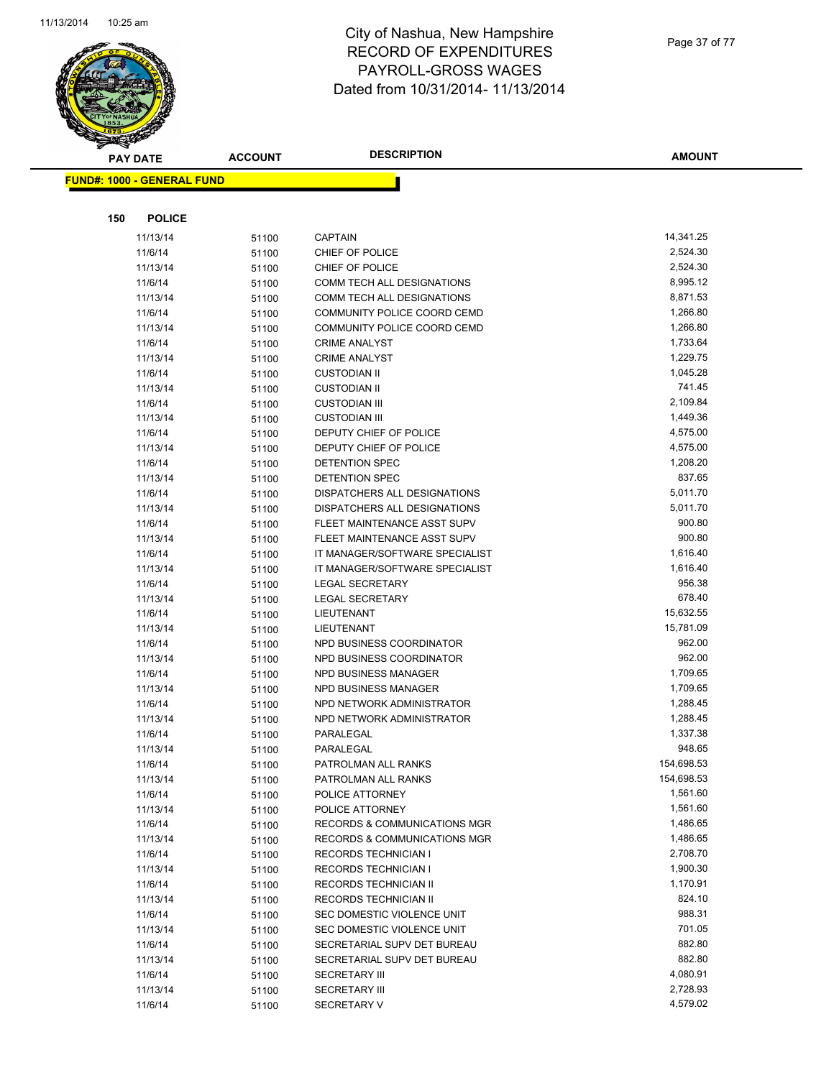

|     | <b>PAY DATE</b>                   | <b>ACCOUNT</b> | <b>DESCRIPTION</b>                                       | AMOUNT               |
|-----|-----------------------------------|----------------|----------------------------------------------------------|----------------------|
|     | <b>FUND#: 1000 - GENERAL FUND</b> |                |                                                          |                      |
|     |                                   |                |                                                          |                      |
|     |                                   |                |                                                          |                      |
| 150 | <b>POLICE</b>                     |                |                                                          |                      |
|     | 11/13/14                          | 51100          | <b>CAPTAIN</b>                                           | 14,341.25            |
|     | 11/6/14                           | 51100          | CHIEF OF POLICE                                          | 2,524.30             |
|     | 11/13/14                          | 51100          | CHIEF OF POLICE                                          | 2,524.30             |
|     | 11/6/14                           | 51100          | COMM TECH ALL DESIGNATIONS                               | 8,995.12             |
|     | 11/13/14                          | 51100          | COMM TECH ALL DESIGNATIONS                               | 8,871.53             |
|     | 11/6/14                           | 51100          | COMMUNITY POLICE COORD CEMD                              | 1,266.80             |
|     | 11/13/14                          | 51100          | COMMUNITY POLICE COORD CEMD                              | 1,266.80             |
|     | 11/6/14                           | 51100          | <b>CRIME ANALYST</b>                                     | 1,733.64             |
|     | 11/13/14                          | 51100          | <b>CRIME ANALYST</b>                                     | 1,229.75             |
|     | 11/6/14                           | 51100          | <b>CUSTODIAN II</b>                                      | 1,045.28             |
|     | 11/13/14                          | 51100          | <b>CUSTODIAN II</b>                                      | 741.45               |
|     | 11/6/14                           | 51100          | <b>CUSTODIAN III</b>                                     | 2,109.84             |
|     | 11/13/14                          | 51100          | <b>CUSTODIAN III</b>                                     | 1,449.36<br>4,575.00 |
|     | 11/6/14<br>11/13/14               | 51100          | DEPUTY CHIEF OF POLICE<br>DEPUTY CHIEF OF POLICE         | 4,575.00             |
|     | 11/6/14                           | 51100          | <b>DETENTION SPEC</b>                                    | 1,208.20             |
|     | 11/13/14                          | 51100          | DETENTION SPEC                                           | 837.65               |
|     | 11/6/14                           | 51100<br>51100 | DISPATCHERS ALL DESIGNATIONS                             | 5,011.70             |
|     | 11/13/14                          | 51100          | DISPATCHERS ALL DESIGNATIONS                             | 5,011.70             |
|     | 11/6/14                           | 51100          | FLEET MAINTENANCE ASST SUPV                              | 900.80               |
|     | 11/13/14                          | 51100          | FLEET MAINTENANCE ASST SUPV                              | 900.80               |
|     | 11/6/14                           | 51100          | IT MANAGER/SOFTWARE SPECIALIST                           | 1,616.40             |
|     | 11/13/14                          | 51100          | IT MANAGER/SOFTWARE SPECIALIST                           | 1,616.40             |
|     | 11/6/14                           | 51100          | <b>LEGAL SECRETARY</b>                                   | 956.38               |
|     | 11/13/14                          | 51100          | <b>LEGAL SECRETARY</b>                                   | 678.40               |
|     | 11/6/14                           | 51100          | LIEUTENANT                                               | 15,632.55            |
|     | 11/13/14                          | 51100          | LIEUTENANT                                               | 15,781.09            |
|     | 11/6/14                           | 51100          | NPD BUSINESS COORDINATOR                                 | 962.00               |
|     | 11/13/14                          | 51100          | NPD BUSINESS COORDINATOR                                 | 962.00               |
|     | 11/6/14                           | 51100          | NPD BUSINESS MANAGER                                     | 1,709.65             |
|     | 11/13/14                          | 51100          | NPD BUSINESS MANAGER                                     | 1,709.65             |
|     | 11/6/14                           | 51100          | NPD NETWORK ADMINISTRATOR                                | 1,288.45             |
|     | 11/13/14                          | 51100          | NPD NETWORK ADMINISTRATOR                                | 1,288.45             |
|     | 11/6/14                           | 51100          | PARALEGAL                                                | 1,337.38             |
|     | 11/13/14                          | 51100          | PARALEGAL                                                | 948.65               |
|     | 11/6/14                           | 51100          | PATROLMAN ALL RANKS                                      | 154,698.53           |
|     | 11/13/14                          | 51100          | PATROLMAN ALL RANKS                                      | 154,698.53           |
|     | 11/6/14                           | 51100          | POLICE ATTORNEY                                          | 1,561.60             |
|     | 11/13/14                          | 51100          | POLICE ATTORNEY                                          | 1,561.60             |
|     | 11/6/14                           | 51100          | <b>RECORDS &amp; COMMUNICATIONS MGR</b>                  | 1,486.65             |
|     | 11/13/14                          | 51100          | RECORDS & COMMUNICATIONS MGR                             | 1,486.65             |
|     | 11/6/14                           | 51100          | <b>RECORDS TECHNICIAN I</b>                              | 2,708.70             |
|     | 11/13/14                          | 51100          | <b>RECORDS TECHNICIAN I</b>                              | 1,900.30<br>1,170.91 |
|     | 11/6/14                           | 51100          | RECORDS TECHNICIAN II<br>RECORDS TECHNICIAN II           | 824.10               |
|     | 11/13/14                          | 51100          |                                                          | 988.31               |
|     | 11/6/14<br>11/13/14               | 51100          | SEC DOMESTIC VIOLENCE UNIT<br>SEC DOMESTIC VIOLENCE UNIT | 701.05               |
|     | 11/6/14                           | 51100<br>51100 | SECRETARIAL SUPV DET BUREAU                              | 882.80               |
|     | 11/13/14                          | 51100          | SECRETARIAL SUPV DET BUREAU                              | 882.80               |
|     | 11/6/14                           | 51100          | <b>SECRETARY III</b>                                     | 4,080.91             |
|     | 11/13/14                          | 51100          | <b>SECRETARY III</b>                                     | 2,728.93             |
|     | 11/6/14                           | 51100          | SECRETARY V                                              | 4,579.02             |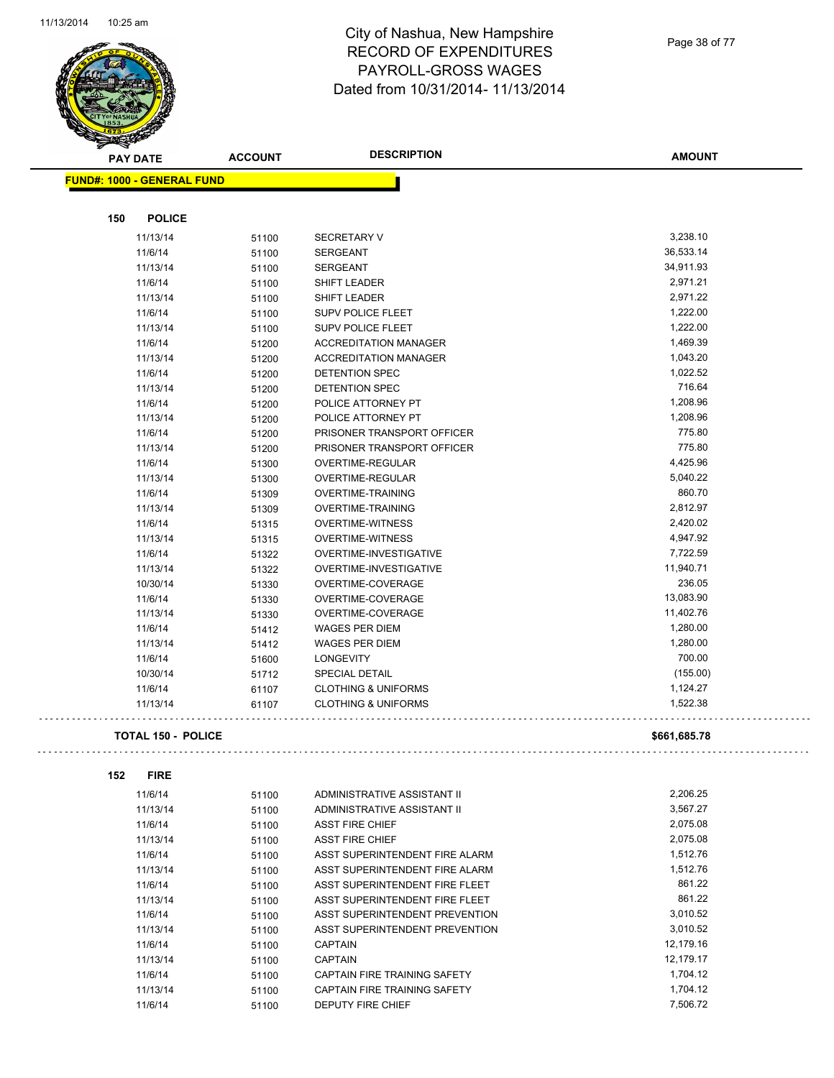

Page 38 of 77

 $\bar{\mathbb{Z}}$  .

Ğ,

| <b>STATER</b>                     |                |                                |               |
|-----------------------------------|----------------|--------------------------------|---------------|
| <b>PAY DATE</b>                   | <b>ACCOUNT</b> | <b>DESCRIPTION</b>             | <b>AMOUNT</b> |
| <b>FUND#: 1000 - GENERAL FUND</b> |                |                                |               |
|                                   |                |                                |               |
|                                   |                |                                |               |
| <b>POLICE</b><br>150              |                |                                |               |
| 11/13/14                          | 51100          | <b>SECRETARY V</b>             | 3,238.10      |
| 11/6/14                           | 51100          | <b>SERGEANT</b>                | 36,533.14     |
| 11/13/14                          | 51100          | <b>SERGEANT</b>                | 34,911.93     |
| 11/6/14                           | 51100          | <b>SHIFT LEADER</b>            | 2,971.21      |
| 11/13/14                          | 51100          | <b>SHIFT LEADER</b>            | 2,971.22      |
| 11/6/14                           | 51100          | <b>SUPV POLICE FLEET</b>       | 1,222.00      |
| 11/13/14                          | 51100          | SUPV POLICE FLEET              | 1,222.00      |
| 11/6/14                           | 51200          | <b>ACCREDITATION MANAGER</b>   | 1,469.39      |
| 11/13/14                          | 51200          | <b>ACCREDITATION MANAGER</b>   | 1,043.20      |
| 11/6/14                           | 51200          | <b>DETENTION SPEC</b>          | 1,022.52      |
| 11/13/14                          | 51200          | DETENTION SPEC                 | 716.64        |
| 11/6/14                           | 51200          | POLICE ATTORNEY PT             | 1,208.96      |
| 11/13/14                          | 51200          | POLICE ATTORNEY PT             | 1,208.96      |
| 11/6/14                           | 51200          | PRISONER TRANSPORT OFFICER     | 775.80        |
| 11/13/14                          | 51200          | PRISONER TRANSPORT OFFICER     | 775.80        |
| 11/6/14                           | 51300          | <b>OVERTIME-REGULAR</b>        | 4,425.96      |
| 11/13/14                          | 51300          | OVERTIME-REGULAR               | 5,040.22      |
| 11/6/14                           | 51309          | OVERTIME-TRAINING              | 860.70        |
| 11/13/14                          | 51309          | OVERTIME-TRAINING              | 2,812.97      |
| 11/6/14                           | 51315          | <b>OVERTIME-WITNESS</b>        | 2,420.02      |
| 11/13/14                          | 51315          | <b>OVERTIME-WITNESS</b>        | 4,947.92      |
| 11/6/14                           | 51322          | OVERTIME-INVESTIGATIVE         | 7,722.59      |
| 11/13/14                          | 51322          | OVERTIME-INVESTIGATIVE         | 11,940.71     |
| 10/30/14                          | 51330          | OVERTIME-COVERAGE              | 236.05        |
| 11/6/14                           | 51330          | OVERTIME-COVERAGE              | 13,083.90     |
| 11/13/14                          | 51330          | OVERTIME-COVERAGE              | 11,402.76     |
| 11/6/14                           | 51412          | <b>WAGES PER DIEM</b>          | 1,280.00      |
| 11/13/14                          | 51412          | <b>WAGES PER DIEM</b>          | 1,280.00      |
| 11/6/14                           | 51600          | <b>LONGEVITY</b>               | 700.00        |
| 10/30/14                          | 51712          | <b>SPECIAL DETAIL</b>          | (155.00)      |
| 11/6/14                           | 61107          | <b>CLOTHING &amp; UNIFORMS</b> | 1,124.27      |
| 11/13/14                          | 61107          | <b>CLOTHING &amp; UNIFORMS</b> | 1,522.38      |
|                                   |                |                                |               |
| <b>TOTAL 150 - POLICE</b>         |                |                                | \$661,685.78  |
|                                   |                |                                |               |
| 152<br><b>FIRE</b>                |                |                                |               |
| 11/6/14                           | 51100          | ADMINISTRATIVE ASSISTANT II    | 2,206.25      |
| 11/13/14                          | 51100          | ADMINISTRATIVE ASSISTANT II    | 3,567.27      |
| 11/6/14                           | 51100          | <b>ASST FIRE CHIEF</b>         | 2,075.08      |
| 11/13/14                          | 51100          | <b>ASST FIRE CHIEF</b>         | 2,075.08      |
| 11/6/14                           | 51100          | ASST SUPERINTENDENT FIRE ALARM | 1,512.76      |
| 11/13/14                          | 51100          | ASST SUPERINTENDENT FIRE ALARM | 1,512.76      |
| 11/6/14                           | 51100          | ASST SUPERINTENDENT FIRE FLEET | 861.22        |
| 11/13/14                          | 51100          | ASST SUPERINTENDENT FIRE FLEET | 861.22        |
| 11/6/14                           | 51100          | ASST SUPERINTENDENT PREVENTION | 3,010.52      |
| 11/13/14                          | 51100          | ASST SUPERINTENDENT PREVENTION | 3,010.52      |
| 11/6/14                           | 51100          | <b>CAPTAIN</b>                 | 12,179.16     |
| 11/13/14                          | 51100          | <b>CAPTAIN</b>                 | 12,179.17     |
| 11/6/14                           | 51100          | CAPTAIN FIRE TRAINING SAFETY   | 1,704.12      |
| 11/13/14                          | 51100          | CAPTAIN FIRE TRAINING SAFETY   | 1,704.12      |
| 11/6/14                           | 51100          | DEPUTY FIRE CHIEF              | 7,506.72      |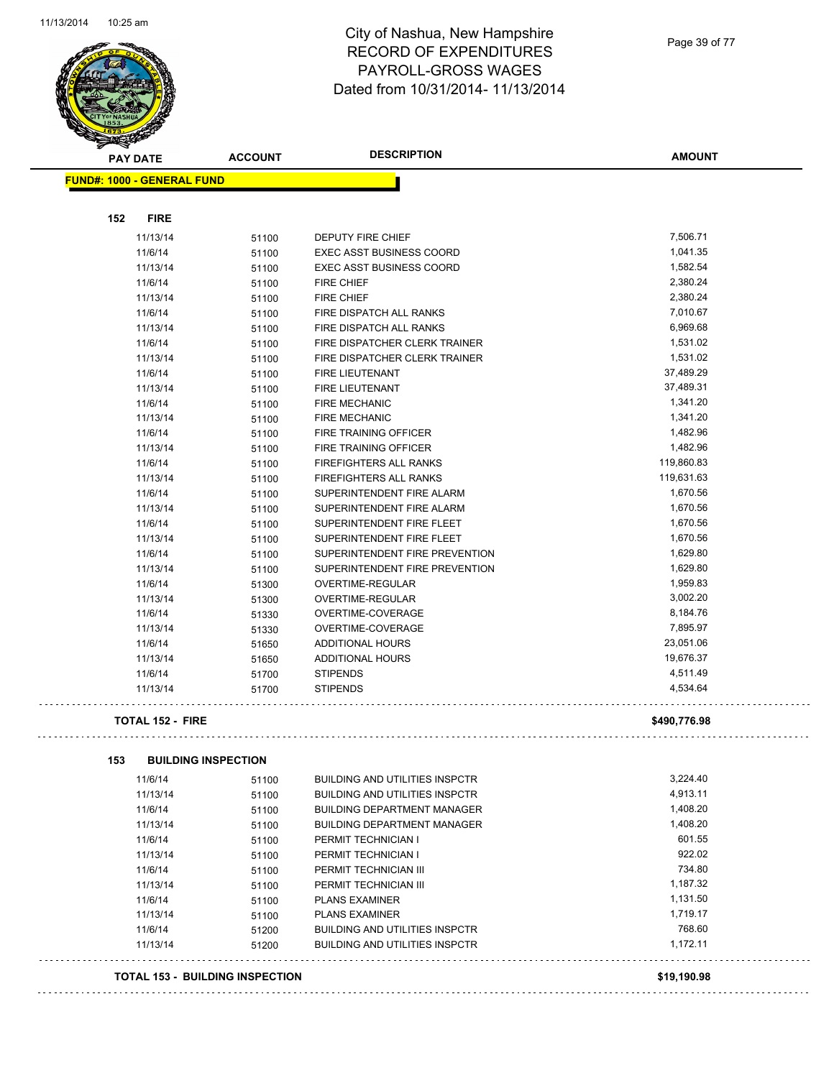

**FUND#: 1000 - GENERAL** 

**152 FIRE**

## City of Nashua, New Hampshire RECORD OF EXPENDITURES PAYROLL-GROSS WAGES Dated from 10/31/2014- 11/13/2014

| <b>GENERAL FUND</b> |       |                                 |            |
|---------------------|-------|---------------------------------|------------|
| <b>FIRE</b>         |       |                                 |            |
|                     |       |                                 | 7,506.71   |
| 11/13/14            | 51100 | <b>DEPUTY FIRE CHIEF</b>        |            |
| 11/6/14             | 51100 | <b>EXEC ASST BUSINESS COORD</b> | 1,041.35   |
| 11/13/14            | 51100 | <b>EXEC ASST BUSINESS COORD</b> | 1,582.54   |
| 11/6/14             | 51100 | FIRE CHIEF                      | 2,380.24   |
| 11/13/14            | 51100 | <b>FIRE CHIEF</b>               | 2,380.24   |
| 11/6/14             | 51100 | FIRE DISPATCH ALL RANKS         | 7,010.67   |
| 11/13/14            | 51100 | <b>FIRE DISPATCH ALL RANKS</b>  | 6,969.68   |
| 11/6/14             | 51100 | FIRE DISPATCHER CLERK TRAINER   | 1,531.02   |
| 11/13/14            | 51100 | FIRE DISPATCHER CLERK TRAINER   | 1,531.02   |
| 11/6/14             | 51100 | <b>FIRE LIEUTENANT</b>          | 37,489.29  |
| 11/13/14            | 51100 | FIRE LIEUTENANT                 | 37,489.31  |
| 11/6/14             | 51100 | <b>FIRE MECHANIC</b>            | 1,341.20   |
| 11/13/14            | 51100 | <b>FIRE MECHANIC</b>            | 1,341.20   |
| 11/6/14             | 51100 | <b>FIRE TRAINING OFFICER</b>    | 1,482.96   |
| 11/13/14            | 51100 | <b>FIRE TRAINING OFFICER</b>    | 1,482.96   |
| 11/6/14             | 51100 | <b>FIREFIGHTERS ALL RANKS</b>   | 119,860.83 |
| 11/13/14            | 51100 | FIREFIGHTERS ALL RANKS          | 119,631.63 |
| 11/6/14             | 51100 | SUPERINTENDENT FIRE ALARM       | 1,670.56   |
| 11/13/14            | 51100 | SUPERINTENDENT FIRE ALARM       | 1,670.56   |
| 11/6/14             | 51100 | SUPERINTENDENT FIRE FLEET       | 1,670.56   |
| 11/13/14            | 51100 | SUPERINTENDENT FIRE FLEET       | 1,670.56   |
| 11/6/14             | 51100 | SUPERINTENDENT FIRE PREVENTION  | 1,629.80   |
| 11/13/14            | 51100 | SUPERINTENDENT FIRE PREVENTION  | 1,629.80   |
| 11/6/14             | 51300 | OVERTIME-REGULAR                | 1,959.83   |
| 11/13/14            | 51300 | OVERTIME-REGULAR                | 3,002.20   |
| 11/6/14             | 51330 | OVERTIME-COVERAGE               | 8,184.76   |
| 11/13/14            | 51330 | OVERTIME-COVERAGE               | 7,895.97   |
| 11/6/14             | 51650 | <b>ADDITIONAL HOURS</b>         | 23,051.06  |
| 11/13/14            | 51650 | <b>ADDITIONAL HOURS</b>         | 19,676.37  |
| 11/6/14             | 51700 | <b>STIPENDS</b>                 | 4,511.49   |
| 11/13/14            | 51700 | <b>STIPENDS</b>                 | 4,534.64   |

. . . . . . . . . . . .

**TOTAL 152 - FIRE \$490,776.98**

**153 BUILDING INSPECTION**

| 11/6/14  | 51100 | <b>BUILDING AND UTILITIES INSPCTR</b> | 3.224.40 |
|----------|-------|---------------------------------------|----------|
| 11/13/14 | 51100 | <b>BUILDING AND UTILITIES INSPCTR</b> | 4.913.11 |
| 11/6/14  | 51100 | <b>BUILDING DEPARTMENT MANAGER</b>    | 1.408.20 |
| 11/13/14 | 51100 | <b>BUILDING DEPARTMENT MANAGER</b>    | 1.408.20 |
| 11/6/14  | 51100 | PERMIT TECHNICIAN I                   | 601.55   |
| 11/13/14 | 51100 | PERMIT TECHNICIAN I                   | 922.02   |
| 11/6/14  | 51100 | PERMIT TECHNICIAN III                 | 734.80   |
| 11/13/14 | 51100 | PERMIT TECHNICIAN III                 | 1.187.32 |
| 11/6/14  | 51100 | <b>PLANS EXAMINER</b>                 | 1.131.50 |
| 11/13/14 | 51100 | <b>PLANS EXAMINER</b>                 | 1.719.17 |
| 11/6/14  | 51200 | BUILDING AND UTILITIES INSPCTR        | 768.60   |
| 11/13/14 | 51200 | <b>BUILDING AND UTILITIES INSPCTR</b> | 1.172.11 |
|          |       |                                       |          |

**TOTAL 153 - BUILDING INSPECTION \$19,190.98**

. . . . . . . . . . . . . . .

**AMOUNT**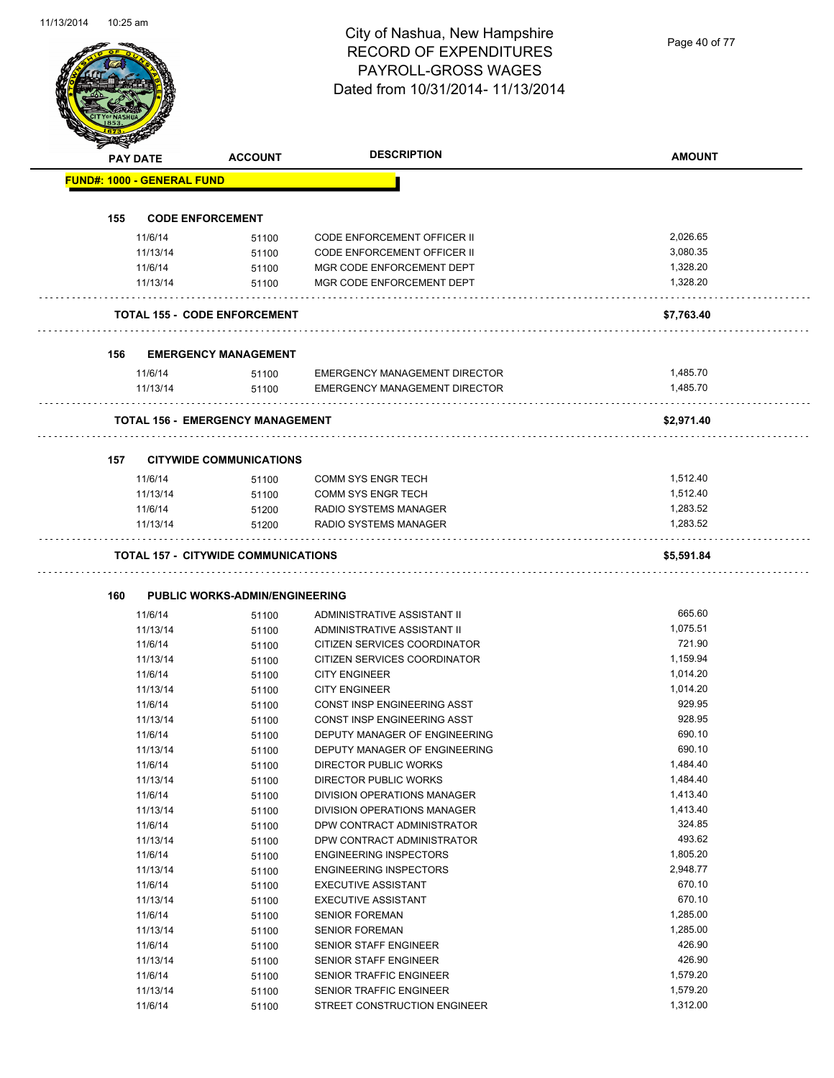Page 40 of 77

|     | <b>PAY DATE</b>                   | <b>ACCOUNT</b>                             | <b>DESCRIPTION</b>                   | <b>AMOUNT</b> |
|-----|-----------------------------------|--------------------------------------------|--------------------------------------|---------------|
|     | <b>FUND#: 1000 - GENERAL FUND</b> |                                            |                                      |               |
|     |                                   |                                            |                                      |               |
| 155 |                                   | <b>CODE ENFORCEMENT</b>                    |                                      |               |
|     | 11/6/14                           | 51100                                      | CODE ENFORCEMENT OFFICER II          | 2,026.65      |
|     | 11/13/14                          | 51100                                      | CODE ENFORCEMENT OFFICER II          | 3,080.35      |
|     | 11/6/14                           | 51100                                      | MGR CODE ENFORCEMENT DEPT            | 1,328.20      |
|     | 11/13/14                          | 51100                                      | MGR CODE ENFORCEMENT DEPT            | 1,328.20      |
|     |                                   | <b>TOTAL 155 - CODE ENFORCEMENT</b>        |                                      | \$7,763.40    |
| 156 |                                   | <b>EMERGENCY MANAGEMENT</b>                |                                      |               |
|     | 11/6/14                           | 51100                                      | <b>EMERGENCY MANAGEMENT DIRECTOR</b> | 1,485.70      |
|     | 11/13/14                          | 51100                                      | <b>EMERGENCY MANAGEMENT DIRECTOR</b> | 1,485.70      |
|     |                                   | <b>TOTAL 156 - EMERGENCY MANAGEMENT</b>    |                                      | \$2,971.40    |
|     |                                   |                                            |                                      |               |
| 157 | 11/6/14                           | <b>CITYWIDE COMMUNICATIONS</b><br>51100    | COMM SYS ENGR TECH                   | 1,512.40      |
|     | 11/13/14                          |                                            | <b>COMM SYS ENGR TECH</b>            | 1,512.40      |
|     | 11/6/14                           | 51100                                      | RADIO SYSTEMS MANAGER                | 1,283.52      |
|     | 11/13/14                          | 51200<br>51200                             | <b>RADIO SYSTEMS MANAGER</b>         | 1,283.52      |
|     |                                   | <b>TOTAL 157 - CITYWIDE COMMUNICATIONS</b> |                                      | \$5,591.84    |
|     |                                   |                                            |                                      |               |
| 160 |                                   | <b>PUBLIC WORKS-ADMIN/ENGINEERING</b>      |                                      |               |
|     | 11/6/14                           | 51100                                      | ADMINISTRATIVE ASSISTANT II          | 665.60        |
|     | 11/13/14                          | 51100                                      | ADMINISTRATIVE ASSISTANT II          |               |
|     |                                   |                                            |                                      | 1,075.51      |
|     | 11/6/14                           | 51100                                      | CITIZEN SERVICES COORDINATOR         | 721.90        |
|     | 11/13/14                          | 51100                                      | CITIZEN SERVICES COORDINATOR         | 1,159.94      |
|     | 11/6/14                           | 51100                                      | <b>CITY ENGINEER</b>                 | 1,014.20      |
|     | 11/13/14                          | 51100                                      | <b>CITY ENGINEER</b>                 | 1,014.20      |
|     | 11/6/14                           | 51100                                      | CONST INSP ENGINEERING ASST          | 929.95        |
|     | 11/13/14                          | 51100                                      | CONST INSP ENGINEERING ASST          | 928.95        |
|     | 11/6/14                           | 51100                                      | DEPUTY MANAGER OF ENGINEERING        | 690.10        |
|     | 11/13/14                          | 51100                                      | DEPUTY MANAGER OF ENGINEERING        | 690.10        |
|     | 11/6/14                           | 51100                                      | DIRECTOR PUBLIC WORKS                | 1,484.40      |
|     | 11/13/14                          | 51100                                      | <b>DIRECTOR PUBLIC WORKS</b>         | 1,484.40      |
|     | 11/6/14                           | 51100                                      | DIVISION OPERATIONS MANAGER          | 1,413.40      |
|     | 11/13/14                          | 51100                                      | DIVISION OPERATIONS MANAGER          | 1,413.40      |
|     | 11/6/14                           | 51100                                      | DPW CONTRACT ADMINISTRATOR           | 324.85        |
|     | 11/13/14                          | 51100                                      | DPW CONTRACT ADMINISTRATOR           | 493.62        |
|     | 11/6/14                           | 51100                                      | <b>ENGINEERING INSPECTORS</b>        | 1,805.20      |
|     | 11/13/14                          | 51100                                      | <b>ENGINEERING INSPECTORS</b>        | 2,948.77      |
|     | 11/6/14                           | 51100                                      | <b>EXECUTIVE ASSISTANT</b>           | 670.10        |
|     | 11/13/14                          | 51100                                      | <b>EXECUTIVE ASSISTANT</b>           | 670.10        |
|     | 11/6/14                           | 51100                                      | <b>SENIOR FOREMAN</b>                | 1,285.00      |
|     | 11/13/14                          | 51100                                      | <b>SENIOR FOREMAN</b>                | 1,285.00      |
|     | 11/6/14                           | 51100                                      | SENIOR STAFF ENGINEER                | 426.90        |
|     | 11/13/14                          | 51100                                      | SENIOR STAFF ENGINEER                | 426.90        |
|     | 11/6/14                           | 51100                                      | SENIOR TRAFFIC ENGINEER              | 1,579.20      |
|     | 11/13/14                          |                                            | SENIOR TRAFFIC ENGINEER              | 1,579.20      |
|     | 11/6/14                           | 51100<br>51100                             | STREET CONSTRUCTION ENGINEER         | 1,312.00      |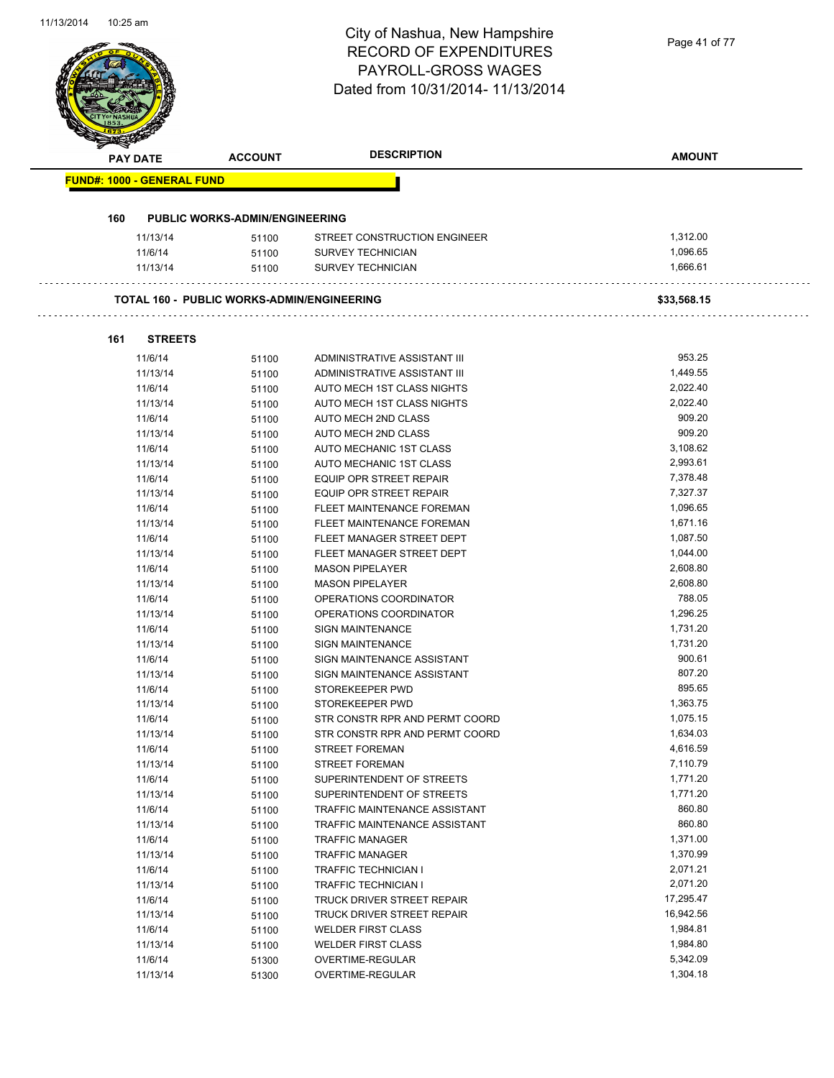# City of Nashua, New Hampshire RECORD OF EXPENDITURES PAYROLL-GROSS WAGES

|                                   |                                                   | <b>RECORD OF EXPENDITURES</b><br><b>PAYROLL-GROSS WAGES</b><br>Dated from 10/31/2014-11/13/2014 |                      |
|-----------------------------------|---------------------------------------------------|-------------------------------------------------------------------------------------------------|----------------------|
| <b>PAY DATE</b>                   | <b>ACCOUNT</b>                                    | <b>DESCRIPTION</b>                                                                              | <b>AMOUNT</b>        |
| <b>FUND#: 1000 - GENERAL FUND</b> |                                                   |                                                                                                 |                      |
|                                   |                                                   |                                                                                                 |                      |
| 160                               | <b>PUBLIC WORKS-ADMIN/ENGINEERING</b>             |                                                                                                 |                      |
| 11/13/14                          | 51100                                             | STREET CONSTRUCTION ENGINEER                                                                    | 1,312.00             |
| 11/6/14                           | 51100                                             | <b>SURVEY TECHNICIAN</b>                                                                        | 1,096.65             |
| 11/13/14                          | 51100                                             | <b>SURVEY TECHNICIAN</b>                                                                        | 1,666.61             |
|                                   | <b>TOTAL 160 - PUBLIC WORKS-ADMIN/ENGINEERING</b> |                                                                                                 | \$33,568.15          |
|                                   |                                                   |                                                                                                 |                      |
| <b>STREETS</b><br>161             |                                                   |                                                                                                 |                      |
| 11/6/14                           | 51100                                             | ADMINISTRATIVE ASSISTANT III                                                                    | 953.25               |
| 11/13/14                          | 51100                                             | ADMINISTRATIVE ASSISTANT III                                                                    | 1,449.55             |
| 11/6/14                           | 51100                                             | AUTO MECH 1ST CLASS NIGHTS                                                                      | 2,022.40             |
| 11/13/14                          | 51100                                             | AUTO MECH 1ST CLASS NIGHTS                                                                      | 2,022.40<br>909.20   |
| 11/6/14                           | 51100                                             | AUTO MECH 2ND CLASS                                                                             | 909.20               |
| 11/13/14                          | 51100                                             | AUTO MECH 2ND CLASS                                                                             | 3,108.62             |
| 11/6/14                           | 51100                                             | AUTO MECHANIC 1ST CLASS                                                                         | 2,993.61             |
| 11/13/14                          | 51100                                             | AUTO MECHANIC 1ST CLASS                                                                         | 7,378.48             |
| 11/6/14                           | 51100                                             | <b>EQUIP OPR STREET REPAIR</b><br><b>EQUIP OPR STREET REPAIR</b>                                | 7,327.37             |
| 11/13/14                          | 51100                                             |                                                                                                 | 1,096.65             |
| 11/6/14                           | 51100                                             | FLEET MAINTENANCE FOREMAN                                                                       |                      |
| 11/13/14                          | 51100                                             | FLEET MAINTENANCE FOREMAN                                                                       | 1,671.16             |
| 11/6/14                           | 51100                                             | FLEET MANAGER STREET DEPT                                                                       | 1,087.50             |
| 11/13/14                          | 51100                                             | FLEET MANAGER STREET DEPT                                                                       | 1,044.00<br>2,608.80 |
| 11/6/14                           | 51100                                             | <b>MASON PIPELAYER</b>                                                                          | 2,608.80             |
| 11/13/14                          | 51100                                             | <b>MASON PIPELAYER</b>                                                                          | 788.05               |
| 11/6/14                           | 51100                                             | OPERATIONS COORDINATOR                                                                          | 1,296.25             |
| 11/13/14                          | 51100                                             | OPERATIONS COORDINATOR<br><b>SIGN MAINTENANCE</b>                                               |                      |
| 11/6/14                           | 51100                                             |                                                                                                 | 1,731.20<br>1,731.20 |
| 11/13/14<br>11/6/14               | 51100                                             | <b>SIGN MAINTENANCE</b><br>SIGN MAINTENANCE ASSISTANT                                           | 900.61               |
|                                   | 51100                                             |                                                                                                 | 807.20               |
| 11/13/14                          | 51100                                             | SIGN MAINTENANCE ASSISTANT<br>STOREKEEPER PWD                                                   | 895.65               |
| 11/6/14<br>11/13/14               | 51100                                             | STOREKEEPER PWD                                                                                 | 1,363.75             |
| 11/6/14                           | 51100                                             | STR CONSTR RPR AND PERMT COORD                                                                  | 1,075.15             |
| 11/13/14                          | 51100<br>51100                                    | STR CONSTR RPR AND PERMT COORD                                                                  | 1,634.03             |
| 11/6/14                           |                                                   | <b>STREET FOREMAN</b>                                                                           | 4,616.59             |
| 11/13/14                          | 51100<br>51100                                    | <b>STREET FOREMAN</b>                                                                           | 7,110.79             |
| 11/6/14                           | 51100                                             | SUPERINTENDENT OF STREETS                                                                       | 1,771.20             |
| 11/13/14                          | 51100                                             | SUPERINTENDENT OF STREETS                                                                       | 1,771.20             |
| 11/6/14                           | 51100                                             | TRAFFIC MAINTENANCE ASSISTANT                                                                   | 860.80               |
| 11/13/14                          | 51100                                             | TRAFFIC MAINTENANCE ASSISTANT                                                                   | 860.80               |
| 11/6/14                           | 51100                                             | <b>TRAFFIC MANAGER</b>                                                                          | 1,371.00             |
| 11/13/14                          | 51100                                             | <b>TRAFFIC MANAGER</b>                                                                          | 1,370.99             |
| 11/6/14                           | 51100                                             | <b>TRAFFIC TECHNICIAN I</b>                                                                     | 2,071.21             |
| 11/13/14                          | 51100                                             | <b>TRAFFIC TECHNICIAN I</b>                                                                     | 2,071.20             |
| 11/6/14                           | 51100                                             | TRUCK DRIVER STREET REPAIR                                                                      | 17,295.47            |
| 11/13/14                          | 51100                                             | TRUCK DRIVER STREET REPAIR                                                                      | 16,942.56            |
| 11/6/14                           | 51100                                             | <b>WELDER FIRST CLASS</b>                                                                       | 1,984.81             |
| 11/13/14                          | 51100                                             | <b>WELDER FIRST CLASS</b>                                                                       | 1,984.80             |
| 11/6/14                           | 51300                                             | OVERTIME-REGULAR                                                                                | 5,342.09             |
|                                   |                                                   |                                                                                                 |                      |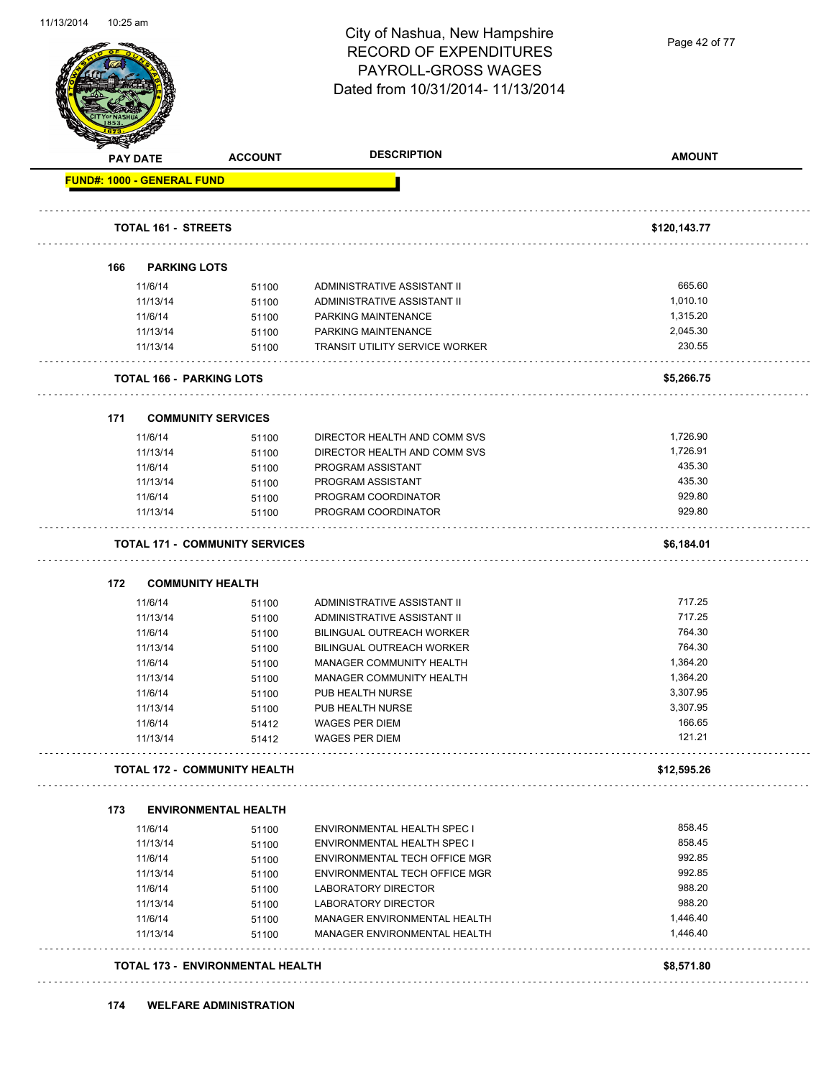

Page 42 of 77

|     | <b>PAY DATE</b>                    | <b>ACCOUNT</b>                        | <b>DESCRIPTION</b>                    | <b>AMOUNT</b> |
|-----|------------------------------------|---------------------------------------|---------------------------------------|---------------|
|     | <b>FUND#: 1000 - GENERAL FUND</b>  |                                       |                                       |               |
|     | <b>TOTAL 161 - STREETS</b>         |                                       |                                       | \$120,143.77  |
|     | .                                  |                                       |                                       |               |
| 166 | <b>PARKING LOTS</b>                |                                       |                                       |               |
|     | 11/6/14                            | 51100                                 | ADMINISTRATIVE ASSISTANT II           | 665.60        |
|     | 11/13/14                           | 51100                                 | ADMINISTRATIVE ASSISTANT II           | 1,010.10      |
|     | 11/6/14                            | 51100                                 | PARKING MAINTENANCE                   | 1,315.20      |
|     | 11/13/14                           | 51100                                 | PARKING MAINTENANCE                   | 2,045.30      |
|     | 11/13/14                           | 51100                                 | <b>TRANSIT UTILITY SERVICE WORKER</b> | 230.55        |
|     | <b>TOTAL 166 - PARKING LOTS</b>    |                                       |                                       | \$5,266.75    |
|     |                                    |                                       |                                       |               |
| 171 |                                    | <b>COMMUNITY SERVICES</b>             |                                       |               |
|     | 11/6/14                            | 51100                                 | DIRECTOR HEALTH AND COMM SVS          | 1,726.90      |
|     | 11/13/14                           | 51100                                 | DIRECTOR HEALTH AND COMM SVS          | 1,726.91      |
|     | 11/6/14                            | 51100                                 | PROGRAM ASSISTANT                     | 435.30        |
|     | 11/13/14                           | 51100                                 | PROGRAM ASSISTANT                     | 435.30        |
|     | 11/6/14                            | 51100                                 | PROGRAM COORDINATOR                   | 929.80        |
|     | 11/13/14                           | 51100                                 | PROGRAM COORDINATOR                   | 929.80        |
|     |                                    | <b>TOTAL 171 - COMMUNITY SERVICES</b> |                                       | \$6,184.01    |
|     |                                    |                                       |                                       |               |
| 172 | <b>COMMUNITY HEALTH</b><br>11/6/14 | 51100                                 | ADMINISTRATIVE ASSISTANT II           | 717.25        |
|     | 11/13/14                           | 51100                                 | ADMINISTRATIVE ASSISTANT II           | 717.25        |
|     | 11/6/14                            | 51100                                 | BILINGUAL OUTREACH WORKER             | 764.30        |
|     | 11/13/14                           | 51100                                 | <b>BILINGUAL OUTREACH WORKER</b>      | 764.30        |
|     | 11/6/14                            | 51100                                 | MANAGER COMMUNITY HEALTH              | 1,364.20      |
|     | 11/13/14                           | 51100                                 | MANAGER COMMUNITY HEALTH              | 1,364.20      |
|     | 11/6/14                            | 51100                                 | PUB HEALTH NURSE                      | 3,307.95      |
|     | 11/13/14                           | 51100                                 | PUB HEALTH NURSE                      | 3,307.95      |
|     | 11/6/14                            | 51412                                 | <b>WAGES PER DIEM</b>                 | 166.65        |
|     | 11/13/14                           | 51412                                 | <b>WAGES PER DIEM</b>                 | 121.21        |
|     |                                    | <b>TOTAL 172 - COMMUNITY HEALTH</b>   |                                       | \$12,595.26   |
|     |                                    |                                       |                                       |               |
| 173 |                                    | <b>ENVIRONMENTAL HEALTH</b>           |                                       |               |
|     | 11/6/14                            | 51100                                 | ENVIRONMENTAL HEALTH SPEC I           | 858.45        |
|     | 11/13/14                           | 51100                                 | ENVIRONMENTAL HEALTH SPEC I           | 858.45        |
|     | 11/6/14                            | 51100                                 | ENVIRONMENTAL TECH OFFICE MGR         | 992.85        |
|     | 11/13/14                           | 51100                                 | ENVIRONMENTAL TECH OFFICE MGR         | 992.85        |
|     |                                    | 51100                                 | LABORATORY DIRECTOR                   | 988.20        |
|     | 11/6/14                            |                                       | LABORATORY DIRECTOR                   | 988.20        |
|     | 11/13/14                           | 51100                                 |                                       |               |
|     | 11/6/14                            | 51100                                 | MANAGER ENVIRONMENTAL HEALTH          | 1,446.40      |
|     | 11/13/14                           | 51100                                 | MANAGER ENVIRONMENTAL HEALTH          | 1,446.40      |

**174 WELFARE ADMINISTRATION**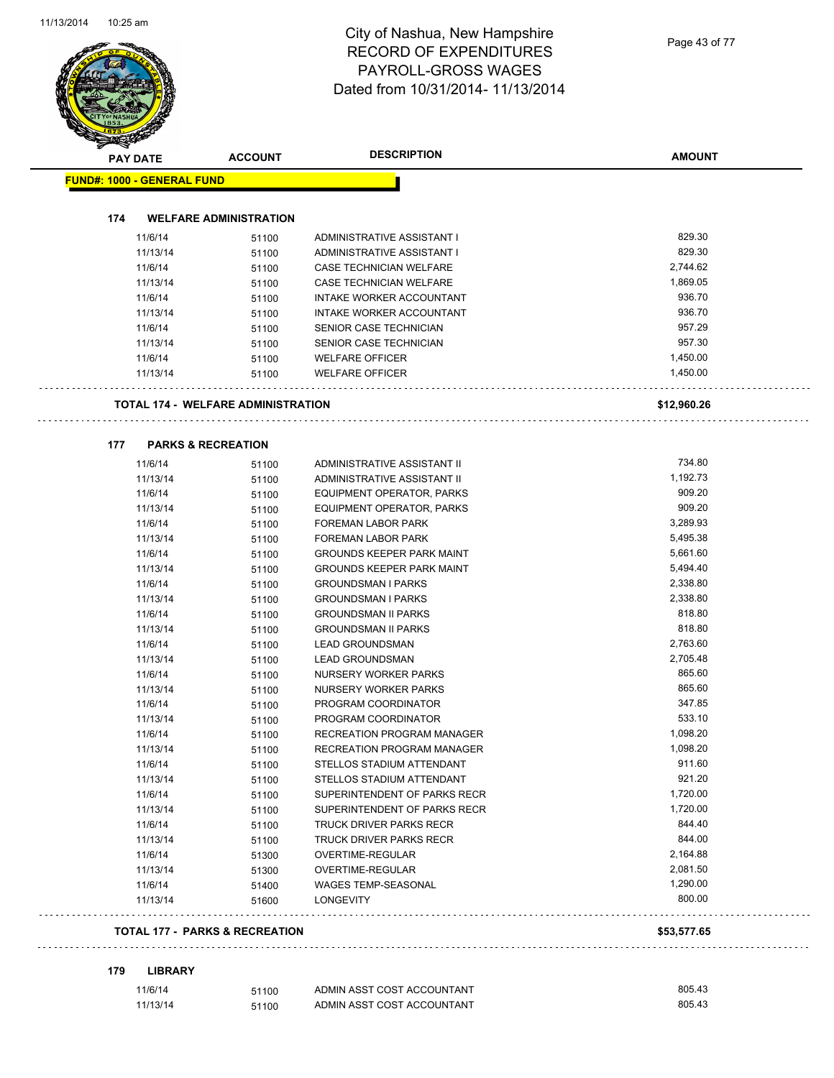| <b>PAY DATE</b>                           | <b>ACCOUNT</b>                            | <b>DESCRIPTION</b>               | <b>AMOUNT</b> |
|-------------------------------------------|-------------------------------------------|----------------------------------|---------------|
| <b>FUND#: 1000 - GENERAL FUND</b>         |                                           |                                  |               |
| 174                                       | <b>WELFARE ADMINISTRATION</b>             |                                  |               |
| 11/6/14                                   |                                           | ADMINISTRATIVE ASSISTANT I       | 829.30        |
| 11/13/14                                  | 51100                                     | ADMINISTRATIVE ASSISTANT I       | 829.30        |
| 11/6/14                                   | 51100<br>51100                            | CASE TECHNICIAN WELFARE          | 2,744.62      |
| 11/13/14                                  |                                           | CASE TECHNICIAN WELFARE          | 1,869.05      |
| 11/6/14                                   | 51100<br>51100                            | INTAKE WORKER ACCOUNTANT         | 936.70        |
| 11/13/14                                  |                                           | INTAKE WORKER ACCOUNTANT         | 936.70        |
| 11/6/14                                   | 51100<br>51100                            | SENIOR CASE TECHNICIAN           | 957.29        |
| 11/13/14                                  | 51100                                     | SENIOR CASE TECHNICIAN           | 957.30        |
| 11/6/14                                   | 51100                                     | <b>WELFARE OFFICER</b>           | 1,450.00      |
| 11/13/14                                  | 51100                                     | <b>WELFARE OFFICER</b>           | 1,450.00      |
|                                           |                                           |                                  |               |
|                                           | <b>TOTAL 174 - WELFARE ADMINISTRATION</b> |                                  | \$12,960.26   |
| 177                                       | <b>PARKS &amp; RECREATION</b>             |                                  |               |
| 11/6/14                                   | 51100                                     | ADMINISTRATIVE ASSISTANT II      | 734.80        |
| 11/13/14                                  | 51100                                     | ADMINISTRATIVE ASSISTANT II      | 1,192.73      |
| 11/6/14                                   | 51100                                     | EQUIPMENT OPERATOR, PARKS        | 909.20        |
| 11/13/14                                  | 51100                                     | EQUIPMENT OPERATOR, PARKS        | 909.20        |
| 11/6/14                                   | 51100                                     | <b>FOREMAN LABOR PARK</b>        | 3,289.93      |
| 11/13/14                                  | 51100                                     | <b>FOREMAN LABOR PARK</b>        | 5,495.38      |
| 11/6/14                                   | 51100                                     | <b>GROUNDS KEEPER PARK MAINT</b> | 5,661.60      |
| 11/13/14                                  | 51100                                     | <b>GROUNDS KEEPER PARK MAINT</b> | 5,494.40      |
| 11/6/14                                   | 51100                                     | <b>GROUNDSMAN I PARKS</b>        | 2,338.80      |
| 11/13/14                                  | 51100                                     | <b>GROUNDSMAN I PARKS</b>        | 2,338.80      |
| 11/6/14                                   | 51100                                     | <b>GROUNDSMAN II PARKS</b>       | 818.80        |
| 11/13/14                                  | 51100                                     | <b>GROUNDSMAN II PARKS</b>       | 818.80        |
| 11/6/14                                   | 51100                                     | <b>LEAD GROUNDSMAN</b>           | 2,763.60      |
| 11/13/14                                  | 51100                                     | <b>LEAD GROUNDSMAN</b>           | 2,705.48      |
| 11/6/14                                   | 51100                                     | NURSERY WORKER PARKS             | 865.60        |
| 11/13/14                                  | 51100                                     | NURSERY WORKER PARKS             | 865.60        |
| 11/6/14                                   | 51100                                     | PROGRAM COORDINATOR              | 347.85        |
| 11/13/14                                  | 51100                                     | PROGRAM COORDINATOR              | 533.10        |
| 11/6/14                                   | 51100                                     | RECREATION PROGRAM MANAGER       | 1,098.20      |
| 11/13/14                                  | 51100                                     | RECREATION PROGRAM MANAGER       | 1,098.20      |
| 11/6/14                                   | 51100                                     | STELLOS STADIUM ATTENDANT        | 911.60        |
| 11/13/14                                  | 51100                                     | STELLOS STADIUM ATTENDANT        | 921.20        |
| 11/6/14                                   | 51100                                     | SUPERINTENDENT OF PARKS RECR     | 1,720.00      |
| 11/13/14                                  | 51100                                     | SUPERINTENDENT OF PARKS RECR     | 1,720.00      |
| 11/6/14                                   | 51100                                     | <b>TRUCK DRIVER PARKS RECR</b>   | 844.40        |
| 11/13/14                                  | 51100                                     | TRUCK DRIVER PARKS RECR          | 844.00        |
| 11/6/14                                   | 51300                                     | OVERTIME-REGULAR                 | 2,164.88      |
| 11/13/14                                  | 51300                                     | OVERTIME-REGULAR                 | 2,081.50      |
| 11/6/14                                   | 51400                                     | WAGES TEMP-SEASONAL              | 1,290.00      |
| 11/13/14                                  | 51600                                     | <b>LONGEVITY</b>                 | 800.00        |
| <b>TOTAL 177 - PARKS &amp; RECREATION</b> |                                           |                                  | \$53,577.65   |

| 11/6/14  | 51100 | ADMIN ASST COST ACCOUNTANT | 805.43 |
|----------|-------|----------------------------|--------|
| 11/13/14 | 51100 | ADMIN ASST COST ACCOUNTANT | 805.43 |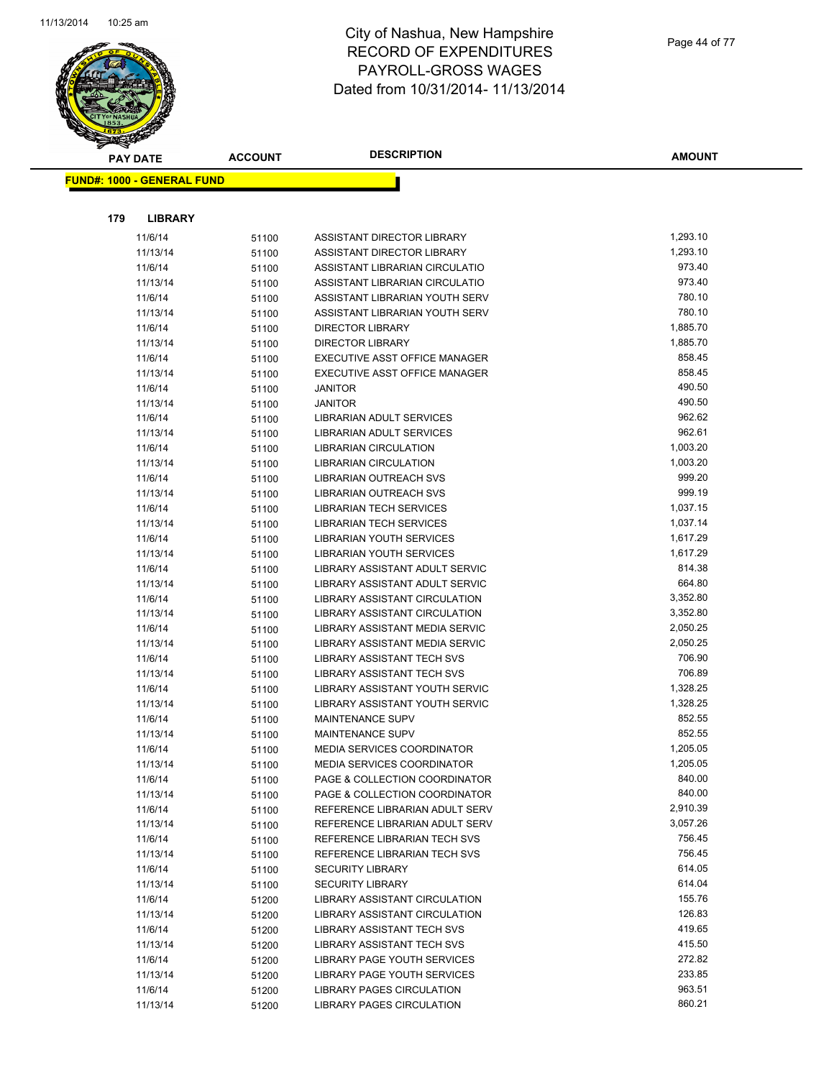

|     | <b>PAY DATE</b>                   | <b>ACCOUNT</b> | <b>DESCRIPTION</b>                                | <b>AMOUNT</b>    |
|-----|-----------------------------------|----------------|---------------------------------------------------|------------------|
|     | <b>FUND#: 1000 - GENERAL FUND</b> |                |                                                   |                  |
|     |                                   |                |                                                   |                  |
|     |                                   |                |                                                   |                  |
| 179 | <b>LIBRARY</b>                    |                |                                                   |                  |
|     | 11/6/14                           | 51100          | ASSISTANT DIRECTOR LIBRARY                        | 1,293.10         |
|     | 11/13/14                          | 51100          | ASSISTANT DIRECTOR LIBRARY                        | 1,293.10         |
|     | 11/6/14                           | 51100          | ASSISTANT LIBRARIAN CIRCULATIO                    | 973.40           |
|     | 11/13/14                          | 51100          | ASSISTANT LIBRARIAN CIRCULATIO                    | 973.40           |
|     | 11/6/14                           | 51100          | ASSISTANT LIBRARIAN YOUTH SERV                    | 780.10           |
|     | 11/13/14                          | 51100          | ASSISTANT LIBRARIAN YOUTH SERV                    | 780.10           |
|     | 11/6/14                           | 51100          | <b>DIRECTOR LIBRARY</b>                           | 1,885.70         |
|     | 11/13/14                          | 51100          | <b>DIRECTOR LIBRARY</b>                           | 1,885.70         |
|     | 11/6/14                           | 51100          | EXECUTIVE ASST OFFICE MANAGER                     | 858.45           |
|     | 11/13/14                          | 51100          | EXECUTIVE ASST OFFICE MANAGER                     | 858.45<br>490.50 |
|     | 11/6/14                           | 51100          | <b>JANITOR</b>                                    | 490.50           |
|     | 11/13/14<br>11/6/14               | 51100          | <b>JANITOR</b><br><b>LIBRARIAN ADULT SERVICES</b> | 962.62           |
|     | 11/13/14                          | 51100          | LIBRARIAN ADULT SERVICES                          | 962.61           |
|     | 11/6/14                           | 51100          | <b>LIBRARIAN CIRCULATION</b>                      | 1,003.20         |
|     | 11/13/14                          | 51100<br>51100 | <b>LIBRARIAN CIRCULATION</b>                      | 1,003.20         |
|     | 11/6/14                           | 51100          | LIBRARIAN OUTREACH SVS                            | 999.20           |
|     | 11/13/14                          | 51100          | <b>LIBRARIAN OUTREACH SVS</b>                     | 999.19           |
|     | 11/6/14                           | 51100          | <b>LIBRARIAN TECH SERVICES</b>                    | 1,037.15         |
|     | 11/13/14                          | 51100          | <b>LIBRARIAN TECH SERVICES</b>                    | 1,037.14         |
|     | 11/6/14                           | 51100          | LIBRARIAN YOUTH SERVICES                          | 1,617.29         |
|     | 11/13/14                          | 51100          | LIBRARIAN YOUTH SERVICES                          | 1,617.29         |
|     | 11/6/14                           | 51100          | LIBRARY ASSISTANT ADULT SERVIC                    | 814.38           |
|     | 11/13/14                          | 51100          | LIBRARY ASSISTANT ADULT SERVIC                    | 664.80           |
|     | 11/6/14                           | 51100          | LIBRARY ASSISTANT CIRCULATION                     | 3,352.80         |
|     | 11/13/14                          | 51100          | LIBRARY ASSISTANT CIRCULATION                     | 3,352.80         |
|     | 11/6/14                           | 51100          | LIBRARY ASSISTANT MEDIA SERVIC                    | 2,050.25         |
|     | 11/13/14                          | 51100          | LIBRARY ASSISTANT MEDIA SERVIC                    | 2,050.25         |
|     | 11/6/14                           | 51100          | <b>LIBRARY ASSISTANT TECH SVS</b>                 | 706.90           |
|     | 11/13/14                          | 51100          | LIBRARY ASSISTANT TECH SVS                        | 706.89           |
|     | 11/6/14                           | 51100          | LIBRARY ASSISTANT YOUTH SERVIC                    | 1,328.25         |
|     | 11/13/14                          | 51100          | LIBRARY ASSISTANT YOUTH SERVIC                    | 1,328.25         |
|     | 11/6/14                           | 51100          | MAINTENANCE SUPV                                  | 852.55           |
|     | 11/13/14                          | 51100          | MAINTENANCE SUPV                                  | 852.55           |
|     | 11/6/14                           | 51100          | MEDIA SERVICES COORDINATOR                        | 1,205.05         |
|     | 11/13/14                          | 51100          | <b>MEDIA SERVICES COORDINATOR</b>                 | 1,205.05         |
|     | 11/6/14                           | 51100          | PAGE & COLLECTION COORDINATOR                     | 840.00           |
|     | 11/13/14                          | 51100          | PAGE & COLLECTION COORDINATOR                     | 840.00           |
|     | 11/6/14                           | 51100          | REFERENCE LIBRARIAN ADULT SERV                    | 2,910.39         |
|     | 11/13/14                          | 51100          | REFERENCE LIBRARIAN ADULT SERV                    | 3,057.26         |
|     | 11/6/14                           | 51100          | REFERENCE LIBRARIAN TECH SVS                      | 756.45           |
|     | 11/13/14                          | 51100          | REFERENCE LIBRARIAN TECH SVS                      | 756.45           |
|     | 11/6/14                           | 51100          | <b>SECURITY LIBRARY</b>                           | 614.05           |
|     | 11/13/14                          | 51100          | <b>SECURITY LIBRARY</b>                           | 614.04           |
|     | 11/6/14                           | 51200          | LIBRARY ASSISTANT CIRCULATION                     | 155.76           |
|     | 11/13/14                          | 51200          | LIBRARY ASSISTANT CIRCULATION                     | 126.83           |
|     | 11/6/14                           | 51200          | LIBRARY ASSISTANT TECH SVS                        | 419.65           |
|     | 11/13/14                          | 51200          | <b>LIBRARY ASSISTANT TECH SVS</b>                 | 415.50           |
|     | 11/6/14                           | 51200          | LIBRARY PAGE YOUTH SERVICES                       | 272.82           |
|     | 11/13/14                          | 51200          | LIBRARY PAGE YOUTH SERVICES                       | 233.85           |
|     | 11/6/14                           | 51200          | LIBRARY PAGES CIRCULATION                         | 963.51           |
|     | 11/13/14                          | 51200          | LIBRARY PAGES CIRCULATION                         | 860.21           |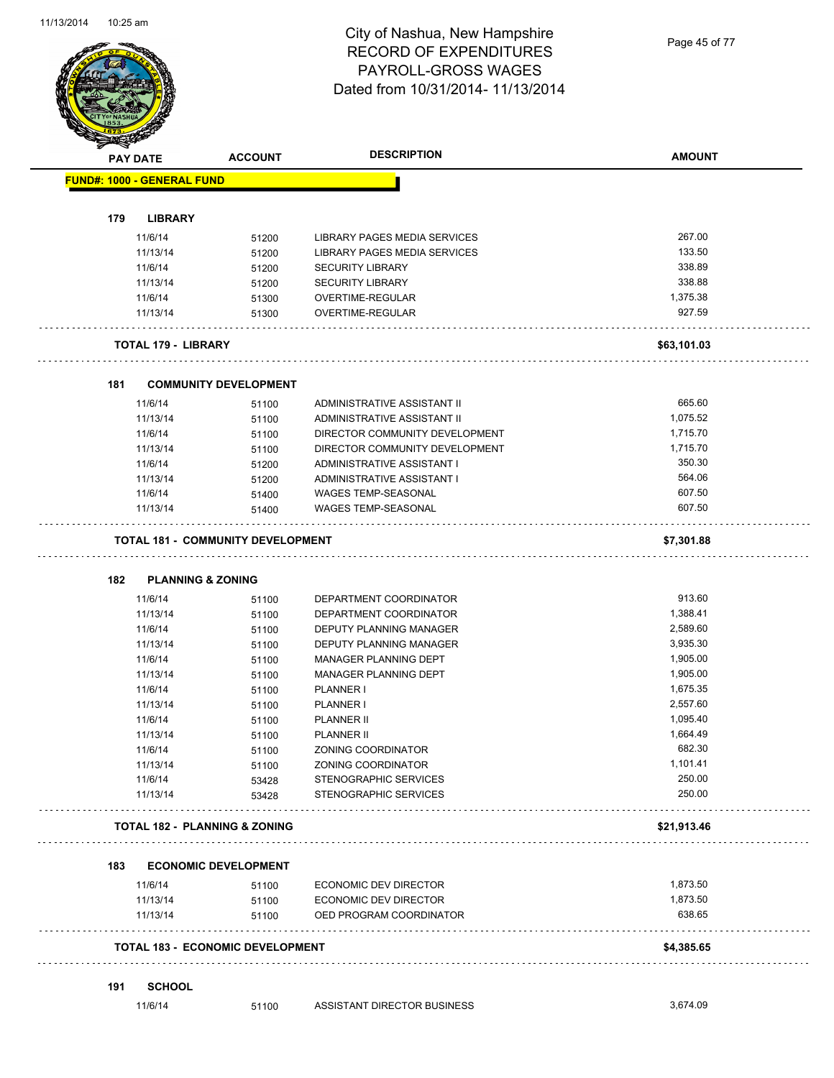Page 45 of 77

|     | <b>PAY DATE</b>                   | <b>ACCOUNT</b>                           | <b>DESCRIPTION</b>                               | <b>AMOUNT</b>    |
|-----|-----------------------------------|------------------------------------------|--------------------------------------------------|------------------|
|     | <b>FUND#: 1000 - GENERAL FUND</b> |                                          |                                                  |                  |
|     |                                   |                                          |                                                  |                  |
| 179 | <b>LIBRARY</b>                    |                                          |                                                  |                  |
|     | 11/6/14                           | 51200                                    | LIBRARY PAGES MEDIA SERVICES                     | 267.00           |
|     | 11/13/14                          | 51200                                    | LIBRARY PAGES MEDIA SERVICES                     | 133.50           |
|     | 11/6/14                           | 51200                                    | <b>SECURITY LIBRARY</b>                          | 338.89           |
|     | 11/13/14                          | 51200                                    | <b>SECURITY LIBRARY</b>                          | 338.88           |
|     | 11/6/14                           | 51300                                    | OVERTIME-REGULAR                                 | 1,375.38         |
|     | 11/13/14                          | 51300                                    | OVERTIME-REGULAR                                 | 927.59           |
|     | <b>TOTAL 179 - LIBRARY</b>        |                                          |                                                  | \$63,101.03      |
| 181 |                                   | <b>COMMUNITY DEVELOPMENT</b>             |                                                  |                  |
|     | 11/6/14                           | 51100                                    | ADMINISTRATIVE ASSISTANT II                      | 665.60           |
|     | 11/13/14                          |                                          | ADMINISTRATIVE ASSISTANT II                      | 1,075.52         |
|     | 11/6/14                           | 51100<br>51100                           | DIRECTOR COMMUNITY DEVELOPMENT                   | 1,715.70         |
|     | 11/13/14                          |                                          | DIRECTOR COMMUNITY DEVELOPMENT                   | 1,715.70         |
|     | 11/6/14                           | 51100                                    | ADMINISTRATIVE ASSISTANT I                       | 350.30           |
|     |                                   | 51200                                    |                                                  | 564.06           |
|     | 11/13/14                          | 51200                                    | ADMINISTRATIVE ASSISTANT I                       |                  |
|     | 11/6/14                           | 51400                                    | <b>WAGES TEMP-SEASONAL</b>                       | 607.50<br>607.50 |
|     | 11/13/14                          | 51400                                    | <b>WAGES TEMP-SEASONAL</b>                       |                  |
|     |                                   | <b>TOTAL 181 - COMMUNITY DEVELOPMENT</b> |                                                  | \$7,301.88       |
| 182 | <b>PLANNING &amp; ZONING</b>      |                                          |                                                  |                  |
|     | 11/6/14                           | 51100                                    | DEPARTMENT COORDINATOR                           | 913.60           |
|     | 11/13/14                          | 51100                                    | DEPARTMENT COORDINATOR                           | 1,388.41         |
|     | 11/6/14                           | 51100                                    | DEPUTY PLANNING MANAGER                          | 2,589.60         |
|     | 11/13/14                          | 51100                                    | DEPUTY PLANNING MANAGER                          | 3,935.30         |
|     | 11/6/14                           | 51100                                    | MANAGER PLANNING DEPT                            | 1,905.00         |
|     | 11/13/14                          | 51100                                    | MANAGER PLANNING DEPT                            | 1,905.00         |
|     | 11/6/14                           | 51100                                    | PLANNER I                                        | 1,675.35         |
|     | 11/13/14                          | 51100                                    | <b>PLANNER I</b>                                 | 2,557.60         |
|     | 11/6/14                           |                                          | <b>PLANNER II</b>                                | 1,095.40         |
|     | 11/13/14                          | 51100                                    | <b>PLANNER II</b>                                | 1,664.49         |
|     |                                   | 51100                                    |                                                  | 682.30           |
|     | 11/6/14                           | 51100                                    | ZONING COORDINATOR                               | 1,101.41         |
|     | 11/13/14                          | 51100                                    | ZONING COORDINATOR<br>STENOGRAPHIC SERVICES      |                  |
|     |                                   |                                          |                                                  |                  |
|     | 11/6/14                           | 53428                                    |                                                  | 250.00           |
|     | 11/13/14                          | 53428                                    | STENOGRAPHIC SERVICES                            | 250.00           |
|     |                                   | <b>TOTAL 182 - PLANNING &amp; ZONING</b> |                                                  | \$21,913.46      |
| 183 |                                   | <b>ECONOMIC DEVELOPMENT</b>              |                                                  |                  |
|     |                                   |                                          | <b>ECONOMIC DEV DIRECTOR</b>                     | 1,873.50         |
|     | 11/6/14                           | 51100                                    |                                                  | 1,873.50         |
|     | 11/13/14<br>11/13/14              | 51100<br>51100                           | ECONOMIC DEV DIRECTOR<br>OED PROGRAM COORDINATOR | 638.65           |
|     |                                   | <b>TOTAL 183 - ECONOMIC DEVELOPMENT</b>  |                                                  | \$4,385.65       |
|     |                                   |                                          |                                                  |                  |
| 191 | <b>SCHOOL</b><br>11/6/14          |                                          | ASSISTANT DIRECTOR BUSINESS                      | 3,674.09         |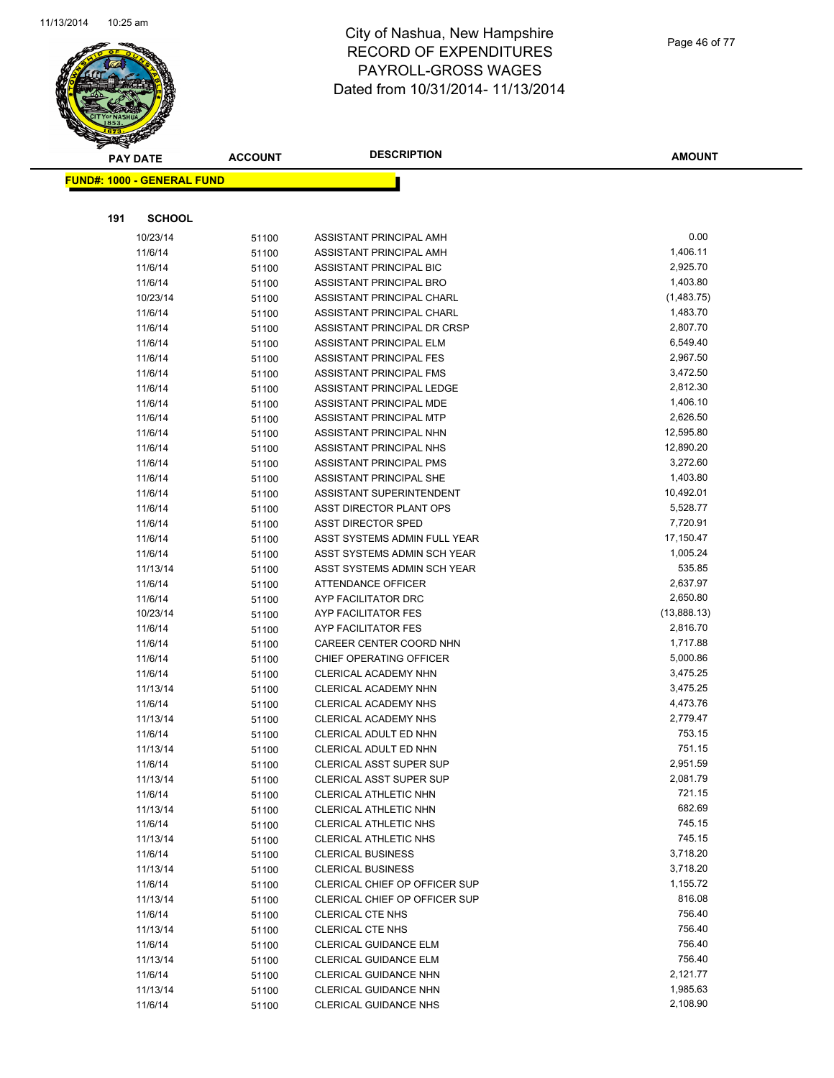

|     | <b>PAY DATE</b>                   | <b>ACCOUNT</b> | <b>DESCRIPTION</b>                                             | AMOUNT           |
|-----|-----------------------------------|----------------|----------------------------------------------------------------|------------------|
|     | <b>FUND#: 1000 - GENERAL FUND</b> |                |                                                                |                  |
|     |                                   |                |                                                                |                  |
| 191 | <b>SCHOOL</b>                     |                |                                                                |                  |
|     | 10/23/14                          | 51100          | ASSISTANT PRINCIPAL AMH                                        | 0.00             |
|     | 11/6/14                           | 51100          | ASSISTANT PRINCIPAL AMH                                        | 1,406.11         |
|     | 11/6/14                           | 51100          | ASSISTANT PRINCIPAL BIC                                        | 2,925.70         |
|     | 11/6/14                           | 51100          | ASSISTANT PRINCIPAL BRO                                        | 1,403.80         |
|     | 10/23/14                          | 51100          | ASSISTANT PRINCIPAL CHARL                                      | (1,483.75)       |
|     | 11/6/14                           | 51100          | ASSISTANT PRINCIPAL CHARL                                      | 1,483.70         |
|     | 11/6/14                           | 51100          | ASSISTANT PRINCIPAL DR CRSP                                    | 2,807.70         |
|     | 11/6/14                           | 51100          | ASSISTANT PRINCIPAL ELM                                        | 6,549.40         |
|     | 11/6/14                           | 51100          | <b>ASSISTANT PRINCIPAL FES</b>                                 | 2,967.50         |
|     | 11/6/14                           | 51100          | ASSISTANT PRINCIPAL FMS                                        | 3,472.50         |
|     | 11/6/14                           | 51100          | ASSISTANT PRINCIPAL LEDGE                                      | 2,812.30         |
|     | 11/6/14                           | 51100          | ASSISTANT PRINCIPAL MDE                                        | 1,406.10         |
|     | 11/6/14                           | 51100          | ASSISTANT PRINCIPAL MTP                                        | 2,626.50         |
|     | 11/6/14                           | 51100          | ASSISTANT PRINCIPAL NHN                                        | 12,595.80        |
|     | 11/6/14                           | 51100          | ASSISTANT PRINCIPAL NHS                                        | 12,890.20        |
|     | 11/6/14                           | 51100          | ASSISTANT PRINCIPAL PMS                                        | 3,272.60         |
|     | 11/6/14                           | 51100          | ASSISTANT PRINCIPAL SHE                                        | 1,403.80         |
|     | 11/6/14                           | 51100          | ASSISTANT SUPERINTENDENT                                       | 10,492.01        |
|     | 11/6/14                           | 51100          | ASST DIRECTOR PLANT OPS                                        | 5,528.77         |
|     | 11/6/14                           | 51100          | <b>ASST DIRECTOR SPED</b>                                      | 7,720.91         |
|     | 11/6/14                           | 51100          | ASST SYSTEMS ADMIN FULL YEAR                                   | 17,150.47        |
|     | 11/6/14                           | 51100          | ASST SYSTEMS ADMIN SCH YEAR                                    | 1,005.24         |
|     | 11/13/14                          | 51100          | ASST SYSTEMS ADMIN SCH YEAR                                    | 535.85           |
|     | 11/6/14                           | 51100          | <b>ATTENDANCE OFFICER</b>                                      | 2,637.97         |
|     | 11/6/14                           | 51100          | AYP FACILITATOR DRC                                            | 2,650.80         |
|     | 10/23/14                          | 51100          | AYP FACILITATOR FES                                            | (13,888.13)      |
|     | 11/6/14                           | 51100          | AYP FACILITATOR FES                                            | 2,816.70         |
|     | 11/6/14                           | 51100          | CAREER CENTER COORD NHN                                        | 1,717.88         |
|     | 11/6/14                           | 51100          | CHIEF OPERATING OFFICER                                        | 5,000.86         |
|     | 11/6/14                           | 51100          | <b>CLERICAL ACADEMY NHN</b>                                    | 3,475.25         |
|     | 11/13/14                          | 51100          | CLERICAL ACADEMY NHN                                           | 3,475.25         |
|     | 11/6/14                           | 51100          | CLERICAL ACADEMY NHS                                           | 4,473.76         |
|     | 11/13/14                          | 51100          | CLERICAL ACADEMY NHS                                           | 2,779.47         |
|     | 11/6/14                           | 51100          | CLERICAL ADULT ED NHN                                          | 753.15           |
|     | 11/13/14                          | 51100          | CLERICAL ADULT ED NHN                                          | 751.15           |
|     | 11/6/14                           | 51100          | <b>CLERICAL ASST SUPER SUP</b>                                 | 2,951.59         |
|     | 11/13/14                          | 51100          | <b>CLERICAL ASST SUPER SUP</b>                                 | 2,081.79         |
|     | 11/6/14                           | 51100          | CLERICAL ATHLETIC NHN                                          | 721.15           |
|     | 11/13/14                          | 51100          | CLERICAL ATHLETIC NHN                                          | 682.69<br>745.15 |
|     | 11/6/14                           | 51100          | CLERICAL ATHLETIC NHS                                          | 745.15           |
|     | 11/13/14                          | 51100          | <b>CLERICAL ATHLETIC NHS</b>                                   | 3,718.20         |
|     | 11/6/14                           | 51100          | <b>CLERICAL BUSINESS</b>                                       | 3,718.20         |
|     | 11/13/14                          | 51100          | <b>CLERICAL BUSINESS</b>                                       | 1,155.72         |
|     | 11/6/14<br>11/13/14               | 51100          | CLERICAL CHIEF OP OFFICER SUP<br>CLERICAL CHIEF OP OFFICER SUP | 816.08           |
|     |                                   | 51100          |                                                                | 756.40           |
|     | 11/6/14<br>11/13/14               | 51100          | <b>CLERICAL CTE NHS</b><br><b>CLERICAL CTE NHS</b>             | 756.40           |
|     | 11/6/14                           | 51100<br>51100 | <b>CLERICAL GUIDANCE ELM</b>                                   | 756.40           |
|     | 11/13/14                          | 51100          | CLERICAL GUIDANCE ELM                                          | 756.40           |
|     | 11/6/14                           | 51100          | CLERICAL GUIDANCE NHN                                          | 2,121.77         |
|     | 11/13/14                          | 51100          | CLERICAL GUIDANCE NHN                                          | 1,985.63         |
|     | 11/6/14                           | 51100          | CLERICAL GUIDANCE NHS                                          | 2,108.90         |
|     |                                   |                |                                                                |                  |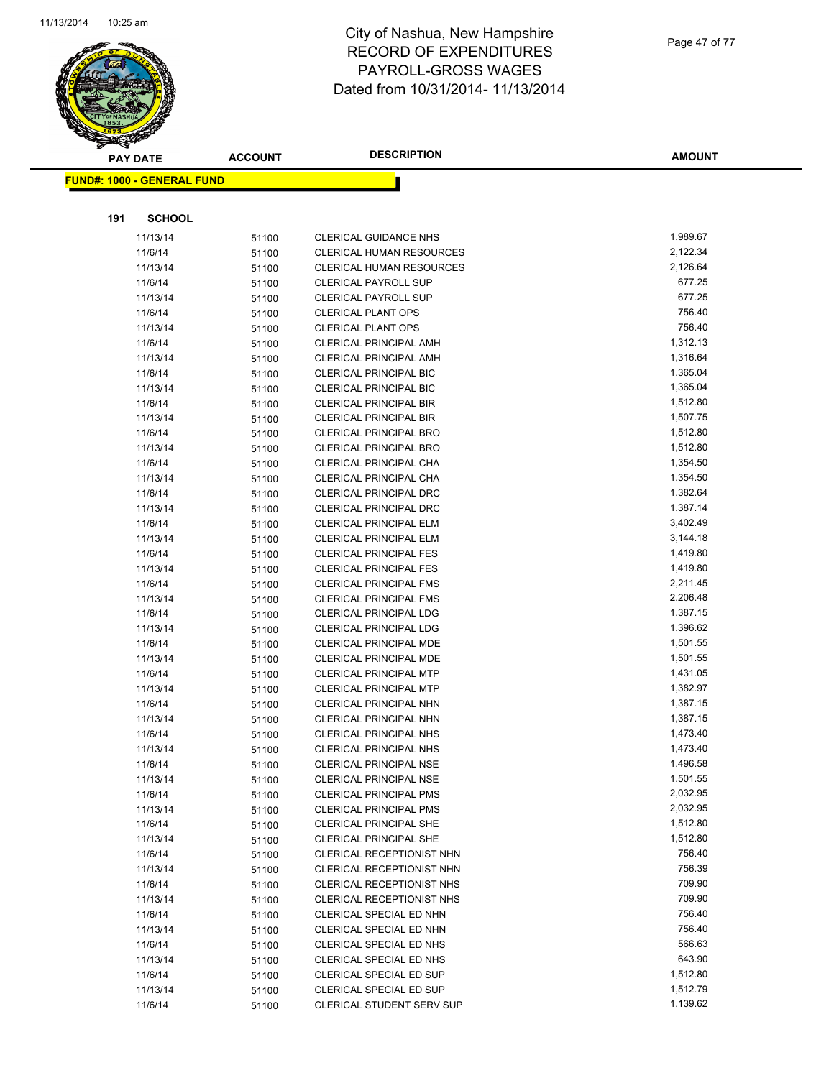

Page 47 of 77

|     | <b>PAY DATE</b>                   | <b>ACCOUNT</b> | <b>DESCRIPTION</b>                                             | <b>AMOUNT</b>        |
|-----|-----------------------------------|----------------|----------------------------------------------------------------|----------------------|
|     | <b>FUND#: 1000 - GENERAL FUND</b> |                |                                                                |                      |
|     |                                   |                |                                                                |                      |
|     |                                   |                |                                                                |                      |
| 191 | <b>SCHOOL</b>                     |                |                                                                |                      |
|     | 11/13/14                          | 51100          | CLERICAL GUIDANCE NHS                                          | 1,989.67             |
|     | 11/6/14                           | 51100          | <b>CLERICAL HUMAN RESOURCES</b>                                | 2,122.34             |
|     | 11/13/14                          | 51100          | CLERICAL HUMAN RESOURCES                                       | 2,126.64             |
|     | 11/6/14                           | 51100          | <b>CLERICAL PAYROLL SUP</b>                                    | 677.25               |
|     | 11/13/14                          | 51100          | <b>CLERICAL PAYROLL SUP</b>                                    | 677.25               |
|     | 11/6/14                           | 51100          | <b>CLERICAL PLANT OPS</b>                                      | 756.40<br>756.40     |
|     | 11/13/14                          | 51100          | <b>CLERICAL PLANT OPS</b>                                      | 1,312.13             |
|     | 11/6/14<br>11/13/14               | 51100<br>51100 | <b>CLERICAL PRINCIPAL AMH</b><br><b>CLERICAL PRINCIPAL AMH</b> | 1,316.64             |
|     | 11/6/14                           |                | <b>CLERICAL PRINCIPAL BIC</b>                                  | 1,365.04             |
|     | 11/13/14                          | 51100<br>51100 | <b>CLERICAL PRINCIPAL BIC</b>                                  | 1,365.04             |
|     | 11/6/14                           |                | <b>CLERICAL PRINCIPAL BIR</b>                                  | 1,512.80             |
|     | 11/13/14                          | 51100<br>51100 | <b>CLERICAL PRINCIPAL BIR</b>                                  | 1,507.75             |
|     | 11/6/14                           | 51100          | <b>CLERICAL PRINCIPAL BRO</b>                                  | 1,512.80             |
|     | 11/13/14                          | 51100          | <b>CLERICAL PRINCIPAL BRO</b>                                  | 1,512.80             |
|     | 11/6/14                           | 51100          | CLERICAL PRINCIPAL CHA                                         | 1,354.50             |
|     | 11/13/14                          | 51100          | CLERICAL PRINCIPAL CHA                                         | 1,354.50             |
|     | 11/6/14                           | 51100          | <b>CLERICAL PRINCIPAL DRC</b>                                  | 1,382.64             |
|     | 11/13/14                          | 51100          | <b>CLERICAL PRINCIPAL DRC</b>                                  | 1,387.14             |
|     | 11/6/14                           | 51100          | <b>CLERICAL PRINCIPAL ELM</b>                                  | 3,402.49             |
|     | 11/13/14                          | 51100          | <b>CLERICAL PRINCIPAL ELM</b>                                  | 3,144.18             |
|     | 11/6/14                           | 51100          | <b>CLERICAL PRINCIPAL FES</b>                                  | 1,419.80             |
|     | 11/13/14                          | 51100          | <b>CLERICAL PRINCIPAL FES</b>                                  | 1,419.80             |
|     | 11/6/14                           | 51100          | <b>CLERICAL PRINCIPAL FMS</b>                                  | 2,211.45             |
|     | 11/13/14                          | 51100          | <b>CLERICAL PRINCIPAL FMS</b>                                  | 2,206.48             |
|     | 11/6/14                           | 51100          | <b>CLERICAL PRINCIPAL LDG</b>                                  | 1,387.15             |
|     | 11/13/14                          | 51100          | <b>CLERICAL PRINCIPAL LDG</b>                                  | 1,396.62             |
|     | 11/6/14                           | 51100          | CLERICAL PRINCIPAL MDE                                         | 1,501.55             |
|     | 11/13/14                          | 51100          | <b>CLERICAL PRINCIPAL MDE</b>                                  | 1,501.55             |
|     | 11/6/14                           | 51100          | <b>CLERICAL PRINCIPAL MTP</b>                                  | 1,431.05             |
|     | 11/13/14                          | 51100          | CLERICAL PRINCIPAL MTP                                         | 1,382.97             |
|     | 11/6/14                           | 51100          | CLERICAL PRINCIPAL NHN                                         | 1,387.15             |
|     | 11/13/14                          | 51100          | CLERICAL PRINCIPAL NHN                                         | 1,387.15             |
|     | 11/6/14                           | 51100          | <b>CLERICAL PRINCIPAL NHS</b>                                  | 1,473.40             |
|     | 11/13/14                          | 51100          | <b>CLERICAL PRINCIPAL NHS</b>                                  | 1,473.40             |
|     | 11/6/14                           | 51100          | <b>CLERICAL PRINCIPAL NSE</b>                                  | 1,496.58             |
|     | 11/13/14                          | 51100          | <b>CLERICAL PRINCIPAL NSE</b>                                  | 1,501.55             |
|     | 11/6/14                           | 51100          | <b>CLERICAL PRINCIPAL PMS</b>                                  | 2,032.95             |
|     | 11/13/14                          | 51100          | <b>CLERICAL PRINCIPAL PMS</b><br><b>CLERICAL PRINCIPAL SHE</b> | 2,032.95<br>1,512.80 |
|     | 11/6/14<br>11/13/14               | 51100          | <b>CLERICAL PRINCIPAL SHE</b>                                  | 1,512.80             |
|     | 11/6/14                           | 51100          | CLERICAL RECEPTIONIST NHN                                      | 756.40               |
|     | 11/13/14                          | 51100<br>51100 | CLERICAL RECEPTIONIST NHN                                      | 756.39               |
|     | 11/6/14                           | 51100          | CLERICAL RECEPTIONIST NHS                                      | 709.90               |
|     | 11/13/14                          | 51100          | CLERICAL RECEPTIONIST NHS                                      | 709.90               |
|     | 11/6/14                           | 51100          | CLERICAL SPECIAL ED NHN                                        | 756.40               |
|     | 11/13/14                          | 51100          | CLERICAL SPECIAL ED NHN                                        | 756.40               |
|     | 11/6/14                           | 51100          | CLERICAL SPECIAL ED NHS                                        | 566.63               |
|     | 11/13/14                          | 51100          | CLERICAL SPECIAL ED NHS                                        | 643.90               |
|     | 11/6/14                           | 51100          | CLERICAL SPECIAL ED SUP                                        | 1,512.80             |
|     | 11/13/14                          | 51100          | CLERICAL SPECIAL ED SUP                                        | 1,512.79             |
|     | 11/6/14                           | 51100          | CLERICAL STUDENT SERV SUP                                      | 1,139.62             |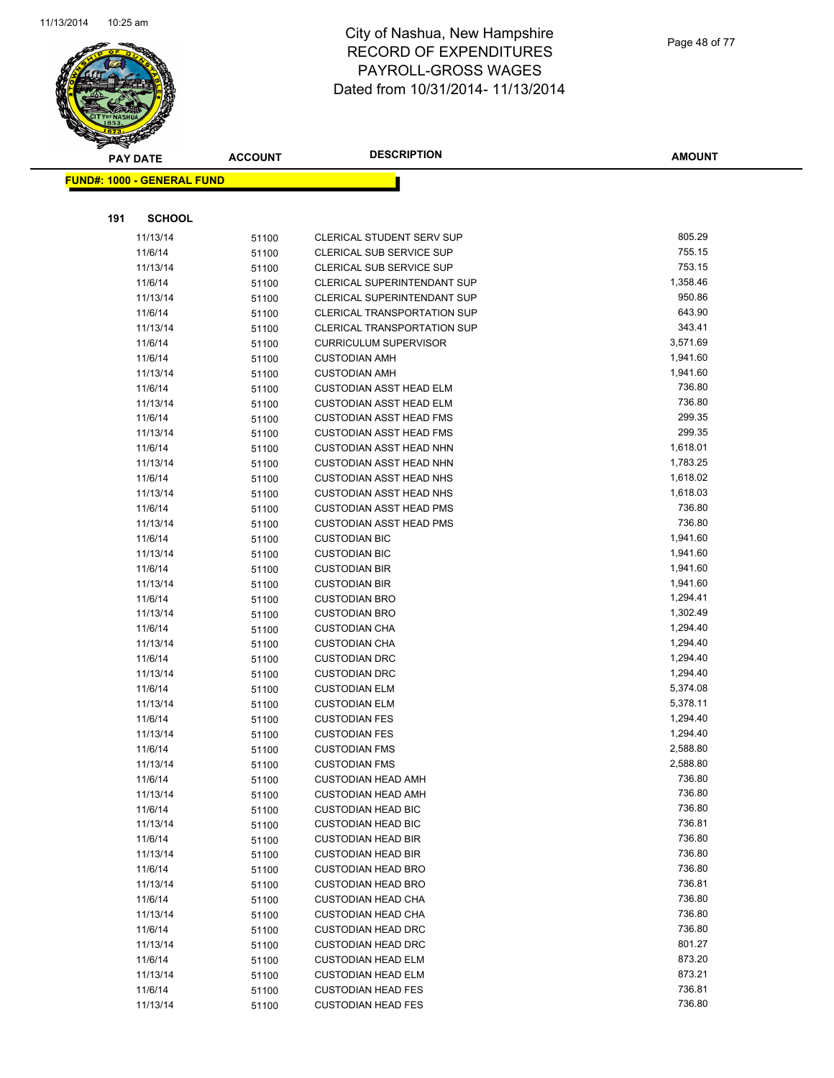

Page 48 of 77

|     | <b>PAY DATE</b>                   | <b>ACCOUNT</b> | <b>DESCRIPTION</b>                                     | <b>AMOUNT</b>      |
|-----|-----------------------------------|----------------|--------------------------------------------------------|--------------------|
|     | <b>FUND#: 1000 - GENERAL FUND</b> |                |                                                        |                    |
|     |                                   |                |                                                        |                    |
|     |                                   |                |                                                        |                    |
| 191 | <b>SCHOOL</b>                     |                |                                                        |                    |
|     | 11/13/14                          | 51100          | <b>CLERICAL STUDENT SERV SUP</b>                       | 805.29             |
|     | 11/6/14                           | 51100          | CLERICAL SUB SERVICE SUP                               | 755.15             |
|     | 11/13/14                          | 51100          | CLERICAL SUB SERVICE SUP                               | 753.15             |
|     | 11/6/14                           | 51100          | CLERICAL SUPERINTENDANT SUP                            | 1,358.46           |
|     | 11/13/14                          | 51100          | <b>CLERICAL SUPERINTENDANT SUP</b>                     | 950.86             |
|     | 11/6/14                           | 51100          | CLERICAL TRANSPORTATION SUP                            | 643.90             |
|     | 11/13/14                          | 51100          | <b>CLERICAL TRANSPORTATION SUP</b>                     | 343.41             |
|     | 11/6/14                           | 51100          | <b>CURRICULUM SUPERVISOR</b>                           | 3,571.69           |
|     | 11/6/14                           | 51100          | <b>CUSTODIAN AMH</b>                                   | 1,941.60           |
|     | 11/13/14                          | 51100          | <b>CUSTODIAN AMH</b>                                   | 1,941.60           |
|     | 11/6/14                           | 51100          | <b>CUSTODIAN ASST HEAD ELM</b>                         | 736.80             |
|     | 11/13/14                          | 51100          | <b>CUSTODIAN ASST HEAD ELM</b>                         | 736.80             |
|     | 11/6/14                           | 51100          | <b>CUSTODIAN ASST HEAD FMS</b>                         | 299.35             |
|     | 11/13/14                          | 51100          | <b>CUSTODIAN ASST HEAD FMS</b>                         | 299.35             |
|     | 11/6/14                           | 51100          | <b>CUSTODIAN ASST HEAD NHN</b>                         | 1,618.01           |
|     | 11/13/14                          | 51100          | <b>CUSTODIAN ASST HEAD NHN</b>                         | 1,783.25           |
|     | 11/6/14                           | 51100          | <b>CUSTODIAN ASST HEAD NHS</b>                         | 1,618.02           |
|     | 11/13/14                          | 51100          | <b>CUSTODIAN ASST HEAD NHS</b>                         | 1,618.03           |
|     | 11/6/14                           | 51100          | <b>CUSTODIAN ASST HEAD PMS</b>                         | 736.80             |
|     | 11/13/14                          | 51100          | <b>CUSTODIAN ASST HEAD PMS</b>                         | 736.80             |
|     | 11/6/14                           | 51100          | <b>CUSTODIAN BIC</b>                                   | 1,941.60           |
|     | 11/13/14                          | 51100          | <b>CUSTODIAN BIC</b>                                   | 1,941.60           |
|     | 11/6/14                           | 51100          | <b>CUSTODIAN BIR</b>                                   | 1,941.60           |
|     | 11/13/14                          | 51100          | <b>CUSTODIAN BIR</b>                                   | 1,941.60           |
|     | 11/6/14                           | 51100          | <b>CUSTODIAN BRO</b>                                   | 1,294.41           |
|     | 11/13/14                          | 51100          | <b>CUSTODIAN BRO</b>                                   | 1,302.49           |
|     | 11/6/14                           | 51100          | <b>CUSTODIAN CHA</b>                                   | 1,294.40           |
|     | 11/13/14                          | 51100          | <b>CUSTODIAN CHA</b>                                   | 1,294.40           |
|     | 11/6/14                           | 51100          | <b>CUSTODIAN DRC</b>                                   | 1,294.40           |
|     | 11/13/14                          | 51100          | <b>CUSTODIAN DRC</b>                                   | 1,294.40           |
|     | 11/6/14                           | 51100          | <b>CUSTODIAN ELM</b>                                   | 5,374.08           |
|     | 11/13/14                          | 51100          | <b>CUSTODIAN ELM</b>                                   | 5,378.11           |
|     | 11/6/14                           | 51100          | <b>CUSTODIAN FES</b>                                   | 1,294.40           |
|     | 11/13/14                          | 51100          | <b>CUSTODIAN FES</b>                                   | 1,294.40           |
|     | 11/6/14                           | 51100          | <b>CUSTODIAN FMS</b>                                   | 2,588.80           |
|     | 11/13/14                          | 51100          | <b>CUSTODIAN FMS</b>                                   | 2,588.80<br>736.80 |
|     | 11/6/14<br>11/13/14               | 51100          | <b>CUSTODIAN HEAD AMH</b>                              | 736.80             |
|     |                                   | 51100          | <b>CUSTODIAN HEAD AMH</b>                              | 736.80             |
|     | 11/6/14<br>11/13/14               | 51100          | <b>CUSTODIAN HEAD BIC</b>                              | 736.81             |
|     | 11/6/14                           | 51100          | <b>CUSTODIAN HEAD BIC</b><br><b>CUSTODIAN HEAD BIR</b> | 736.80             |
|     | 11/13/14                          | 51100          | <b>CUSTODIAN HEAD BIR</b>                              | 736.80             |
|     | 11/6/14                           | 51100          | <b>CUSTODIAN HEAD BRO</b>                              | 736.80             |
|     | 11/13/14                          | 51100          |                                                        | 736.81             |
|     | 11/6/14                           | 51100          | <b>CUSTODIAN HEAD BRO</b><br><b>CUSTODIAN HEAD CHA</b> | 736.80             |
|     | 11/13/14                          | 51100          | <b>CUSTODIAN HEAD CHA</b>                              | 736.80             |
|     | 11/6/14                           | 51100          | <b>CUSTODIAN HEAD DRC</b>                              | 736.80             |
|     | 11/13/14                          | 51100<br>51100 | <b>CUSTODIAN HEAD DRC</b>                              | 801.27             |
|     | 11/6/14                           | 51100          | <b>CUSTODIAN HEAD ELM</b>                              | 873.20             |
|     | 11/13/14                          | 51100          | <b>CUSTODIAN HEAD ELM</b>                              | 873.21             |
|     | 11/6/14                           | 51100          | <b>CUSTODIAN HEAD FES</b>                              | 736.81             |
|     | 11/13/14                          | 51100          | <b>CUSTODIAN HEAD FES</b>                              | 736.80             |
|     |                                   |                |                                                        |                    |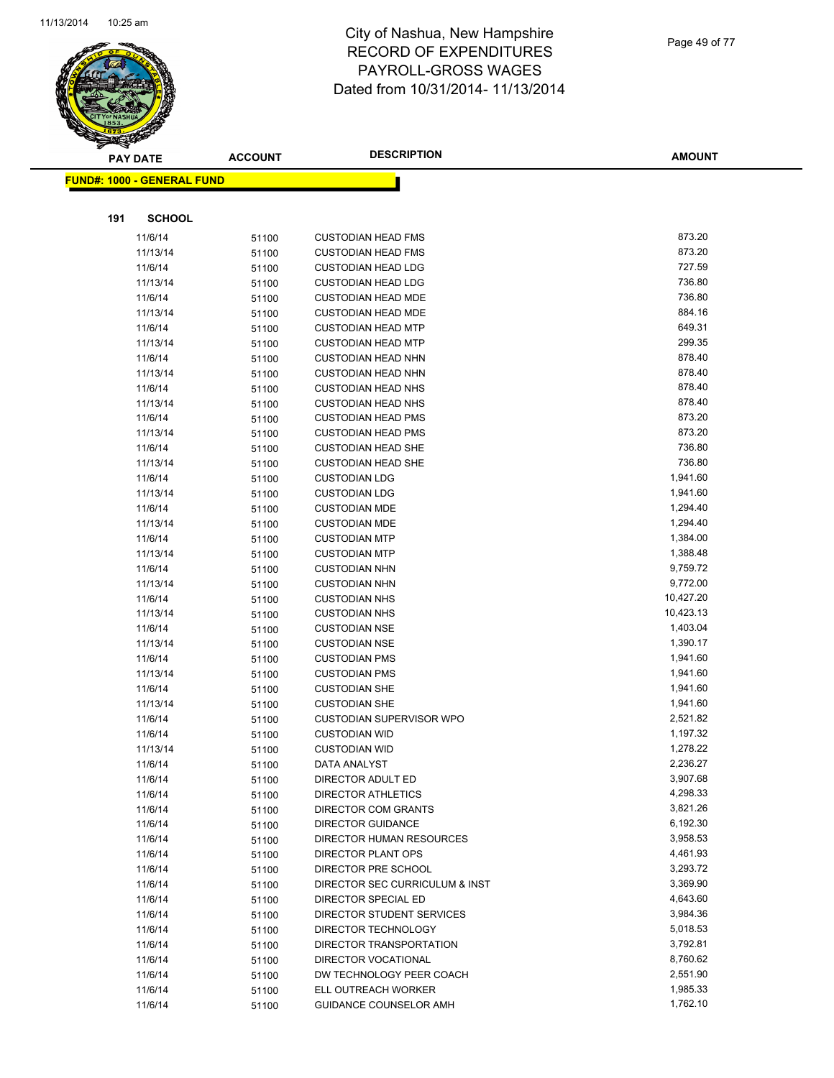

|     | <b>PAY DATE</b>                   | <b>ACCOUNT</b> | <b>DESCRIPTION</b>                               | <b>AMOUNT</b>        |
|-----|-----------------------------------|----------------|--------------------------------------------------|----------------------|
|     | <b>FUND#: 1000 - GENERAL FUND</b> |                |                                                  |                      |
|     |                                   |                |                                                  |                      |
| 191 | <b>SCHOOL</b>                     |                |                                                  |                      |
|     | 11/6/14                           | 51100          | <b>CUSTODIAN HEAD FMS</b>                        | 873.20               |
|     | 11/13/14                          | 51100          | <b>CUSTODIAN HEAD FMS</b>                        | 873.20               |
|     | 11/6/14                           | 51100          | <b>CUSTODIAN HEAD LDG</b>                        | 727.59               |
|     | 11/13/14                          | 51100          | <b>CUSTODIAN HEAD LDG</b>                        | 736.80               |
|     | 11/6/14                           | 51100          | <b>CUSTODIAN HEAD MDE</b>                        | 736.80               |
|     | 11/13/14                          | 51100          | <b>CUSTODIAN HEAD MDE</b>                        | 884.16               |
|     | 11/6/14                           | 51100          | <b>CUSTODIAN HEAD MTP</b>                        | 649.31               |
|     | 11/13/14                          | 51100          | <b>CUSTODIAN HEAD MTP</b>                        | 299.35               |
|     | 11/6/14                           | 51100          | <b>CUSTODIAN HEAD NHN</b>                        | 878.40               |
|     | 11/13/14                          | 51100          | <b>CUSTODIAN HEAD NHN</b>                        | 878.40               |
|     | 11/6/14                           | 51100          | <b>CUSTODIAN HEAD NHS</b>                        | 878.40               |
|     | 11/13/14                          | 51100          | <b>CUSTODIAN HEAD NHS</b>                        | 878.40               |
|     | 11/6/14                           | 51100          | <b>CUSTODIAN HEAD PMS</b>                        | 873.20               |
|     | 11/13/14                          | 51100          | <b>CUSTODIAN HEAD PMS</b>                        | 873.20               |
|     | 11/6/14                           | 51100          | <b>CUSTODIAN HEAD SHE</b>                        | 736.80               |
|     | 11/13/14                          | 51100          | <b>CUSTODIAN HEAD SHE</b>                        | 736.80               |
|     | 11/6/14                           | 51100          | <b>CUSTODIAN LDG</b>                             | 1,941.60             |
|     | 11/13/14                          | 51100          | <b>CUSTODIAN LDG</b>                             | 1,941.60             |
|     | 11/6/14                           | 51100          | <b>CUSTODIAN MDE</b>                             | 1,294.40             |
|     | 11/13/14                          | 51100          | <b>CUSTODIAN MDE</b>                             | 1,294.40             |
|     | 11/6/14                           | 51100          | <b>CUSTODIAN MTP</b>                             | 1,384.00             |
|     | 11/13/14                          | 51100          | <b>CUSTODIAN MTP</b>                             | 1,388.48             |
|     | 11/6/14                           | 51100          | <b>CUSTODIAN NHN</b>                             | 9,759.72             |
|     | 11/13/14                          | 51100          | <b>CUSTODIAN NHN</b>                             | 9,772.00             |
|     | 11/6/14                           | 51100          | <b>CUSTODIAN NHS</b>                             | 10,427.20            |
|     | 11/13/14                          | 51100          | <b>CUSTODIAN NHS</b>                             | 10,423.13            |
|     | 11/6/14                           | 51100          | <b>CUSTODIAN NSE</b>                             | 1,403.04             |
|     | 11/13/14                          | 51100          | <b>CUSTODIAN NSE</b>                             | 1,390.17             |
|     | 11/6/14                           | 51100          | <b>CUSTODIAN PMS</b>                             | 1,941.60             |
|     | 11/13/14                          | 51100          | <b>CUSTODIAN PMS</b>                             | 1,941.60             |
|     | 11/6/14                           | 51100          | <b>CUSTODIAN SHE</b>                             | 1,941.60             |
|     | 11/13/14                          | 51100          | <b>CUSTODIAN SHE</b>                             | 1,941.60             |
|     | 11/6/14                           | 51100          | CUSTODIAN SUPERVISOR WPO                         | 2,521.82             |
|     | 11/6/14                           | 51100          | <b>CUSTODIAN WID</b>                             | 1,197.32             |
|     | 11/13/14                          | 51100          | <b>CUSTODIAN WID</b>                             | 1,278.22             |
|     | 11/6/14                           | 51100          | DATA ANALYST                                     | 2,236.27<br>3,907.68 |
|     | 11/6/14<br>11/6/14                | 51100          | DIRECTOR ADULT ED                                | 4,298.33             |
|     | 11/6/14                           | 51100          | DIRECTOR ATHLETICS<br><b>DIRECTOR COM GRANTS</b> | 3,821.26             |
|     | 11/6/14                           | 51100          | DIRECTOR GUIDANCE                                | 6,192.30             |
|     | 11/6/14                           | 51100<br>51100 | DIRECTOR HUMAN RESOURCES                         | 3,958.53             |
|     | 11/6/14                           |                | <b>DIRECTOR PLANT OPS</b>                        | 4,461.93             |
|     | 11/6/14                           | 51100<br>51100 | DIRECTOR PRE SCHOOL                              | 3,293.72             |
|     | 11/6/14                           | 51100          | DIRECTOR SEC CURRICULUM & INST                   | 3,369.90             |
|     | 11/6/14                           | 51100          | DIRECTOR SPECIAL ED                              | 4,643.60             |
|     | 11/6/14                           | 51100          | DIRECTOR STUDENT SERVICES                        | 3,984.36             |
|     | 11/6/14                           | 51100          | DIRECTOR TECHNOLOGY                              | 5,018.53             |
|     | 11/6/14                           | 51100          | DIRECTOR TRANSPORTATION                          | 3,792.81             |
|     | 11/6/14                           | 51100          | DIRECTOR VOCATIONAL                              | 8,760.62             |
|     | 11/6/14                           | 51100          | DW TECHNOLOGY PEER COACH                         | 2,551.90             |
|     | 11/6/14                           | 51100          | ELL OUTREACH WORKER                              | 1,985.33             |
|     | 11/6/14                           | 51100          | GUIDANCE COUNSELOR AMH                           | 1,762.10             |
|     |                                   |                |                                                  |                      |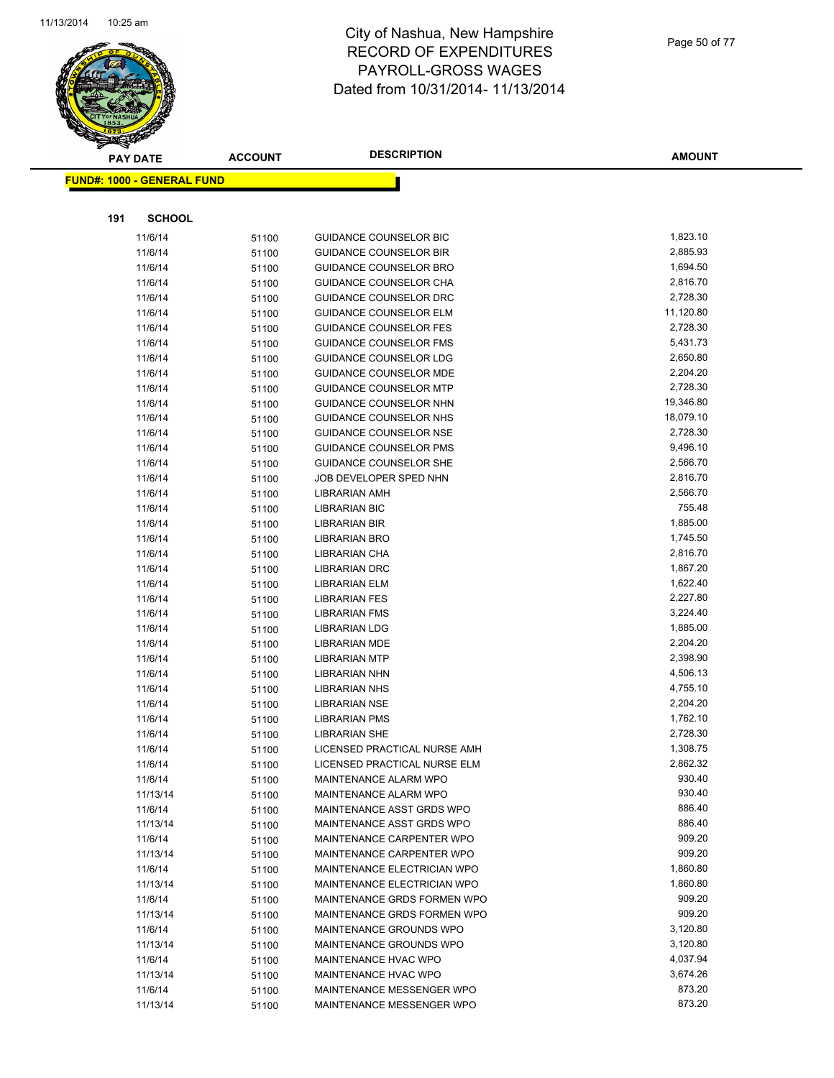

Page 50 of 77

| <u> FUND#: 1000 - GENERAL FUND</u><br>191<br><b>SCHOOL</b><br>1,823.10<br>11/6/14<br><b>GUIDANCE COUNSELOR BIC</b><br>51100<br>2,885.93<br>11/6/14<br><b>GUIDANCE COUNSELOR BIR</b><br>51100<br>1,694.50<br>11/6/14<br>51100<br><b>GUIDANCE COUNSELOR BRO</b><br>11/6/14<br>2,816.70<br>GUIDANCE COUNSELOR CHA<br>51100<br>2,728.30<br>11/6/14<br>51100<br><b>GUIDANCE COUNSELOR DRC</b><br>11/6/14<br>11,120.80<br><b>GUIDANCE COUNSELOR ELM</b><br>51100<br>2,728.30<br>11/6/14<br>51100<br><b>GUIDANCE COUNSELOR FES</b><br>5,431.73<br>11/6/14<br><b>GUIDANCE COUNSELOR FMS</b><br>51100<br>2,650.80<br>11/6/14<br>51100<br><b>GUIDANCE COUNSELOR LDG</b><br>2,204.20<br>11/6/14<br>GUIDANCE COUNSELOR MDE<br>51100<br>2,728.30<br>11/6/14<br><b>GUIDANCE COUNSELOR MTP</b><br>51100<br>19,346.80<br>11/6/14<br>GUIDANCE COUNSELOR NHN<br>51100<br>18,079.10<br>11/6/14<br><b>GUIDANCE COUNSELOR NHS</b><br>51100<br>2,728.30<br>11/6/14<br><b>GUIDANCE COUNSELOR NSE</b><br>51100<br>9,496.10<br>11/6/14<br><b>GUIDANCE COUNSELOR PMS</b><br>51100<br>2,566.70<br>11/6/14<br><b>GUIDANCE COUNSELOR SHE</b><br>51100<br>11/6/14<br>JOB DEVELOPER SPED NHN<br>2,816.70<br>51100<br>2,566.70<br>11/6/14<br><b>LIBRARIAN AMH</b><br>51100<br>755.48<br>11/6/14<br><b>LIBRARIAN BIC</b><br>51100<br>1,885.00<br>11/6/14<br>51100<br>LIBRARIAN BIR<br>1,745.50<br>11/6/14<br>LIBRARIAN BRO<br>51100<br>2,816.70<br>11/6/14<br>LIBRARIAN CHA<br>51100<br>1,867.20<br>11/6/14<br><b>LIBRARIAN DRC</b><br>51100<br>1,622.40<br>11/6/14<br>51100<br><b>LIBRARIAN ELM</b><br>2,227.80<br>11/6/14<br><b>LIBRARIAN FES</b><br>51100<br>11/6/14<br>3,224.40<br><b>LIBRARIAN FMS</b><br>51100<br>1,885.00<br>11/6/14<br><b>LIBRARIAN LDG</b><br>51100<br>11/6/14<br>2,204.20<br><b>LIBRARIAN MDE</b><br>51100<br>2,398.90<br>11/6/14<br>51100<br><b>LIBRARIAN MTP</b><br>11/6/14<br>4,506.13<br><b>LIBRARIAN NHN</b><br>51100<br>4,755.10<br>11/6/14<br><b>LIBRARIAN NHS</b><br>51100<br>2,204.20<br>11/6/14<br><b>LIBRARIAN NSE</b><br>51100<br>1,762.10<br>11/6/14<br>51100<br><b>LIBRARIAN PMS</b><br>2,728.30<br>11/6/14<br><b>LIBRARIAN SHE</b><br>51100<br>1,308.75<br>11/6/14<br>51100<br>LICENSED PRACTICAL NURSE AMH<br>2,862.32<br>11/6/14<br>LICENSED PRACTICAL NURSE ELM<br>51100<br>930.40<br>11/6/14<br>51100<br>MAINTENANCE ALARM WPO<br>930.40<br>11/13/14<br>MAINTENANCE ALARM WPO<br>51100<br>886.40<br>MAINTENANCE ASST GRDS WPO<br>11/6/14<br>51100<br>886.40<br>11/13/14<br>MAINTENANCE ASST GRDS WPO<br>51100<br>909.20<br>11/6/14<br>MAINTENANCE CARPENTER WPO<br>51100<br>909.20<br>11/13/14<br>MAINTENANCE CARPENTER WPO<br>51100<br>1,860.80<br>11/6/14<br>MAINTENANCE ELECTRICIAN WPO<br>51100<br>1,860.80<br>11/13/14<br>MAINTENANCE ELECTRICIAN WPO<br>51100<br>909.20<br>11/6/14<br>MAINTENANCE GRDS FORMEN WPO<br>51100<br>909.20<br>11/13/14<br>51100<br>MAINTENANCE GRDS FORMEN WPO<br>MAINTENANCE GROUNDS WPO<br>3,120.80<br>11/6/14<br>51100<br>3,120.80<br>11/13/14<br>MAINTENANCE GROUNDS WPO<br>51100<br>4,037.94<br>11/6/14<br>MAINTENANCE HVAC WPO<br>51100<br>3,674.26<br>11/13/14<br>MAINTENANCE HVAC WPO<br>51100<br>873.20<br>11/6/14<br>MAINTENANCE MESSENGER WPO<br>51100<br>873.20<br>MAINTENANCE MESSENGER WPO<br>11/13/14<br>51100 | $\tilde{\phantom{a}}$ | <b>PAY DATE</b> | <b>ACCOUNT</b> | <b>DESCRIPTION</b> | <b>AMOUNT</b> |
|---------------------------------------------------------------------------------------------------------------------------------------------------------------------------------------------------------------------------------------------------------------------------------------------------------------------------------------------------------------------------------------------------------------------------------------------------------------------------------------------------------------------------------------------------------------------------------------------------------------------------------------------------------------------------------------------------------------------------------------------------------------------------------------------------------------------------------------------------------------------------------------------------------------------------------------------------------------------------------------------------------------------------------------------------------------------------------------------------------------------------------------------------------------------------------------------------------------------------------------------------------------------------------------------------------------------------------------------------------------------------------------------------------------------------------------------------------------------------------------------------------------------------------------------------------------------------------------------------------------------------------------------------------------------------------------------------------------------------------------------------------------------------------------------------------------------------------------------------------------------------------------------------------------------------------------------------------------------------------------------------------------------------------------------------------------------------------------------------------------------------------------------------------------------------------------------------------------------------------------------------------------------------------------------------------------------------------------------------------------------------------------------------------------------------------------------------------------------------------------------------------------------------------------------------------------------------------------------------------------------------------------------------------------------------------------------------------------------------------------------------------------------------------------------------------------------------------------------------------------------------------------------------------------------------------------------------------------------------------------------------------------------------------------------------------------------------------------------------------------------------------------------------------------------------------------------------------------------------------------------------------------------------|-----------------------|-----------------|----------------|--------------------|---------------|
|                                                                                                                                                                                                                                                                                                                                                                                                                                                                                                                                                                                                                                                                                                                                                                                                                                                                                                                                                                                                                                                                                                                                                                                                                                                                                                                                                                                                                                                                                                                                                                                                                                                                                                                                                                                                                                                                                                                                                                                                                                                                                                                                                                                                                                                                                                                                                                                                                                                                                                                                                                                                                                                                                                                                                                                                                                                                                                                                                                                                                                                                                                                                                                                                                                                                           |                       |                 |                |                    |               |
|                                                                                                                                                                                                                                                                                                                                                                                                                                                                                                                                                                                                                                                                                                                                                                                                                                                                                                                                                                                                                                                                                                                                                                                                                                                                                                                                                                                                                                                                                                                                                                                                                                                                                                                                                                                                                                                                                                                                                                                                                                                                                                                                                                                                                                                                                                                                                                                                                                                                                                                                                                                                                                                                                                                                                                                                                                                                                                                                                                                                                                                                                                                                                                                                                                                                           |                       |                 |                |                    |               |
|                                                                                                                                                                                                                                                                                                                                                                                                                                                                                                                                                                                                                                                                                                                                                                                                                                                                                                                                                                                                                                                                                                                                                                                                                                                                                                                                                                                                                                                                                                                                                                                                                                                                                                                                                                                                                                                                                                                                                                                                                                                                                                                                                                                                                                                                                                                                                                                                                                                                                                                                                                                                                                                                                                                                                                                                                                                                                                                                                                                                                                                                                                                                                                                                                                                                           |                       |                 |                |                    |               |
|                                                                                                                                                                                                                                                                                                                                                                                                                                                                                                                                                                                                                                                                                                                                                                                                                                                                                                                                                                                                                                                                                                                                                                                                                                                                                                                                                                                                                                                                                                                                                                                                                                                                                                                                                                                                                                                                                                                                                                                                                                                                                                                                                                                                                                                                                                                                                                                                                                                                                                                                                                                                                                                                                                                                                                                                                                                                                                                                                                                                                                                                                                                                                                                                                                                                           |                       |                 |                |                    |               |
|                                                                                                                                                                                                                                                                                                                                                                                                                                                                                                                                                                                                                                                                                                                                                                                                                                                                                                                                                                                                                                                                                                                                                                                                                                                                                                                                                                                                                                                                                                                                                                                                                                                                                                                                                                                                                                                                                                                                                                                                                                                                                                                                                                                                                                                                                                                                                                                                                                                                                                                                                                                                                                                                                                                                                                                                                                                                                                                                                                                                                                                                                                                                                                                                                                                                           |                       |                 |                |                    |               |
|                                                                                                                                                                                                                                                                                                                                                                                                                                                                                                                                                                                                                                                                                                                                                                                                                                                                                                                                                                                                                                                                                                                                                                                                                                                                                                                                                                                                                                                                                                                                                                                                                                                                                                                                                                                                                                                                                                                                                                                                                                                                                                                                                                                                                                                                                                                                                                                                                                                                                                                                                                                                                                                                                                                                                                                                                                                                                                                                                                                                                                                                                                                                                                                                                                                                           |                       |                 |                |                    |               |
|                                                                                                                                                                                                                                                                                                                                                                                                                                                                                                                                                                                                                                                                                                                                                                                                                                                                                                                                                                                                                                                                                                                                                                                                                                                                                                                                                                                                                                                                                                                                                                                                                                                                                                                                                                                                                                                                                                                                                                                                                                                                                                                                                                                                                                                                                                                                                                                                                                                                                                                                                                                                                                                                                                                                                                                                                                                                                                                                                                                                                                                                                                                                                                                                                                                                           |                       |                 |                |                    |               |
|                                                                                                                                                                                                                                                                                                                                                                                                                                                                                                                                                                                                                                                                                                                                                                                                                                                                                                                                                                                                                                                                                                                                                                                                                                                                                                                                                                                                                                                                                                                                                                                                                                                                                                                                                                                                                                                                                                                                                                                                                                                                                                                                                                                                                                                                                                                                                                                                                                                                                                                                                                                                                                                                                                                                                                                                                                                                                                                                                                                                                                                                                                                                                                                                                                                                           |                       |                 |                |                    |               |
|                                                                                                                                                                                                                                                                                                                                                                                                                                                                                                                                                                                                                                                                                                                                                                                                                                                                                                                                                                                                                                                                                                                                                                                                                                                                                                                                                                                                                                                                                                                                                                                                                                                                                                                                                                                                                                                                                                                                                                                                                                                                                                                                                                                                                                                                                                                                                                                                                                                                                                                                                                                                                                                                                                                                                                                                                                                                                                                                                                                                                                                                                                                                                                                                                                                                           |                       |                 |                |                    |               |
|                                                                                                                                                                                                                                                                                                                                                                                                                                                                                                                                                                                                                                                                                                                                                                                                                                                                                                                                                                                                                                                                                                                                                                                                                                                                                                                                                                                                                                                                                                                                                                                                                                                                                                                                                                                                                                                                                                                                                                                                                                                                                                                                                                                                                                                                                                                                                                                                                                                                                                                                                                                                                                                                                                                                                                                                                                                                                                                                                                                                                                                                                                                                                                                                                                                                           |                       |                 |                |                    |               |
|                                                                                                                                                                                                                                                                                                                                                                                                                                                                                                                                                                                                                                                                                                                                                                                                                                                                                                                                                                                                                                                                                                                                                                                                                                                                                                                                                                                                                                                                                                                                                                                                                                                                                                                                                                                                                                                                                                                                                                                                                                                                                                                                                                                                                                                                                                                                                                                                                                                                                                                                                                                                                                                                                                                                                                                                                                                                                                                                                                                                                                                                                                                                                                                                                                                                           |                       |                 |                |                    |               |
|                                                                                                                                                                                                                                                                                                                                                                                                                                                                                                                                                                                                                                                                                                                                                                                                                                                                                                                                                                                                                                                                                                                                                                                                                                                                                                                                                                                                                                                                                                                                                                                                                                                                                                                                                                                                                                                                                                                                                                                                                                                                                                                                                                                                                                                                                                                                                                                                                                                                                                                                                                                                                                                                                                                                                                                                                                                                                                                                                                                                                                                                                                                                                                                                                                                                           |                       |                 |                |                    |               |
|                                                                                                                                                                                                                                                                                                                                                                                                                                                                                                                                                                                                                                                                                                                                                                                                                                                                                                                                                                                                                                                                                                                                                                                                                                                                                                                                                                                                                                                                                                                                                                                                                                                                                                                                                                                                                                                                                                                                                                                                                                                                                                                                                                                                                                                                                                                                                                                                                                                                                                                                                                                                                                                                                                                                                                                                                                                                                                                                                                                                                                                                                                                                                                                                                                                                           |                       |                 |                |                    |               |
|                                                                                                                                                                                                                                                                                                                                                                                                                                                                                                                                                                                                                                                                                                                                                                                                                                                                                                                                                                                                                                                                                                                                                                                                                                                                                                                                                                                                                                                                                                                                                                                                                                                                                                                                                                                                                                                                                                                                                                                                                                                                                                                                                                                                                                                                                                                                                                                                                                                                                                                                                                                                                                                                                                                                                                                                                                                                                                                                                                                                                                                                                                                                                                                                                                                                           |                       |                 |                |                    |               |
|                                                                                                                                                                                                                                                                                                                                                                                                                                                                                                                                                                                                                                                                                                                                                                                                                                                                                                                                                                                                                                                                                                                                                                                                                                                                                                                                                                                                                                                                                                                                                                                                                                                                                                                                                                                                                                                                                                                                                                                                                                                                                                                                                                                                                                                                                                                                                                                                                                                                                                                                                                                                                                                                                                                                                                                                                                                                                                                                                                                                                                                                                                                                                                                                                                                                           |                       |                 |                |                    |               |
|                                                                                                                                                                                                                                                                                                                                                                                                                                                                                                                                                                                                                                                                                                                                                                                                                                                                                                                                                                                                                                                                                                                                                                                                                                                                                                                                                                                                                                                                                                                                                                                                                                                                                                                                                                                                                                                                                                                                                                                                                                                                                                                                                                                                                                                                                                                                                                                                                                                                                                                                                                                                                                                                                                                                                                                                                                                                                                                                                                                                                                                                                                                                                                                                                                                                           |                       |                 |                |                    |               |
|                                                                                                                                                                                                                                                                                                                                                                                                                                                                                                                                                                                                                                                                                                                                                                                                                                                                                                                                                                                                                                                                                                                                                                                                                                                                                                                                                                                                                                                                                                                                                                                                                                                                                                                                                                                                                                                                                                                                                                                                                                                                                                                                                                                                                                                                                                                                                                                                                                                                                                                                                                                                                                                                                                                                                                                                                                                                                                                                                                                                                                                                                                                                                                                                                                                                           |                       |                 |                |                    |               |
|                                                                                                                                                                                                                                                                                                                                                                                                                                                                                                                                                                                                                                                                                                                                                                                                                                                                                                                                                                                                                                                                                                                                                                                                                                                                                                                                                                                                                                                                                                                                                                                                                                                                                                                                                                                                                                                                                                                                                                                                                                                                                                                                                                                                                                                                                                                                                                                                                                                                                                                                                                                                                                                                                                                                                                                                                                                                                                                                                                                                                                                                                                                                                                                                                                                                           |                       |                 |                |                    |               |
|                                                                                                                                                                                                                                                                                                                                                                                                                                                                                                                                                                                                                                                                                                                                                                                                                                                                                                                                                                                                                                                                                                                                                                                                                                                                                                                                                                                                                                                                                                                                                                                                                                                                                                                                                                                                                                                                                                                                                                                                                                                                                                                                                                                                                                                                                                                                                                                                                                                                                                                                                                                                                                                                                                                                                                                                                                                                                                                                                                                                                                                                                                                                                                                                                                                                           |                       |                 |                |                    |               |
|                                                                                                                                                                                                                                                                                                                                                                                                                                                                                                                                                                                                                                                                                                                                                                                                                                                                                                                                                                                                                                                                                                                                                                                                                                                                                                                                                                                                                                                                                                                                                                                                                                                                                                                                                                                                                                                                                                                                                                                                                                                                                                                                                                                                                                                                                                                                                                                                                                                                                                                                                                                                                                                                                                                                                                                                                                                                                                                                                                                                                                                                                                                                                                                                                                                                           |                       |                 |                |                    |               |
|                                                                                                                                                                                                                                                                                                                                                                                                                                                                                                                                                                                                                                                                                                                                                                                                                                                                                                                                                                                                                                                                                                                                                                                                                                                                                                                                                                                                                                                                                                                                                                                                                                                                                                                                                                                                                                                                                                                                                                                                                                                                                                                                                                                                                                                                                                                                                                                                                                                                                                                                                                                                                                                                                                                                                                                                                                                                                                                                                                                                                                                                                                                                                                                                                                                                           |                       |                 |                |                    |               |
|                                                                                                                                                                                                                                                                                                                                                                                                                                                                                                                                                                                                                                                                                                                                                                                                                                                                                                                                                                                                                                                                                                                                                                                                                                                                                                                                                                                                                                                                                                                                                                                                                                                                                                                                                                                                                                                                                                                                                                                                                                                                                                                                                                                                                                                                                                                                                                                                                                                                                                                                                                                                                                                                                                                                                                                                                                                                                                                                                                                                                                                                                                                                                                                                                                                                           |                       |                 |                |                    |               |
|                                                                                                                                                                                                                                                                                                                                                                                                                                                                                                                                                                                                                                                                                                                                                                                                                                                                                                                                                                                                                                                                                                                                                                                                                                                                                                                                                                                                                                                                                                                                                                                                                                                                                                                                                                                                                                                                                                                                                                                                                                                                                                                                                                                                                                                                                                                                                                                                                                                                                                                                                                                                                                                                                                                                                                                                                                                                                                                                                                                                                                                                                                                                                                                                                                                                           |                       |                 |                |                    |               |
|                                                                                                                                                                                                                                                                                                                                                                                                                                                                                                                                                                                                                                                                                                                                                                                                                                                                                                                                                                                                                                                                                                                                                                                                                                                                                                                                                                                                                                                                                                                                                                                                                                                                                                                                                                                                                                                                                                                                                                                                                                                                                                                                                                                                                                                                                                                                                                                                                                                                                                                                                                                                                                                                                                                                                                                                                                                                                                                                                                                                                                                                                                                                                                                                                                                                           |                       |                 |                |                    |               |
|                                                                                                                                                                                                                                                                                                                                                                                                                                                                                                                                                                                                                                                                                                                                                                                                                                                                                                                                                                                                                                                                                                                                                                                                                                                                                                                                                                                                                                                                                                                                                                                                                                                                                                                                                                                                                                                                                                                                                                                                                                                                                                                                                                                                                                                                                                                                                                                                                                                                                                                                                                                                                                                                                                                                                                                                                                                                                                                                                                                                                                                                                                                                                                                                                                                                           |                       |                 |                |                    |               |
|                                                                                                                                                                                                                                                                                                                                                                                                                                                                                                                                                                                                                                                                                                                                                                                                                                                                                                                                                                                                                                                                                                                                                                                                                                                                                                                                                                                                                                                                                                                                                                                                                                                                                                                                                                                                                                                                                                                                                                                                                                                                                                                                                                                                                                                                                                                                                                                                                                                                                                                                                                                                                                                                                                                                                                                                                                                                                                                                                                                                                                                                                                                                                                                                                                                                           |                       |                 |                |                    |               |
|                                                                                                                                                                                                                                                                                                                                                                                                                                                                                                                                                                                                                                                                                                                                                                                                                                                                                                                                                                                                                                                                                                                                                                                                                                                                                                                                                                                                                                                                                                                                                                                                                                                                                                                                                                                                                                                                                                                                                                                                                                                                                                                                                                                                                                                                                                                                                                                                                                                                                                                                                                                                                                                                                                                                                                                                                                                                                                                                                                                                                                                                                                                                                                                                                                                                           |                       |                 |                |                    |               |
|                                                                                                                                                                                                                                                                                                                                                                                                                                                                                                                                                                                                                                                                                                                                                                                                                                                                                                                                                                                                                                                                                                                                                                                                                                                                                                                                                                                                                                                                                                                                                                                                                                                                                                                                                                                                                                                                                                                                                                                                                                                                                                                                                                                                                                                                                                                                                                                                                                                                                                                                                                                                                                                                                                                                                                                                                                                                                                                                                                                                                                                                                                                                                                                                                                                                           |                       |                 |                |                    |               |
|                                                                                                                                                                                                                                                                                                                                                                                                                                                                                                                                                                                                                                                                                                                                                                                                                                                                                                                                                                                                                                                                                                                                                                                                                                                                                                                                                                                                                                                                                                                                                                                                                                                                                                                                                                                                                                                                                                                                                                                                                                                                                                                                                                                                                                                                                                                                                                                                                                                                                                                                                                                                                                                                                                                                                                                                                                                                                                                                                                                                                                                                                                                                                                                                                                                                           |                       |                 |                |                    |               |
|                                                                                                                                                                                                                                                                                                                                                                                                                                                                                                                                                                                                                                                                                                                                                                                                                                                                                                                                                                                                                                                                                                                                                                                                                                                                                                                                                                                                                                                                                                                                                                                                                                                                                                                                                                                                                                                                                                                                                                                                                                                                                                                                                                                                                                                                                                                                                                                                                                                                                                                                                                                                                                                                                                                                                                                                                                                                                                                                                                                                                                                                                                                                                                                                                                                                           |                       |                 |                |                    |               |
|                                                                                                                                                                                                                                                                                                                                                                                                                                                                                                                                                                                                                                                                                                                                                                                                                                                                                                                                                                                                                                                                                                                                                                                                                                                                                                                                                                                                                                                                                                                                                                                                                                                                                                                                                                                                                                                                                                                                                                                                                                                                                                                                                                                                                                                                                                                                                                                                                                                                                                                                                                                                                                                                                                                                                                                                                                                                                                                                                                                                                                                                                                                                                                                                                                                                           |                       |                 |                |                    |               |
|                                                                                                                                                                                                                                                                                                                                                                                                                                                                                                                                                                                                                                                                                                                                                                                                                                                                                                                                                                                                                                                                                                                                                                                                                                                                                                                                                                                                                                                                                                                                                                                                                                                                                                                                                                                                                                                                                                                                                                                                                                                                                                                                                                                                                                                                                                                                                                                                                                                                                                                                                                                                                                                                                                                                                                                                                                                                                                                                                                                                                                                                                                                                                                                                                                                                           |                       |                 |                |                    |               |
|                                                                                                                                                                                                                                                                                                                                                                                                                                                                                                                                                                                                                                                                                                                                                                                                                                                                                                                                                                                                                                                                                                                                                                                                                                                                                                                                                                                                                                                                                                                                                                                                                                                                                                                                                                                                                                                                                                                                                                                                                                                                                                                                                                                                                                                                                                                                                                                                                                                                                                                                                                                                                                                                                                                                                                                                                                                                                                                                                                                                                                                                                                                                                                                                                                                                           |                       |                 |                |                    |               |
|                                                                                                                                                                                                                                                                                                                                                                                                                                                                                                                                                                                                                                                                                                                                                                                                                                                                                                                                                                                                                                                                                                                                                                                                                                                                                                                                                                                                                                                                                                                                                                                                                                                                                                                                                                                                                                                                                                                                                                                                                                                                                                                                                                                                                                                                                                                                                                                                                                                                                                                                                                                                                                                                                                                                                                                                                                                                                                                                                                                                                                                                                                                                                                                                                                                                           |                       |                 |                |                    |               |
|                                                                                                                                                                                                                                                                                                                                                                                                                                                                                                                                                                                                                                                                                                                                                                                                                                                                                                                                                                                                                                                                                                                                                                                                                                                                                                                                                                                                                                                                                                                                                                                                                                                                                                                                                                                                                                                                                                                                                                                                                                                                                                                                                                                                                                                                                                                                                                                                                                                                                                                                                                                                                                                                                                                                                                                                                                                                                                                                                                                                                                                                                                                                                                                                                                                                           |                       |                 |                |                    |               |
|                                                                                                                                                                                                                                                                                                                                                                                                                                                                                                                                                                                                                                                                                                                                                                                                                                                                                                                                                                                                                                                                                                                                                                                                                                                                                                                                                                                                                                                                                                                                                                                                                                                                                                                                                                                                                                                                                                                                                                                                                                                                                                                                                                                                                                                                                                                                                                                                                                                                                                                                                                                                                                                                                                                                                                                                                                                                                                                                                                                                                                                                                                                                                                                                                                                                           |                       |                 |                |                    |               |
|                                                                                                                                                                                                                                                                                                                                                                                                                                                                                                                                                                                                                                                                                                                                                                                                                                                                                                                                                                                                                                                                                                                                                                                                                                                                                                                                                                                                                                                                                                                                                                                                                                                                                                                                                                                                                                                                                                                                                                                                                                                                                                                                                                                                                                                                                                                                                                                                                                                                                                                                                                                                                                                                                                                                                                                                                                                                                                                                                                                                                                                                                                                                                                                                                                                                           |                       |                 |                |                    |               |
|                                                                                                                                                                                                                                                                                                                                                                                                                                                                                                                                                                                                                                                                                                                                                                                                                                                                                                                                                                                                                                                                                                                                                                                                                                                                                                                                                                                                                                                                                                                                                                                                                                                                                                                                                                                                                                                                                                                                                                                                                                                                                                                                                                                                                                                                                                                                                                                                                                                                                                                                                                                                                                                                                                                                                                                                                                                                                                                                                                                                                                                                                                                                                                                                                                                                           |                       |                 |                |                    |               |
|                                                                                                                                                                                                                                                                                                                                                                                                                                                                                                                                                                                                                                                                                                                                                                                                                                                                                                                                                                                                                                                                                                                                                                                                                                                                                                                                                                                                                                                                                                                                                                                                                                                                                                                                                                                                                                                                                                                                                                                                                                                                                                                                                                                                                                                                                                                                                                                                                                                                                                                                                                                                                                                                                                                                                                                                                                                                                                                                                                                                                                                                                                                                                                                                                                                                           |                       |                 |                |                    |               |
|                                                                                                                                                                                                                                                                                                                                                                                                                                                                                                                                                                                                                                                                                                                                                                                                                                                                                                                                                                                                                                                                                                                                                                                                                                                                                                                                                                                                                                                                                                                                                                                                                                                                                                                                                                                                                                                                                                                                                                                                                                                                                                                                                                                                                                                                                                                                                                                                                                                                                                                                                                                                                                                                                                                                                                                                                                                                                                                                                                                                                                                                                                                                                                                                                                                                           |                       |                 |                |                    |               |
|                                                                                                                                                                                                                                                                                                                                                                                                                                                                                                                                                                                                                                                                                                                                                                                                                                                                                                                                                                                                                                                                                                                                                                                                                                                                                                                                                                                                                                                                                                                                                                                                                                                                                                                                                                                                                                                                                                                                                                                                                                                                                                                                                                                                                                                                                                                                                                                                                                                                                                                                                                                                                                                                                                                                                                                                                                                                                                                                                                                                                                                                                                                                                                                                                                                                           |                       |                 |                |                    |               |
|                                                                                                                                                                                                                                                                                                                                                                                                                                                                                                                                                                                                                                                                                                                                                                                                                                                                                                                                                                                                                                                                                                                                                                                                                                                                                                                                                                                                                                                                                                                                                                                                                                                                                                                                                                                                                                                                                                                                                                                                                                                                                                                                                                                                                                                                                                                                                                                                                                                                                                                                                                                                                                                                                                                                                                                                                                                                                                                                                                                                                                                                                                                                                                                                                                                                           |                       |                 |                |                    |               |
|                                                                                                                                                                                                                                                                                                                                                                                                                                                                                                                                                                                                                                                                                                                                                                                                                                                                                                                                                                                                                                                                                                                                                                                                                                                                                                                                                                                                                                                                                                                                                                                                                                                                                                                                                                                                                                                                                                                                                                                                                                                                                                                                                                                                                                                                                                                                                                                                                                                                                                                                                                                                                                                                                                                                                                                                                                                                                                                                                                                                                                                                                                                                                                                                                                                                           |                       |                 |                |                    |               |
|                                                                                                                                                                                                                                                                                                                                                                                                                                                                                                                                                                                                                                                                                                                                                                                                                                                                                                                                                                                                                                                                                                                                                                                                                                                                                                                                                                                                                                                                                                                                                                                                                                                                                                                                                                                                                                                                                                                                                                                                                                                                                                                                                                                                                                                                                                                                                                                                                                                                                                                                                                                                                                                                                                                                                                                                                                                                                                                                                                                                                                                                                                                                                                                                                                                                           |                       |                 |                |                    |               |
|                                                                                                                                                                                                                                                                                                                                                                                                                                                                                                                                                                                                                                                                                                                                                                                                                                                                                                                                                                                                                                                                                                                                                                                                                                                                                                                                                                                                                                                                                                                                                                                                                                                                                                                                                                                                                                                                                                                                                                                                                                                                                                                                                                                                                                                                                                                                                                                                                                                                                                                                                                                                                                                                                                                                                                                                                                                                                                                                                                                                                                                                                                                                                                                                                                                                           |                       |                 |                |                    |               |
|                                                                                                                                                                                                                                                                                                                                                                                                                                                                                                                                                                                                                                                                                                                                                                                                                                                                                                                                                                                                                                                                                                                                                                                                                                                                                                                                                                                                                                                                                                                                                                                                                                                                                                                                                                                                                                                                                                                                                                                                                                                                                                                                                                                                                                                                                                                                                                                                                                                                                                                                                                                                                                                                                                                                                                                                                                                                                                                                                                                                                                                                                                                                                                                                                                                                           |                       |                 |                |                    |               |
|                                                                                                                                                                                                                                                                                                                                                                                                                                                                                                                                                                                                                                                                                                                                                                                                                                                                                                                                                                                                                                                                                                                                                                                                                                                                                                                                                                                                                                                                                                                                                                                                                                                                                                                                                                                                                                                                                                                                                                                                                                                                                                                                                                                                                                                                                                                                                                                                                                                                                                                                                                                                                                                                                                                                                                                                                                                                                                                                                                                                                                                                                                                                                                                                                                                                           |                       |                 |                |                    |               |
|                                                                                                                                                                                                                                                                                                                                                                                                                                                                                                                                                                                                                                                                                                                                                                                                                                                                                                                                                                                                                                                                                                                                                                                                                                                                                                                                                                                                                                                                                                                                                                                                                                                                                                                                                                                                                                                                                                                                                                                                                                                                                                                                                                                                                                                                                                                                                                                                                                                                                                                                                                                                                                                                                                                                                                                                                                                                                                                                                                                                                                                                                                                                                                                                                                                                           |                       |                 |                |                    |               |
|                                                                                                                                                                                                                                                                                                                                                                                                                                                                                                                                                                                                                                                                                                                                                                                                                                                                                                                                                                                                                                                                                                                                                                                                                                                                                                                                                                                                                                                                                                                                                                                                                                                                                                                                                                                                                                                                                                                                                                                                                                                                                                                                                                                                                                                                                                                                                                                                                                                                                                                                                                                                                                                                                                                                                                                                                                                                                                                                                                                                                                                                                                                                                                                                                                                                           |                       |                 |                |                    |               |
|                                                                                                                                                                                                                                                                                                                                                                                                                                                                                                                                                                                                                                                                                                                                                                                                                                                                                                                                                                                                                                                                                                                                                                                                                                                                                                                                                                                                                                                                                                                                                                                                                                                                                                                                                                                                                                                                                                                                                                                                                                                                                                                                                                                                                                                                                                                                                                                                                                                                                                                                                                                                                                                                                                                                                                                                                                                                                                                                                                                                                                                                                                                                                                                                                                                                           |                       |                 |                |                    |               |
|                                                                                                                                                                                                                                                                                                                                                                                                                                                                                                                                                                                                                                                                                                                                                                                                                                                                                                                                                                                                                                                                                                                                                                                                                                                                                                                                                                                                                                                                                                                                                                                                                                                                                                                                                                                                                                                                                                                                                                                                                                                                                                                                                                                                                                                                                                                                                                                                                                                                                                                                                                                                                                                                                                                                                                                                                                                                                                                                                                                                                                                                                                                                                                                                                                                                           |                       |                 |                |                    |               |
|                                                                                                                                                                                                                                                                                                                                                                                                                                                                                                                                                                                                                                                                                                                                                                                                                                                                                                                                                                                                                                                                                                                                                                                                                                                                                                                                                                                                                                                                                                                                                                                                                                                                                                                                                                                                                                                                                                                                                                                                                                                                                                                                                                                                                                                                                                                                                                                                                                                                                                                                                                                                                                                                                                                                                                                                                                                                                                                                                                                                                                                                                                                                                                                                                                                                           |                       |                 |                |                    |               |
|                                                                                                                                                                                                                                                                                                                                                                                                                                                                                                                                                                                                                                                                                                                                                                                                                                                                                                                                                                                                                                                                                                                                                                                                                                                                                                                                                                                                                                                                                                                                                                                                                                                                                                                                                                                                                                                                                                                                                                                                                                                                                                                                                                                                                                                                                                                                                                                                                                                                                                                                                                                                                                                                                                                                                                                                                                                                                                                                                                                                                                                                                                                                                                                                                                                                           |                       |                 |                |                    |               |
|                                                                                                                                                                                                                                                                                                                                                                                                                                                                                                                                                                                                                                                                                                                                                                                                                                                                                                                                                                                                                                                                                                                                                                                                                                                                                                                                                                                                                                                                                                                                                                                                                                                                                                                                                                                                                                                                                                                                                                                                                                                                                                                                                                                                                                                                                                                                                                                                                                                                                                                                                                                                                                                                                                                                                                                                                                                                                                                                                                                                                                                                                                                                                                                                                                                                           |                       |                 |                |                    |               |
|                                                                                                                                                                                                                                                                                                                                                                                                                                                                                                                                                                                                                                                                                                                                                                                                                                                                                                                                                                                                                                                                                                                                                                                                                                                                                                                                                                                                                                                                                                                                                                                                                                                                                                                                                                                                                                                                                                                                                                                                                                                                                                                                                                                                                                                                                                                                                                                                                                                                                                                                                                                                                                                                                                                                                                                                                                                                                                                                                                                                                                                                                                                                                                                                                                                                           |                       |                 |                |                    |               |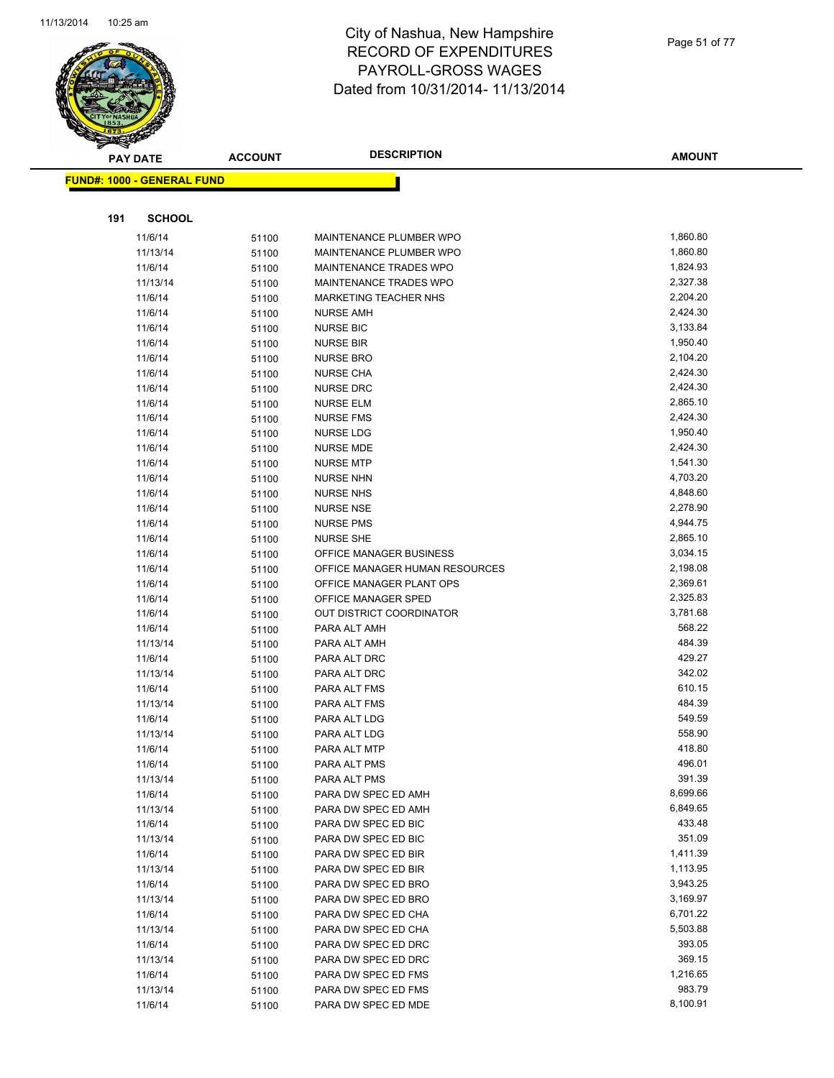

| $\tilde{\phantom{a}}$ | <b>PAY DATE</b>                   | <b>ACCOUNT</b> | <b>DESCRIPTION</b>             | <b>AMOUNT</b>    |
|-----------------------|-----------------------------------|----------------|--------------------------------|------------------|
|                       | <b>FUND#: 1000 - GENERAL FUND</b> |                |                                |                  |
|                       |                                   |                |                                |                  |
| 191                   | <b>SCHOOL</b>                     |                |                                |                  |
|                       | 11/6/14                           | 51100          | MAINTENANCE PLUMBER WPO        | 1,860.80         |
|                       | 11/13/14                          | 51100          | MAINTENANCE PLUMBER WPO        | 1,860.80         |
|                       | 11/6/14                           | 51100          | <b>MAINTENANCE TRADES WPO</b>  | 1,824.93         |
|                       | 11/13/14                          | 51100          | MAINTENANCE TRADES WPO         | 2,327.38         |
|                       | 11/6/14                           | 51100          | MARKETING TEACHER NHS          | 2,204.20         |
|                       | 11/6/14                           | 51100          | <b>NURSE AMH</b>               | 2,424.30         |
|                       | 11/6/14                           | 51100          | <b>NURSE BIC</b>               | 3,133.84         |
|                       | 11/6/14                           | 51100          | <b>NURSE BIR</b>               | 1,950.40         |
|                       | 11/6/14                           | 51100          | <b>NURSE BRO</b>               | 2,104.20         |
|                       | 11/6/14                           | 51100          | <b>NURSE CHA</b>               | 2,424.30         |
|                       | 11/6/14                           | 51100          | <b>NURSE DRC</b>               | 2,424.30         |
|                       | 11/6/14                           | 51100          | <b>NURSE ELM</b>               | 2,865.10         |
|                       | 11/6/14                           | 51100          | <b>NURSE FMS</b>               | 2,424.30         |
|                       | 11/6/14                           | 51100          | <b>NURSE LDG</b>               | 1,950.40         |
|                       | 11/6/14                           | 51100          | <b>NURSE MDE</b>               | 2,424.30         |
|                       | 11/6/14                           | 51100          | <b>NURSE MTP</b>               | 1,541.30         |
|                       | 11/6/14                           | 51100          | <b>NURSE NHN</b>               | 4,703.20         |
|                       | 11/6/14                           | 51100          | <b>NURSE NHS</b>               | 4,848.60         |
|                       | 11/6/14                           | 51100          | <b>NURSE NSE</b>               | 2,278.90         |
|                       | 11/6/14                           | 51100          | <b>NURSE PMS</b>               | 4,944.75         |
|                       | 11/6/14                           | 51100          | <b>NURSE SHE</b>               | 2,865.10         |
|                       | 11/6/14                           | 51100          | OFFICE MANAGER BUSINESS        | 3,034.15         |
|                       | 11/6/14                           | 51100          | OFFICE MANAGER HUMAN RESOURCES | 2,198.08         |
|                       | 11/6/14                           | 51100          | OFFICE MANAGER PLANT OPS       | 2,369.61         |
|                       | 11/6/14                           | 51100          | OFFICE MANAGER SPED            | 2,325.83         |
|                       | 11/6/14                           | 51100          | OUT DISTRICT COORDINATOR       | 3,781.68         |
|                       | 11/6/14                           | 51100          | PARA ALT AMH                   | 568.22           |
|                       | 11/13/14                          | 51100          | PARA ALT AMH                   | 484.39           |
|                       | 11/6/14                           | 51100          | PARA ALT DRC                   | 429.27           |
|                       | 11/13/14                          | 51100          | PARA ALT DRC                   | 342.02           |
|                       | 11/6/14                           | 51100          | PARA ALT FMS                   | 610.15           |
|                       | 11/13/14                          | 51100          | PARA ALT FMS                   | 484.39           |
|                       | 11/6/14                           | 51100          | PARA ALT LDG                   | 549.59<br>558.90 |
|                       | 11/13/14                          | 51100          | PARA ALT LDG                   | 418.80           |
|                       | 11/6/14<br>11/6/14                | 51100          | PARA ALT MTP                   | 496.01           |
|                       | 11/13/14                          | 51100          | PARA ALT PMS<br>PARA ALT PMS   | 391.39           |
|                       | 11/6/14                           | 51100          | PARA DW SPEC ED AMH            | 8,699.66         |
|                       | 11/13/14                          | 51100<br>51100 | PARA DW SPEC ED AMH            | 6,849.65         |
|                       | 11/6/14                           | 51100          | PARA DW SPEC ED BIC            | 433.48           |
|                       | 11/13/14                          | 51100          | PARA DW SPEC ED BIC            | 351.09           |
|                       | 11/6/14                           | 51100          | PARA DW SPEC ED BIR            | 1,411.39         |
|                       | 11/13/14                          | 51100          | PARA DW SPEC ED BIR            | 1,113.95         |
|                       | 11/6/14                           | 51100          | PARA DW SPEC ED BRO            | 3,943.25         |
|                       | 11/13/14                          | 51100          | PARA DW SPEC ED BRO            | 3,169.97         |
|                       | 11/6/14                           | 51100          | PARA DW SPEC ED CHA            | 6,701.22         |
|                       | 11/13/14                          | 51100          | PARA DW SPEC ED CHA            | 5,503.88         |
|                       | 11/6/14                           | 51100          | PARA DW SPEC ED DRC            | 393.05           |
|                       | 11/13/14                          | 51100          | PARA DW SPEC ED DRC            | 369.15           |
|                       | 11/6/14                           | 51100          | PARA DW SPEC ED FMS            | 1,216.65         |
|                       | 11/13/14                          | 51100          | PARA DW SPEC ED FMS            | 983.79           |
|                       | 11/6/14                           | 51100          | PARA DW SPEC ED MDE            | 8,100.91         |
|                       |                                   |                |                                |                  |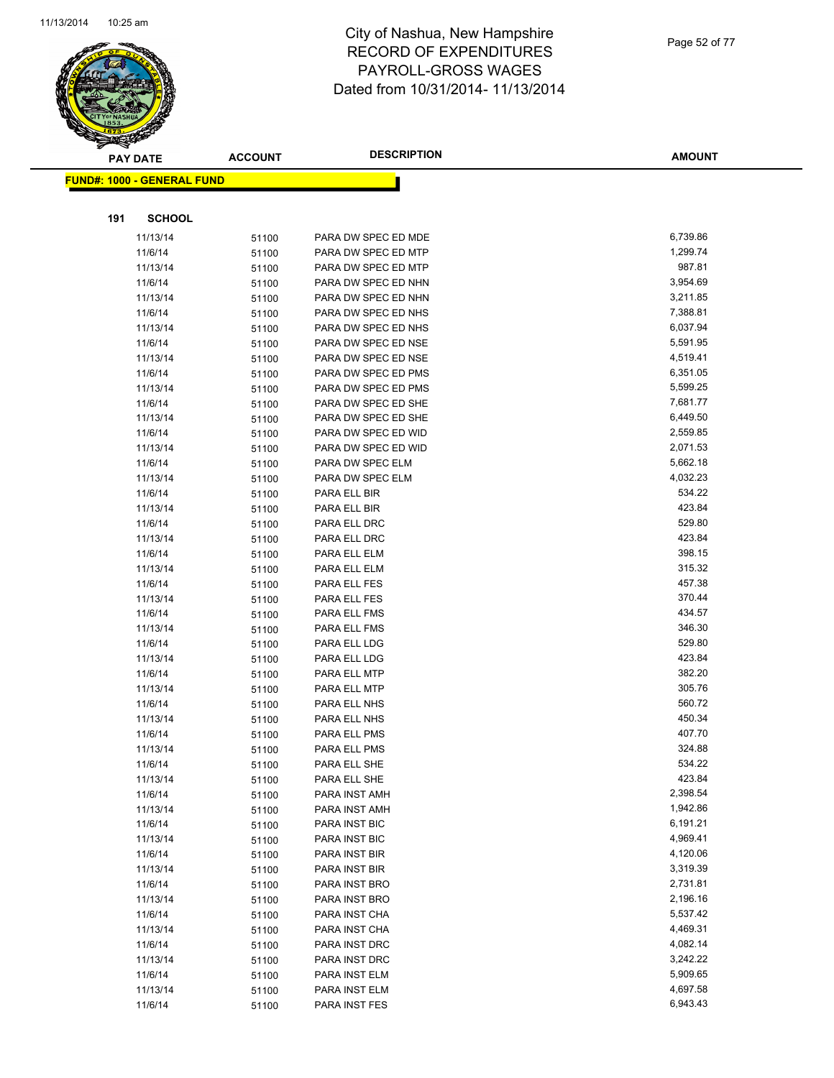

|     | <b>PAY DATE</b>                         | <b>ACCOUNT</b> | <b>DESCRIPTION</b>  | <b>AMOUNT</b> |
|-----|-----------------------------------------|----------------|---------------------|---------------|
|     | <mark>FUND#: 1000 - GENERAL FUND</mark> |                |                     |               |
|     |                                         |                |                     |               |
| 191 | <b>SCHOOL</b>                           |                |                     |               |
|     | 11/13/14                                | 51100          | PARA DW SPEC ED MDE | 6,739.86      |
|     | 11/6/14                                 | 51100          | PARA DW SPEC ED MTP | 1,299.74      |
|     | 11/13/14                                | 51100          | PARA DW SPEC ED MTP | 987.81        |
|     | 11/6/14                                 | 51100          | PARA DW SPEC ED NHN | 3,954.69      |
|     | 11/13/14                                | 51100          | PARA DW SPEC ED NHN | 3,211.85      |
|     | 11/6/14                                 | 51100          | PARA DW SPEC ED NHS | 7,388.81      |
|     | 11/13/14                                | 51100          | PARA DW SPEC ED NHS | 6,037.94      |
|     | 11/6/14                                 | 51100          | PARA DW SPEC ED NSE | 5,591.95      |
|     | 11/13/14                                | 51100          | PARA DW SPEC ED NSE | 4,519.41      |
|     | 11/6/14                                 | 51100          | PARA DW SPEC ED PMS | 6,351.05      |
|     | 11/13/14                                | 51100          | PARA DW SPEC ED PMS | 5,599.25      |
|     | 11/6/14                                 | 51100          | PARA DW SPEC ED SHE | 7,681.77      |
|     | 11/13/14                                | 51100          | PARA DW SPEC ED SHE | 6,449.50      |
|     | 11/6/14                                 | 51100          | PARA DW SPEC ED WID | 2,559.85      |
|     | 11/13/14                                | 51100          | PARA DW SPEC ED WID | 2,071.53      |
|     | 11/6/14                                 | 51100          | PARA DW SPEC ELM    | 5,662.18      |
|     | 11/13/14                                | 51100          | PARA DW SPEC ELM    | 4,032.23      |
|     | 11/6/14                                 | 51100          | PARA ELL BIR        | 534.22        |
|     | 11/13/14                                | 51100          | PARA ELL BIR        | 423.84        |
|     | 11/6/14                                 | 51100          | PARA ELL DRC        | 529.80        |
|     | 11/13/14                                | 51100          | PARA ELL DRC        | 423.84        |
|     | 11/6/14                                 | 51100          | PARA ELL ELM        | 398.15        |
|     | 11/13/14                                | 51100          | PARA ELL ELM        | 315.32        |
|     | 11/6/14                                 | 51100          | PARA ELL FES        | 457.38        |
|     | 11/13/14                                | 51100          | PARA ELL FES        | 370.44        |
|     | 11/6/14                                 | 51100          | PARA ELL FMS        | 434.57        |
|     | 11/13/14                                | 51100          | PARA ELL FMS        | 346.30        |
|     | 11/6/14                                 | 51100          | PARA ELL LDG        | 529.80        |
|     | 11/13/14                                | 51100          | PARA ELL LDG        | 423.84        |
|     | 11/6/14                                 | 51100          | PARA ELL MTP        | 382.20        |
|     | 11/13/14                                | 51100          | PARA ELL MTP        | 305.76        |
|     | 11/6/14                                 | 51100          | PARA ELL NHS        | 560.72        |
|     | 11/13/14                                | 51100          | PARA ELL NHS        | 450.34        |
|     | 11/6/14                                 | 51100          | PARA ELL PMS        | 407.70        |
|     | 11/13/14                                | 51100          | PARA ELL PMS        | 324.88        |
|     | 11/6/14                                 | 51100          | PARA ELL SHE        | 534.22        |
|     | 11/13/14                                | 51100          | PARA ELL SHE        | 423.84        |
|     | 11/6/14                                 | 51100          | PARA INST AMH       | 2,398.54      |
|     | 11/13/14                                | 51100          | PARA INST AMH       | 1,942.86      |
|     | 11/6/14                                 | 51100          | PARA INST BIC       | 6,191.21      |
|     | 11/13/14                                | 51100          | PARA INST BIC       | 4,969.41      |
|     | 11/6/14                                 | 51100          | PARA INST BIR       | 4,120.06      |
|     | 11/13/14                                | 51100          | PARA INST BIR       | 3,319.39      |
|     | 11/6/14                                 | 51100          | PARA INST BRO       | 2,731.81      |
|     | 11/13/14                                | 51100          | PARA INST BRO       | 2,196.16      |
|     | 11/6/14                                 | 51100          | PARA INST CHA       | 5,537.42      |
|     | 11/13/14                                | 51100          | PARA INST CHA       | 4,469.31      |
|     | 11/6/14                                 | 51100          | PARA INST DRC       | 4,082.14      |
|     | 11/13/14                                | 51100          | PARA INST DRC       | 3,242.22      |
|     | 11/6/14                                 | 51100          | PARA INST ELM       | 5,909.65      |
|     | 11/13/14                                | 51100          | PARA INST ELM       | 4,697.58      |
|     | 11/6/14                                 | 51100          | PARA INST FES       | 6,943.43      |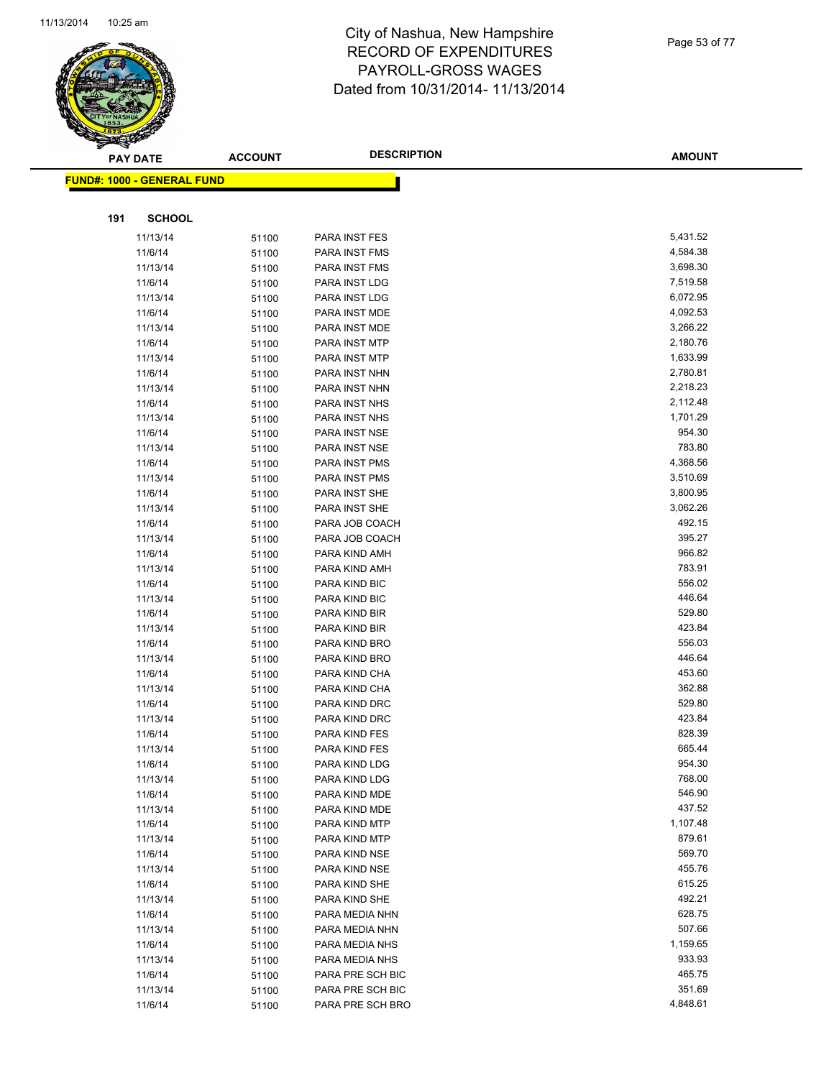

Page 53 of 77

|     | <b>PAY DATE</b>                   | <b>ACCOUNT</b> | <b>DESCRIPTION</b>             | <b>AMOUNT</b>    |
|-----|-----------------------------------|----------------|--------------------------------|------------------|
|     | <b>FUND#: 1000 - GENERAL FUND</b> |                |                                |                  |
|     |                                   |                |                                |                  |
|     |                                   |                |                                |                  |
| 191 | <b>SCHOOL</b>                     |                |                                |                  |
|     | 11/13/14                          | 51100          | PARA INST FES                  | 5,431.52         |
|     | 11/6/14                           | 51100          | PARA INST FMS                  | 4,584.38         |
|     | 11/13/14                          | 51100          | PARA INST FMS                  | 3,698.30         |
|     | 11/6/14                           | 51100          | PARA INST LDG                  | 7,519.58         |
|     | 11/13/14                          | 51100          | PARA INST LDG                  | 6,072.95         |
|     | 11/6/14                           | 51100          | PARA INST MDE                  | 4,092.53         |
|     | 11/13/14                          | 51100          | PARA INST MDE                  | 3,266.22         |
|     | 11/6/14                           | 51100          | PARA INST MTP                  | 2,180.76         |
|     | 11/13/14                          | 51100          | PARA INST MTP                  | 1,633.99         |
|     | 11/6/14                           | 51100          | PARA INST NHN                  | 2,780.81         |
|     | 11/13/14                          | 51100          | PARA INST NHN                  | 2,218.23         |
|     | 11/6/14                           | 51100          | PARA INST NHS                  | 2,112.48         |
|     | 11/13/14                          | 51100          | PARA INST NHS                  | 1,701.29         |
|     | 11/6/14                           | 51100          | PARA INST NSE                  | 954.30           |
|     | 11/13/14                          | 51100          | PARA INST NSE                  | 783.80           |
|     | 11/6/14                           | 51100          | PARA INST PMS                  | 4,368.56         |
|     | 11/13/14                          | 51100          | PARA INST PMS                  | 3,510.69         |
|     | 11/6/14                           | 51100          | PARA INST SHE                  | 3,800.95         |
|     | 11/13/14                          | 51100          | PARA INST SHE                  | 3,062.26         |
|     | 11/6/14                           | 51100          | PARA JOB COACH                 | 492.15           |
|     | 11/13/14                          | 51100          | PARA JOB COACH                 | 395.27           |
|     | 11/6/14                           | 51100          | PARA KIND AMH                  | 966.82           |
|     | 11/13/14                          | 51100          | PARA KIND AMH                  | 783.91           |
|     | 11/6/14                           | 51100          | PARA KIND BIC                  | 556.02           |
|     | 11/13/14                          | 51100          | PARA KIND BIC                  | 446.64           |
|     | 11/6/14                           | 51100          | PARA KIND BIR                  | 529.80           |
|     | 11/13/14                          | 51100          | PARA KIND BIR                  | 423.84           |
|     | 11/6/14                           | 51100          | PARA KIND BRO                  | 556.03           |
|     | 11/13/14                          | 51100          | PARA KIND BRO                  | 446.64           |
|     | 11/6/14                           | 51100          | PARA KIND CHA                  | 453.60<br>362.88 |
|     | 11/13/14<br>11/6/14               | 51100          | PARA KIND CHA<br>PARA KIND DRC | 529.80           |
|     |                                   | 51100          |                                | 423.84           |
|     | 11/13/14                          | 51100          | PARA KIND DRC                  | 828.39           |
|     | 11/6/14                           | 51100          | PARA KIND FES                  | 665.44           |
|     | 11/13/14                          | 51100          | PARA KIND FES<br>PARA KIND LDG | 954.30           |
|     | 11/6/14<br>11/13/14               | 51100          | PARA KIND LDG                  | 768.00           |
|     | 11/6/14                           | 51100<br>51100 | PARA KIND MDE                  | 546.90           |
|     | 11/13/14                          | 51100          | PARA KIND MDE                  | 437.52           |
|     | 11/6/14                           | 51100          | PARA KIND MTP                  | 1,107.48         |
|     | 11/13/14                          | 51100          | PARA KIND MTP                  | 879.61           |
|     | 11/6/14                           | 51100          | PARA KIND NSE                  | 569.70           |
|     | 11/13/14                          | 51100          | PARA KIND NSE                  | 455.76           |
|     | 11/6/14                           | 51100          | PARA KIND SHE                  | 615.25           |
|     | 11/13/14                          | 51100          | PARA KIND SHE                  | 492.21           |
|     | 11/6/14                           | 51100          | PARA MEDIA NHN                 | 628.75           |
|     | 11/13/14                          | 51100          | PARA MEDIA NHN                 | 507.66           |
|     | 11/6/14                           | 51100          | PARA MEDIA NHS                 | 1,159.65         |
|     | 11/13/14                          | 51100          | PARA MEDIA NHS                 | 933.93           |
|     | 11/6/14                           | 51100          | PARA PRE SCH BIC               | 465.75           |
|     | 11/13/14                          | 51100          | PARA PRE SCH BIC               | 351.69           |
|     | 11/6/14                           | 51100          | PARA PRE SCH BRO               | 4,848.61         |
|     |                                   |                |                                |                  |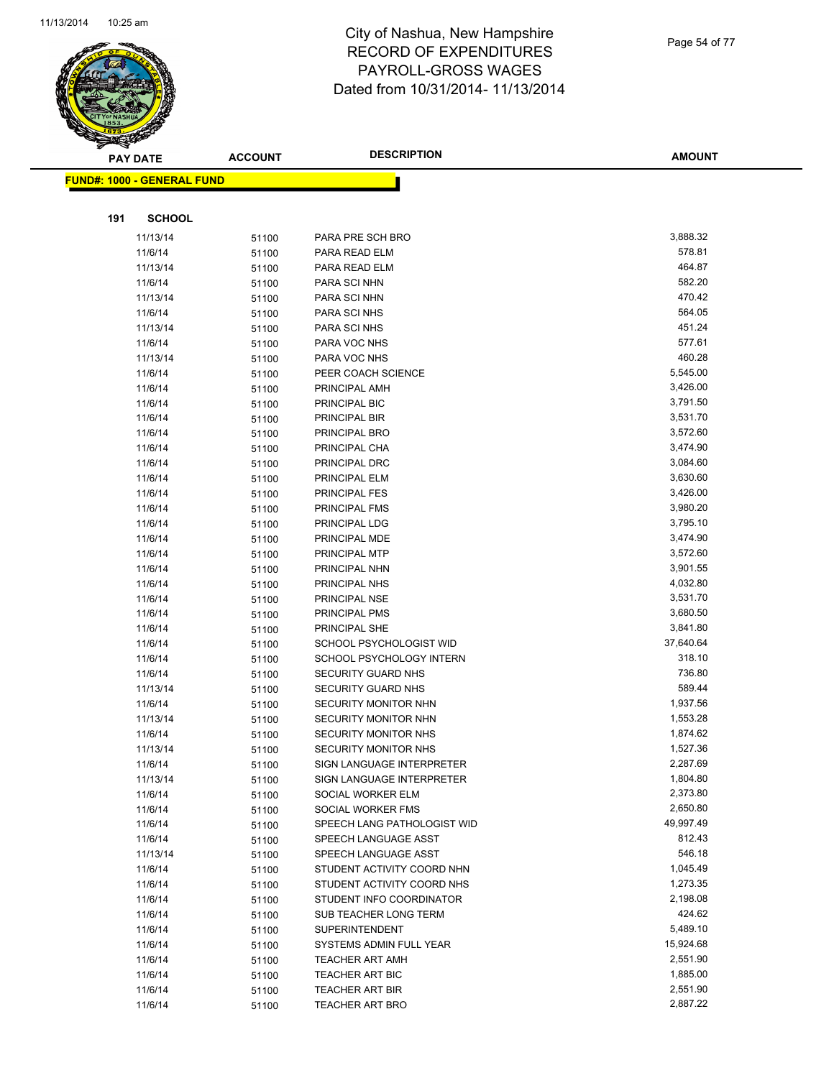

Page 54 of 77

|     | <b>PAY DATE</b>                   | <b>ACCOUNT</b> | <b>DESCRIPTION</b>             | <b>AMOUNT</b>        |
|-----|-----------------------------------|----------------|--------------------------------|----------------------|
|     | <b>FUND#: 1000 - GENERAL FUND</b> |                |                                |                      |
|     |                                   |                |                                |                      |
|     |                                   |                |                                |                      |
| 191 | <b>SCHOOL</b>                     |                |                                |                      |
|     | 11/13/14                          | 51100          | PARA PRE SCH BRO               | 3,888.32             |
|     | 11/6/14                           | 51100          | PARA READ ELM                  | 578.81               |
|     | 11/13/14                          | 51100          | PARA READ ELM                  | 464.87               |
|     | 11/6/14                           | 51100          | PARA SCI NHN                   | 582.20               |
|     | 11/13/14                          | 51100          | PARA SCI NHN                   | 470.42               |
|     | 11/6/14                           | 51100          | PARA SCI NHS                   | 564.05               |
|     | 11/13/14                          | 51100          | PARA SCI NHS                   | 451.24               |
|     | 11/6/14                           | 51100          | PARA VOC NHS                   | 577.61               |
|     | 11/13/14                          | 51100          | PARA VOC NHS                   | 460.28               |
|     | 11/6/14                           | 51100          | PEER COACH SCIENCE             | 5,545.00             |
|     | 11/6/14                           | 51100          | PRINCIPAL AMH                  | 3,426.00             |
|     | 11/6/14                           | 51100          | PRINCIPAL BIC                  | 3,791.50             |
|     | 11/6/14                           | 51100          | PRINCIPAL BIR                  | 3,531.70             |
|     | 11/6/14                           | 51100          | PRINCIPAL BRO                  | 3,572.60             |
|     | 11/6/14                           | 51100          | PRINCIPAL CHA                  | 3,474.90             |
|     | 11/6/14                           | 51100          | PRINCIPAL DRC                  | 3,084.60             |
|     | 11/6/14                           | 51100          | PRINCIPAL ELM                  | 3,630.60             |
|     | 11/6/14                           | 51100          | <b>PRINCIPAL FES</b>           | 3,426.00             |
|     | 11/6/14                           | 51100          | PRINCIPAL FMS                  | 3,980.20             |
|     | 11/6/14                           | 51100          | PRINCIPAL LDG                  | 3,795.10             |
|     | 11/6/14                           | 51100          | PRINCIPAL MDE                  | 3,474.90             |
|     | 11/6/14                           | 51100          | PRINCIPAL MTP                  | 3,572.60             |
|     | 11/6/14                           | 51100          | PRINCIPAL NHN                  | 3,901.55             |
|     | 11/6/14                           | 51100          | PRINCIPAL NHS                  | 4,032.80<br>3,531.70 |
|     | 11/6/14<br>11/6/14                | 51100          | PRINCIPAL NSE<br>PRINCIPAL PMS | 3,680.50             |
|     | 11/6/14                           | 51100          | PRINCIPAL SHE                  | 3,841.80             |
|     | 11/6/14                           | 51100          | SCHOOL PSYCHOLOGIST WID        | 37,640.64            |
|     | 11/6/14                           | 51100<br>51100 | SCHOOL PSYCHOLOGY INTERN       | 318.10               |
|     | 11/6/14                           | 51100          | SECURITY GUARD NHS             | 736.80               |
|     | 11/13/14                          | 51100          | SECURITY GUARD NHS             | 589.44               |
|     | 11/6/14                           | 51100          | SECURITY MONITOR NHN           | 1,937.56             |
|     | 11/13/14                          | 51100          | SECURITY MONITOR NHN           | 1,553.28             |
|     | 11/6/14                           | 51100          | <b>SECURITY MONITOR NHS</b>    | 1,874.62             |
|     | 11/13/14                          | 51100          | <b>SECURITY MONITOR NHS</b>    | 1,527.36             |
|     | 11/6/14                           | 51100          | SIGN LANGUAGE INTERPRETER      | 2,287.69             |
|     | 11/13/14                          | 51100          | SIGN LANGUAGE INTERPRETER      | 1,804.80             |
|     | 11/6/14                           | 51100          | SOCIAL WORKER ELM              | 2,373.80             |
|     | 11/6/14                           | 51100          | SOCIAL WORKER FMS              | 2,650.80             |
|     | 11/6/14                           | 51100          | SPEECH LANG PATHOLOGIST WID    | 49,997.49            |
|     | 11/6/14                           | 51100          | SPEECH LANGUAGE ASST           | 812.43               |
|     | 11/13/14                          | 51100          | SPEECH LANGUAGE ASST           | 546.18               |
|     | 11/6/14                           | 51100          | STUDENT ACTIVITY COORD NHN     | 1,045.49             |
|     | 11/6/14                           | 51100          | STUDENT ACTIVITY COORD NHS     | 1,273.35             |
|     | 11/6/14                           | 51100          | STUDENT INFO COORDINATOR       | 2,198.08             |
|     | 11/6/14                           | 51100          | SUB TEACHER LONG TERM          | 424.62               |
|     | 11/6/14                           | 51100          | SUPERINTENDENT                 | 5,489.10             |
|     | 11/6/14                           | 51100          | SYSTEMS ADMIN FULL YEAR        | 15,924.68            |
|     | 11/6/14                           | 51100          | <b>TEACHER ART AMH</b>         | 2,551.90             |
|     | 11/6/14                           | 51100          | TEACHER ART BIC                | 1,885.00             |
|     | 11/6/14                           | 51100          | <b>TEACHER ART BIR</b>         | 2,551.90             |
|     | 11/6/14                           | 51100          | <b>TEACHER ART BRO</b>         | 2,887.22             |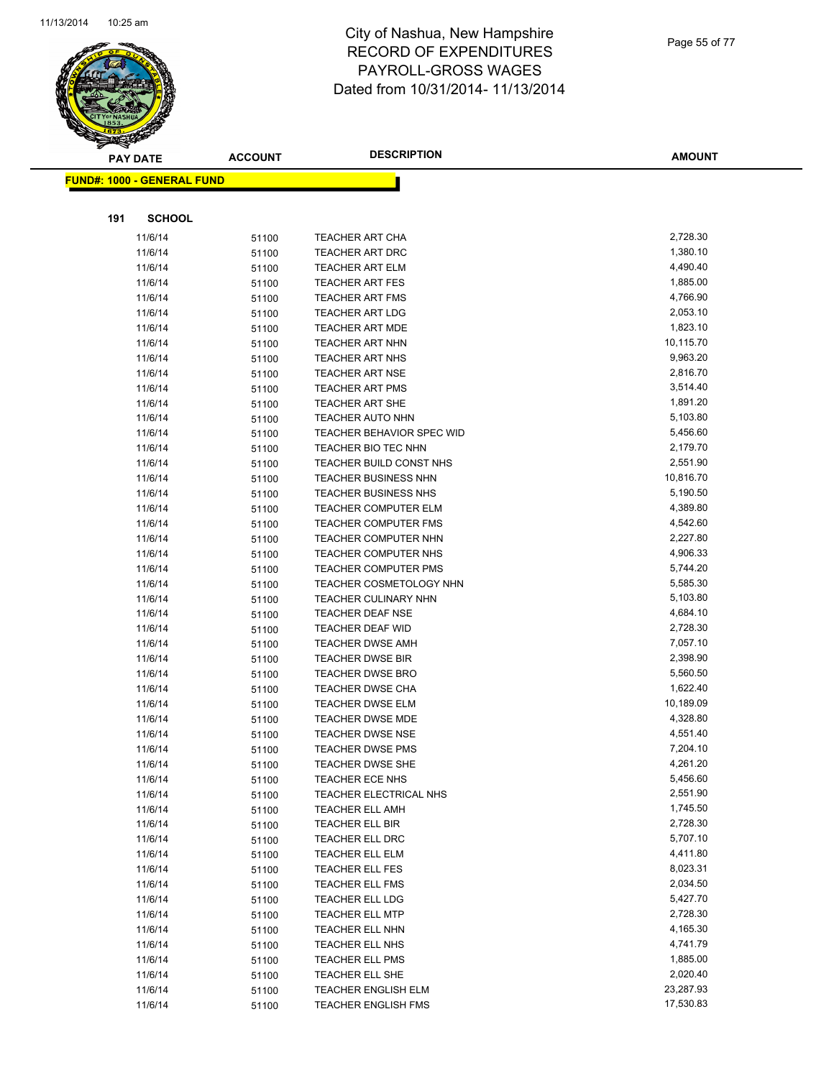

Page 55 of 77

| $\tilde{\phantom{a}}$<br><b>PAY DATE</b> | <b>ACCOUNT</b> | <b>DESCRIPTION</b>                                 | <b>AMOUNT</b>        |
|------------------------------------------|----------------|----------------------------------------------------|----------------------|
| <b>FUND#: 1000 - GENERAL FUND</b>        |                |                                                    |                      |
|                                          |                |                                                    |                      |
| 191<br><b>SCHOOL</b>                     |                |                                                    |                      |
| 11/6/14                                  | 51100          | <b>TEACHER ART CHA</b>                             | 2,728.30             |
| 11/6/14                                  | 51100          | <b>TEACHER ART DRC</b>                             | 1,380.10             |
| 11/6/14                                  | 51100          | <b>TEACHER ART ELM</b>                             | 4,490.40             |
| 11/6/14                                  | 51100          | <b>TEACHER ART FES</b>                             | 1,885.00             |
| 11/6/14                                  | 51100          | <b>TEACHER ART FMS</b>                             | 4,766.90             |
| 11/6/14                                  | 51100          | <b>TEACHER ART LDG</b>                             | 2,053.10             |
| 11/6/14                                  | 51100          | <b>TEACHER ART MDE</b>                             | 1,823.10             |
| 11/6/14                                  | 51100          | <b>TEACHER ART NHN</b>                             | 10,115.70            |
| 11/6/14                                  | 51100          | <b>TEACHER ART NHS</b>                             | 9,963.20             |
| 11/6/14                                  | 51100          | <b>TEACHER ART NSE</b>                             | 2,816.70             |
| 11/6/14                                  | 51100          | <b>TEACHER ART PMS</b>                             | 3,514.40             |
| 11/6/14                                  | 51100          | <b>TEACHER ART SHE</b>                             | 1,891.20             |
| 11/6/14                                  | 51100          | <b>TEACHER AUTO NHN</b>                            | 5,103.80             |
| 11/6/14                                  | 51100          | TEACHER BEHAVIOR SPEC WID                          | 5,456.60             |
| 11/6/14                                  | 51100          | TEACHER BIO TEC NHN                                | 2,179.70             |
| 11/6/14                                  | 51100          | TEACHER BUILD CONST NHS                            | 2,551.90             |
| 11/6/14                                  | 51100          | <b>TEACHER BUSINESS NHN</b>                        | 10,816.70            |
| 11/6/14                                  | 51100          | <b>TEACHER BUSINESS NHS</b>                        | 5,190.50             |
| 11/6/14                                  | 51100          | <b>TEACHER COMPUTER ELM</b>                        | 4,389.80             |
| 11/6/14                                  | 51100          | TEACHER COMPUTER FMS                               | 4,542.60             |
| 11/6/14                                  | 51100          | <b>TEACHER COMPUTER NHN</b>                        | 2,227.80             |
| 11/6/14                                  | 51100          | TEACHER COMPUTER NHS                               | 4,906.33             |
| 11/6/14                                  | 51100          | <b>TEACHER COMPUTER PMS</b>                        | 5,744.20             |
| 11/6/14                                  | 51100          | <b>TEACHER COSMETOLOGY NHN</b>                     | 5,585.30             |
| 11/6/14                                  | 51100          | <b>TEACHER CULINARY NHN</b>                        | 5,103.80             |
| 11/6/14                                  | 51100          | <b>TEACHER DEAF NSE</b>                            | 4,684.10             |
| 11/6/14                                  | 51100          | TEACHER DEAF WID                                   | 2,728.30             |
| 11/6/14                                  | 51100          | <b>TEACHER DWSE AMH</b>                            | 7,057.10<br>2,398.90 |
| 11/6/14<br>11/6/14                       | 51100          | <b>TEACHER DWSE BIR</b><br><b>TEACHER DWSE BRO</b> | 5,560.50             |
| 11/6/14                                  | 51100<br>51100 | <b>TEACHER DWSE CHA</b>                            | 1,622.40             |
| 11/6/14                                  | 51100          | <b>TEACHER DWSE ELM</b>                            | 10,189.09            |
| 11/6/14                                  | 51100          | <b>TEACHER DWSE MDE</b>                            | 4,328.80             |
| 11/6/14                                  | 51100          | <b>TEACHER DWSE NSE</b>                            | 4,551.40             |
| 11/6/14                                  | 51100          | <b>TEACHER DWSE PMS</b>                            | 7,204.10             |
| 11/6/14                                  | 51100          | <b>TEACHER DWSE SHE</b>                            | 4,261.20             |
| 11/6/14                                  | 51100          | <b>TEACHER ECE NHS</b>                             | 5,456.60             |
| 11/6/14                                  | 51100          | TEACHER ELECTRICAL NHS                             | 2,551.90             |
| 11/6/14                                  | 51100          | <b>TEACHER ELL AMH</b>                             | 1,745.50             |
| 11/6/14                                  | 51100          | TEACHER ELL BIR                                    | 2,728.30             |
| 11/6/14                                  | 51100          | TEACHER ELL DRC                                    | 5,707.10             |
| 11/6/14                                  | 51100          | <b>TEACHER ELL ELM</b>                             | 4,411.80             |
| 11/6/14                                  | 51100          | <b>TEACHER ELL FES</b>                             | 8,023.31             |
| 11/6/14                                  | 51100          | <b>TEACHER ELL FMS</b>                             | 2,034.50             |
| 11/6/14                                  | 51100          | <b>TEACHER ELL LDG</b>                             | 5,427.70             |
| 11/6/14                                  | 51100          | <b>TEACHER ELL MTP</b>                             | 2,728.30             |
| 11/6/14                                  | 51100          | TEACHER ELL NHN                                    | 4,165.30             |
| 11/6/14                                  | 51100          | TEACHER ELL NHS                                    | 4,741.79             |
| 11/6/14                                  | 51100          | <b>TEACHER ELL PMS</b>                             | 1,885.00             |
| 11/6/14                                  | 51100          | TEACHER ELL SHE                                    | 2,020.40             |
| 11/6/14                                  | 51100          | <b>TEACHER ENGLISH ELM</b>                         | 23,287.93            |
| 11/6/14                                  | 51100          | TEACHER ENGLISH FMS                                | 17,530.83            |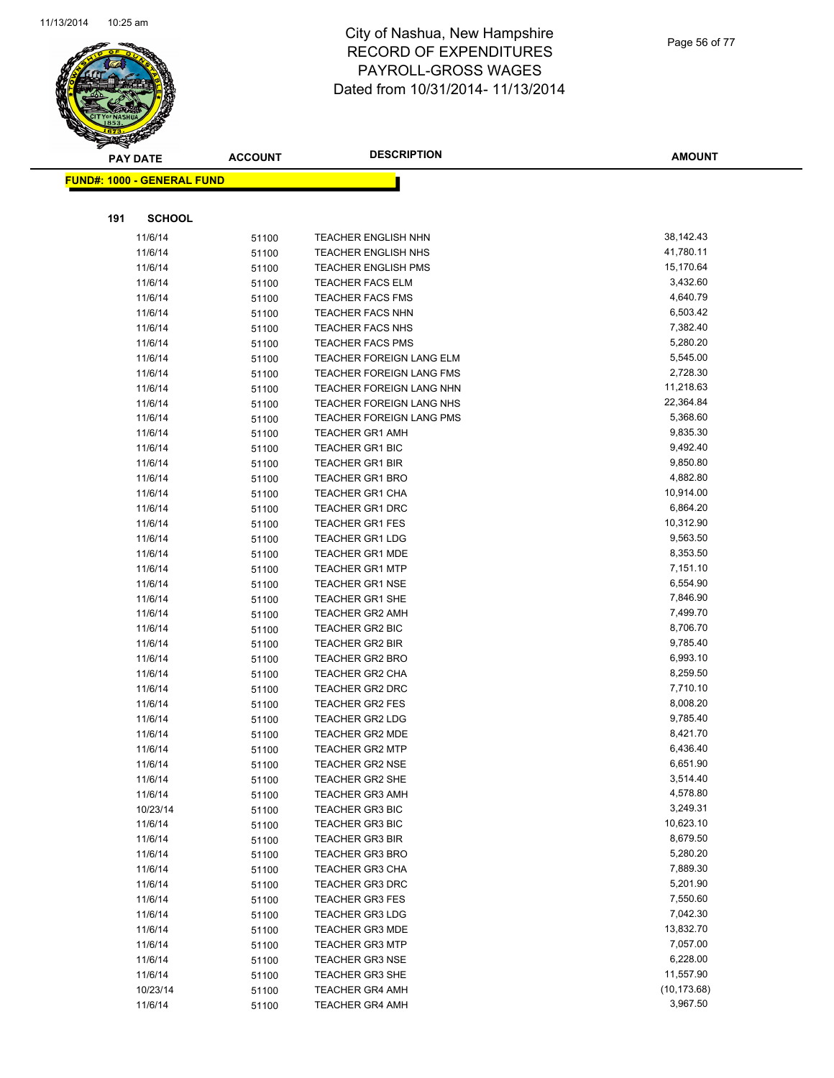

Page 56 of 77

| <b>PAY DATE</b> |                                   | <b>DESCRIPTION</b><br><b>ACCOUNT</b> |                            | <b>AMOUNT</b> |
|-----------------|-----------------------------------|--------------------------------------|----------------------------|---------------|
|                 | <b>FUND#: 1000 - GENERAL FUND</b> |                                      |                            |               |
|                 |                                   |                                      |                            |               |
|                 |                                   |                                      |                            |               |
| 191             | <b>SCHOOL</b>                     |                                      |                            |               |
|                 | 11/6/14                           | 51100                                | <b>TEACHER ENGLISH NHN</b> | 38,142.43     |
|                 | 11/6/14                           | 51100                                | <b>TEACHER ENGLISH NHS</b> | 41,780.11     |
|                 | 11/6/14                           | 51100                                | <b>TEACHER ENGLISH PMS</b> | 15,170.64     |
|                 | 11/6/14                           | 51100                                | <b>TEACHER FACS ELM</b>    | 3,432.60      |
|                 | 11/6/14                           | 51100                                | TEACHER FACS FMS           | 4,640.79      |
|                 | 11/6/14                           | 51100                                | <b>TEACHER FACS NHN</b>    | 6,503.42      |
|                 | 11/6/14                           | 51100                                | TEACHER FACS NHS           | 7,382.40      |
|                 | 11/6/14                           | 51100                                | <b>TEACHER FACS PMS</b>    | 5,280.20      |
|                 | 11/6/14                           | 51100                                | TEACHER FOREIGN LANG ELM   | 5,545.00      |
|                 | 11/6/14                           | 51100                                | TEACHER FOREIGN LANG FMS   | 2,728.30      |
|                 | 11/6/14                           | 51100                                | TEACHER FOREIGN LANG NHN   | 11,218.63     |
|                 | 11/6/14                           | 51100                                | TEACHER FOREIGN LANG NHS   | 22,364.84     |
|                 | 11/6/14                           | 51100                                | TEACHER FOREIGN LANG PMS   | 5,368.60      |
|                 | 11/6/14                           | 51100                                | <b>TEACHER GR1 AMH</b>     | 9,835.30      |
|                 | 11/6/14                           | 51100                                | <b>TEACHER GR1 BIC</b>     | 9,492.40      |
|                 | 11/6/14                           | 51100                                | <b>TEACHER GR1 BIR</b>     | 9,850.80      |
|                 | 11/6/14                           | 51100                                | <b>TEACHER GR1 BRO</b>     | 4,882.80      |
|                 | 11/6/14                           | 51100                                | <b>TEACHER GR1 CHA</b>     | 10,914.00     |
|                 | 11/6/14                           | 51100                                | <b>TEACHER GR1 DRC</b>     | 6,864.20      |
|                 | 11/6/14                           | 51100                                | <b>TEACHER GR1 FES</b>     | 10,312.90     |
|                 | 11/6/14                           | 51100                                | <b>TEACHER GR1 LDG</b>     | 9,563.50      |
|                 | 11/6/14                           | 51100                                | <b>TEACHER GR1 MDE</b>     | 8,353.50      |
|                 | 11/6/14                           | 51100                                | <b>TEACHER GR1 MTP</b>     | 7,151.10      |
|                 | 11/6/14                           | 51100                                | <b>TEACHER GR1 NSE</b>     | 6,554.90      |
|                 | 11/6/14                           | 51100                                | <b>TEACHER GR1 SHE</b>     | 7,846.90      |
|                 | 11/6/14                           | 51100                                | <b>TEACHER GR2 AMH</b>     | 7,499.70      |
|                 | 11/6/14                           | 51100                                | <b>TEACHER GR2 BIC</b>     | 8,706.70      |
|                 | 11/6/14                           | 51100                                | <b>TEACHER GR2 BIR</b>     | 9,785.40      |
|                 | 11/6/14                           | 51100                                | <b>TEACHER GR2 BRO</b>     | 6,993.10      |
|                 | 11/6/14                           | 51100                                | <b>TEACHER GR2 CHA</b>     | 8,259.50      |
|                 | 11/6/14                           | 51100                                | <b>TEACHER GR2 DRC</b>     | 7,710.10      |
|                 | 11/6/14                           | 51100                                | <b>TEACHER GR2 FES</b>     | 8,008.20      |
|                 | 11/6/14                           | 51100                                | <b>TEACHER GR2 LDG</b>     | 9,785.40      |
|                 | 11/6/14                           | 51100                                | <b>TEACHER GR2 MDE</b>     | 8,421.70      |
|                 | 11/6/14                           | 51100                                | <b>TEACHER GR2 MTP</b>     | 6,436.40      |
|                 | 11/6/14                           | 51100                                | TEACHER GR2 NSE            | 6,651.90      |
|                 | 11/6/14                           | 51100                                | <b>TEACHER GR2 SHE</b>     | 3,514.40      |
|                 | 11/6/14                           | 51100                                | <b>TEACHER GR3 AMH</b>     | 4,578.80      |
|                 | 10/23/14                          | 51100                                | <b>TEACHER GR3 BIC</b>     | 3,249.31      |
|                 | 11/6/14                           | 51100                                | <b>TEACHER GR3 BIC</b>     | 10,623.10     |
|                 | 11/6/14                           | 51100                                | <b>TEACHER GR3 BIR</b>     | 8,679.50      |
|                 | 11/6/14                           | 51100                                | <b>TEACHER GR3 BRO</b>     | 5,280.20      |
|                 | 11/6/14                           | 51100                                | <b>TEACHER GR3 CHA</b>     | 7,889.30      |
|                 | 11/6/14                           | 51100                                | <b>TEACHER GR3 DRC</b>     | 5,201.90      |
|                 | 11/6/14                           | 51100                                | <b>TEACHER GR3 FES</b>     | 7,550.60      |
|                 | 11/6/14                           | 51100                                | <b>TEACHER GR3 LDG</b>     | 7,042.30      |
|                 | 11/6/14                           | 51100                                | <b>TEACHER GR3 MDE</b>     | 13,832.70     |
|                 | 11/6/14                           | 51100                                | <b>TEACHER GR3 MTP</b>     | 7,057.00      |
|                 | 11/6/14                           | 51100                                | <b>TEACHER GR3 NSE</b>     | 6,228.00      |
|                 | 11/6/14                           | 51100                                | <b>TEACHER GR3 SHE</b>     | 11,557.90     |
|                 | 10/23/14                          | 51100                                | <b>TEACHER GR4 AMH</b>     | (10, 173.68)  |
|                 | 11/6/14                           | 51100                                | <b>TEACHER GR4 AMH</b>     | 3,967.50      |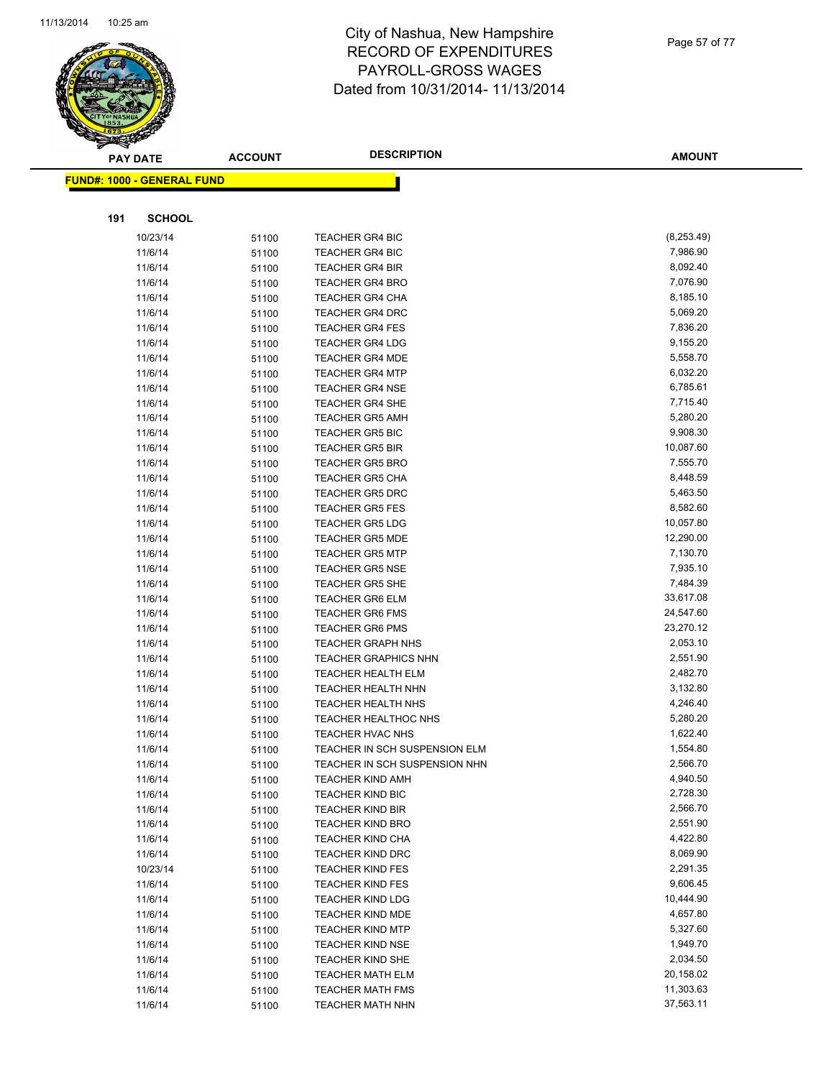

| 014 |  |  |  |
|-----|--|--|--|

Page 57 of 77

| <b>PAY DATE</b>                   | <b>ACCOUNT</b> | <b>DESCRIPTION</b>                                 | <b>AMOUNT</b>        |
|-----------------------------------|----------------|----------------------------------------------------|----------------------|
| <b>FUND#: 1000 - GENERAL FUND</b> |                |                                                    |                      |
|                                   |                |                                                    |                      |
|                                   |                |                                                    |                      |
| <b>SCHOOL</b><br>191              |                |                                                    |                      |
| 10/23/14                          | 51100          | <b>TEACHER GR4 BIC</b>                             | (8,253.49)           |
| 11/6/14                           | 51100          | <b>TEACHER GR4 BIC</b>                             | 7,986.90             |
| 11/6/14                           | 51100          | <b>TEACHER GR4 BIR</b>                             | 8,092.40             |
| 11/6/14                           | 51100          | <b>TEACHER GR4 BRO</b>                             | 7,076.90             |
| 11/6/14                           | 51100          | <b>TEACHER GR4 CHA</b>                             | 8,185.10             |
| 11/6/14                           | 51100          | <b>TEACHER GR4 DRC</b>                             | 5,069.20             |
| 11/6/14                           | 51100          | <b>TEACHER GR4 FES</b>                             | 7,836.20             |
| 11/6/14                           | 51100          | <b>TEACHER GR4 LDG</b>                             | 9,155.20             |
| 11/6/14                           | 51100          | <b>TEACHER GR4 MDE</b>                             | 5,558.70<br>6,032.20 |
| 11/6/14<br>11/6/14                | 51100          | <b>TEACHER GR4 MTP</b><br><b>TEACHER GR4 NSE</b>   | 6,785.61             |
| 11/6/14                           | 51100          | <b>TEACHER GR4 SHE</b>                             | 7,715.40             |
| 11/6/14                           | 51100<br>51100 | <b>TEACHER GR5 AMH</b>                             | 5,280.20             |
| 11/6/14                           | 51100          | <b>TEACHER GR5 BIC</b>                             | 9,908.30             |
| 11/6/14                           | 51100          | <b>TEACHER GR5 BIR</b>                             | 10,087.60            |
| 11/6/14                           | 51100          | <b>TEACHER GR5 BRO</b>                             | 7,555.70             |
| 11/6/14                           | 51100          | <b>TEACHER GR5 CHA</b>                             | 8,448.59             |
| 11/6/14                           | 51100          | <b>TEACHER GR5 DRC</b>                             | 5,463.50             |
| 11/6/14                           | 51100          | <b>TEACHER GR5 FES</b>                             | 8,582.60             |
| 11/6/14                           | 51100          | <b>TEACHER GR5 LDG</b>                             | 10,057.80            |
| 11/6/14                           | 51100          | <b>TEACHER GR5 MDE</b>                             | 12,290.00            |
| 11/6/14                           | 51100          | <b>TEACHER GR5 MTP</b>                             | 7,130.70             |
| 11/6/14                           | 51100          | <b>TEACHER GR5 NSE</b>                             | 7,935.10             |
| 11/6/14                           | 51100          | <b>TEACHER GR5 SHE</b>                             | 7,484.39             |
| 11/6/14                           | 51100          | <b>TEACHER GR6 ELM</b>                             | 33,617.08            |
| 11/6/14                           | 51100          | <b>TEACHER GR6 FMS</b>                             | 24,547.60            |
| 11/6/14                           | 51100          | <b>TEACHER GR6 PMS</b>                             | 23,270.12            |
| 11/6/14                           | 51100          | <b>TEACHER GRAPH NHS</b>                           | 2,053.10             |
| 11/6/14                           | 51100          | <b>TEACHER GRAPHICS NHN</b>                        | 2,551.90             |
| 11/6/14                           | 51100          | <b>TEACHER HEALTH ELM</b>                          | 2,482.70             |
| 11/6/14                           | 51100          | TEACHER HEALTH NHN                                 | 3,132.80             |
| 11/6/14                           | 51100          | <b>TEACHER HEALTH NHS</b>                          | 4,246.40             |
| 11/6/14                           | 51100          | <b>TEACHER HEALTHOC NHS</b>                        | 5,280.20             |
| 11/6/14                           | 51100          | TEACHER HVAC NHS                                   | 1,622.40             |
| 11/6/14                           | 51100          | TEACHER IN SCH SUSPENSION ELM                      | 1,554.80             |
| 11/6/14                           | 51100          | TEACHER IN SCH SUSPENSION NHN                      | 2,566.70             |
| 11/6/14                           | 51100          | <b>TEACHER KIND AMH</b><br><b>TEACHER KIND BIC</b> | 4,940.50<br>2,728.30 |
| 11/6/14<br>11/6/14                | 51100          | <b>TEACHER KIND BIR</b>                            | 2,566.70             |
| 11/6/14                           | 51100          | <b>TEACHER KIND BRO</b>                            | 2,551.90             |
| 11/6/14                           | 51100<br>51100 | TEACHER KIND CHA                                   | 4,422.80             |
| 11/6/14                           | 51100          | <b>TEACHER KIND DRC</b>                            | 8,069.90             |
| 10/23/14                          | 51100          | <b>TEACHER KIND FES</b>                            | 2,291.35             |
| 11/6/14                           | 51100          | <b>TEACHER KIND FES</b>                            | 9,606.45             |
| 11/6/14                           | 51100          | <b>TEACHER KIND LDG</b>                            | 10,444.90            |
| 11/6/14                           | 51100          | <b>TEACHER KIND MDE</b>                            | 4,657.80             |
| 11/6/14                           | 51100          | <b>TEACHER KIND MTP</b>                            | 5,327.60             |
| 11/6/14                           | 51100          | <b>TEACHER KIND NSE</b>                            | 1,949.70             |
| 11/6/14                           | 51100          | <b>TEACHER KIND SHE</b>                            | 2,034.50             |
| 11/6/14                           | 51100          | <b>TEACHER MATH ELM</b>                            | 20,158.02            |
| 11/6/14                           | 51100          | <b>TEACHER MATH FMS</b>                            | 11,303.63            |
| 11/6/14                           | 51100          | <b>TEACHER MATH NHN</b>                            | 37,563.11            |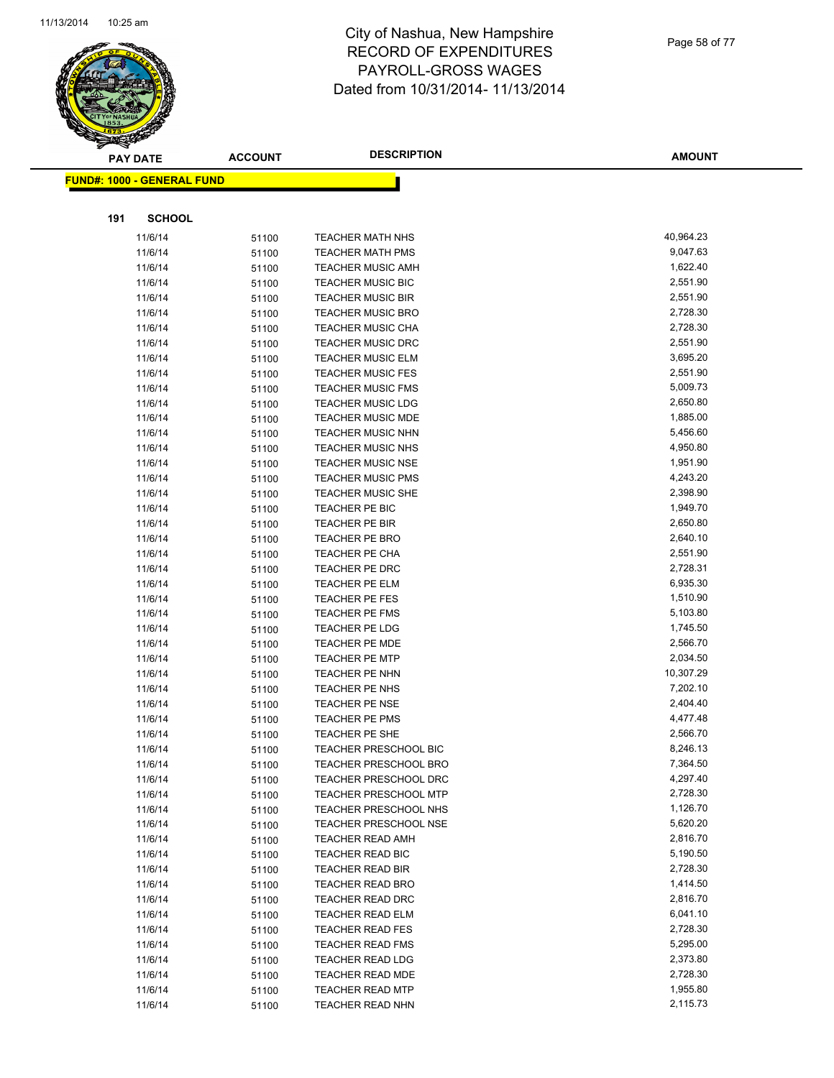

Page 58 of 77

|     | <b>PAY DATE</b>                    | <b>ACCOUNT</b> | <b>DESCRIPTION</b>                                   | <b>AMOUNT</b>         |
|-----|------------------------------------|----------------|------------------------------------------------------|-----------------------|
|     | <u> FUND#: 1000 - GENERAL FUND</u> |                |                                                      |                       |
|     |                                    |                |                                                      |                       |
| 191 | <b>SCHOOL</b>                      |                |                                                      |                       |
|     |                                    |                |                                                      |                       |
|     | 11/6/14<br>11/6/14                 | 51100          | <b>TEACHER MATH NHS</b>                              | 40,964.23<br>9,047.63 |
|     |                                    | 51100          | <b>TEACHER MATH PMS</b>                              | 1,622.40              |
|     | 11/6/14                            | 51100          | <b>TEACHER MUSIC AMH</b>                             |                       |
|     | 11/6/14                            | 51100          | <b>TEACHER MUSIC BIC</b>                             | 2,551.90<br>2,551.90  |
|     | 11/6/14                            | 51100          | <b>TEACHER MUSIC BIR</b><br><b>TEACHER MUSIC BRO</b> | 2,728.30              |
|     | 11/6/14                            | 51100          |                                                      | 2,728.30              |
|     | 11/6/14<br>11/6/14                 | 51100          | <b>TEACHER MUSIC CHA</b><br><b>TEACHER MUSIC DRC</b> | 2,551.90              |
|     | 11/6/14                            | 51100<br>51100 | <b>TEACHER MUSIC ELM</b>                             | 3,695.20              |
|     | 11/6/14                            |                | <b>TEACHER MUSIC FES</b>                             | 2,551.90              |
|     | 11/6/14                            | 51100<br>51100 | <b>TEACHER MUSIC FMS</b>                             | 5,009.73              |
|     | 11/6/14                            | 51100          | <b>TEACHER MUSIC LDG</b>                             | 2,650.80              |
|     | 11/6/14                            | 51100          | <b>TEACHER MUSIC MDE</b>                             | 1,885.00              |
|     | 11/6/14                            | 51100          | <b>TEACHER MUSIC NHN</b>                             | 5,456.60              |
|     | 11/6/14                            | 51100          | <b>TEACHER MUSIC NHS</b>                             | 4,950.80              |
|     | 11/6/14                            | 51100          | <b>TEACHER MUSIC NSE</b>                             | 1,951.90              |
|     | 11/6/14                            | 51100          | <b>TEACHER MUSIC PMS</b>                             | 4,243.20              |
|     | 11/6/14                            | 51100          | <b>TEACHER MUSIC SHE</b>                             | 2,398.90              |
|     | 11/6/14                            | 51100          | TEACHER PE BIC                                       | 1,949.70              |
|     | 11/6/14                            | 51100          | TEACHER PE BIR                                       | 2,650.80              |
|     | 11/6/14                            | 51100          | <b>TEACHER PE BRO</b>                                | 2,640.10              |
|     | 11/6/14                            | 51100          | <b>TEACHER PE CHA</b>                                | 2,551.90              |
|     | 11/6/14                            | 51100          | TEACHER PE DRC                                       | 2,728.31              |
|     | 11/6/14                            | 51100          | TEACHER PE ELM                                       | 6,935.30              |
|     | 11/6/14                            | 51100          | <b>TEACHER PE FES</b>                                | 1,510.90              |
|     | 11/6/14                            | 51100          | <b>TEACHER PE FMS</b>                                | 5,103.80              |
|     | 11/6/14                            | 51100          | <b>TEACHER PE LDG</b>                                | 1,745.50              |
|     | 11/6/14                            | 51100          | <b>TEACHER PE MDE</b>                                | 2,566.70              |
|     | 11/6/14                            | 51100          | <b>TEACHER PE MTP</b>                                | 2,034.50              |
|     | 11/6/14                            | 51100          | TEACHER PE NHN                                       | 10,307.29             |
|     | 11/6/14                            | 51100          | TEACHER PE NHS                                       | 7,202.10              |
|     | 11/6/14                            | 51100          | <b>TEACHER PE NSE</b>                                | 2,404.40              |
|     | 11/6/14                            | 51100          | <b>TEACHER PE PMS</b>                                | 4,477.48              |
|     | 11/6/14                            | 51100          | TEACHER PE SHE                                       | 2,566.70              |
|     | 11/6/14                            | 51100          | <b>TEACHER PRESCHOOL BIC</b>                         | 8,246.13              |
|     | 11/6/14                            | 51100          | <b>TEACHER PRESCHOOL BRO</b>                         | 7,364.50              |
|     | 11/6/14                            | 51100          | TEACHER PRESCHOOL DRC                                | 4,297.40              |
|     | 11/6/14                            | 51100          | <b>TEACHER PRESCHOOL MTP</b>                         | 2,728.30              |
|     | 11/6/14                            | 51100          | TEACHER PRESCHOOL NHS                                | 1,126.70              |
|     | 11/6/14                            | 51100          | TEACHER PRESCHOOL NSE                                | 5,620.20              |
|     | 11/6/14                            | 51100          | <b>TEACHER READ AMH</b>                              | 2,816.70              |
|     | 11/6/14                            | 51100          | TEACHER READ BIC                                     | 5,190.50              |
|     | 11/6/14                            | 51100          | TEACHER READ BIR                                     | 2,728.30              |
|     | 11/6/14                            | 51100          | <b>TEACHER READ BRO</b>                              | 1,414.50              |
|     | 11/6/14                            | 51100          | <b>TEACHER READ DRC</b>                              | 2,816.70              |
|     | 11/6/14                            | 51100          | TEACHER READ ELM                                     | 6,041.10              |
|     | 11/6/14                            | 51100          | <b>TEACHER READ FES</b>                              | 2,728.30              |
|     | 11/6/14                            | 51100          | <b>TEACHER READ FMS</b>                              | 5,295.00              |
|     | 11/6/14                            | 51100          | <b>TEACHER READ LDG</b>                              | 2,373.80              |
|     | 11/6/14                            | 51100          | TEACHER READ MDE                                     | 2,728.30              |
|     | 11/6/14                            | 51100          | <b>TEACHER READ MTP</b>                              | 1,955.80              |
|     | 11/6/14                            | 51100          | <b>TEACHER READ NHN</b>                              | 2,115.73              |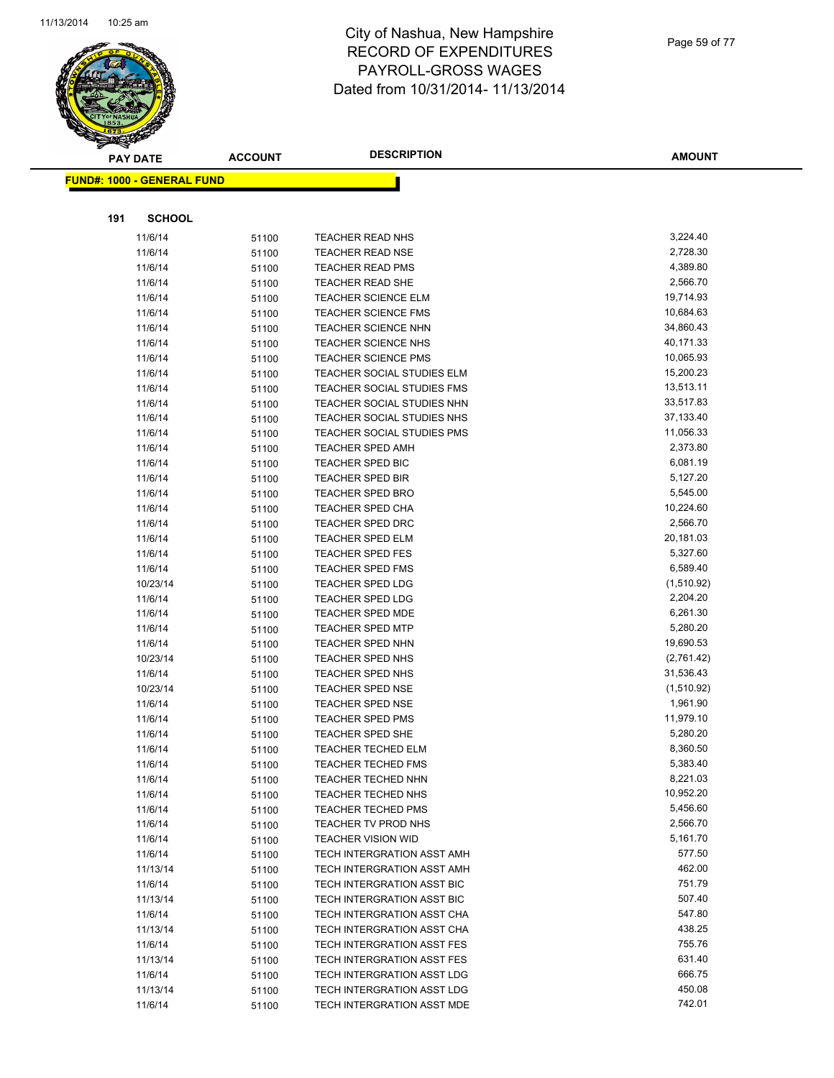

Page 59 of 77

|     | <b>PAY DATE</b>                    | <b>ACCOUNT</b> | <b>DESCRIPTION</b>                | <b>AMOUNT</b> |
|-----|------------------------------------|----------------|-----------------------------------|---------------|
|     | <u> FUND#: 1000 - GENERAL FUND</u> |                |                                   |               |
|     |                                    |                |                                   |               |
|     |                                    |                |                                   |               |
| 191 | <b>SCHOOL</b>                      |                |                                   |               |
|     | 11/6/14                            | 51100          | <b>TEACHER READ NHS</b>           | 3,224.40      |
|     | 11/6/14                            | 51100          | <b>TEACHER READ NSE</b>           | 2,728.30      |
|     | 11/6/14                            | 51100          | <b>TEACHER READ PMS</b>           | 4,389.80      |
|     | 11/6/14                            | 51100          | <b>TEACHER READ SHE</b>           | 2,566.70      |
|     | 11/6/14                            | 51100          | <b>TEACHER SCIENCE ELM</b>        | 19,714.93     |
|     | 11/6/14                            | 51100          | <b>TEACHER SCIENCE FMS</b>        | 10,684.63     |
|     | 11/6/14                            | 51100          | <b>TEACHER SCIENCE NHN</b>        | 34,860.43     |
|     | 11/6/14                            | 51100          | <b>TEACHER SCIENCE NHS</b>        | 40,171.33     |
|     | 11/6/14                            | 51100          | <b>TEACHER SCIENCE PMS</b>        | 10,065.93     |
|     | 11/6/14                            | 51100          | <b>TEACHER SOCIAL STUDIES ELM</b> | 15,200.23     |
|     | 11/6/14                            | 51100          | TEACHER SOCIAL STUDIES FMS        | 13,513.11     |
|     | 11/6/14                            | 51100          | TEACHER SOCIAL STUDIES NHN        | 33,517.83     |
|     | 11/6/14                            | 51100          | TEACHER SOCIAL STUDIES NHS        | 37,133.40     |
|     | 11/6/14                            | 51100          | TEACHER SOCIAL STUDIES PMS        | 11,056.33     |
|     | 11/6/14                            | 51100          | <b>TEACHER SPED AMH</b>           | 2,373.80      |
|     | 11/6/14                            | 51100          | <b>TEACHER SPED BIC</b>           | 6,081.19      |
|     | 11/6/14                            | 51100          | <b>TEACHER SPED BIR</b>           | 5,127.20      |
|     | 11/6/14                            | 51100          | <b>TEACHER SPED BRO</b>           | 5,545.00      |
|     | 11/6/14                            | 51100          | <b>TEACHER SPED CHA</b>           | 10,224.60     |
|     | 11/6/14                            | 51100          | <b>TEACHER SPED DRC</b>           | 2,566.70      |
|     | 11/6/14                            | 51100          | <b>TEACHER SPED ELM</b>           | 20,181.03     |
|     | 11/6/14                            | 51100          | TEACHER SPED FES                  | 5,327.60      |
|     | 11/6/14                            | 51100          | <b>TEACHER SPED FMS</b>           | 6,589.40      |
|     | 10/23/14                           | 51100          | <b>TEACHER SPED LDG</b>           | (1,510.92)    |
|     | 11/6/14                            | 51100          | <b>TEACHER SPED LDG</b>           | 2,204.20      |
|     | 11/6/14                            | 51100          | <b>TEACHER SPED MDE</b>           | 6,261.30      |
|     | 11/6/14                            | 51100          | <b>TEACHER SPED MTP</b>           | 5,280.20      |
|     | 11/6/14                            | 51100          | <b>TEACHER SPED NHN</b>           | 19,690.53     |
|     | 10/23/14                           | 51100          | TEACHER SPED NHS                  | (2,761.42)    |
|     | 11/6/14                            | 51100          | TEACHER SPED NHS                  | 31,536.43     |
|     | 10/23/14                           | 51100          | <b>TEACHER SPED NSE</b>           | (1,510.92)    |
|     | 11/6/14                            | 51100          | TEACHER SPED NSE                  | 1,961.90      |
|     | 11/6/14                            | 51100          | <b>TEACHER SPED PMS</b>           | 11,979.10     |
|     | 11/6/14                            | 51100          | TEACHER SPED SHE                  | 5,280.20      |
|     | 11/6/14                            | 51100          | <b>TEACHER TECHED ELM</b>         | 8,360.50      |
|     | 11/6/14                            | 51100          | <b>TEACHER TECHED FMS</b>         | 5,383.40      |
|     | 11/6/14                            | 51100          | TEACHER TECHED NHN                | 8,221.03      |
|     | 11/6/14                            | 51100          | TEACHER TECHED NHS                | 10,952.20     |
|     | 11/6/14                            | 51100          | <b>TEACHER TECHED PMS</b>         | 5,456.60      |
|     | 11/6/14                            | 51100          | TEACHER TV PROD NHS               | 2,566.70      |
|     | 11/6/14                            | 51100          | <b>TEACHER VISION WID</b>         | 5,161.70      |
|     | 11/6/14                            | 51100          | TECH INTERGRATION ASST AMH        | 577.50        |
|     | 11/13/14                           | 51100          | TECH INTERGRATION ASST AMH        | 462.00        |
|     | 11/6/14                            | 51100          | TECH INTERGRATION ASST BIC        | 751.79        |
|     | 11/13/14                           | 51100          | TECH INTERGRATION ASST BIC        | 507.40        |
|     | 11/6/14                            | 51100          | TECH INTERGRATION ASST CHA        | 547.80        |
|     | 11/13/14                           | 51100          | TECH INTERGRATION ASST CHA        | 438.25        |
|     | 11/6/14                            | 51100          | TECH INTERGRATION ASST FES        | 755.76        |
|     | 11/13/14                           | 51100          | TECH INTERGRATION ASST FES        | 631.40        |
|     | 11/6/14                            | 51100          | TECH INTERGRATION ASST LDG        | 666.75        |
|     | 11/13/14                           | 51100          | TECH INTERGRATION ASST LDG        | 450.08        |
|     | 11/6/14                            | 51100          | TECH INTERGRATION ASST MDE        | 742.01        |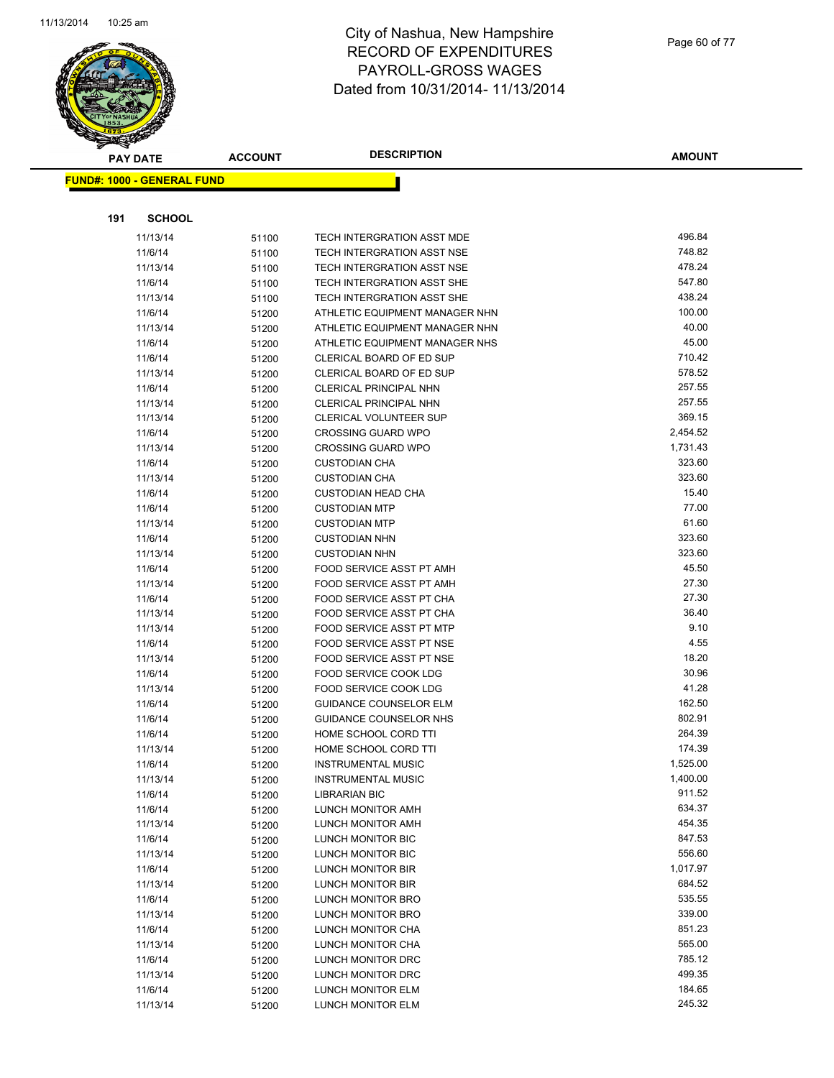

|     | <b>PAY DATE</b>                   | <b>ACCOUNT</b> | <b>DESCRIPTION</b>             | <b>AMOUNT</b> |
|-----|-----------------------------------|----------------|--------------------------------|---------------|
|     | <b>FUND#: 1000 - GENERAL FUND</b> |                |                                |               |
|     |                                   |                |                                |               |
| 191 | <b>SCHOOL</b>                     |                |                                |               |
|     | 11/13/14                          |                | TECH INTERGRATION ASST MDE     | 496.84        |
|     | 11/6/14                           | 51100<br>51100 | TECH INTERGRATION ASST NSE     | 748.82        |
|     | 11/13/14                          | 51100          | TECH INTERGRATION ASST NSE     | 478.24        |
|     | 11/6/14                           | 51100          | TECH INTERGRATION ASST SHE     | 547.80        |
|     | 11/13/14                          | 51100          | TECH INTERGRATION ASST SHE     | 438.24        |
|     | 11/6/14                           | 51200          | ATHLETIC EQUIPMENT MANAGER NHN | 100.00        |
|     | 11/13/14                          | 51200          | ATHLETIC EQUIPMENT MANAGER NHN | 40.00         |
|     | 11/6/14                           | 51200          | ATHLETIC EQUIPMENT MANAGER NHS | 45.00         |
|     | 11/6/14                           | 51200          | CLERICAL BOARD OF ED SUP       | 710.42        |
|     | 11/13/14                          | 51200          | CLERICAL BOARD OF ED SUP       | 578.52        |
|     | 11/6/14                           | 51200          | CLERICAL PRINCIPAL NHN         | 257.55        |
|     | 11/13/14                          | 51200          | <b>CLERICAL PRINCIPAL NHN</b>  | 257.55        |
|     | 11/13/14                          | 51200          | <b>CLERICAL VOLUNTEER SUP</b>  | 369.15        |
|     | 11/6/14                           | 51200          | <b>CROSSING GUARD WPO</b>      | 2,454.52      |
|     | 11/13/14                          | 51200          | <b>CROSSING GUARD WPO</b>      | 1,731.43      |
|     | 11/6/14                           | 51200          | <b>CUSTODIAN CHA</b>           | 323.60        |
|     | 11/13/14                          | 51200          | <b>CUSTODIAN CHA</b>           | 323.60        |
|     | 11/6/14                           | 51200          | <b>CUSTODIAN HEAD CHA</b>      | 15.40         |
|     | 11/6/14                           | 51200          | <b>CUSTODIAN MTP</b>           | 77.00         |
|     | 11/13/14                          | 51200          | <b>CUSTODIAN MTP</b>           | 61.60         |
|     | 11/6/14                           | 51200          | <b>CUSTODIAN NHN</b>           | 323.60        |
|     | 11/13/14                          | 51200          | <b>CUSTODIAN NHN</b>           | 323.60        |
|     | 11/6/14                           | 51200          | FOOD SERVICE ASST PT AMH       | 45.50         |
|     | 11/13/14                          | 51200          | FOOD SERVICE ASST PT AMH       | 27.30         |
|     | 11/6/14                           | 51200          | FOOD SERVICE ASST PT CHA       | 27.30         |
|     | 11/13/14                          | 51200          | FOOD SERVICE ASST PT CHA       | 36.40         |
|     | 11/13/14                          | 51200          | FOOD SERVICE ASST PT MTP       | 9.10          |
|     | 11/6/14                           | 51200          | FOOD SERVICE ASST PT NSE       | 4.55          |
|     | 11/13/14                          | 51200          | FOOD SERVICE ASST PT NSE       | 18.20         |
|     | 11/6/14                           | 51200          | FOOD SERVICE COOK LDG          | 30.96         |
|     | 11/13/14                          | 51200          | FOOD SERVICE COOK LDG          | 41.28         |
|     | 11/6/14                           | 51200          | <b>GUIDANCE COUNSELOR ELM</b>  | 162.50        |
|     | 11/6/14                           | 51200          | GUIDANCE COUNSELOR NHS         | 802.91        |
|     | 11/6/14                           | 51200          | HOME SCHOOL CORD TTI           | 264.39        |
|     | 11/13/14                          | 51200          | HOME SCHOOL CORD TTI           | 174.39        |
|     | 11/6/14                           | 51200          | <b>INSTRUMENTAL MUSIC</b>      | 1,525.00      |
|     | 11/13/14                          | 51200          | <b>INSTRUMENTAL MUSIC</b>      | 1,400.00      |
|     | 11/6/14                           | 51200          | <b>LIBRARIAN BIC</b>           | 911.52        |
|     | 11/6/14                           | 51200          | LUNCH MONITOR AMH              | 634.37        |
|     | 11/13/14                          | 51200          | LUNCH MONITOR AMH              | 454.35        |
|     | 11/6/14                           | 51200          | LUNCH MONITOR BIC              | 847.53        |
|     | 11/13/14                          | 51200          | LUNCH MONITOR BIC              | 556.60        |
|     | 11/6/14                           | 51200          | LUNCH MONITOR BIR              | 1,017.97      |
|     | 11/13/14                          | 51200          | LUNCH MONITOR BIR              | 684.52        |
|     | 11/6/14                           | 51200          | LUNCH MONITOR BRO              | 535.55        |
|     | 11/13/14                          | 51200          | LUNCH MONITOR BRO              | 339.00        |
|     | 11/6/14                           | 51200          | LUNCH MONITOR CHA              | 851.23        |
|     | 11/13/14                          | 51200          | LUNCH MONITOR CHA              | 565.00        |
|     | 11/6/14                           | 51200          | LUNCH MONITOR DRC              | 785.12        |
|     | 11/13/14                          | 51200          | LUNCH MONITOR DRC              | 499.35        |
|     | 11/6/14                           | 51200          | LUNCH MONITOR ELM              | 184.65        |
|     | 11/13/14                          | 51200          | LUNCH MONITOR ELM              | 245.32        |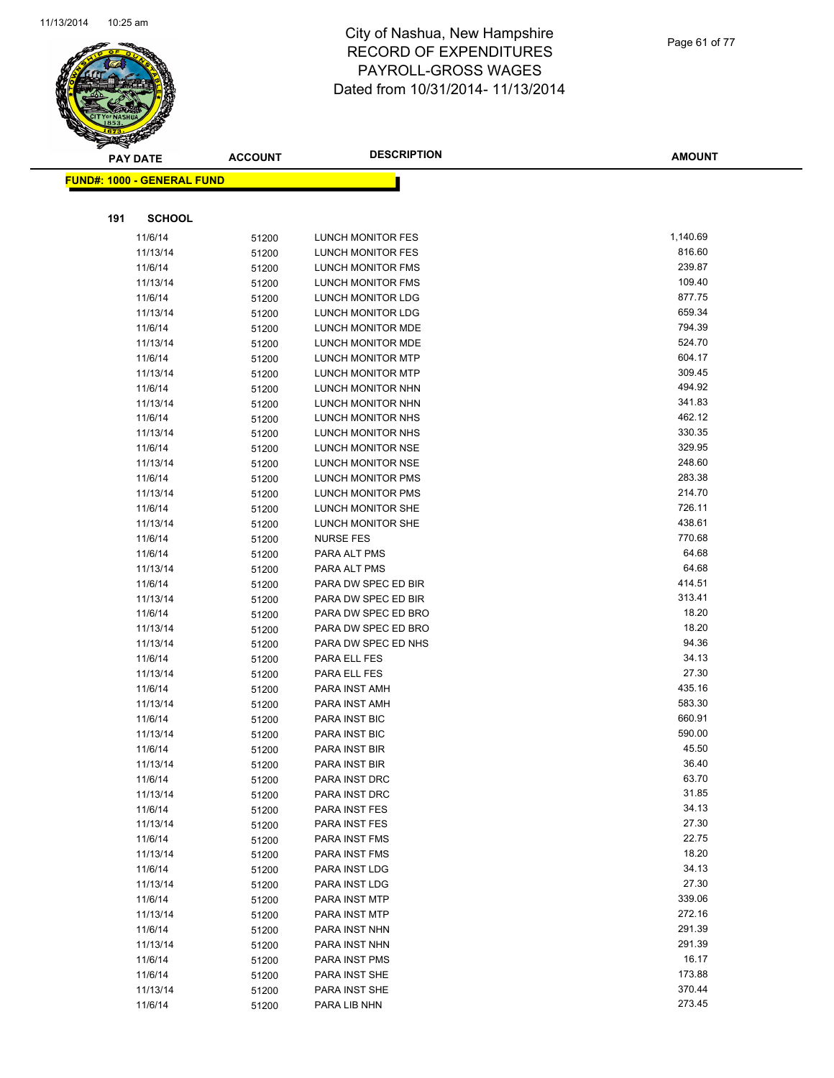

Page 61 of 77

| $\tilde{\phantom{a}}$ | <b>PAY DATE</b>                   | <b>ACCOUNT</b> | <b>DESCRIPTION</b>             | <b>AMOUNT</b>   |
|-----------------------|-----------------------------------|----------------|--------------------------------|-----------------|
|                       | <b>FUND#: 1000 - GENERAL FUND</b> |                |                                |                 |
|                       |                                   |                |                                |                 |
|                       |                                   |                |                                |                 |
| 191                   | <b>SCHOOL</b>                     |                |                                |                 |
|                       | 11/6/14                           | 51200          | LUNCH MONITOR FES              | 1,140.69        |
|                       | 11/13/14                          | 51200          | LUNCH MONITOR FES              | 816.60          |
|                       | 11/6/14                           | 51200          | LUNCH MONITOR FMS              | 239.87          |
|                       | 11/13/14                          | 51200          | LUNCH MONITOR FMS              | 109.40          |
|                       | 11/6/14                           | 51200          | LUNCH MONITOR LDG              | 877.75          |
|                       | 11/13/14                          | 51200          | LUNCH MONITOR LDG              | 659.34          |
|                       | 11/6/14                           | 51200          | LUNCH MONITOR MDE              | 794.39          |
|                       | 11/13/14                          | 51200          | LUNCH MONITOR MDE              | 524.70          |
|                       | 11/6/14                           | 51200          | LUNCH MONITOR MTP              | 604.17          |
|                       | 11/13/14                          | 51200          | LUNCH MONITOR MTP              | 309.45          |
|                       | 11/6/14                           | 51200          | LUNCH MONITOR NHN              | 494.92          |
|                       | 11/13/14                          | 51200          | LUNCH MONITOR NHN              | 341.83          |
|                       | 11/6/14                           | 51200          | LUNCH MONITOR NHS              | 462.12          |
|                       | 11/13/14                          | 51200          | LUNCH MONITOR NHS              | 330.35          |
|                       | 11/6/14                           | 51200          | LUNCH MONITOR NSE              | 329.95          |
|                       | 11/13/14                          | 51200          | LUNCH MONITOR NSE              | 248.60          |
|                       | 11/6/14                           | 51200          | <b>LUNCH MONITOR PMS</b>       | 283.38          |
|                       | 11/13/14                          | 51200          | <b>LUNCH MONITOR PMS</b>       | 214.70          |
|                       | 11/6/14                           | 51200          | <b>LUNCH MONITOR SHE</b>       | 726.11          |
|                       | 11/13/14                          | 51200          | LUNCH MONITOR SHE              | 438.61          |
|                       | 11/6/14                           | 51200          | <b>NURSE FES</b>               | 770.68          |
|                       | 11/6/14                           | 51200          | PARA ALT PMS                   | 64.68           |
|                       | 11/13/14                          | 51200          | PARA ALT PMS                   | 64.68           |
|                       | 11/6/14                           | 51200          | PARA DW SPEC ED BIR            | 414.51          |
|                       | 11/13/14                          | 51200          | PARA DW SPEC ED BIR            | 313.41          |
|                       | 11/6/14                           | 51200          | PARA DW SPEC ED BRO            | 18.20           |
|                       | 11/13/14                          | 51200          | PARA DW SPEC ED BRO            | 18.20           |
|                       | 11/13/14                          | 51200          | PARA DW SPEC ED NHS            | 94.36           |
|                       | 11/6/14                           | 51200          | PARA ELL FES                   | 34.13           |
|                       | 11/13/14                          | 51200          | PARA ELL FES                   | 27.30<br>435.16 |
|                       | 11/6/14                           | 51200          | PARA INST AMH                  | 583.30          |
|                       | 11/13/14                          | 51200          | PARA INST AMH                  | 660.91          |
|                       | 11/6/14                           | 51200          | PARA INST BIC                  | 590.00          |
|                       | 11/13/14<br>11/6/14               | 51200          | PARA INST BIC<br>PARA INST BIR | 45.50           |
|                       | 11/13/14                          | 51200          | PARA INST BIR                  | 36.40           |
|                       | 11/6/14                           | 51200          | PARA INST DRC                  | 63.70           |
|                       | 11/13/14                          | 51200<br>51200 | PARA INST DRC                  | 31.85           |
|                       | 11/6/14                           | 51200          | PARA INST FES                  | 34.13           |
|                       | 11/13/14                          | 51200          | PARA INST FES                  | 27.30           |
|                       | 11/6/14                           | 51200          | PARA INST FMS                  | 22.75           |
|                       | 11/13/14                          | 51200          | PARA INST FMS                  | 18.20           |
|                       | 11/6/14                           | 51200          | PARA INST LDG                  | 34.13           |
|                       | 11/13/14                          | 51200          | PARA INST LDG                  | 27.30           |
|                       | 11/6/14                           | 51200          | PARA INST MTP                  | 339.06          |
|                       | 11/13/14                          | 51200          | PARA INST MTP                  | 272.16          |
|                       | 11/6/14                           | 51200          | PARA INST NHN                  | 291.39          |
|                       | 11/13/14                          | 51200          | PARA INST NHN                  | 291.39          |
|                       | 11/6/14                           | 51200          | PARA INST PMS                  | 16.17           |
|                       | 11/6/14                           | 51200          | PARA INST SHE                  | 173.88          |
|                       | 11/13/14                          | 51200          | PARA INST SHE                  | 370.44          |
|                       | 11/6/14                           | 51200          | PARA LIB NHN                   | 273.45          |
|                       |                                   |                |                                |                 |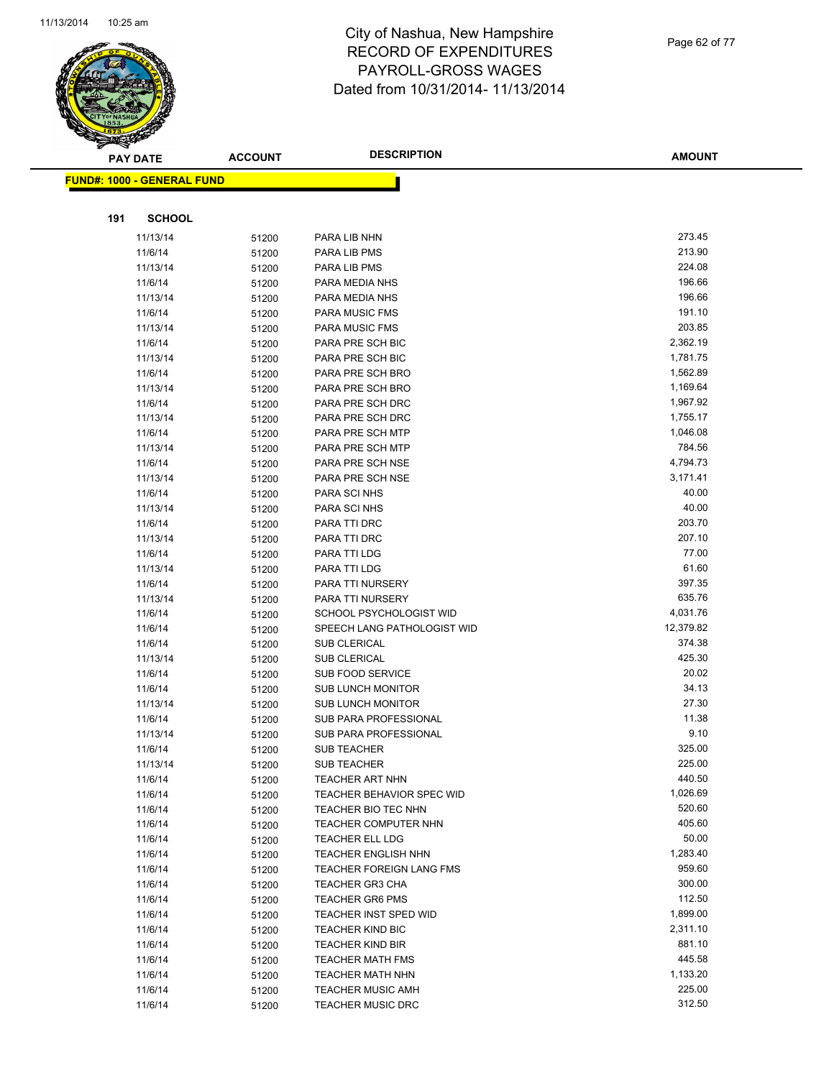

|     | <b>PAY DATE</b>                   | <b>ACCOUNT</b> | <b>DESCRIPTION</b>                   | <b>AMOUNT</b>        |
|-----|-----------------------------------|----------------|--------------------------------------|----------------------|
|     | <b>FUND#: 1000 - GENERAL FUND</b> |                |                                      |                      |
|     |                                   |                |                                      |                      |
|     |                                   |                |                                      |                      |
| 191 | <b>SCHOOL</b>                     |                |                                      |                      |
|     | 11/13/14                          | 51200          | PARA LIB NHN                         | 273.45               |
|     | 11/6/14                           | 51200          | PARA LIB PMS                         | 213.90               |
|     | 11/13/14                          | 51200          | PARA LIB PMS                         | 224.08               |
|     | 11/6/14                           | 51200          | PARA MEDIA NHS                       | 196.66               |
|     | 11/13/14                          | 51200          | PARA MEDIA NHS                       | 196.66               |
|     | 11/6/14                           | 51200          | <b>PARA MUSIC FMS</b>                | 191.10               |
|     | 11/13/14                          | 51200          | <b>PARA MUSIC FMS</b>                | 203.85               |
|     | 11/6/14                           | 51200          | PARA PRE SCH BIC                     | 2,362.19             |
|     | 11/13/14                          | 51200          | PARA PRE SCH BIC                     | 1,781.75             |
|     | 11/6/14                           | 51200          | PARA PRE SCH BRO                     | 1,562.89             |
|     | 11/13/14                          | 51200          | PARA PRE SCH BRO                     | 1,169.64             |
|     | 11/6/14                           | 51200          | PARA PRE SCH DRC                     | 1,967.92             |
|     | 11/13/14                          | 51200          | PARA PRE SCH DRC                     | 1,755.17<br>1,046.08 |
|     | 11/6/14                           | 51200          | PARA PRE SCH MTP                     | 784.56               |
|     | 11/13/14                          | 51200          | PARA PRE SCH MTP                     | 4,794.73             |
|     | 11/6/14<br>11/13/14               | 51200          | PARA PRE SCH NSE<br>PARA PRE SCH NSE | 3,171.41             |
|     |                                   | 51200          | PARA SCI NHS                         | 40.00                |
|     | 11/6/14<br>11/13/14               | 51200          | PARA SCI NHS                         | 40.00                |
|     | 11/6/14                           | 51200          | PARA TTI DRC                         | 203.70               |
|     | 11/13/14                          | 51200          | PARA TTI DRC                         | 207.10               |
|     | 11/6/14                           | 51200<br>51200 | PARA TTI LDG                         | 77.00                |
|     | 11/13/14                          | 51200          | PARA TTI LDG                         | 61.60                |
|     | 11/6/14                           | 51200          | PARA TTI NURSERY                     | 397.35               |
|     | 11/13/14                          | 51200          | PARA TTI NURSERY                     | 635.76               |
|     | 11/6/14                           | 51200          | SCHOOL PSYCHOLOGIST WID              | 4,031.76             |
|     | 11/6/14                           | 51200          | SPEECH LANG PATHOLOGIST WID          | 12,379.82            |
|     | 11/6/14                           | 51200          | SUB CLERICAL                         | 374.38               |
|     | 11/13/14                          | 51200          | SUB CLERICAL                         | 425.30               |
|     | 11/6/14                           | 51200          | <b>SUB FOOD SERVICE</b>              | 20.02                |
|     | 11/6/14                           | 51200          | <b>SUB LUNCH MONITOR</b>             | 34.13                |
|     | 11/13/14                          | 51200          | <b>SUB LUNCH MONITOR</b>             | 27.30                |
|     | 11/6/14                           | 51200          | SUB PARA PROFESSIONAL                | 11.38                |
|     | 11/13/14                          | 51200          | SUB PARA PROFESSIONAL                | 9.10                 |
|     | 11/6/14                           | 51200          | <b>SUB TEACHER</b>                   | 325.00               |
|     | 11/13/14                          | 51200          | <b>SUB TEACHER</b>                   | 225.00               |
|     | 11/6/14                           | 51200          | <b>TEACHER ART NHN</b>               | 440.50               |
|     | 11/6/14                           | 51200          | TEACHER BEHAVIOR SPEC WID            | 1,026.69             |
|     | 11/6/14                           | 51200          | TEACHER BIO TEC NHN                  | 520.60               |
|     | 11/6/14                           | 51200          | <b>TEACHER COMPUTER NHN</b>          | 405.60               |
|     | 11/6/14                           | 51200          | <b>TEACHER ELL LDG</b>               | 50.00                |
|     | 11/6/14                           | 51200          | <b>TEACHER ENGLISH NHN</b>           | 1,283.40             |
|     | 11/6/14                           | 51200          | TEACHER FOREIGN LANG FMS             | 959.60               |
|     | 11/6/14                           | 51200          | <b>TEACHER GR3 CHA</b>               | 300.00               |
|     | 11/6/14                           | 51200          | <b>TEACHER GR6 PMS</b>               | 112.50               |
|     | 11/6/14                           | 51200          | TEACHER INST SPED WID                | 1,899.00             |
|     | 11/6/14                           | 51200          | <b>TEACHER KIND BIC</b>              | 2,311.10             |
|     | 11/6/14                           | 51200          | <b>TEACHER KIND BIR</b>              | 881.10               |
|     | 11/6/14                           | 51200          | <b>TEACHER MATH FMS</b>              | 445.58               |
|     | 11/6/14                           | 51200          | TEACHER MATH NHN                     | 1,133.20             |
|     | 11/6/14                           | 51200          | <b>TEACHER MUSIC AMH</b>             | 225.00               |
|     | 11/6/14                           | 51200          | <b>TEACHER MUSIC DRC</b>             | 312.50               |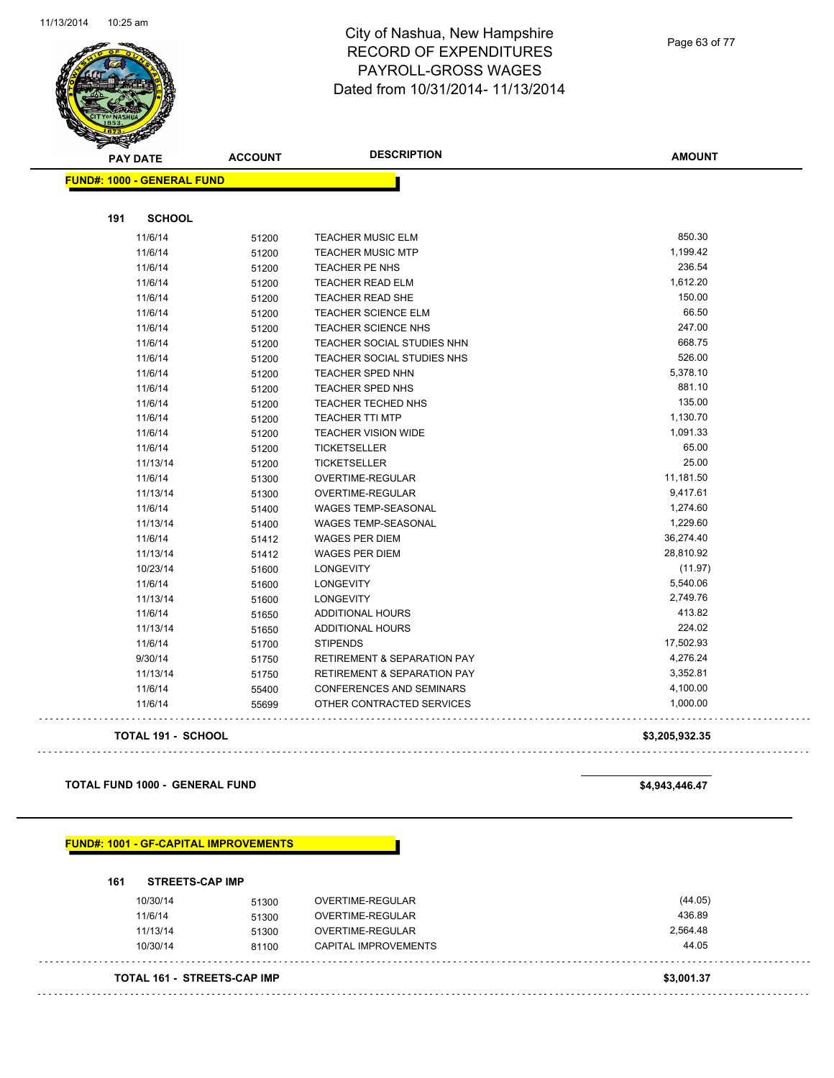

Page 63 of 77

| <b>PAY DATE</b>                   | <b>ACCOUNT</b> | <b>DESCRIPTION</b>                     | <b>AMOUNT</b>  |
|-----------------------------------|----------------|----------------------------------------|----------------|
| <b>FUND#: 1000 - GENERAL FUND</b> |                |                                        |                |
|                                   |                |                                        |                |
| 191<br><b>SCHOOL</b>              |                |                                        |                |
| 11/6/14                           | 51200          | <b>TEACHER MUSIC ELM</b>               | 850.30         |
| 11/6/14                           | 51200          | <b>TEACHER MUSIC MTP</b>               | 1,199.42       |
| 11/6/14                           | 51200          | <b>TEACHER PE NHS</b>                  | 236.54         |
| 11/6/14                           | 51200          | <b>TEACHER READ ELM</b>                | 1,612.20       |
| 11/6/14                           | 51200          | <b>TEACHER READ SHE</b>                | 150.00         |
| 11/6/14                           | 51200          | <b>TEACHER SCIENCE ELM</b>             | 66.50          |
| 11/6/14                           | 51200          | <b>TEACHER SCIENCE NHS</b>             | 247.00         |
| 11/6/14                           | 51200          | TEACHER SOCIAL STUDIES NHN             | 668.75         |
| 11/6/14                           | 51200          | TEACHER SOCIAL STUDIES NHS             | 526.00         |
| 11/6/14                           | 51200          | <b>TEACHER SPED NHN</b>                | 5,378.10       |
| 11/6/14                           | 51200          | TEACHER SPED NHS                       | 881.10         |
| 11/6/14                           | 51200          | <b>TEACHER TECHED NHS</b>              | 135.00         |
| 11/6/14                           | 51200          | <b>TEACHER TTI MTP</b>                 | 1,130.70       |
| 11/6/14                           | 51200          | <b>TEACHER VISION WIDE</b>             | 1,091.33       |
| 11/6/14                           | 51200          | <b>TICKETSELLER</b>                    | 65.00          |
| 11/13/14                          | 51200          | <b>TICKETSELLER</b>                    | 25.00          |
| 11/6/14                           | 51300          | OVERTIME-REGULAR                       | 11,181.50      |
| 11/13/14                          | 51300          | OVERTIME-REGULAR                       | 9,417.61       |
| 11/6/14                           | 51400          | <b>WAGES TEMP-SEASONAL</b>             | 1,274.60       |
| 11/13/14                          | 51400          | <b>WAGES TEMP-SEASONAL</b>             | 1,229.60       |
| 11/6/14                           | 51412          | <b>WAGES PER DIEM</b>                  | 36,274.40      |
| 11/13/14                          | 51412          | <b>WAGES PER DIEM</b>                  | 28,810.92      |
| 10/23/14                          | 51600          | <b>LONGEVITY</b>                       | (11.97)        |
| 11/6/14                           | 51600          | <b>LONGEVITY</b>                       | 5,540.06       |
| 11/13/14                          | 51600          | <b>LONGEVITY</b>                       | 2,749.76       |
| 11/6/14                           | 51650          | <b>ADDITIONAL HOURS</b>                | 413.82         |
| 11/13/14                          | 51650          | ADDITIONAL HOURS                       | 224.02         |
| 11/6/14                           | 51700          | <b>STIPENDS</b>                        | 17,502.93      |
| 9/30/14                           | 51750          | <b>RETIREMENT &amp; SEPARATION PAY</b> | 4,276.24       |
| 11/13/14                          | 51750          | <b>RETIREMENT &amp; SEPARATION PAY</b> | 3,352.81       |
| 11/6/14                           | 55400          | CONFERENCES AND SEMINARS               | 4,100.00       |
| 11/6/14                           | 55699          | OTHER CONTRACTED SERVICES              | 1,000.00       |
| <b>TOTAL 191 - SCHOOL</b>         |                |                                        | \$3,205,932.35 |

**TOTAL FUND 1000 - GENERAL FUND \$4,943,446.47** 

**FUND#: 1001 - GF-CAPITAL IMPROVEMENTS**

**161 STREETS-CAP IMP**

| <b>TOTAL 161 - STREETS-CAP IMP</b> |       |                      | \$3,001.37 |
|------------------------------------|-------|----------------------|------------|
|                                    | 81100 |                      |            |
| 10/30/14                           |       | CAPITAL IMPROVEMENTS | 44.05      |
| 11/13/14                           | 51300 | OVERTIME-REGULAR     | 2,564.48   |
| 11/6/14                            | 51300 | OVERTIME-REGULAR     | 436.89     |
| 10/30/14                           | 51300 | OVERTIME-REGULAR     | (44.05)    |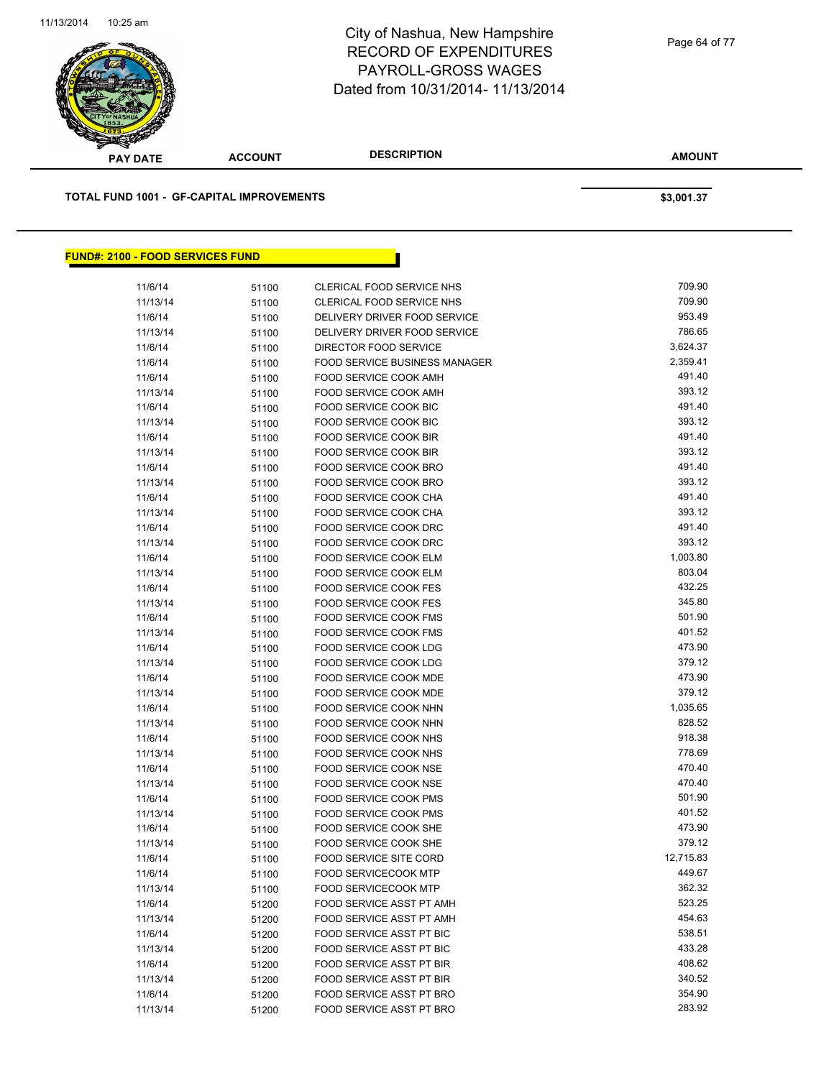

| <b>PAY DATE</b>                                  | <b>ACCOUNT</b> | <b>DESCRIPTION</b>                   | <b>AMOUNT</b> |
|--------------------------------------------------|----------------|--------------------------------------|---------------|
| <b>TOTAL FUND 1001 - GF-CAPITAL IMPROVEMENTS</b> |                |                                      | \$3,001.37    |
|                                                  |                |                                      |               |
| <b>FUND#: 2100 - FOOD SERVICES FUND</b>          |                |                                      |               |
| 11/6/14                                          | 51100          | <b>CLERICAL FOOD SERVICE NHS</b>     | 709.90        |
| 11/13/14                                         | 51100          | <b>CLERICAL FOOD SERVICE NHS</b>     | 709.90        |
| 11/6/14                                          | 51100          | DELIVERY DRIVER FOOD SERVICE         | 953.49        |
| 11/13/14                                         | 51100          | DELIVERY DRIVER FOOD SERVICE         | 786.65        |
| 11/6/14                                          | 51100          | DIRECTOR FOOD SERVICE                | 3,624.37      |
| 11/6/14                                          | 51100          | <b>FOOD SERVICE BUSINESS MANAGER</b> | 2,359.41      |
| 11/6/14                                          | 51100          | FOOD SERVICE COOK AMH                | 491.40        |
| 11/13/14                                         | 51100          | FOOD SERVICE COOK AMH                | 393.12        |
| 11/6/14                                          | 51100          | FOOD SERVICE COOK BIC                | 491.40        |
| 11/13/14                                         | 51100          | FOOD SERVICE COOK BIC                | 393.12        |
| 11/6/14                                          | 51100          | FOOD SERVICE COOK BIR                | 491.40        |
| 11/13/14                                         | 51100          | FOOD SERVICE COOK BIR                | 393.12        |
| 11/6/14                                          | 51100          | <b>FOOD SERVICE COOK BRO</b>         | 491.40        |
| 11/13/14                                         | 51100          | <b>FOOD SERVICE COOK BRO</b>         | 393.12        |
| 11/6/14                                          | 51100          | <b>FOOD SERVICE COOK CHA</b>         | 491.40        |
| 11/13/14                                         | 51100          | FOOD SERVICE COOK CHA                | 393.12        |
| 11/6/14                                          | 51100          | FOOD SERVICE COOK DRC                | 491.40        |
| 11/13/14                                         | 51100          | FOOD SERVICE COOK DRC                | 393.12        |
| 11/6/14                                          | 51100          | FOOD SERVICE COOK ELM                | 1,003.80      |
| 11/13/14                                         | 51100          | FOOD SERVICE COOK ELM                | 803.04        |
| 11/6/14                                          | 51100          | <b>FOOD SERVICE COOK FES</b>         | 432.25        |
| 11/13/14                                         | 51100          | <b>FOOD SERVICE COOK FES</b>         | 345.80        |
| 11/6/14                                          | 51100          | <b>FOOD SERVICE COOK FMS</b>         | 501.90        |
| 11/13/14                                         | 51100          | <b>FOOD SERVICE COOK FMS</b>         | 401.52        |
| 11/6/14                                          | 51100          | FOOD SERVICE COOK LDG                | 473.90        |
| 11/13/14                                         | 51100          | FOOD SERVICE COOK LDG                | 379.12        |
| 11/6/14                                          | 51100          | FOOD SERVICE COOK MDE                | 473.90        |
| 11/13/14                                         | 51100          | <b>FOOD SERVICE COOK MDE</b>         | 379.12        |
| 11/6/14                                          | 51100          | FOOD SERVICE COOK NHN                | 1,035.65      |
| 11/13/14                                         | 51100          | FOOD SERVICE COOK NHN                | 828.52        |
| 11/6/14                                          | 51100          | FOOD SERVICE COOK NHS                | 918.38        |
| 11/13/14                                         | 51100          | <b>FOOD SERVICE COOK NHS</b>         | 778.69        |
| 11/6/14                                          | 51100          | FOOD SERVICE COOK NSE                | 470.40        |
| 11/13/14                                         | 51100          | FOOD SERVICE COOK NSE                | 470.40        |
| 11/6/14                                          | 51100          | FOOD SERVICE COOK PMS                | 501.90        |
| 11/13/14                                         | 51100          | FOOD SERVICE COOK PMS                | 401.52        |
| 11/6/14                                          | 51100          | FOOD SERVICE COOK SHE                | 473.90        |
| 11/13/14                                         | 51100          | FOOD SERVICE COOK SHE                | 379.12        |
| 11/6/14                                          | 51100          | <b>FOOD SERVICE SITE CORD</b>        | 12,715.83     |
| 11/6/14                                          | 51100          | <b>FOOD SERVICECOOK MTP</b>          | 449.67        |
| 11/13/14                                         | 51100          | FOOD SERVICECOOK MTP                 | 362.32        |
| 11/6/14                                          | 51200          | FOOD SERVICE ASST PT AMH             | 523.25        |
| 11/13/14                                         | 51200          | FOOD SERVICE ASST PT AMH             | 454.63        |
| 11/6/14                                          | 51200          | FOOD SERVICE ASST PT BIC             | 538.51        |
| 11/13/14                                         | 51200          | FOOD SERVICE ASST PT BIC             | 433.28        |
| 11/6/14                                          | 51200          | FOOD SERVICE ASST PT BIR             | 408.62        |

11/13/14 51200 FOOD SERVICE ASST PT BIR<br>11/6/14 51200 FOOD SERVICE ASST PT BRO<br>11/6/14 51200 FOOD SERVICE ASST PT BRO

11/13/14 51200 FOOD SERVICE ASST PT BRO 283.92

11/6/14 51200 FOOD SERVICE ASST PT BRO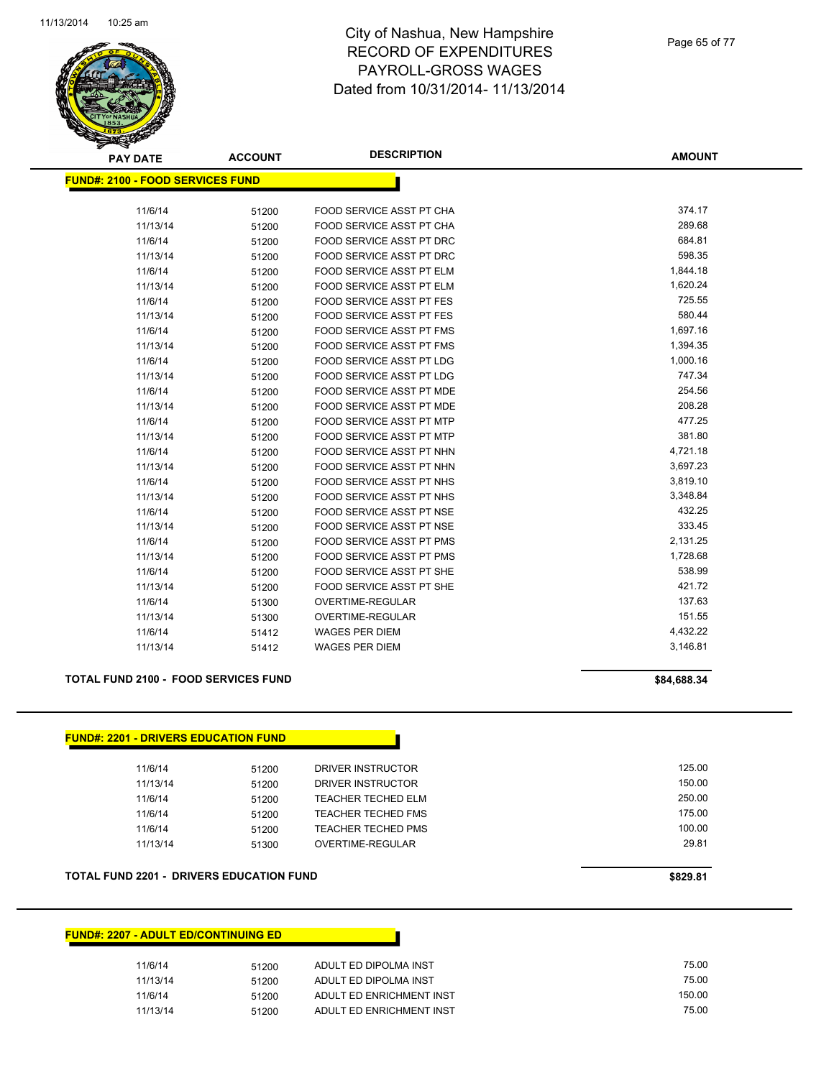

Page 65 of 77

| <b>PAY DATE</b>                         | <b>ACCOUNT</b> | <b>DESCRIPTION</b>              | <b>AMOUNT</b> |
|-----------------------------------------|----------------|---------------------------------|---------------|
| <b>FUND#: 2100 - FOOD SERVICES FUND</b> |                |                                 |               |
| 11/6/14                                 | 51200          | FOOD SERVICE ASST PT CHA        | 374.17        |
| 11/13/14                                | 51200          | FOOD SERVICE ASST PT CHA        | 289.68        |
| 11/6/14                                 | 51200          | FOOD SERVICE ASST PT DRC        | 684.81        |
| 11/13/14                                | 51200          | <b>FOOD SERVICE ASST PT DRC</b> | 598.35        |
| 11/6/14                                 | 51200          | FOOD SERVICE ASST PT ELM        | 1,844.18      |
| 11/13/14                                | 51200          | <b>FOOD SERVICE ASST PT ELM</b> | 1,620.24      |
| 11/6/14                                 | 51200          | FOOD SERVICE ASST PT FES        | 725.55        |
| 11/13/14                                | 51200          | <b>FOOD SERVICE ASST PT FES</b> | 580.44        |
| 11/6/14                                 | 51200          | <b>FOOD SERVICE ASST PT FMS</b> | 1,697.16      |
| 11/13/14                                | 51200          | FOOD SERVICE ASST PT FMS        | 1,394.35      |
| 11/6/14                                 | 51200          | <b>FOOD SERVICE ASST PT LDG</b> | 1,000.16      |
| 11/13/14                                | 51200          | <b>FOOD SERVICE ASST PT LDG</b> | 747.34        |
| 11/6/14                                 | 51200          | FOOD SERVICE ASST PT MDE        | 254.56        |
| 11/13/14                                | 51200          | FOOD SERVICE ASST PT MDE        | 208.28        |
| 11/6/14                                 | 51200          | <b>FOOD SERVICE ASST PT MTP</b> | 477.25        |
| 11/13/14                                | 51200          | FOOD SERVICE ASST PT MTP        | 381.80        |
| 11/6/14                                 | 51200          | FOOD SERVICE ASST PT NHN        | 4,721.18      |
| 11/13/14                                | 51200          | FOOD SERVICE ASST PT NHN        | 3,697.23      |
| 11/6/14                                 | 51200          | FOOD SERVICE ASST PT NHS        | 3,819.10      |
| 11/13/14                                | 51200          | <b>FOOD SERVICE ASST PT NHS</b> | 3,348.84      |
| 11/6/14                                 | 51200          | <b>FOOD SERVICE ASST PT NSE</b> | 432.25        |
| 11/13/14                                | 51200          | FOOD SERVICE ASST PT NSE        | 333.45        |
| 11/6/14                                 | 51200          | <b>FOOD SERVICE ASST PT PMS</b> | 2,131.25      |
| 11/13/14                                | 51200          | FOOD SERVICE ASST PT PMS        | 1,728.68      |
| 11/6/14                                 | 51200          | FOOD SERVICE ASST PT SHE        | 538.99        |
| 11/13/14                                | 51200          | <b>FOOD SERVICE ASST PT SHE</b> | 421.72        |
| 11/6/14                                 | 51300          | OVERTIME-REGULAR                | 137.63        |
| 11/13/14                                | 51300          | <b>OVERTIME-REGULAR</b>         | 151.55        |
| 11/6/14                                 | 51412          | <b>WAGES PER DIEM</b>           | 4,432.22      |
| 11/13/14                                | 51412          | <b>WAGES PER DIEM</b>           | 3,146.81      |

#### **TOTAL FUND 2100 - FOOD SERVICES FUND \$84,688.34**

| 11/6/14  | 51200 | DRIVER INSTRUCTOR         | 125.00 |
|----------|-------|---------------------------|--------|
| 11/13/14 | 51200 | DRIVER INSTRUCTOR         | 150.00 |
| 11/6/14  | 51200 | <b>TEACHER TECHED ELM</b> | 250.00 |
| 11/6/14  | 51200 | <b>TEACHER TECHED FMS</b> | 175.00 |
| 11/6/14  | 51200 | <b>TEACHER TECHED PMS</b> | 100.00 |
| 11/13/14 | 51300 | OVERTIME-REGULAR          | 29.81  |

#### **TOTAL FUND 2201 - DRIVERS EDUCATION FUND \$829.81**

#### **FUND#: 2207 - ADULT ED/CONTINUING ED**

| 11/6/14  | 51200 | ADULT ED DIPOLMA INST    | 75.00  |
|----------|-------|--------------------------|--------|
| 11/13/14 | 51200 | ADULT ED DIPOLMA INST    | 75.00  |
| 11/6/14  | 51200 | ADULT ED ENRICHMENT INST | 150.00 |
| 11/13/14 | 51200 | ADULT ED ENRICHMENT INST | 75.00  |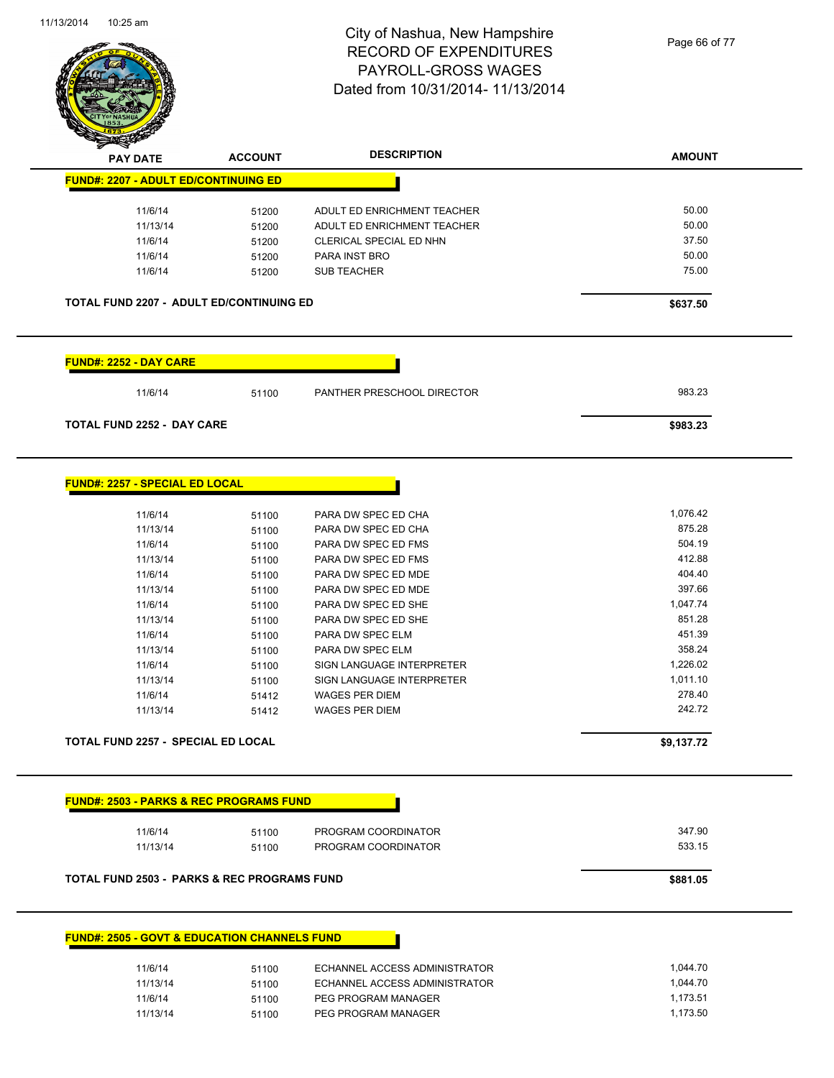

Page 66 of 77

| <b>PAY DATE</b>                                         | <b>ACCOUNT</b> | <b>DESCRIPTION</b>            | <b>AMOUNT</b> |
|---------------------------------------------------------|----------------|-------------------------------|---------------|
| <b>FUND#: 2207 - ADULT ED/CONTINUING ED</b>             |                |                               |               |
| 11/6/14                                                 |                | ADULT ED ENRICHMENT TEACHER   | 50.00         |
| 11/13/14                                                | 51200          | ADULT ED ENRICHMENT TEACHER   | 50.00         |
| 11/6/14                                                 | 51200          | CLERICAL SPECIAL ED NHN       | 37.50         |
| 11/6/14                                                 | 51200          | PARA INST BRO                 | 50.00         |
|                                                         | 51200          |                               | 75.00         |
| 11/6/14                                                 | 51200          | <b>SUB TEACHER</b>            |               |
| <b>TOTAL FUND 2207 - ADULT ED/CONTINUING ED</b>         |                |                               | \$637.50      |
| <b>FUND#: 2252 - DAY CARE</b>                           |                |                               |               |
| 11/6/14                                                 | 51100          | PANTHER PRESCHOOL DIRECTOR    | 983.23        |
| <b>TOTAL FUND 2252 - DAY CARE</b>                       |                |                               | \$983.23      |
| <u> FUND#: 2257 - SPECIAL ED LOCAL</u>                  |                |                               |               |
|                                                         |                |                               |               |
| 11/6/14                                                 | 51100          | PARA DW SPEC ED CHA           | 1,076.42      |
| 11/13/14                                                | 51100          | PARA DW SPEC ED CHA           | 875.28        |
| 11/6/14                                                 | 51100          | PARA DW SPEC ED FMS           | 504.19        |
| 11/13/14                                                | 51100          | PARA DW SPEC ED FMS           | 412.88        |
| 11/6/14                                                 | 51100          | PARA DW SPEC ED MDE           | 404.40        |
| 11/13/14                                                | 51100          | PARA DW SPEC ED MDE           | 397.66        |
| 11/6/14                                                 | 51100          | PARA DW SPEC ED SHE           | 1,047.74      |
| 11/13/14                                                | 51100          | PARA DW SPEC ED SHE           | 851.28        |
| 11/6/14                                                 | 51100          | PARA DW SPEC ELM              | 451.39        |
| 11/13/14                                                | 51100          | PARA DW SPEC ELM              | 358.24        |
| 11/6/14                                                 | 51100          | SIGN LANGUAGE INTERPRETER     | 1,226.02      |
| 11/13/14                                                | 51100          | SIGN LANGUAGE INTERPRETER     | 1,011.10      |
| 11/6/14                                                 | 51412          | <b>WAGES PER DIEM</b>         | 278.40        |
| 11/13/14                                                | 51412          | <b>WAGES PER DIEM</b>         | 242.72        |
| <b>TOTAL FUND 2257 - SPECIAL ED LOCAL</b>               |                |                               | \$9,137.72    |
|                                                         |                |                               |               |
| <b>FUND#: 2503 - PARKS &amp; REC PROGRAMS FUND</b>      |                |                               |               |
| 11/6/14                                                 | 51100          | PROGRAM COORDINATOR           | 347.90        |
| 11/13/14                                                | 51100          | PROGRAM COORDINATOR           | 533.15        |
| <b>TOTAL FUND 2503 - PARKS &amp; REC PROGRAMS FUND</b>  |                |                               | \$881.05      |
|                                                         |                |                               |               |
| <b>FUND#: 2505 - GOVT &amp; EDUCATION CHANNELS FUND</b> |                |                               |               |
|                                                         | 51100          | ECHANNEL ACCESS ADMINISTRATOR | 1,044.70      |
| 11/6/14                                                 |                |                               |               |
| 11/13/14                                                | 51100          | ECHANNEL ACCESS ADMINISTRATOR | 1,044.70      |
| 11/6/14                                                 | 51100          | PEG PROGRAM MANAGER           | 1,173.51      |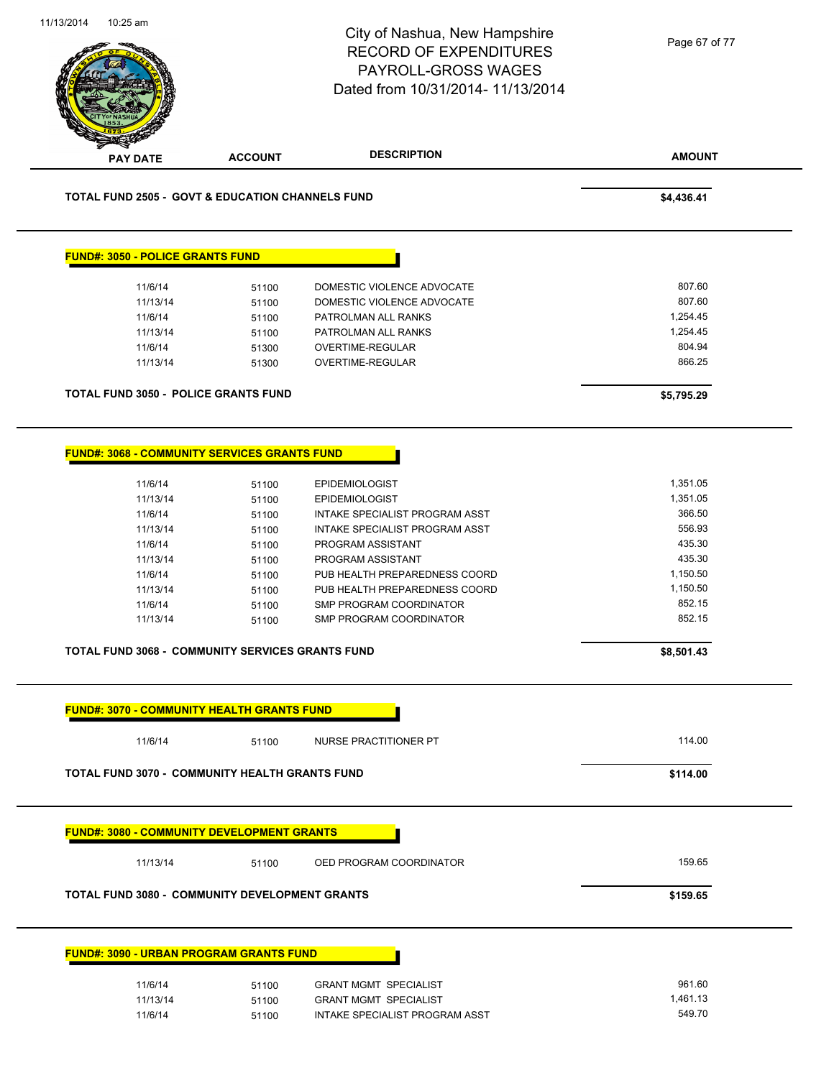|  |                                                             |                                                         | City of Nashua, New Hampshire<br><b>RECORD OF EXPENDITURES</b><br>PAYROLL-GROSS WAGES<br>Dated from 10/31/2014- 11/13/2014 | Page 67 of 77      |
|--|-------------------------------------------------------------|---------------------------------------------------------|----------------------------------------------------------------------------------------------------------------------------|--------------------|
|  | <b>PAY DATE</b>                                             | <b>ACCOUNT</b>                                          | <b>DESCRIPTION</b>                                                                                                         | <b>AMOUNT</b>      |
|  | <b>TOTAL FUND 2505 - GOVT &amp; EDUCATION CHANNELS FUND</b> | \$4,436.41                                              |                                                                                                                            |                    |
|  | <b>FUND#: 3050 - POLICE GRANTS FUND</b>                     |                                                         |                                                                                                                            |                    |
|  | 11/6/14                                                     | 51100                                                   | DOMESTIC VIOLENCE ADVOCATE                                                                                                 | 807.60             |
|  | 11/13/14                                                    | 51100                                                   | DOMESTIC VIOLENCE ADVOCATE                                                                                                 | 807.60             |
|  | 11/6/14                                                     | 51100                                                   | PATROLMAN ALL RANKS                                                                                                        | 1,254.45           |
|  | 11/13/14                                                    | 51100                                                   | PATROLMAN ALL RANKS                                                                                                        | 1,254.45           |
|  | 11/6/14                                                     | 51300                                                   | OVERTIME-REGULAR                                                                                                           | 804.94             |
|  | 11/13/14                                                    | 51300                                                   | OVERTIME-REGULAR                                                                                                           | 866.25             |
|  |                                                             |                                                         |                                                                                                                            |                    |
|  |                                                             | <b>TOTAL FUND 3050 - POLICE GRANTS FUND</b>             |                                                                                                                            | \$5,795.29         |
|  |                                                             | <b>FUND#: 3068 - COMMUNITY SERVICES GRANTS FUND</b>     |                                                                                                                            |                    |
|  | 11/6/14                                                     | 51100                                                   | <b>EPIDEMIOLOGIST</b>                                                                                                      | 1,351.05           |
|  | 11/13/14                                                    | 51100                                                   | EPIDEMIOLOGIST                                                                                                             | 1,351.05           |
|  | 11/6/14                                                     | 51100                                                   | INTAKE SPECIALIST PROGRAM ASST                                                                                             | 366.50             |
|  | 11/13/14                                                    | 51100                                                   | INTAKE SPECIALIST PROGRAM ASST                                                                                             | 556.93             |
|  | 11/6/14                                                     | 51100                                                   | PROGRAM ASSISTANT                                                                                                          | 435.30             |
|  | 11/13/14                                                    | 51100                                                   | PROGRAM ASSISTANT                                                                                                          | 435.30             |
|  | 11/6/14                                                     | 51100                                                   | PUB HEALTH PREPAREDNESS COORD                                                                                              | 1,150.50           |
|  | 11/13/14                                                    | 51100                                                   | PUB HEALTH PREPAREDNESS COORD                                                                                              | 1,150.50           |
|  | 11/6/14                                                     | 51100                                                   | SMP PROGRAM COORDINATOR                                                                                                    | 852.15             |
|  | 11/13/14                                                    | 51100                                                   | SMP PROGRAM COORDINATOR                                                                                                    | 852.15             |
|  |                                                             | <b>TOTAL FUND 3068 - COMMUNITY SERVICES GRANTS FUND</b> |                                                                                                                            | \$8,501.43         |
|  |                                                             |                                                         |                                                                                                                            |                    |
|  |                                                             | <b>FUND#: 3070 - COMMUNITY HEALTH GRANTS FUND</b>       |                                                                                                                            |                    |
|  | 11/6/14                                                     | 51100                                                   | NURSE PRACTITIONER PT                                                                                                      | 114.00             |
|  |                                                             | <b>TOTAL FUND 3070 - COMMUNITY HEALTH GRANTS FUND</b>   |                                                                                                                            | \$114.00           |
|  |                                                             | <b>FUND#: 3080 - COMMUNITY DEVELOPMENT GRANTS</b>       |                                                                                                                            |                    |
|  | 11/13/14                                                    | 51100                                                   | OED PROGRAM COORDINATOR                                                                                                    | 159.65             |
|  |                                                             | <b>TOTAL FUND 3080 - COMMUNITY DEVELOPMENT GRANTS</b>   |                                                                                                                            | \$159.65           |
|  |                                                             | <b>FUND#: 3090 - URBAN PROGRAM GRANTS FUND</b>          |                                                                                                                            |                    |
|  |                                                             |                                                         |                                                                                                                            |                    |
|  | 11/6/14<br>11/13/14                                         | 51100<br>51100                                          | <b>GRANT MGMT SPECIALIST</b><br><b>GRANT MGMT SPECIALIST</b>                                                               | 961.60<br>1,461.13 |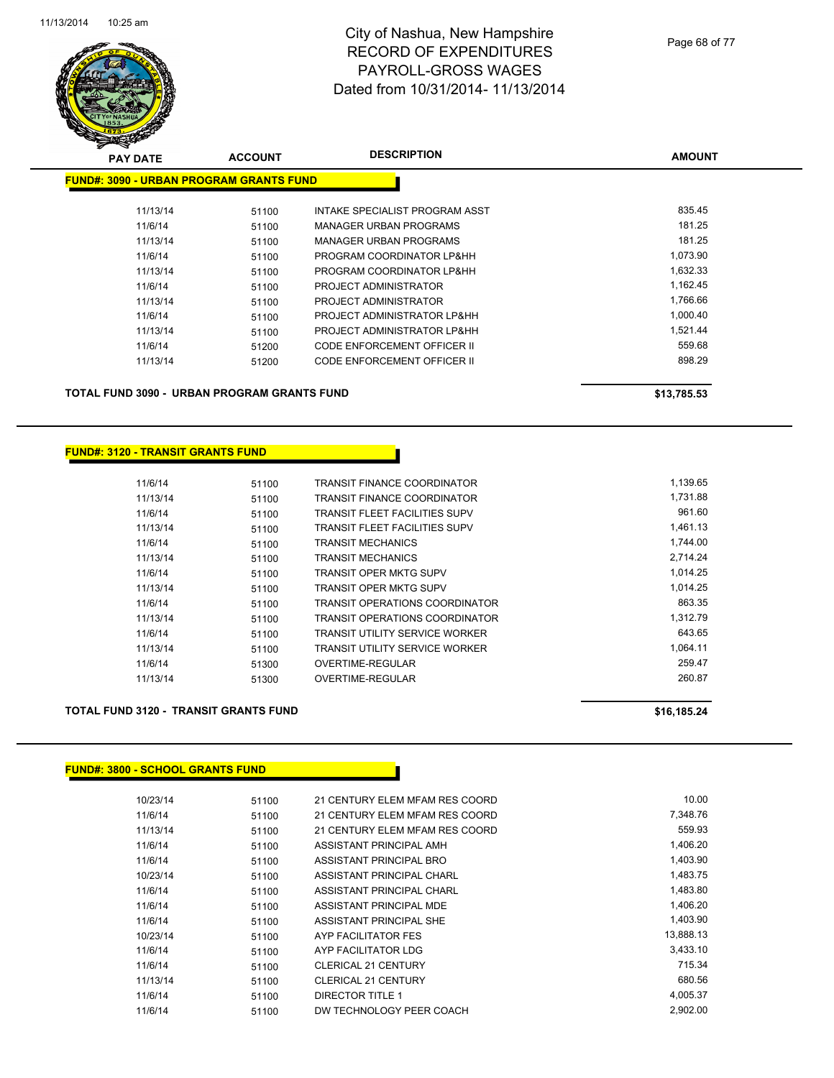

| <b>PAY DATE</b>                                | <b>ACCOUNT</b> | <b>DESCRIPTION</b>                 | <b>AMOUNT</b> |
|------------------------------------------------|----------------|------------------------------------|---------------|
| <b>FUND#: 3090 - URBAN PROGRAM GRANTS FUND</b> |                |                                    |               |
| 11/13/14                                       | 51100          | INTAKE SPECIALIST PROGRAM ASST     | 835.45        |
| 11/6/14                                        | 51100          | <b>MANAGER URBAN PROGRAMS</b>      | 181.25        |
| 11/13/14                                       | 51100          | <b>MANAGER URBAN PROGRAMS</b>      | 181.25        |
| 11/6/14                                        | 51100          | PROGRAM COORDINATOR LP&HH          | 1,073.90      |
| 11/13/14                                       | 51100          | PROGRAM COORDINATOR LP&HH          | 1,632.33      |
| 11/6/14                                        | 51100          | PROJECT ADMINISTRATOR              | 1,162.45      |
| 11/13/14                                       | 51100          | PROJECT ADMINISTRATOR              | 1,766.66      |
| 11/6/14                                        | 51100          | PROJECT ADMINISTRATOR LP&HH        | 1,000.40      |
| 11/13/14                                       | 51100          | PROJECT ADMINISTRATOR LP&HH        | 1,521.44      |
| 11/6/14                                        | 51200          | CODE ENFORCEMENT OFFICER II        | 559.68        |
| 11/13/14                                       | 51200          | <b>CODE ENFORCEMENT OFFICER II</b> | 898.29        |
|                                                |                |                                    |               |
|                                                |                |                                    |               |

**TOTAL FUND 3090 - URBAN PROGRAM GRANTS FUND \$13,785.53** 

#### **FUND#: 3120 - TRANSIT GRANTS FUND**

| 51100 | <b>TRANSIT FINANCE COORDINATOR</b>    | 1,139.65 |
|-------|---------------------------------------|----------|
| 51100 | <b>TRANSIT FINANCE COORDINATOR</b>    | 1,731.88 |
| 51100 | <b>TRANSIT FLEET FACILITIES SUPV</b>  | 961.60   |
| 51100 | <b>TRANSIT FLEET FACILITIES SUPV</b>  | 1,461.13 |
| 51100 | <b>TRANSIT MECHANICS</b>              | 1,744.00 |
| 51100 | <b>TRANSIT MECHANICS</b>              | 2,714.24 |
| 51100 | TRANSIT OPER MKTG SUPV                | 1.014.25 |
| 51100 | TRANSIT OPER MKTG SUPV                | 1.014.25 |
| 51100 | TRANSIT OPERATIONS COORDINATOR        | 863.35   |
| 51100 | <b>TRANSIT OPERATIONS COORDINATOR</b> | 1,312.79 |
| 51100 | <b>TRANSIT UTILITY SERVICE WORKER</b> | 643.65   |
| 51100 | <b>TRANSIT UTILITY SERVICE WORKER</b> | 1,064.11 |
| 51300 | OVERTIME-REGULAR                      | 259.47   |
| 51300 | OVERTIME-REGULAR                      | 260.87   |
|       |                                       |          |

#### **TOTAL FUND 3120 - TRANSIT GRANTS FUND \$16,185.24**

#### **FUND#: 3800 - SCHOOL GRANTS FUND**

| 10/23/14 | 51100 | 21 CENTURY ELEM MFAM RES COORD | 10.00     |
|----------|-------|--------------------------------|-----------|
| 11/6/14  | 51100 | 21 CENTURY ELEM MFAM RES COORD | 7.348.76  |
| 11/13/14 | 51100 | 21 CENTURY ELEM MFAM RES COORD | 559.93    |
| 11/6/14  | 51100 | ASSISTANT PRINCIPAL AMH        | 1.406.20  |
| 11/6/14  | 51100 | ASSISTANT PRINCIPAL BRO        | 1,403.90  |
| 10/23/14 | 51100 | ASSISTANT PRINCIPAL CHARL      | 1,483.75  |
| 11/6/14  | 51100 | ASSISTANT PRINCIPAL CHARL      | 1,483.80  |
| 11/6/14  | 51100 | ASSISTANT PRINCIPAL MDE        | 1,406.20  |
| 11/6/14  | 51100 | ASSISTANT PRINCIPAL SHE        | 1,403.90  |
| 10/23/14 | 51100 | AYP FACILITATOR FES            | 13,888.13 |
| 11/6/14  | 51100 | AYP FACILITATOR LDG            | 3,433.10  |
| 11/6/14  | 51100 | <b>CLERICAL 21 CENTURY</b>     | 715.34    |
| 11/13/14 | 51100 | <b>CLERICAL 21 CENTURY</b>     | 680.56    |
| 11/6/14  | 51100 | DIRECTOR TITLE 1               | 4,005.37  |
| 11/6/14  | 51100 | DW TECHNOLOGY PEER COACH       | 2.902.00  |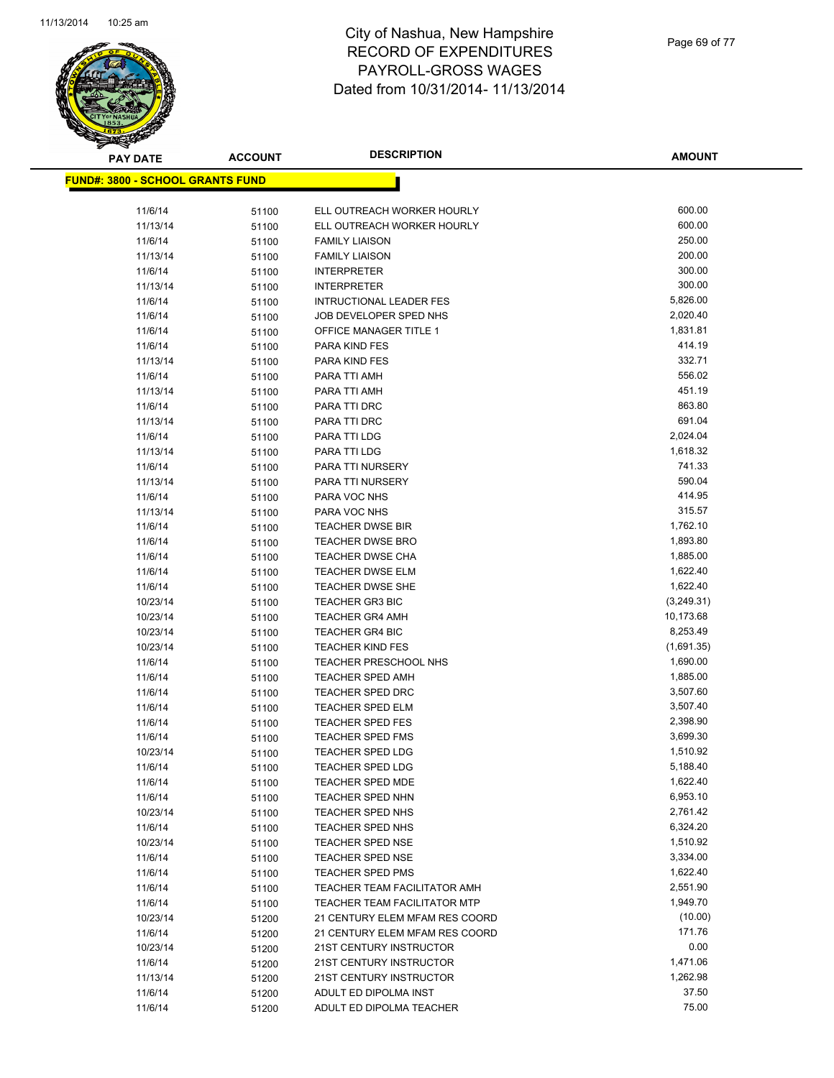

| <b>PAY DATE</b> |                                          | <b>ACCOUNT</b> | <b>DESCRIPTION</b>             | AMOUNT     |
|-----------------|------------------------------------------|----------------|--------------------------------|------------|
|                 | <u> FUND#: 3800 - SCHOOL GRANTS FUND</u> |                |                                |            |
|                 |                                          |                |                                |            |
|                 | 11/6/14                                  | 51100          | ELL OUTREACH WORKER HOURLY     | 600.00     |
|                 | 11/13/14                                 | 51100          | ELL OUTREACH WORKER HOURLY     | 600.00     |
|                 | 11/6/14                                  | 51100          | <b>FAMILY LIAISON</b>          | 250.00     |
|                 | 11/13/14                                 | 51100          | <b>FAMILY LIAISON</b>          | 200.00     |
|                 | 11/6/14                                  | 51100          | <b>INTERPRETER</b>             | 300.00     |
|                 | 11/13/14                                 | 51100          | <b>INTERPRETER</b>             | 300.00     |
|                 | 11/6/14                                  | 51100          | INTRUCTIONAL LEADER FES        | 5,826.00   |
|                 | 11/6/14                                  | 51100          | JOB DEVELOPER SPED NHS         | 2,020.40   |
|                 | 11/6/14                                  | 51100          | <b>OFFICE MANAGER TITLE 1</b>  | 1,831.81   |
|                 | 11/6/14                                  | 51100          | PARA KIND FES                  | 414.19     |
|                 | 11/13/14                                 | 51100          | PARA KIND FES                  | 332.71     |
|                 | 11/6/14                                  | 51100          | PARA TTI AMH                   | 556.02     |
|                 | 11/13/14                                 | 51100          | PARA TTI AMH                   | 451.19     |
|                 | 11/6/14                                  | 51100          | PARA TTI DRC                   | 863.80     |
|                 | 11/13/14                                 | 51100          | PARA TTI DRC                   | 691.04     |
|                 | 11/6/14                                  | 51100          | PARA TTI LDG                   | 2,024.04   |
|                 | 11/13/14                                 | 51100          | PARA TTI LDG                   | 1,618.32   |
|                 | 11/6/14                                  | 51100          | PARA TTI NURSERY               | 741.33     |
|                 | 11/13/14                                 | 51100          | PARA TTI NURSERY               | 590.04     |
|                 | 11/6/14                                  | 51100          | PARA VOC NHS                   | 414.95     |
|                 | 11/13/14                                 | 51100          | PARA VOC NHS                   | 315.57     |
|                 | 11/6/14                                  | 51100          | TEACHER DWSE BIR               | 1,762.10   |
|                 | 11/6/14                                  | 51100          | <b>TEACHER DWSE BRO</b>        | 1,893.80   |
|                 | 11/6/14                                  | 51100          | <b>TEACHER DWSE CHA</b>        | 1,885.00   |
|                 | 11/6/14                                  | 51100          | <b>TEACHER DWSE ELM</b>        | 1,622.40   |
|                 | 11/6/14                                  | 51100          | <b>TEACHER DWSE SHE</b>        | 1,622.40   |
|                 | 10/23/14                                 | 51100          | <b>TEACHER GR3 BIC</b>         | (3,249.31) |
|                 | 10/23/14                                 | 51100          | <b>TEACHER GR4 AMH</b>         | 10,173.68  |
|                 | 10/23/14                                 | 51100          | <b>TEACHER GR4 BIC</b>         | 8,253.49   |
|                 | 10/23/14                                 | 51100          | <b>TEACHER KIND FES</b>        | (1,691.35) |
|                 | 11/6/14                                  | 51100          | <b>TEACHER PRESCHOOL NHS</b>   | 1,690.00   |
|                 | 11/6/14                                  | 51100          | <b>TEACHER SPED AMH</b>        | 1,885.00   |
|                 | 11/6/14                                  | 51100          | <b>TEACHER SPED DRC</b>        | 3,507.60   |
|                 | 11/6/14                                  | 51100          | <b>TEACHER SPED ELM</b>        | 3,507.40   |
|                 | 11/6/14                                  | 51100          | <b>TEACHER SPED FES</b>        | 2,398.90   |
|                 | 11/6/14                                  | 51100          | <b>TEACHER SPED FMS</b>        | 3,699.30   |
|                 | 10/23/14                                 | 51100          | <b>TEACHER SPED LDG</b>        | 1,510.92   |
|                 | 11/6/14                                  | 51100          | <b>TEACHER SPED LDG</b>        | 5,188.40   |
|                 | 11/6/14                                  | 51100          | <b>TEACHER SPED MDE</b>        | 1,622.40   |
|                 | 11/6/14                                  | 51100          | TEACHER SPED NHN               | 6,953.10   |
|                 | 10/23/14                                 | 51100          | <b>TEACHER SPED NHS</b>        | 2,761.42   |
|                 | 11/6/14                                  | 51100          | TEACHER SPED NHS               | 6,324.20   |
|                 | 10/23/14                                 | 51100          | <b>TEACHER SPED NSE</b>        | 1,510.92   |
|                 | 11/6/14                                  | 51100          | <b>TEACHER SPED NSE</b>        | 3,334.00   |
|                 | 11/6/14                                  | 51100          | <b>TEACHER SPED PMS</b>        | 1,622.40   |
|                 | 11/6/14                                  | 51100          | TEACHER TEAM FACILITATOR AMH   | 2,551.90   |
|                 | 11/6/14                                  | 51100          | TEACHER TEAM FACILITATOR MTP   | 1,949.70   |
|                 | 10/23/14                                 | 51200          | 21 CENTURY ELEM MFAM RES COORD | (10.00)    |
|                 | 11/6/14                                  | 51200          | 21 CENTURY ELEM MFAM RES COORD | 171.76     |
|                 | 10/23/14                                 | 51200          | 21ST CENTURY INSTRUCTOR        | 0.00       |
|                 | 11/6/14                                  | 51200          | 21ST CENTURY INSTRUCTOR        | 1,471.06   |
|                 | 11/13/14                                 | 51200          | 21ST CENTURY INSTRUCTOR        | 1,262.98   |
|                 | 11/6/14                                  | 51200          | ADULT ED DIPOLMA INST          | 37.50      |
|                 | 11/6/14                                  | 51200          | ADULT ED DIPOLMA TEACHER       | 75.00      |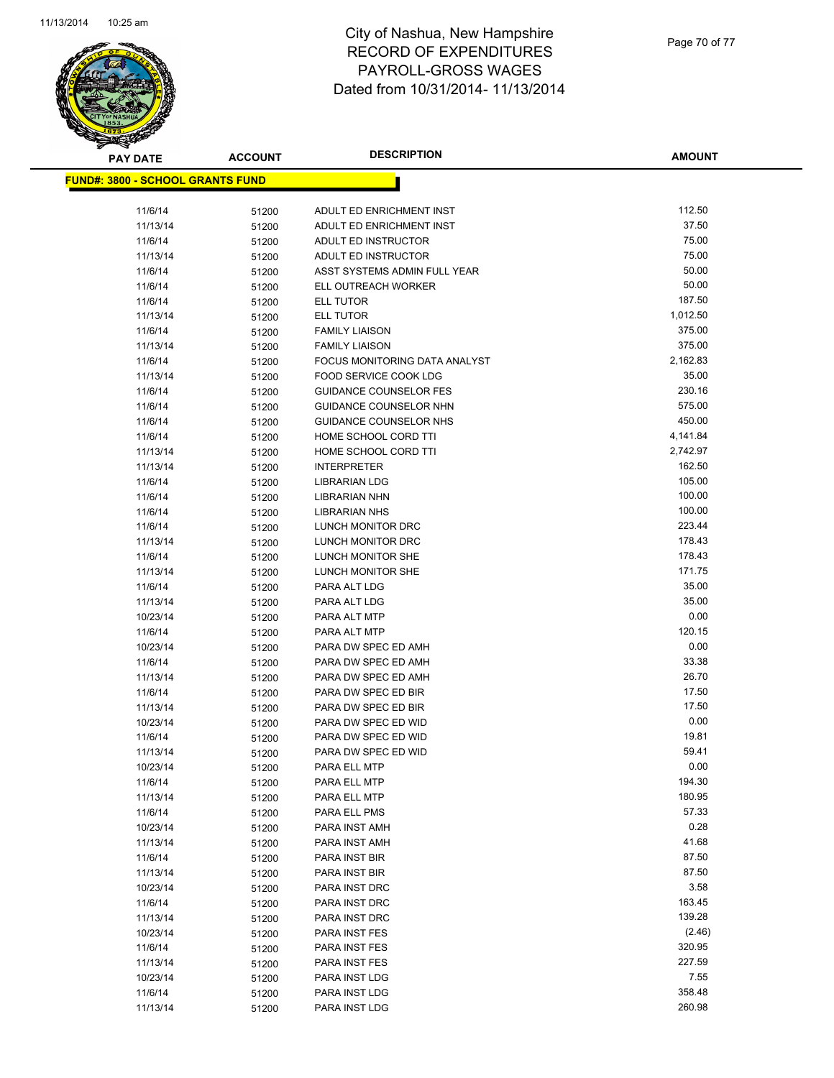

Page 70 of 77

| <b>PAY DATE</b>                         | <b>ACCOUNT</b> | <b>DESCRIPTION</b>                                      | <b>AMOUNT</b>    |
|-----------------------------------------|----------------|---------------------------------------------------------|------------------|
| <b>FUND#: 3800 - SCHOOL GRANTS FUND</b> |                |                                                         |                  |
|                                         |                |                                                         |                  |
| 11/6/14                                 | 51200          | ADULT ED ENRICHMENT INST                                | 112.50           |
| 11/13/14                                | 51200          | ADULT ED ENRICHMENT INST                                | 37.50            |
| 11/6/14                                 | 51200          | ADULT ED INSTRUCTOR                                     | 75.00            |
| 11/13/14                                | 51200          | ADULT ED INSTRUCTOR                                     | 75.00            |
| 11/6/14                                 | 51200          | ASST SYSTEMS ADMIN FULL YEAR                            | 50.00            |
| 11/6/14                                 | 51200          | ELL OUTREACH WORKER                                     | 50.00            |
| 11/6/14                                 | 51200          | ELL TUTOR                                               | 187.50           |
| 11/13/14                                | 51200          | ELL TUTOR                                               | 1,012.50         |
| 11/6/14                                 | 51200          | <b>FAMILY LIAISON</b>                                   | 375.00           |
| 11/13/14                                | 51200          | <b>FAMILY LIAISON</b>                                   | 375.00           |
| 11/6/14                                 | 51200          | FOCUS MONITORING DATA ANALYST                           | 2,162.83         |
| 11/13/14                                | 51200          | FOOD SERVICE COOK LDG                                   | 35.00            |
| 11/6/14                                 | 51200          | <b>GUIDANCE COUNSELOR FES</b>                           | 230.16           |
| 11/6/14                                 | 51200          | GUIDANCE COUNSELOR NHN<br><b>GUIDANCE COUNSELOR NHS</b> | 575.00<br>450.00 |
| 11/6/14<br>11/6/14                      | 51200          | HOME SCHOOL CORD TTI                                    | 4,141.84         |
| 11/13/14                                | 51200          | HOME SCHOOL CORD TTI                                    | 2,742.97         |
| 11/13/14                                | 51200<br>51200 | <b>INTERPRETER</b>                                      | 162.50           |
| 11/6/14                                 | 51200          | <b>LIBRARIAN LDG</b>                                    | 105.00           |
| 11/6/14                                 | 51200          | <b>LIBRARIAN NHN</b>                                    | 100.00           |
| 11/6/14                                 | 51200          | <b>LIBRARIAN NHS</b>                                    | 100.00           |
| 11/6/14                                 | 51200          | LUNCH MONITOR DRC                                       | 223.44           |
| 11/13/14                                | 51200          | LUNCH MONITOR DRC                                       | 178.43           |
| 11/6/14                                 | 51200          | LUNCH MONITOR SHE                                       | 178.43           |
| 11/13/14                                | 51200          | LUNCH MONITOR SHE                                       | 171.75           |
| 11/6/14                                 | 51200          | PARA ALT LDG                                            | 35.00            |
| 11/13/14                                | 51200          | PARA ALT LDG                                            | 35.00            |
| 10/23/14                                | 51200          | PARA ALT MTP                                            | 0.00             |
| 11/6/14                                 | 51200          | PARA ALT MTP                                            | 120.15           |
| 10/23/14                                | 51200          | PARA DW SPEC ED AMH                                     | 0.00             |
| 11/6/14                                 | 51200          | PARA DW SPEC ED AMH                                     | 33.38            |
| 11/13/14                                | 51200          | PARA DW SPEC ED AMH                                     | 26.70            |
| 11/6/14                                 | 51200          | PARA DW SPEC ED BIR                                     | 17.50            |
| 11/13/14                                | 51200          | PARA DW SPEC ED BIR                                     | 17.50            |
| 10/23/14                                | 51200          | PARA DW SPEC ED WID                                     | 0.00             |
| 11/6/14                                 | 51200          | PARA DW SPEC ED WID                                     | 19.81            |
| 11/13/14                                | 51200          | PARA DW SPEC ED WID                                     | 59.41            |
| 10/23/14                                | 51200          | PARA ELL MTP                                            | 0.00             |
| 11/6/14                                 | 51200          | PARA ELL MTP                                            | 194.30           |
| 11/13/14                                | 51200          | PARA ELL MTP                                            | 180.95<br>57.33  |
| 11/6/14                                 | 51200          | PARA ELL PMS<br>PARA INST AMH                           | 0.28             |
| 10/23/14<br>11/13/14                    | 51200          | PARA INST AMH                                           | 41.68            |
| 11/6/14                                 | 51200          | PARA INST BIR                                           | 87.50            |
| 11/13/14                                | 51200<br>51200 | PARA INST BIR                                           | 87.50            |
| 10/23/14                                | 51200          | PARA INST DRC                                           | 3.58             |
| 11/6/14                                 | 51200          | PARA INST DRC                                           | 163.45           |
| 11/13/14                                | 51200          | PARA INST DRC                                           | 139.28           |
| 10/23/14                                | 51200          | PARA INST FES                                           | (2.46)           |
| 11/6/14                                 | 51200          | PARA INST FES                                           | 320.95           |
| 11/13/14                                | 51200          | PARA INST FES                                           | 227.59           |
| 10/23/14                                | 51200          | PARA INST LDG                                           | 7.55             |
| 11/6/14                                 | 51200          | PARA INST LDG                                           | 358.48           |
| 11/13/14                                | 51200          | PARA INST LDG                                           | 260.98           |
|                                         |                |                                                         |                  |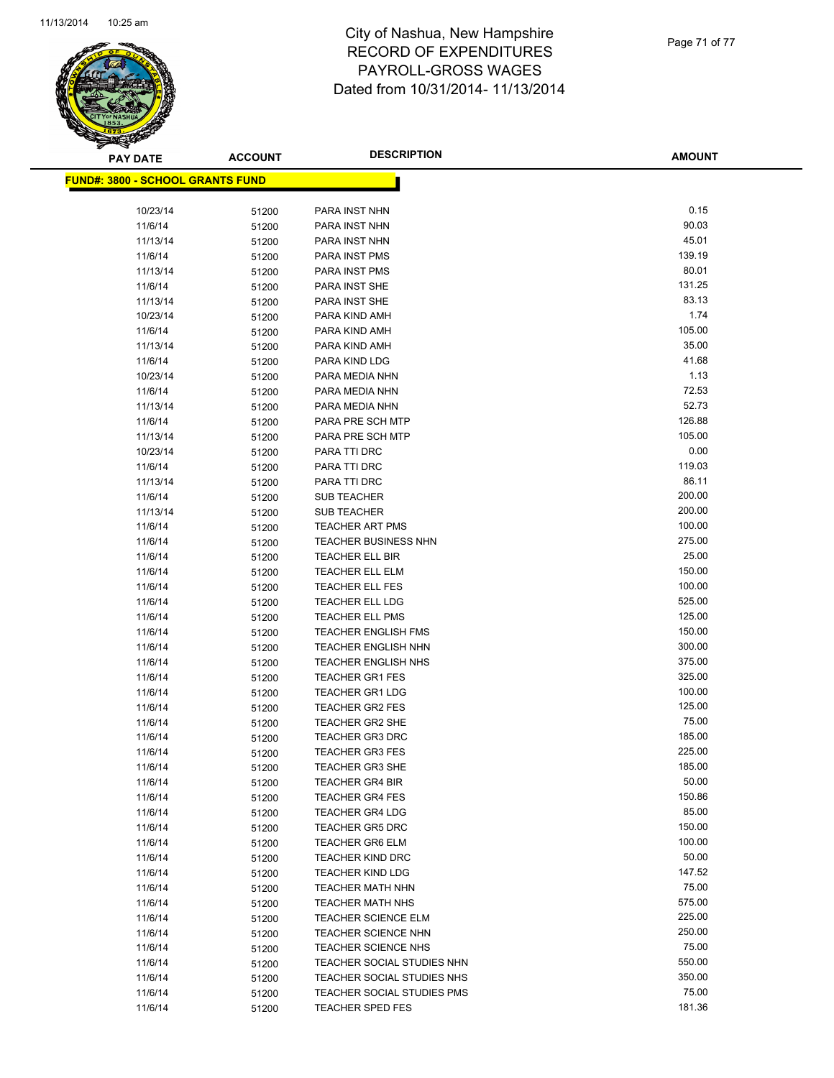

| <b>PAY DATE</b>                          | <b>ACCOUNT</b> | <b>DESCRIPTION</b>                                   | <b>AMOUNT</b>    |
|------------------------------------------|----------------|------------------------------------------------------|------------------|
| <u> FUND#: 3800 - SCHOOL GRANTS FUND</u> |                |                                                      |                  |
|                                          |                |                                                      |                  |
| 10/23/14                                 | 51200          | PARA INST NHN                                        | 0.15             |
| 11/6/14                                  | 51200          | PARA INST NHN                                        | 90.03            |
| 11/13/14                                 | 51200          | PARA INST NHN                                        | 45.01            |
| 11/6/14                                  | 51200          | PARA INST PMS                                        | 139.19           |
| 11/13/14                                 | 51200          | PARA INST PMS                                        | 80.01            |
| 11/6/14                                  | 51200          | PARA INST SHE                                        | 131.25           |
| 11/13/14                                 | 51200          | PARA INST SHE                                        | 83.13            |
| 10/23/14                                 | 51200          | PARA KIND AMH                                        | 1.74             |
| 11/6/14                                  | 51200          | PARA KIND AMH                                        | 105.00           |
| 11/13/14                                 | 51200          | PARA KIND AMH                                        | 35.00            |
| 11/6/14                                  | 51200          | PARA KIND LDG                                        | 41.68            |
| 10/23/14                                 | 51200          | PARA MEDIA NHN                                       | 1.13             |
| 11/6/14                                  | 51200          | PARA MEDIA NHN                                       | 72.53            |
| 11/13/14                                 | 51200          | PARA MEDIA NHN                                       | 52.73            |
| 11/6/14                                  | 51200          | PARA PRE SCH MTP                                     | 126.88           |
| 11/13/14                                 | 51200          | PARA PRE SCH MTP                                     | 105.00           |
| 10/23/14                                 | 51200          | PARA TTI DRC                                         | 0.00             |
| 11/6/14                                  | 51200          | PARA TTI DRC                                         | 119.03           |
| 11/13/14                                 | 51200          | PARA TTI DRC                                         | 86.11            |
| 11/6/14                                  | 51200          | <b>SUB TEACHER</b>                                   | 200.00           |
| 11/13/14                                 | 51200          | <b>SUB TEACHER</b>                                   | 200.00           |
| 11/6/14                                  | 51200          | TEACHER ART PMS                                      | 100.00           |
| 11/6/14                                  | 51200          | TEACHER BUSINESS NHN                                 | 275.00           |
| 11/6/14                                  | 51200          | TEACHER ELL BIR                                      | 25.00            |
| 11/6/14                                  | 51200          | <b>TEACHER ELL ELM</b>                               | 150.00           |
| 11/6/14                                  | 51200          | <b>TEACHER ELL FES</b>                               | 100.00           |
| 11/6/14                                  | 51200          | TEACHER ELL LDG                                      | 525.00           |
| 11/6/14                                  | 51200          | <b>TEACHER ELL PMS</b>                               | 125.00           |
| 11/6/14                                  | 51200          | <b>TEACHER ENGLISH FMS</b>                           | 150.00           |
| 11/6/14                                  | 51200          | <b>TEACHER ENGLISH NHN</b>                           | 300.00           |
| 11/6/14                                  | 51200          | <b>TEACHER ENGLISH NHS</b><br><b>TEACHER GR1 FES</b> | 375.00<br>325.00 |
| 11/6/14<br>11/6/14                       | 51200          | <b>TEACHER GR1 LDG</b>                               | 100.00           |
| 11/6/14                                  | 51200<br>51200 | <b>TEACHER GR2 FES</b>                               | 125.00           |
| 11/6/14                                  | 51200          | <b>TEACHER GR2 SHE</b>                               | 75.00            |
| 11/6/14                                  | 51200          | <b>TEACHER GR3 DRC</b>                               | 185.00           |
| 11/6/14                                  | 51200          | <b>TEACHER GR3 FES</b>                               | 225.00           |
| 11/6/14                                  | 51200          | <b>TEACHER GR3 SHE</b>                               | 185.00           |
| 11/6/14                                  | 51200          | <b>TEACHER GR4 BIR</b>                               | 50.00            |
| 11/6/14                                  | 51200          | <b>TEACHER GR4 FES</b>                               | 150.86           |
| 11/6/14                                  | 51200          | <b>TEACHER GR4 LDG</b>                               | 85.00            |
| 11/6/14                                  | 51200          | <b>TEACHER GR5 DRC</b>                               | 150.00           |
| 11/6/14                                  | 51200          | <b>TEACHER GR6 ELM</b>                               | 100.00           |
| 11/6/14                                  | 51200          | <b>TEACHER KIND DRC</b>                              | 50.00            |
| 11/6/14                                  | 51200          | <b>TEACHER KIND LDG</b>                              | 147.52           |
| 11/6/14                                  | 51200          | <b>TEACHER MATH NHN</b>                              | 75.00            |
| 11/6/14                                  | 51200          | <b>TEACHER MATH NHS</b>                              | 575.00           |
| 11/6/14                                  | 51200          | TEACHER SCIENCE ELM                                  | 225.00           |
| 11/6/14                                  | 51200          | <b>TEACHER SCIENCE NHN</b>                           | 250.00           |
| 11/6/14                                  | 51200          | TEACHER SCIENCE NHS                                  | 75.00            |
| 11/6/14                                  | 51200          | TEACHER SOCIAL STUDIES NHN                           | 550.00           |
| 11/6/14                                  | 51200          | TEACHER SOCIAL STUDIES NHS                           | 350.00           |
| 11/6/14                                  | 51200          | TEACHER SOCIAL STUDIES PMS                           | 75.00            |
| 11/6/14                                  | 51200          | TEACHER SPED FES                                     | 181.36           |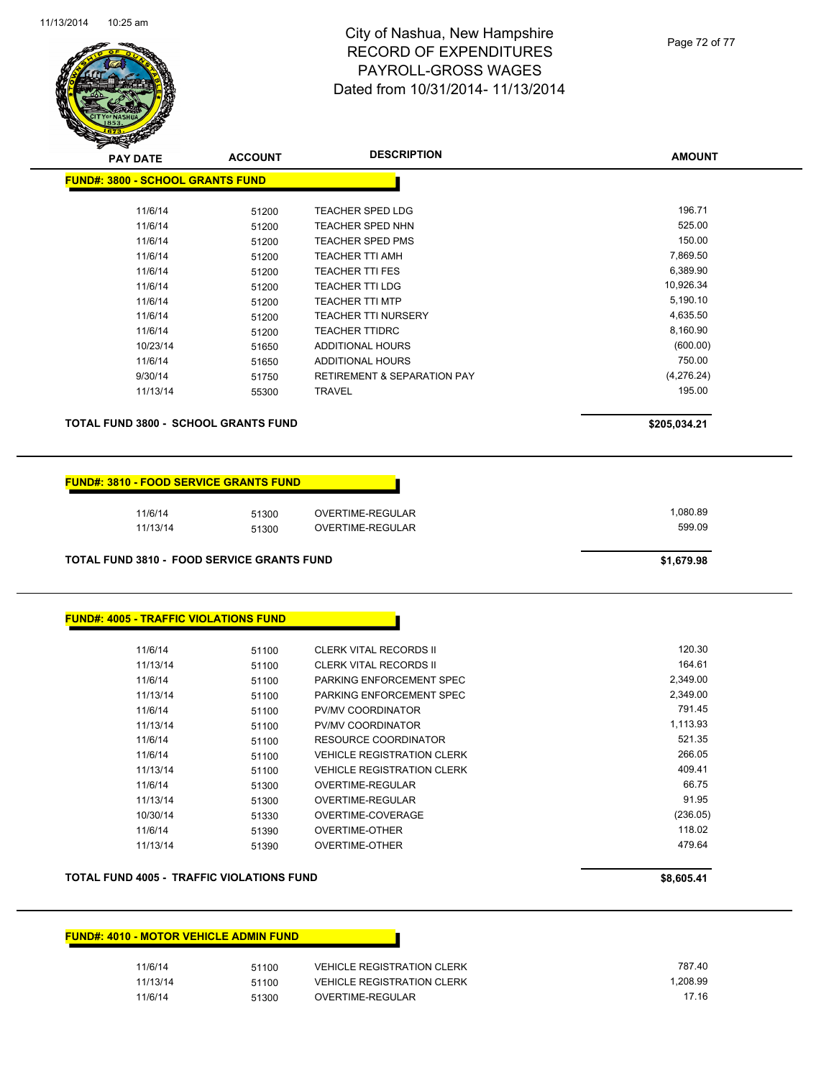

Page 72 of 77

| <b>PAY DATE</b>                                   | <b>ACCOUNT</b> | <b>DESCRIPTION</b>                     | <b>AMOUNT</b> |
|---------------------------------------------------|----------------|----------------------------------------|---------------|
| <b>FUND#: 3800 - SCHOOL GRANTS FUND</b>           |                |                                        |               |
| 11/6/14                                           | 51200          | <b>TEACHER SPED LDG</b>                | 196.71        |
| 11/6/14                                           | 51200          | <b>TEACHER SPED NHN</b>                | 525.00        |
| 11/6/14                                           | 51200          | TEACHER SPED PMS                       | 150.00        |
| 11/6/14                                           | 51200          | TEACHER TTI AMH                        | 7,869.50      |
| 11/6/14                                           | 51200          | <b>TEACHER TTI FES</b>                 | 6,389.90      |
| 11/6/14                                           | 51200          | <b>TEACHER TTI LDG</b>                 | 10,926.34     |
| 11/6/14                                           | 51200          | <b>TEACHER TTI MTP</b>                 | 5,190.10      |
| 11/6/14                                           | 51200          | <b>TEACHER TTI NURSERY</b>             | 4,635.50      |
| 11/6/14                                           | 51200          | <b>TEACHER TTIDRC</b>                  | 8,160.90      |
| 10/23/14                                          | 51650          | ADDITIONAL HOURS                       | (600.00)      |
| 11/6/14                                           | 51650          | ADDITIONAL HOURS                       | 750.00        |
| 9/30/14                                           | 51750          | <b>RETIREMENT &amp; SEPARATION PAY</b> | (4,276.24)    |
| 11/13/14                                          | 55300          | TRAVEL                                 | 195.00        |
| <b>TOTAL FUND 3800 - SCHOOL GRANTS FUND</b>       |                |                                        | \$205,034.21  |
| <b>FUND#: 3810 - FOOD SERVICE GRANTS FUND</b>     |                |                                        |               |
| 11/6/14                                           | 51300          | <b>OVERTIME-REGULAR</b>                | 1,080.89      |
| 11/13/14                                          | 51300          | OVERTIME-REGULAR                       | 599.09        |
| <b>TOTAL FUND 3810 - FOOD SERVICE GRANTS FUND</b> |                |                                        | \$1,679.98    |
| <b>FUND#: 4005 - TRAFFIC VIOLATIONS FUND</b>      |                |                                        |               |
| 11/6/14                                           | 51100          | <b>CLERK VITAL RECORDS II</b>          | 120.30        |
| 11/13/14                                          | 51100          | <b>CLERK VITAL RECORDS II</b>          | 164.61        |
| 11/6/14                                           | 51100          | PARKING ENFORCEMENT SPEC               | 2,349.00      |
| 11/13/14                                          | 51100          | PARKING ENFORCEMENT SPEC               | 2,349.00      |
| 11/6/14                                           | 51100          | PV/MV COORDINATOR                      | 791.45        |
| 11/13/14                                          | 51100          | PV/MV COORDINATOR                      | 1,113.93      |
| 11/6/14                                           | 51100          | <b>RESOURCE COORDINATOR</b>            | 521.35        |
| 11/6/14                                           | 51100          | <b>VEHICLE REGISTRATION CLERK</b>      | 266.05        |
| 11/13/14                                          | 51100          | <b>VEHICLE REGISTRATION CLERK</b>      | 409.41        |
| 11/6/14                                           | 51300          | OVERTIME-REGULAR                       | 66.75         |
| 11/13/14                                          | 51300          | OVERTIME-REGULAR                       | 91.95         |
| 10/30/14                                          | 51330          | OVERTIME-COVERAGE                      | (236.05)      |
| 11/6/14                                           | 51390          | <b>OVERTIME-OTHER</b>                  | 118.02        |
| 11/13/14                                          | 51390          | OVERTIME-OTHER                         | 479.64        |
| <b>TOTAL FUND 4005 - TRAFFIC VIOLATIONS FUND</b>  |                |                                        |               |
|                                                   |                |                                        | \$8,605.41    |

#### **FUND#: 4010 - MOTOR VEHICLE ADMIN FUND**

| 11/6/14  | 51100 | <b>VEHICLE REGISTRATION CLERK</b> | 787.40   |
|----------|-------|-----------------------------------|----------|
| 11/13/14 | 51100 | <b>VEHICLE REGISTRATION CLERK</b> | 1.208.99 |
| 11/6/14  | 51300 | OVERTIME-REGULAR                  | 17.16    |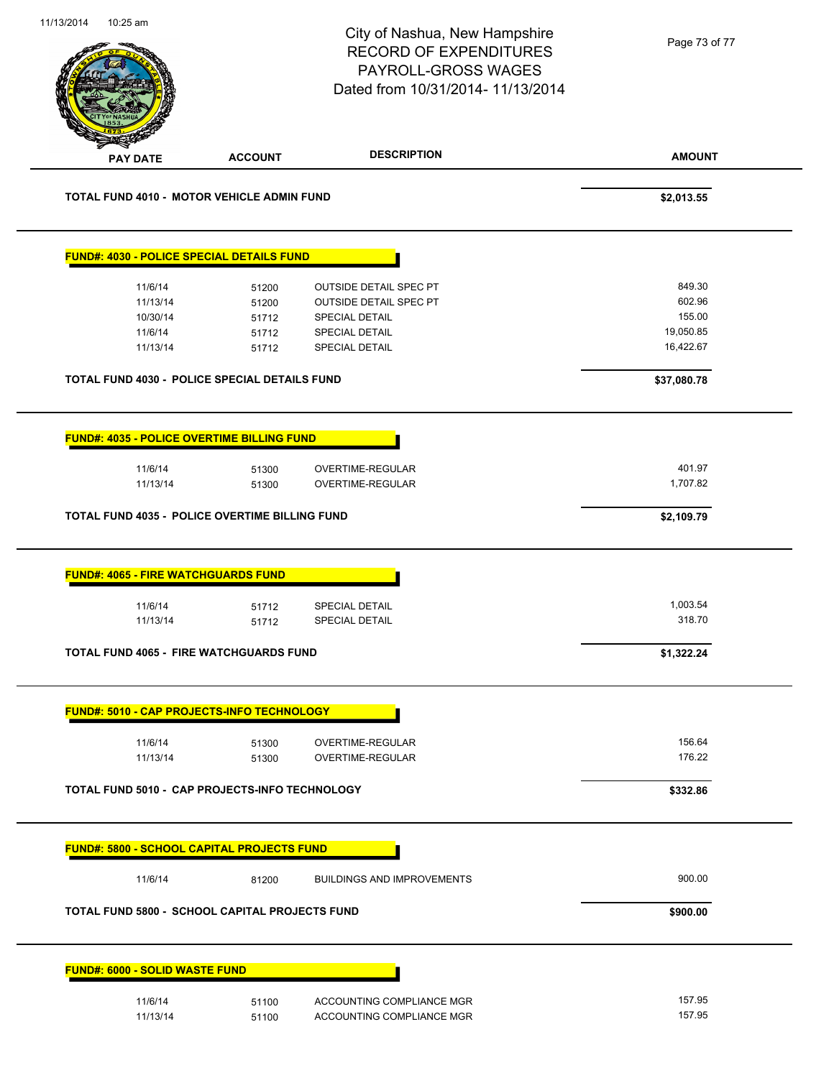| 11/13/2014 | 10:25 am                                   |                                                       | City of Nashua, New Hampshire<br><b>RECORD OF EXPENDITURES</b><br>PAYROLL-GROSS WAGES<br>Dated from 10/31/2014- 11/13/2014 | Page 73 of 77 |
|------------|--------------------------------------------|-------------------------------------------------------|----------------------------------------------------------------------------------------------------------------------------|---------------|
|            | <b>PAY DATE</b>                            | <b>ACCOUNT</b>                                        | <b>DESCRIPTION</b>                                                                                                         | <b>AMOUNT</b> |
|            |                                            | TOTAL FUND 4010 - MOTOR VEHICLE ADMIN FUND            |                                                                                                                            | \$2,013.55    |
|            |                                            | FUND#: 4030 - POLICE SPECIAL DETAILS FUND             |                                                                                                                            |               |
|            | 11/6/14                                    | 51200                                                 | <b>OUTSIDE DETAIL SPEC PT</b>                                                                                              | 849.30        |
|            | 11/13/14                                   | 51200                                                 | <b>OUTSIDE DETAIL SPEC PT</b>                                                                                              | 602.96        |
|            | 10/30/14                                   | 51712                                                 | SPECIAL DETAIL                                                                                                             | 155.00        |
|            | 11/6/14                                    | 51712                                                 | <b>SPECIAL DETAIL</b>                                                                                                      | 19,050.85     |
|            | 11/13/14                                   | 51712                                                 | SPECIAL DETAIL                                                                                                             | 16,422.67     |
|            |                                            | TOTAL FUND 4030 - POLICE SPECIAL DETAILS FUND         |                                                                                                                            | \$37,080.78   |
|            |                                            | <b>FUND#: 4035 - POLICE OVERTIME BILLING FUND</b>     |                                                                                                                            |               |
|            |                                            |                                                       |                                                                                                                            |               |
|            | 11/6/14                                    | 51300                                                 | OVERTIME-REGULAR                                                                                                           | 401.97        |
|            | 11/13/14                                   | 51300                                                 | OVERTIME-REGULAR                                                                                                           | 1,707.82      |
|            |                                            | TOTAL FUND 4035 - POLICE OVERTIME BILLING FUND        |                                                                                                                            | \$2,109.79    |
|            | <b>FUND#: 4065 - FIRE WATCHGUARDS FUND</b> |                                                       |                                                                                                                            |               |
|            | 11/6/14                                    | 51712                                                 | SPECIAL DETAIL                                                                                                             | 1,003.54      |
|            | 11/13/14                                   | 51712                                                 | SPECIAL DETAIL                                                                                                             | 318.70        |
|            |                                            |                                                       |                                                                                                                            |               |
|            |                                            | TOTAL FUND 4065 - FIRE WATCHGUARDS FUND               |                                                                                                                            | \$1,322.24    |
|            |                                            | <b>FUND#: 5010 - CAP PROJECTS-INFO TECHNOLOGY</b>     |                                                                                                                            |               |
|            | 11/6/14                                    | 51300                                                 | OVERTIME-REGULAR                                                                                                           | 156.64        |
|            | 11/13/14                                   | 51300                                                 | <b>OVERTIME-REGULAR</b>                                                                                                    | 176.22        |
|            |                                            | TOTAL FUND 5010 - CAP PROJECTS-INFO TECHNOLOGY        |                                                                                                                            | \$332.86      |
|            |                                            | <b>FUND#: 5800 - SCHOOL CAPITAL PROJECTS FUND</b>     |                                                                                                                            |               |
|            | 11/6/14                                    | 81200                                                 | <b>BUILDINGS AND IMPROVEMENTS</b>                                                                                          | 900.00        |
|            |                                            | <b>TOTAL FUND 5800 - SCHOOL CAPITAL PROJECTS FUND</b> |                                                                                                                            | \$900.00      |
|            | <b>FUND#: 6000 - SOLID WASTE FUND</b>      |                                                       |                                                                                                                            |               |
|            | 11/6/14                                    | 51100                                                 | ACCOUNTING COMPLIANCE MGR                                                                                                  | 157.95        |
|            | 11/13/14                                   | 51100                                                 | ACCOUNTING COMPLIANCE MGR                                                                                                  | 157.95        |
|            |                                            |                                                       |                                                                                                                            |               |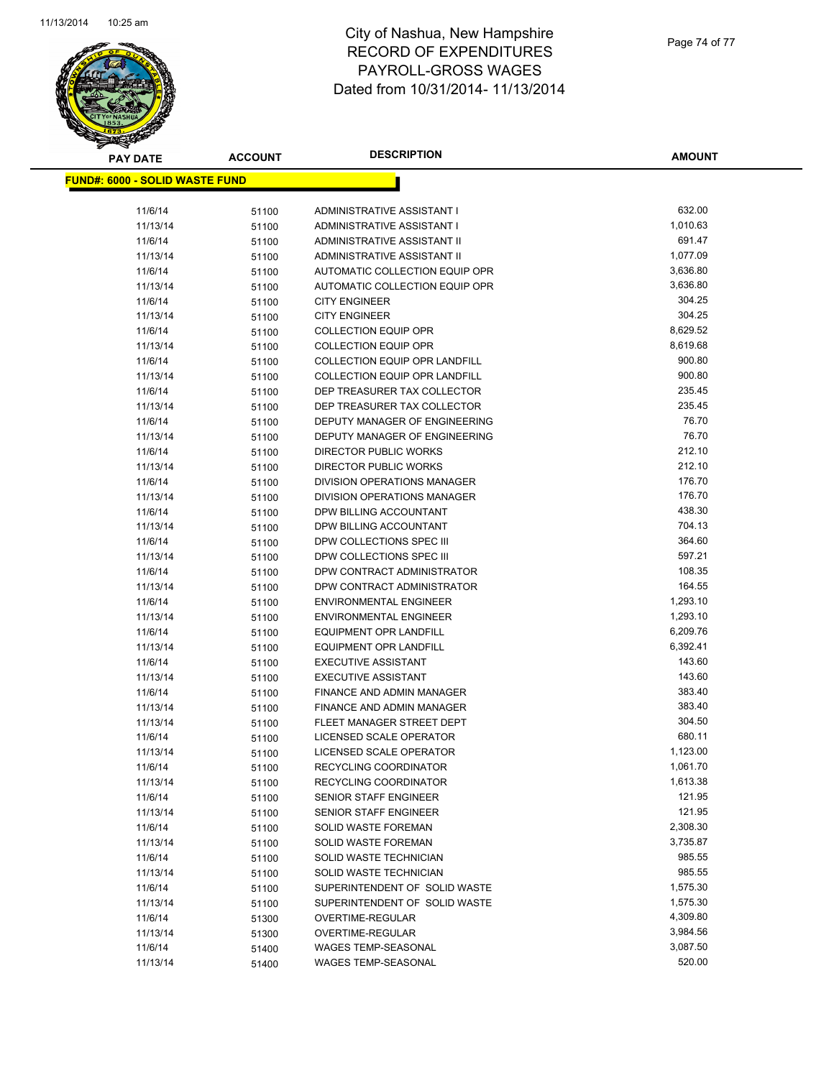

| <b>PAY DATE</b>                        | <b>ACCOUNT</b> | <b>DESCRIPTION</b>                                      | <b>AMOUNT</b>        |
|----------------------------------------|----------------|---------------------------------------------------------|----------------------|
| <u> FUND#: 6000 - SOLID WASTE FUND</u> |                |                                                         |                      |
|                                        |                |                                                         |                      |
| 11/6/14                                | 51100          | ADMINISTRATIVE ASSISTANT I                              | 632.00               |
| 11/13/14                               | 51100          | ADMINISTRATIVE ASSISTANT I                              | 1,010.63             |
| 11/6/14                                | 51100          | ADMINISTRATIVE ASSISTANT II                             | 691.47               |
| 11/13/14                               | 51100          | ADMINISTRATIVE ASSISTANT II                             | 1,077.09             |
| 11/6/14                                | 51100          | AUTOMATIC COLLECTION EQUIP OPR                          | 3,636.80             |
| 11/13/14                               | 51100          | AUTOMATIC COLLECTION EQUIP OPR                          | 3,636.80             |
| 11/6/14                                | 51100          | <b>CITY ENGINEER</b>                                    | 304.25               |
| 11/13/14                               | 51100          | <b>CITY ENGINEER</b>                                    | 304.25               |
| 11/6/14                                | 51100          | <b>COLLECTION EQUIP OPR</b>                             | 8,629.52             |
| 11/13/14                               | 51100          | <b>COLLECTION EQUIP OPR</b>                             | 8,619.68             |
| 11/6/14                                | 51100          | <b>COLLECTION EQUIP OPR LANDFILL</b>                    | 900.80               |
| 11/13/14                               | 51100          | COLLECTION EQUIP OPR LANDFILL                           | 900.80               |
| 11/6/14                                | 51100          | DEP TREASURER TAX COLLECTOR                             | 235.45               |
| 11/13/14                               | 51100          | DEP TREASURER TAX COLLECTOR                             | 235.45               |
| 11/6/14                                | 51100          | DEPUTY MANAGER OF ENGINEERING                           | 76.70                |
| 11/13/14                               | 51100          | DEPUTY MANAGER OF ENGINEERING                           | 76.70                |
| 11/6/14                                | 51100          | <b>DIRECTOR PUBLIC WORKS</b>                            | 212.10               |
| 11/13/14                               | 51100          | DIRECTOR PUBLIC WORKS                                   | 212.10               |
| 11/6/14                                | 51100          | DIVISION OPERATIONS MANAGER                             | 176.70               |
| 11/13/14                               | 51100          | DIVISION OPERATIONS MANAGER                             | 176.70               |
| 11/6/14                                | 51100          | DPW BILLING ACCOUNTANT                                  | 438.30               |
| 11/13/14                               | 51100          | DPW BILLING ACCOUNTANT                                  | 704.13               |
| 11/6/14                                | 51100          | DPW COLLECTIONS SPEC III                                | 364.60               |
| 11/13/14                               | 51100          | DPW COLLECTIONS SPEC III                                | 597.21               |
| 11/6/14                                | 51100          | DPW CONTRACT ADMINISTRATOR                              | 108.35               |
| 11/13/14                               | 51100          | DPW CONTRACT ADMINISTRATOR                              | 164.55               |
| 11/6/14                                | 51100          | <b>ENVIRONMENTAL ENGINEER</b>                           | 1,293.10             |
| 11/13/14                               | 51100          | <b>ENVIRONMENTAL ENGINEER</b>                           | 1,293.10             |
| 11/6/14                                | 51100          | <b>EQUIPMENT OPR LANDFILL</b>                           | 6,209.76             |
| 11/13/14                               | 51100          | EQUIPMENT OPR LANDFILL                                  | 6,392.41             |
| 11/6/14                                | 51100          | <b>EXECUTIVE ASSISTANT</b>                              | 143.60               |
| 11/13/14                               | 51100          | <b>EXECUTIVE ASSISTANT</b>                              | 143.60               |
| 11/6/14                                | 51100          | FINANCE AND ADMIN MANAGER                               | 383.40               |
| 11/13/14                               | 51100          | FINANCE AND ADMIN MANAGER                               | 383.40               |
| 11/13/14                               | 51100          | FLEET MANAGER STREET DEPT                               | 304.50               |
| 11/6/14                                | 51100          | LICENSED SCALE OPERATOR                                 | 680.11               |
| 11/13/14                               | 51100          | LICENSED SCALE OPERATOR                                 | 1,123.00             |
| 11/6/14                                | 51100          | RECYCLING COORDINATOR                                   | 1,061.70             |
| 11/13/14                               | 51100          | RECYCLING COORDINATOR                                   | 1,613.38             |
| 11/6/14                                | 51100          | SENIOR STAFF ENGINEER                                   | 121.95               |
| 11/13/14                               | 51100          | SENIOR STAFF ENGINEER                                   | 121.95               |
| 11/6/14                                | 51100          | SOLID WASTE FOREMAN                                     | 2,308.30<br>3,735.87 |
| 11/13/14                               | 51100          | SOLID WASTE FOREMAN                                     |                      |
| 11/6/14                                | 51100          | SOLID WASTE TECHNICIAN                                  | 985.55<br>985.55     |
| 11/13/14<br>11/6/14                    | 51100          | SOLID WASTE TECHNICIAN<br>SUPERINTENDENT OF SOLID WASTE | 1,575.30             |
| 11/13/14                               | 51100          | SUPERINTENDENT OF SOLID WASTE                           | 1,575.30             |
| 11/6/14                                | 51100          | <b>OVERTIME-REGULAR</b>                                 | 4,309.80             |
| 11/13/14                               | 51300<br>51300 | OVERTIME-REGULAR                                        | 3,984.56             |
| 11/6/14                                | 51400          | <b>WAGES TEMP-SEASONAL</b>                              | 3,087.50             |
| 11/13/14                               | 51400          | WAGES TEMP-SEASONAL                                     | 520.00               |
|                                        |                |                                                         |                      |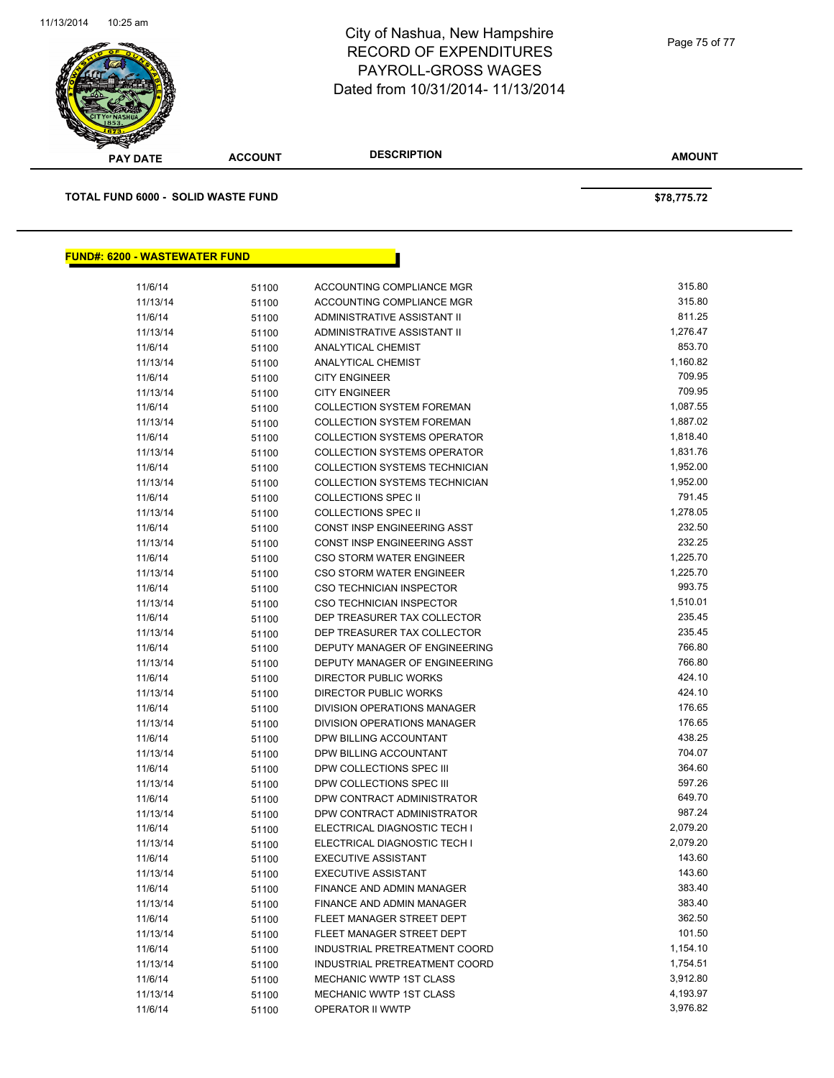

| <b>PAY DATE</b>                           | <b>ACCOUNT</b> | <b>DESCRIPTION</b>                                                  | <b>AMOUNT</b>        |
|-------------------------------------------|----------------|---------------------------------------------------------------------|----------------------|
| <b>TOTAL FUND 6000 - SOLID WASTE FUND</b> |                |                                                                     | \$78,775.72          |
|                                           |                |                                                                     |                      |
| <b>FUND#: 6200 - WASTEWATER FUND</b>      |                |                                                                     |                      |
| 11/6/14                                   | 51100          | ACCOUNTING COMPLIANCE MGR                                           | 315.80               |
| 11/13/14                                  | 51100          | ACCOUNTING COMPLIANCE MGR                                           | 315.80               |
| 11/6/14                                   | 51100          | <b>ADMINISTRATIVE ASSISTANT II</b>                                  | 811.25               |
| 11/13/14                                  | 51100          | ADMINISTRATIVE ASSISTANT II                                         | 1,276.47             |
| 11/6/14                                   | 51100          | <b>ANALYTICAL CHEMIST</b>                                           | 853.70               |
| 11/13/14                                  | 51100          | ANALYTICAL CHEMIST                                                  | 1,160.82             |
| 11/6/14                                   | 51100          | <b>CITY ENGINEER</b>                                                | 709.95               |
| 11/13/14                                  | 51100          | <b>CITY ENGINEER</b>                                                | 709.95               |
| 11/6/14                                   | 51100          | <b>COLLECTION SYSTEM FOREMAN</b>                                    | 1,087.55             |
| 11/13/14                                  | 51100          | <b>COLLECTION SYSTEM FOREMAN</b>                                    | 1,887.02             |
| 11/6/14                                   | 51100          | <b>COLLECTION SYSTEMS OPERATOR</b>                                  | 1,818.40             |
| 11/13/14                                  | 51100          | <b>COLLECTION SYSTEMS OPERATOR</b><br>COLLECTION SYSTEMS TECHNICIAN | 1,831.76             |
| 11/6/14                                   | 51100          |                                                                     | 1,952.00<br>1,952.00 |
| 11/13/14<br>11/6/14                       | 51100          | COLLECTION SYSTEMS TECHNICIAN<br><b>COLLECTIONS SPEC II</b>         | 791.45               |
| 11/13/14                                  | 51100<br>51100 | <b>COLLECTIONS SPEC II</b>                                          | 1,278.05             |
| 11/6/14                                   | 51100          | <b>CONST INSP ENGINEERING ASST</b>                                  | 232.50               |
| 11/13/14                                  | 51100          | CONST INSP ENGINEERING ASST                                         | 232.25               |
| 11/6/14                                   | 51100          | <b>CSO STORM WATER ENGINEER</b>                                     | 1,225.70             |
| 11/13/14                                  | 51100          | <b>CSO STORM WATER ENGINEER</b>                                     | 1,225.70             |
| 11/6/14                                   | 51100          | CSO TECHNICIAN INSPECTOR                                            | 993.75               |
| 11/13/14                                  | 51100          | <b>CSO TECHNICIAN INSPECTOR</b>                                     | 1,510.01             |
| 11/6/14                                   | 51100          | DEP TREASURER TAX COLLECTOR                                         | 235.45               |
| 11/13/14                                  | 51100          | DEP TREASURER TAX COLLECTOR                                         | 235.45               |
| 11/6/14                                   | 51100          | DEPUTY MANAGER OF ENGINEERING                                       | 766.80               |
| 11/13/14                                  | 51100          | DEPUTY MANAGER OF ENGINEERING                                       | 766.80               |
| 11/6/14                                   | 51100          | DIRECTOR PUBLIC WORKS                                               | 424.10               |
| 11/13/14                                  | 51100          | DIRECTOR PUBLIC WORKS                                               | 424.10               |
| 11/6/14                                   | 51100          | DIVISION OPERATIONS MANAGER                                         | 176.65               |
| 11/13/14                                  | 51100          | DIVISION OPERATIONS MANAGER                                         | 176.65               |
| 11/6/14                                   | 51100          | DPW BILLING ACCOUNTANT                                              | 438.25               |
| 11/13/14                                  | 51100          | DPW BILLING ACCOUNTANT                                              | 704.07               |
| 11/6/14                                   | 51100          | DPW COLLECTIONS SPEC III                                            | 364.60               |
| 11/13/14                                  | 51100          | DPW COLLECTIONS SPEC III                                            | 597.26               |
| 11/6/14                                   | 51100          | DPW CONTRACT ADMINISTRATOR                                          | 649.70               |
| 11/13/14                                  | 51100          | DPW CONTRACT ADMINISTRATOR                                          | 987.24               |
| 11/6/14                                   | 51100          | ELECTRICAL DIAGNOSTIC TECH I                                        | 2,079.20             |
| 11/13/14                                  | 51100          | ELECTRICAL DIAGNOSTIC TECH I                                        | 2,079.20             |
| 11/6/14                                   | 51100          | <b>EXECUTIVE ASSISTANT</b>                                          | 143.60<br>143.60     |
| 11/13/14<br>11/6/14                       | 51100          | <b>EXECUTIVE ASSISTANT</b><br>FINANCE AND ADMIN MANAGER             | 383.40               |
| 11/13/14                                  | 51100          | <b>FINANCE AND ADMIN MANAGER</b>                                    | 383.40               |
| 11/6/14                                   | 51100<br>51100 | FLEET MANAGER STREET DEPT                                           | 362.50               |
| 11/13/14                                  | 51100          | FLEET MANAGER STREET DEPT                                           | 101.50               |
| 11/6/14                                   | 51100          | INDUSTRIAL PRETREATMENT COORD                                       | 1,154.10             |
| 11/13/14                                  | 51100          | INDUSTRIAL PRETREATMENT COORD                                       | 1,754.51             |
| 11/6/14                                   | 51100          | MECHANIC WWTP 1ST CLASS                                             | 3,912.80             |
| 11/13/14                                  | 51100          | MECHANIC WWTP 1ST CLASS                                             | 4,193.97             |
| 11/6/14                                   | 51100          | OPERATOR II WWTP                                                    | 3,976.82             |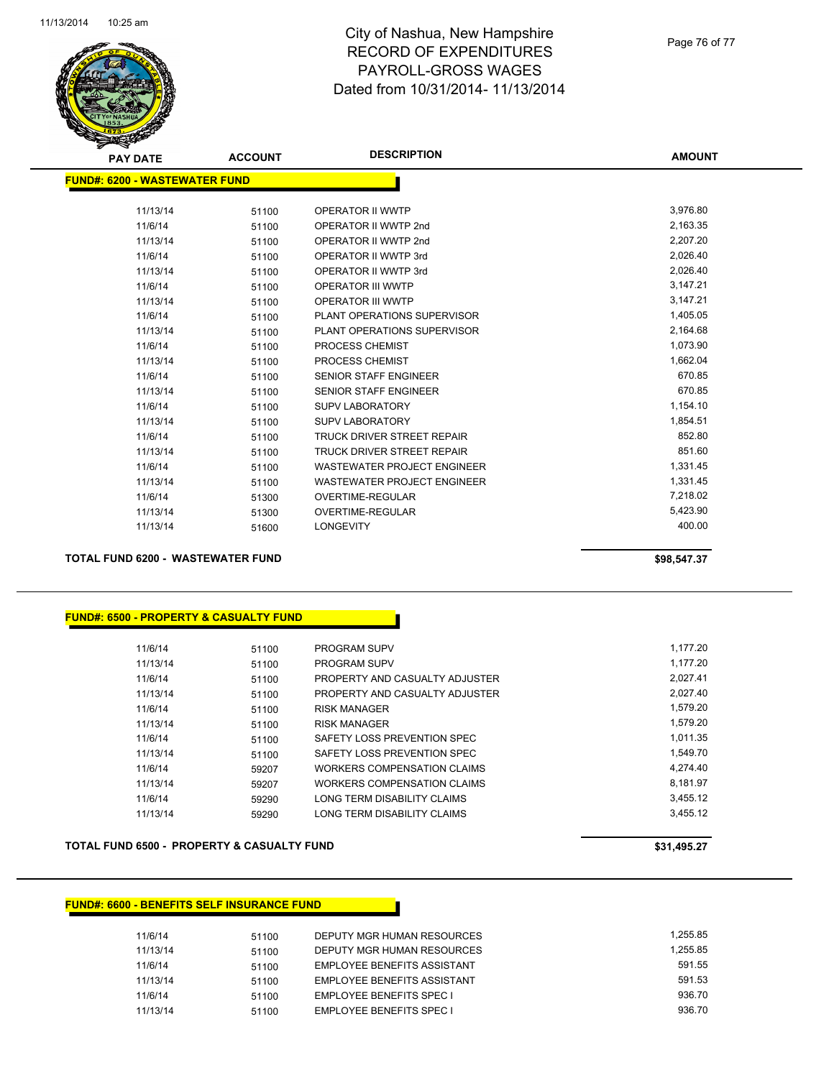

Page 76 of 77

| <b>PAY DATE</b>               | <b>ACCOUNT</b> | <b>DESCRIPTION</b>                 | <b>AMOUNT</b> |
|-------------------------------|----------------|------------------------------------|---------------|
| FUND#: 6200 - WASTEWATER FUND |                |                                    |               |
|                               |                |                                    |               |
| 11/13/14                      | 51100          | OPERATOR II WWTP                   | 3,976.80      |
| 11/6/14                       | 51100          | OPERATOR II WWTP 2nd               | 2,163.35      |
| 11/13/14                      | 51100          | OPERATOR II WWTP 2nd               | 2,207.20      |
| 11/6/14                       | 51100          | OPERATOR II WWTP 3rd               | 2,026.40      |
| 11/13/14                      | 51100          | OPERATOR II WWTP 3rd               | 2,026.40      |
| 11/6/14                       | 51100          | <b>OPERATOR III WWTP</b>           | 3,147.21      |
| 11/13/14                      | 51100          | OPERATOR III WWTP                  | 3,147.21      |
| 11/6/14                       | 51100          | PLANT OPERATIONS SUPERVISOR        | 1,405.05      |
| 11/13/14                      | 51100          | PLANT OPERATIONS SUPERVISOR        | 2,164.68      |
| 11/6/14                       | 51100          | PROCESS CHEMIST                    | 1,073.90      |
| 11/13/14                      | 51100          | PROCESS CHEMIST                    | 1,662.04      |
| 11/6/14                       | 51100          | <b>SENIOR STAFF ENGINEER</b>       | 670.85        |
| 11/13/14                      | 51100          | <b>SENIOR STAFF ENGINEER</b>       | 670.85        |
| 11/6/14                       | 51100          | <b>SUPV LABORATORY</b>             | 1,154.10      |
| 11/13/14                      | 51100          | <b>SUPV LABORATORY</b>             | 1,854.51      |
| 11/6/14                       | 51100          | <b>TRUCK DRIVER STREET REPAIR</b>  | 852.80        |
| 11/13/14                      | 51100          | <b>TRUCK DRIVER STREET REPAIR</b>  | 851.60        |
| 11/6/14                       | 51100          | <b>WASTEWATER PROJECT ENGINEER</b> | 1,331.45      |
| 11/13/14                      | 51100          | <b>WASTEWATER PROJECT ENGINEER</b> | 1,331.45      |
| 11/6/14                       | 51300          | <b>OVERTIME-REGULAR</b>            | 7,218.02      |
| 11/13/14                      | 51300          | <b>OVERTIME-REGULAR</b>            | 5,423.90      |
| 11/13/14                      | 51600          | <b>LONGEVITY</b>                   | 400.00        |
|                               |                |                                    |               |

**TOTAL FUND 6200 - WASTEWATER FUND \$98,547.37** 

### **FUND#: 6500 - PROPERTY & CASUALTY FUND**

| 11/6/14  | 51100 | <b>PROGRAM SUPV</b>            | 1.177.20 |
|----------|-------|--------------------------------|----------|
| 11/13/14 | 51100 | <b>PROGRAM SUPV</b>            | 1.177.20 |
| 11/6/14  | 51100 | PROPERTY AND CASUALTY ADJUSTER | 2.027.41 |
| 11/13/14 | 51100 | PROPERTY AND CASUALTY ADJUSTER | 2.027.40 |
| 11/6/14  | 51100 | <b>RISK MANAGER</b>            | 1.579.20 |
| 11/13/14 | 51100 | <b>RISK MANAGER</b>            | 1.579.20 |
| 11/6/14  | 51100 | SAFETY LOSS PREVENTION SPEC    | 1.011.35 |
| 11/13/14 | 51100 | SAFETY LOSS PREVENTION SPEC    | 1.549.70 |
| 11/6/14  | 59207 | WORKERS COMPENSATION CLAIMS    | 4.274.40 |
| 11/13/14 | 59207 | WORKERS COMPENSATION CLAIMS    | 8.181.97 |
| 11/6/14  | 59290 | LONG TERM DISABILITY CLAIMS    | 3.455.12 |
| 11/13/14 | 59290 | LONG TERM DISABILITY CLAIMS    | 3.455.12 |

### **TOTAL FUND 6500 - PROPERTY & CASUALTY FUND \$31,495.27**

#### **FUND#: 6600 - BENEFITS SELF INSURANCE FUND**

| 11/6/14  | 51100 | DEPUTY MGR HUMAN RESOURCES  | 1.255.85 |
|----------|-------|-----------------------------|----------|
| 11/13/14 | 51100 | DEPUTY MGR HUMAN RESOURCES  | 1.255.85 |
| 11/6/14  | 51100 | EMPLOYEE BENEFITS ASSISTANT | 591.55   |
| 11/13/14 | 51100 | EMPLOYEE BENEFITS ASSISTANT | 591.53   |
| 11/6/14  | 51100 | EMPLOYEE BENEFITS SPEC I    | 936.70   |
| 11/13/14 | 51100 | EMPLOYEE BENEFITS SPEC I    | 936.70   |